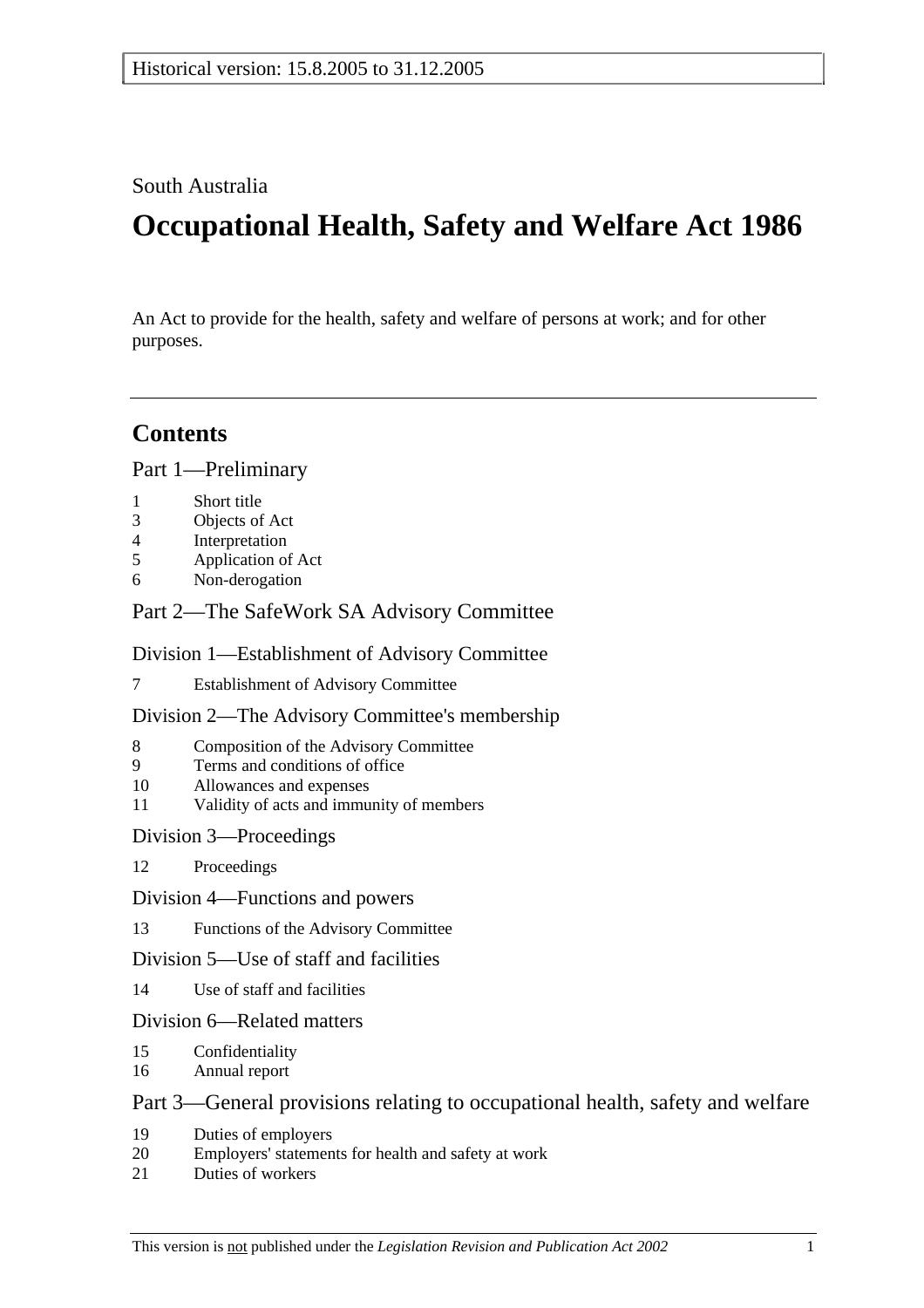### South Australia

# **Occupational Health, Safety and Welfare Act 1986**

An Act to provide for the health, safety and welfare of persons at work; and for other purposes.

## **Contents**

Part 1—Preliminary

- 1 Short title
- 3 Objects of Act
- 4 Interpretation
- 5 Application of Act
- 6 Non-derogation

### Part 2—The SafeWork SA Advisory Committee

### Division 1—Establishment of Advisory Committee

7 Establishment of Advisory Committee

### Division 2—The Advisory Committee's membership

- 8 Composition of the Advisory Committee
- 9 Terms and conditions of office
- 10 Allowances and expenses
- 11 Validity of acts and immunity of members

### Division 3—Proceedings

- 12 Proceedings
- Division 4—Functions and powers
- 13 Functions of the Advisory Committee

### Division 5—Use of staff and facilities

14 Use of staff and facilities

### Division 6—Related matters

- 15 Confidentiality
- 16 Annual report

### Part 3—General provisions relating to occupational health, safety and welfare

- 19 Duties of employers
- 20 Employers' statements for health and safety at work
- 21 Duties of workers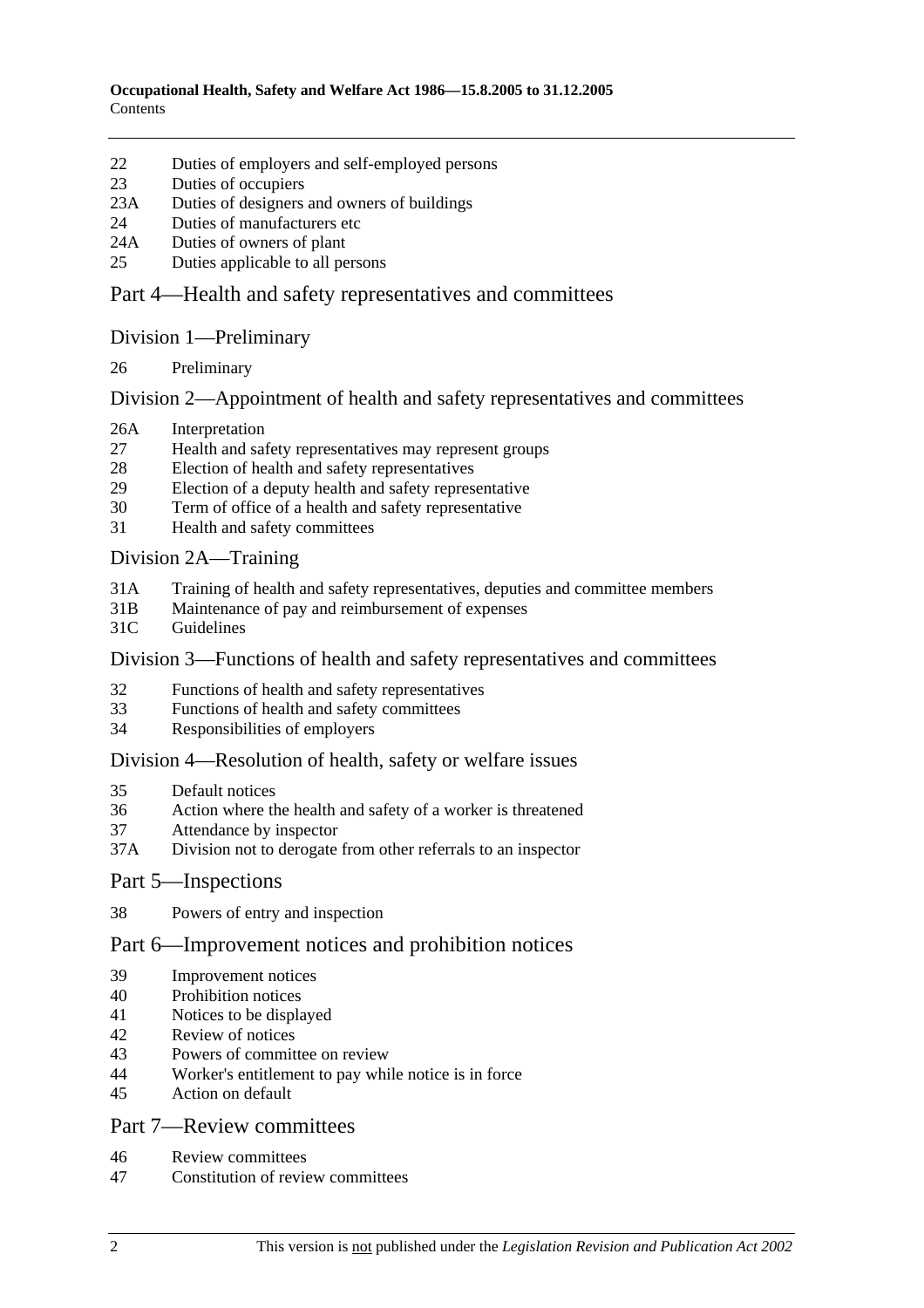- 22 Duties of employers and self-employed persons
- 23 Duties of occupiers
- 23A Duties of designers and owners of buildings
- 24 Duties of manufacturers etc
- 24A Duties of owners of plant
- 25 Duties applicable to all persons

### Part 4—Health and safety representatives and committees

#### Division 1—Preliminary

26 Preliminary

### Division 2—Appointment of health and safety representatives and committees

- 26A Interpretation
- 27 Health and safety representatives may represent groups
- 28 Election of health and safety representatives
- 29 Election of a deputy health and safety representative
- 30 Term of office of a health and safety representative
- 31 Health and safety committees

### Division 2A—Training

- 31A Training of health and safety representatives, deputies and committee members
- 31B Maintenance of pay and reimbursement of expenses
- 31C Guidelines

#### Division 3—Functions of health and safety representatives and committees

- 32 Functions of health and safety representatives
- 33 Functions of health and safety committees
- 34 Responsibilities of employers

#### Division 4—Resolution of health, safety or welfare issues

- 35 Default notices
- 36 Action where the health and safety of a worker is threatened
- 37 Attendance by inspector
- 37A Division not to derogate from other referrals to an inspector

#### Part 5—Inspections

38 Powers of entry and inspection

### Part 6—Improvement notices and prohibition notices

- 39 Improvement notices
- 40 Prohibition notices
- 41 Notices to be displayed
- 42 Review of notices
- 43 Powers of committee on review
- 44 Worker's entitlement to pay while notice is in force
- 45 Action on default

### Part 7—Review committees

- 46 Review committees
- 47 Constitution of review committees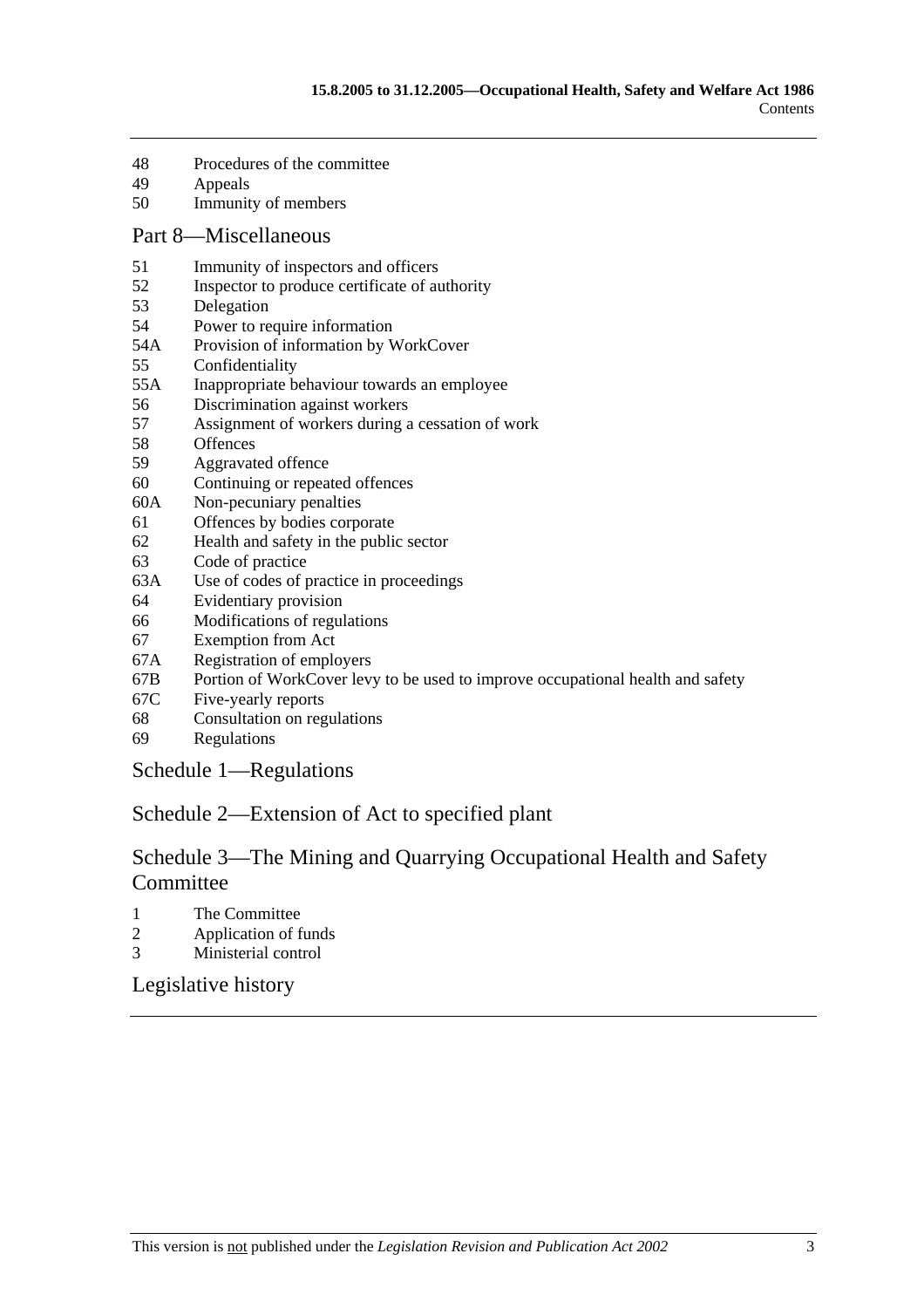- 48 Procedures of the committee
- 49 Appeals
- 50 Immunity of members

#### Part 8—Miscellaneous

- 51 Immunity of inspectors and officers
- 52 Inspector to produce certificate of authority
- 53 Delegation
- 54 Power to require information
- 54A Provision of information by WorkCover
- 55 Confidentiality
- 55A Inappropriate behaviour towards an employee
- 56 Discrimination against workers
- 57 Assignment of workers during a cessation of work
- 58 Offences
- 59 Aggravated offence
- 60 Continuing or repeated offences
- 60A Non-pecuniary penalties
- 61 Offences by bodies corporate
- 62 Health and safety in the public sector
- 63 Code of practice
- 63A Use of codes of practice in proceedings
- 64 Evidentiary provision
- 66 Modifications of regulations
- 67 Exemption from Act
- 67A Registration of employers
- 67B Portion of WorkCover levy to be used to improve occupational health and safety
- 67C Five-yearly reports
- 68 Consultation on regulations
- 69 Regulations

Schedule 1—Regulations

### Schedule 2—Extension of Act to specified plant

### Schedule 3—The Mining and Quarrying Occupational Health and Safety Committee

- 1 The Committee
- 2 Application of funds
- 3 Ministerial control

Legislative history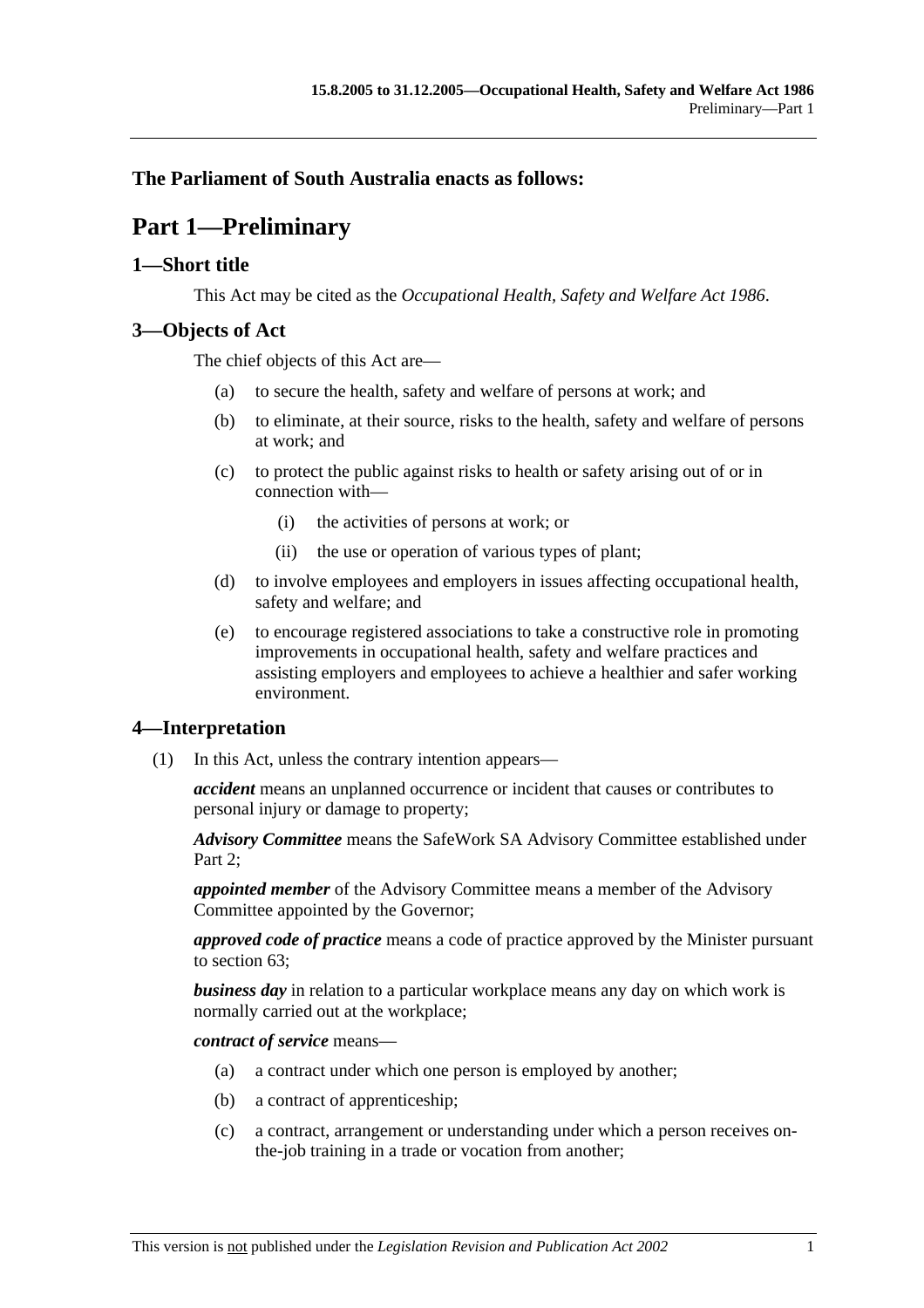### **The Parliament of South Australia enacts as follows:**

# **Part 1—Preliminary**

### **1—Short title**

This Act may be cited as the *Occupational Health, Safety and Welfare Act 1986*.

### **3—Objects of Act**

The chief objects of this Act are—

- (a) to secure the health, safety and welfare of persons at work; and
- (b) to eliminate, at their source, risks to the health, safety and welfare of persons at work; and
- (c) to protect the public against risks to health or safety arising out of or in connection with—
	- (i) the activities of persons at work; or
	- (ii) the use or operation of various types of plant;
- (d) to involve employees and employers in issues affecting occupational health, safety and welfare; and
- (e) to encourage registered associations to take a constructive role in promoting improvements in occupational health, safety and welfare practices and assisting employers and employees to achieve a healthier and safer working environment.

### **4—Interpretation**

(1) In this Act, unless the contrary intention appears—

*accident* means an unplanned occurrence or incident that causes or contributes to personal injury or damage to property;

*Advisory Committee* means the SafeWork SA Advisory Committee established under Part 2:

*appointed member* of the Advisory Committee means a member of the Advisory Committee appointed by the Governor;

*approved code of practice* means a code of practice approved by the Minister pursuant to section 63;

*business day* in relation to a particular workplace means any day on which work is normally carried out at the workplace;

*contract of service* means—

- (a) a contract under which one person is employed by another;
- (b) a contract of apprenticeship;
- (c) a contract, arrangement or understanding under which a person receives onthe-job training in a trade or vocation from another;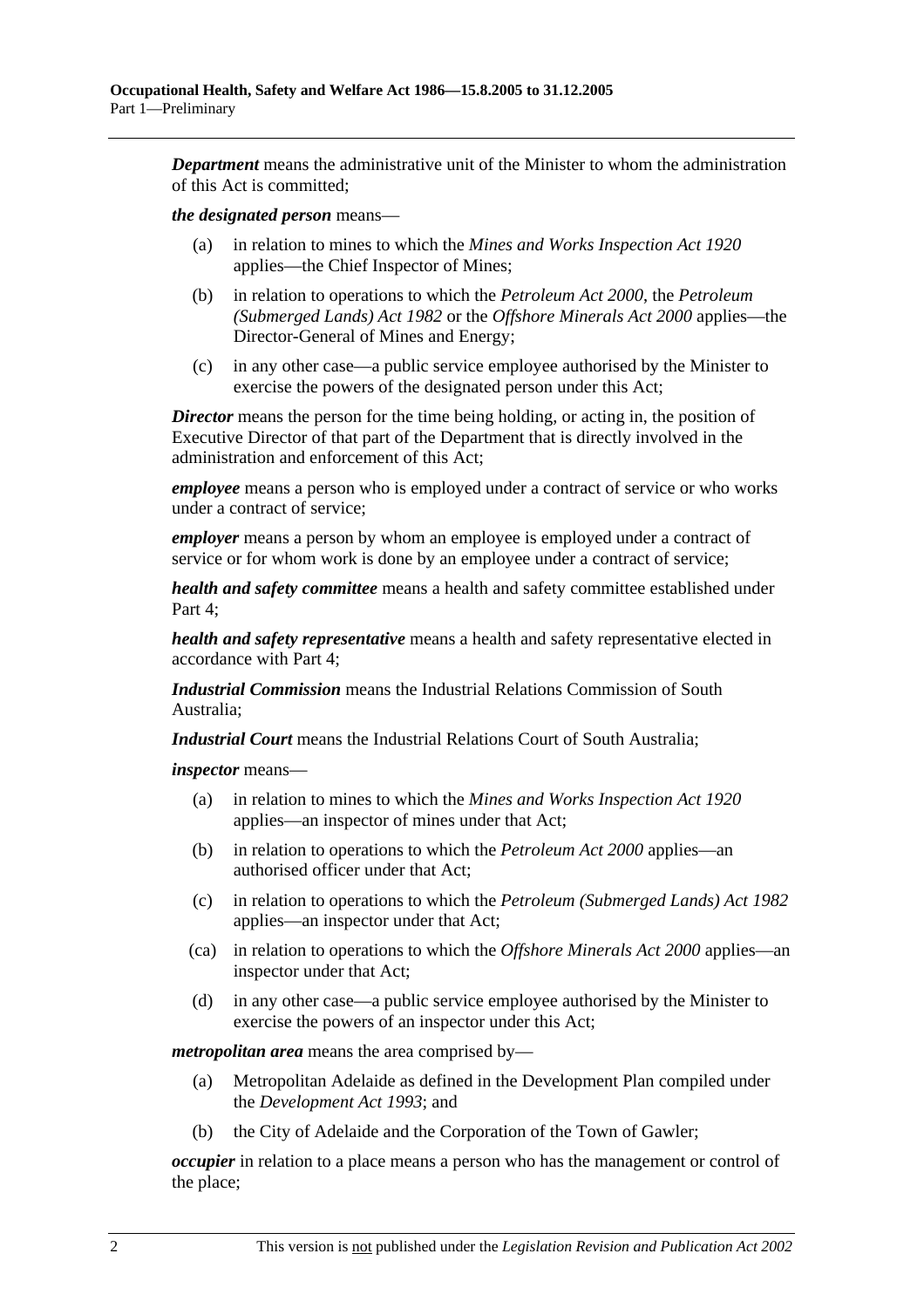*Department* means the administrative unit of the Minister to whom the administration of this Act is committed;

#### *the designated person* means—

- (a) in relation to mines to which the *Mines and Works Inspection Act 1920* applies—the Chief Inspector of Mines;
- (b) in relation to operations to which the *Petroleum Act 2000*, the *Petroleum (Submerged Lands) Act 1982* or the *Offshore Minerals Act 2000* applies—the Director-General of Mines and Energy;
- (c) in any other case—a public service employee authorised by the Minister to exercise the powers of the designated person under this Act;

*Director* means the person for the time being holding, or acting in, the position of Executive Director of that part of the Department that is directly involved in the administration and enforcement of this Act;

*employee* means a person who is employed under a contract of service or who works under a contract of service;

*employer* means a person by whom an employee is employed under a contract of service or for whom work is done by an employee under a contract of service;

*health and safety committee* means a health and safety committee established under Part 4;

*health and safety representative* means a health and safety representative elected in accordance with Part 4;

*Industrial Commission* means the Industrial Relations Commission of South Australia;

*Industrial Court* means the Industrial Relations Court of South Australia;

*inspector* means—

- (a) in relation to mines to which the *Mines and Works Inspection Act 1920* applies—an inspector of mines under that Act;
- (b) in relation to operations to which the *Petroleum Act 2000* applies—an authorised officer under that Act;
- (c) in relation to operations to which the *Petroleum (Submerged Lands) Act 1982* applies—an inspector under that Act;
- (ca) in relation to operations to which the *Offshore Minerals Act 2000* applies—an inspector under that Act;
- (d) in any other case—a public service employee authorised by the Minister to exercise the powers of an inspector under this Act;

*metropolitan area* means the area comprised by—

- (a) Metropolitan Adelaide as defined in the Development Plan compiled under the *Development Act 1993*; and
- (b) the City of Adelaide and the Corporation of the Town of Gawler;

*occupier* in relation to a place means a person who has the management or control of the place;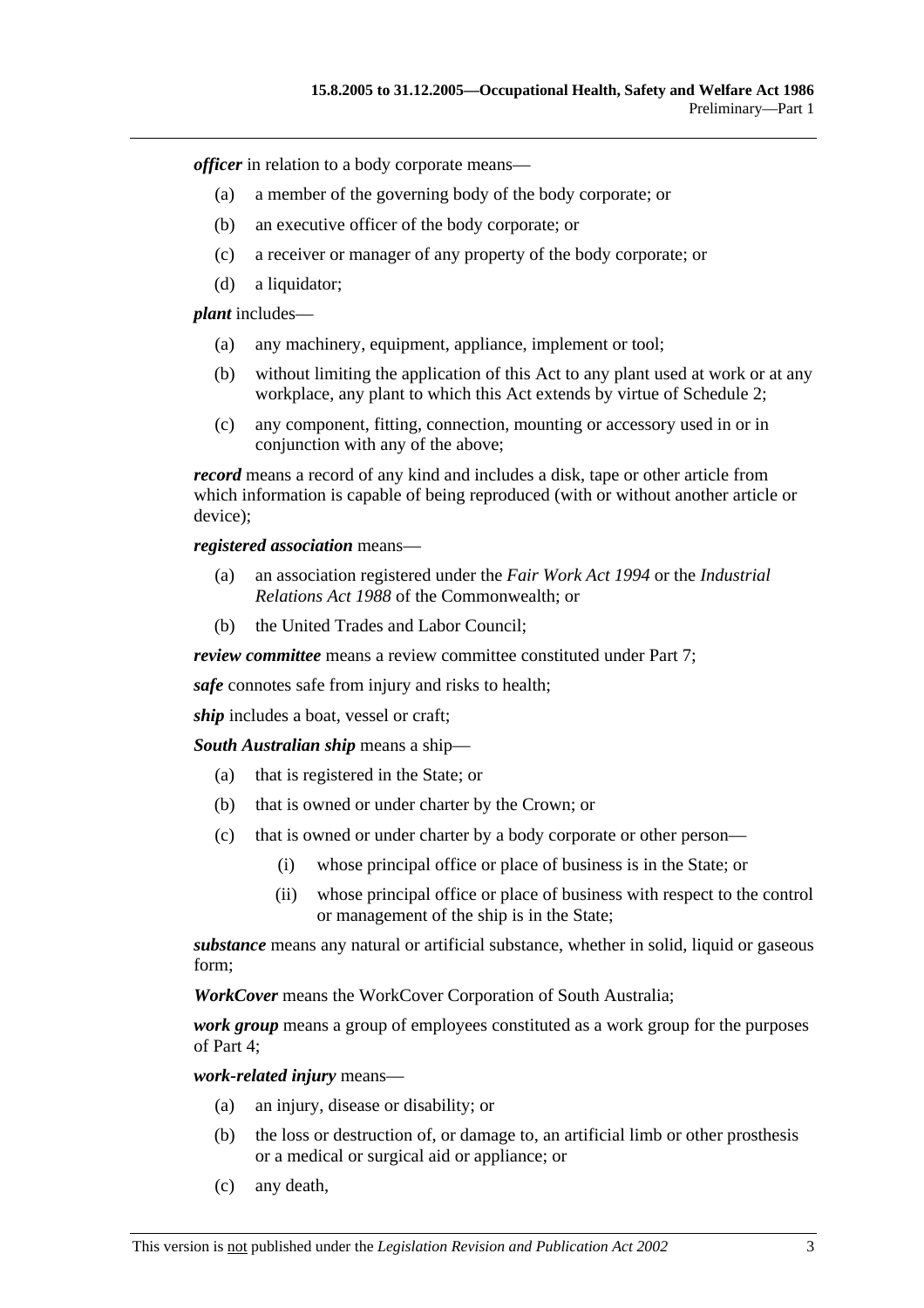*officer* in relation to a body corporate means—

- (a) a member of the governing body of the body corporate; or
- (b) an executive officer of the body corporate; or
- (c) a receiver or manager of any property of the body corporate; or
- (d) a liquidator;

*plant* includes—

- (a) any machinery, equipment, appliance, implement or tool;
- (b) without limiting the application of this Act to any plant used at work or at any workplace, any plant to which this Act extends by virtue of Schedule 2;
- (c) any component, fitting, connection, mounting or accessory used in or in conjunction with any of the above;

*record* means a record of any kind and includes a disk, tape or other article from which information is capable of being reproduced (with or without another article or device);

*registered association* means—

- (a) an association registered under the *Fair Work Act 1994* or the *Industrial Relations Act 1988* of the Commonwealth; or
- (b) the United Trades and Labor Council;

*review committee* means a review committee constituted under Part 7;

*safe* connotes safe from injury and risks to health;

*ship* includes a boat, vessel or craft;

*South Australian ship* means a ship—

- (a) that is registered in the State; or
- (b) that is owned or under charter by the Crown; or
- (c) that is owned or under charter by a body corporate or other person—
	- (i) whose principal office or place of business is in the State; or
	- (ii) whose principal office or place of business with respect to the control or management of the ship is in the State;

*substance* means any natural or artificial substance, whether in solid, liquid or gaseous form;

*WorkCover* means the WorkCover Corporation of South Australia;

*work group* means a group of employees constituted as a work group for the purposes of Part 4;

*work-related injury* means—

- (a) an injury, disease or disability; or
- (b) the loss or destruction of, or damage to, an artificial limb or other prosthesis or a medical or surgical aid or appliance; or
- (c) any death,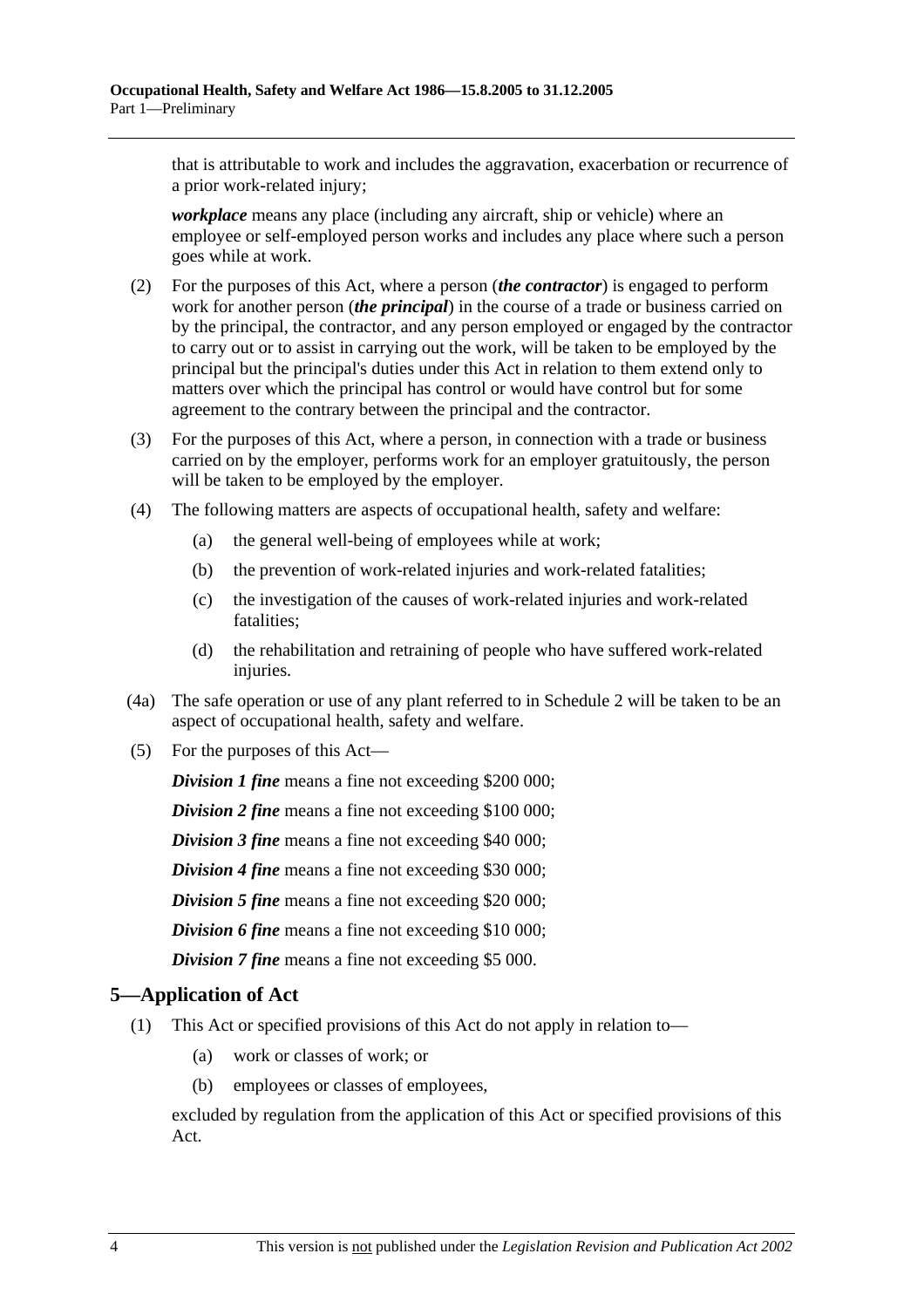that is attributable to work and includes the aggravation, exacerbation or recurrence of a prior work-related injury;

*workplace* means any place (including any aircraft, ship or vehicle) where an employee or self-employed person works and includes any place where such a person goes while at work.

- (2) For the purposes of this Act, where a person (*the contractor*) is engaged to perform work for another person (*the principal*) in the course of a trade or business carried on by the principal, the contractor, and any person employed or engaged by the contractor to carry out or to assist in carrying out the work, will be taken to be employed by the principal but the principal's duties under this Act in relation to them extend only to matters over which the principal has control or would have control but for some agreement to the contrary between the principal and the contractor.
- (3) For the purposes of this Act, where a person, in connection with a trade or business carried on by the employer, performs work for an employer gratuitously, the person will be taken to be employed by the employer.
- (4) The following matters are aspects of occupational health, safety and welfare:
	- (a) the general well-being of employees while at work;
	- (b) the prevention of work-related injuries and work-related fatalities;
	- (c) the investigation of the causes of work-related injuries and work-related fatalities;
	- (d) the rehabilitation and retraining of people who have suffered work-related injuries.
- (4a) The safe operation or use of any plant referred to in Schedule 2 will be taken to be an aspect of occupational health, safety and welfare.
- (5) For the purposes of this Act—

*Division 1 fine* means a fine not exceeding \$200 000;

*Division 2 fine* means a fine not exceeding \$100 000;

*Division 3 fine* means a fine not exceeding \$40 000;

*Division 4 fine* means a fine not exceeding \$30 000;

*Division 5 fine* means a fine not exceeding \$20 000;

*Division 6 fine* means a fine not exceeding \$10 000;

*Division 7 fine* means a fine not exceeding \$5 000.

### **5—Application of Act**

- (1) This Act or specified provisions of this Act do not apply in relation to—
	- (a) work or classes of work; or
	- (b) employees or classes of employees,

excluded by regulation from the application of this Act or specified provisions of this Act.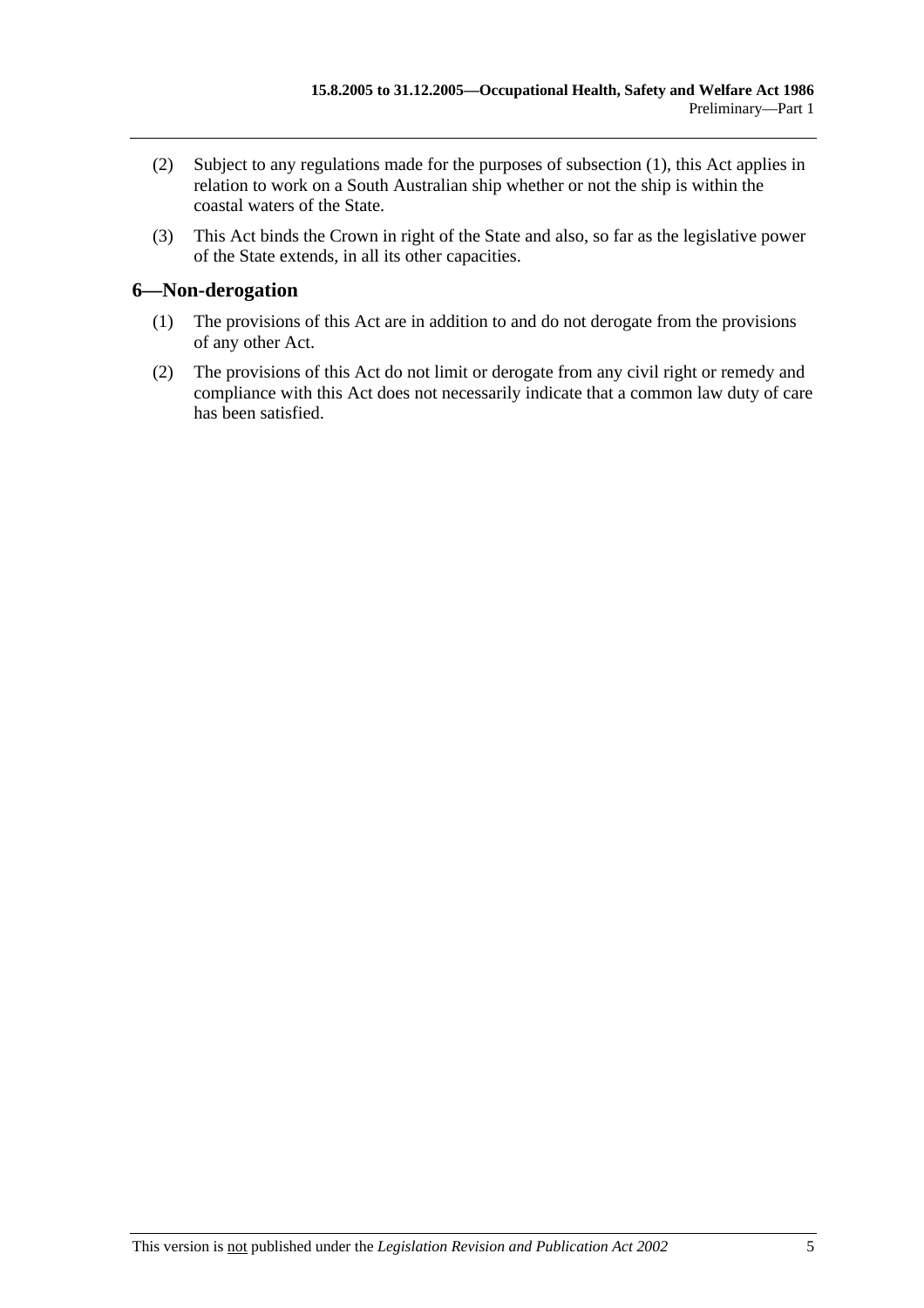- (2) Subject to any regulations made for the purposes of subsection (1), this Act applies in relation to work on a South Australian ship whether or not the ship is within the coastal waters of the State.
- (3) This Act binds the Crown in right of the State and also, so far as the legislative power of the State extends, in all its other capacities.

### **6—Non-derogation**

- (1) The provisions of this Act are in addition to and do not derogate from the provisions of any other Act.
- (2) The provisions of this Act do not limit or derogate from any civil right or remedy and compliance with this Act does not necessarily indicate that a common law duty of care has been satisfied.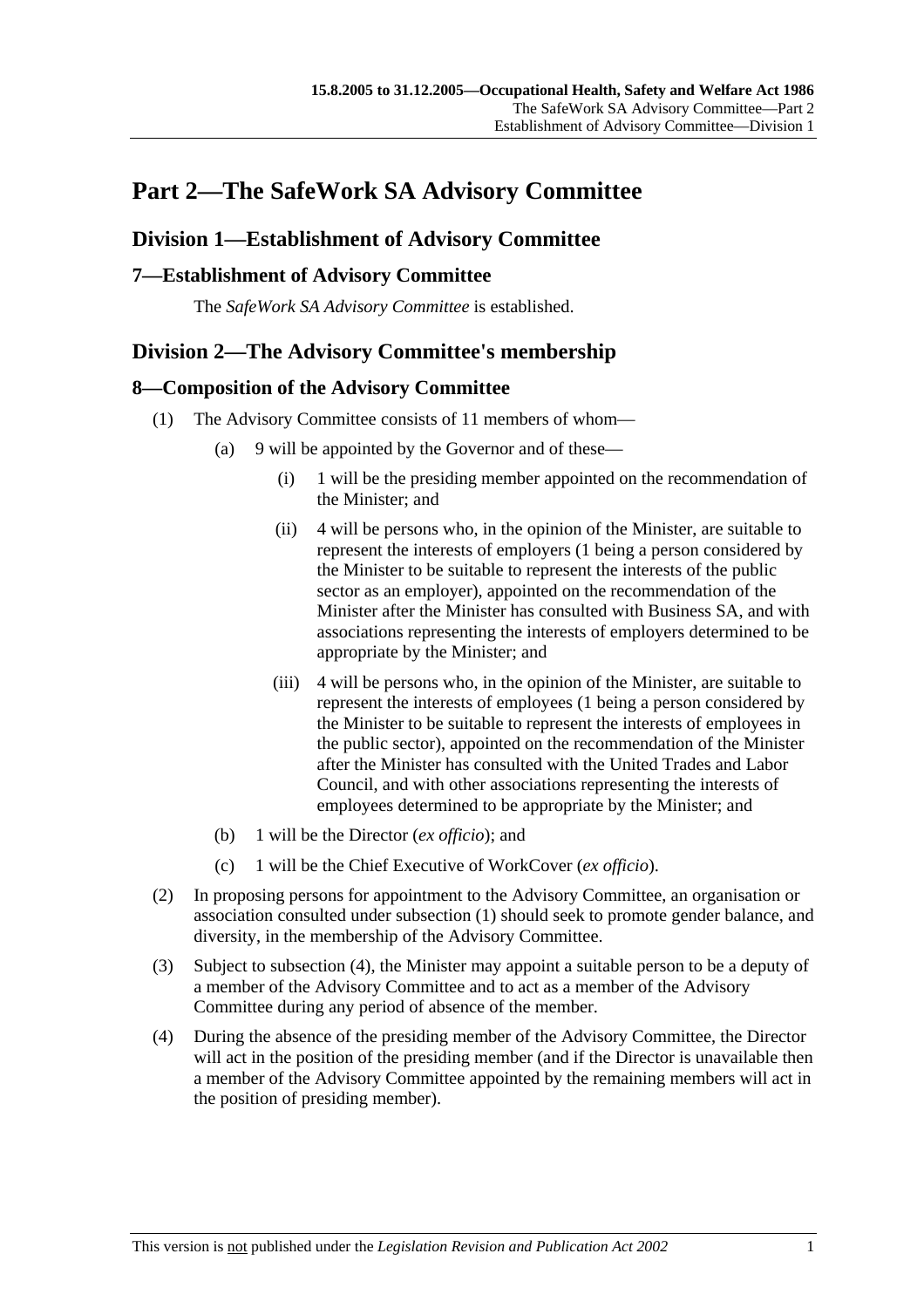# **Part 2—The SafeWork SA Advisory Committee**

### **Division 1—Establishment of Advisory Committee**

### **7—Establishment of Advisory Committee**

The *SafeWork SA Advisory Committee* is established.

### **Division 2—The Advisory Committee's membership**

### **8—Composition of the Advisory Committee**

- (1) The Advisory Committee consists of 11 members of whom—
	- (a) 9 will be appointed by the Governor and of these—
		- (i) 1 will be the presiding member appointed on the recommendation of the Minister; and
		- (ii) 4 will be persons who, in the opinion of the Minister, are suitable to represent the interests of employers (1 being a person considered by the Minister to be suitable to represent the interests of the public sector as an employer), appointed on the recommendation of the Minister after the Minister has consulted with Business SA, and with associations representing the interests of employers determined to be appropriate by the Minister; and
		- (iii) 4 will be persons who, in the opinion of the Minister, are suitable to represent the interests of employees (1 being a person considered by the Minister to be suitable to represent the interests of employees in the public sector), appointed on the recommendation of the Minister after the Minister has consulted with the United Trades and Labor Council, and with other associations representing the interests of employees determined to be appropriate by the Minister; and
	- (b) 1 will be the Director (*ex officio*); and
	- (c) 1 will be the Chief Executive of WorkCover (*ex officio*).
- (2) In proposing persons for appointment to the Advisory Committee, an organisation or association consulted under subsection (1) should seek to promote gender balance, and diversity, in the membership of the Advisory Committee.
- (3) Subject to subsection (4), the Minister may appoint a suitable person to be a deputy of a member of the Advisory Committee and to act as a member of the Advisory Committee during any period of absence of the member.
- (4) During the absence of the presiding member of the Advisory Committee, the Director will act in the position of the presiding member (and if the Director is unavailable then a member of the Advisory Committee appointed by the remaining members will act in the position of presiding member).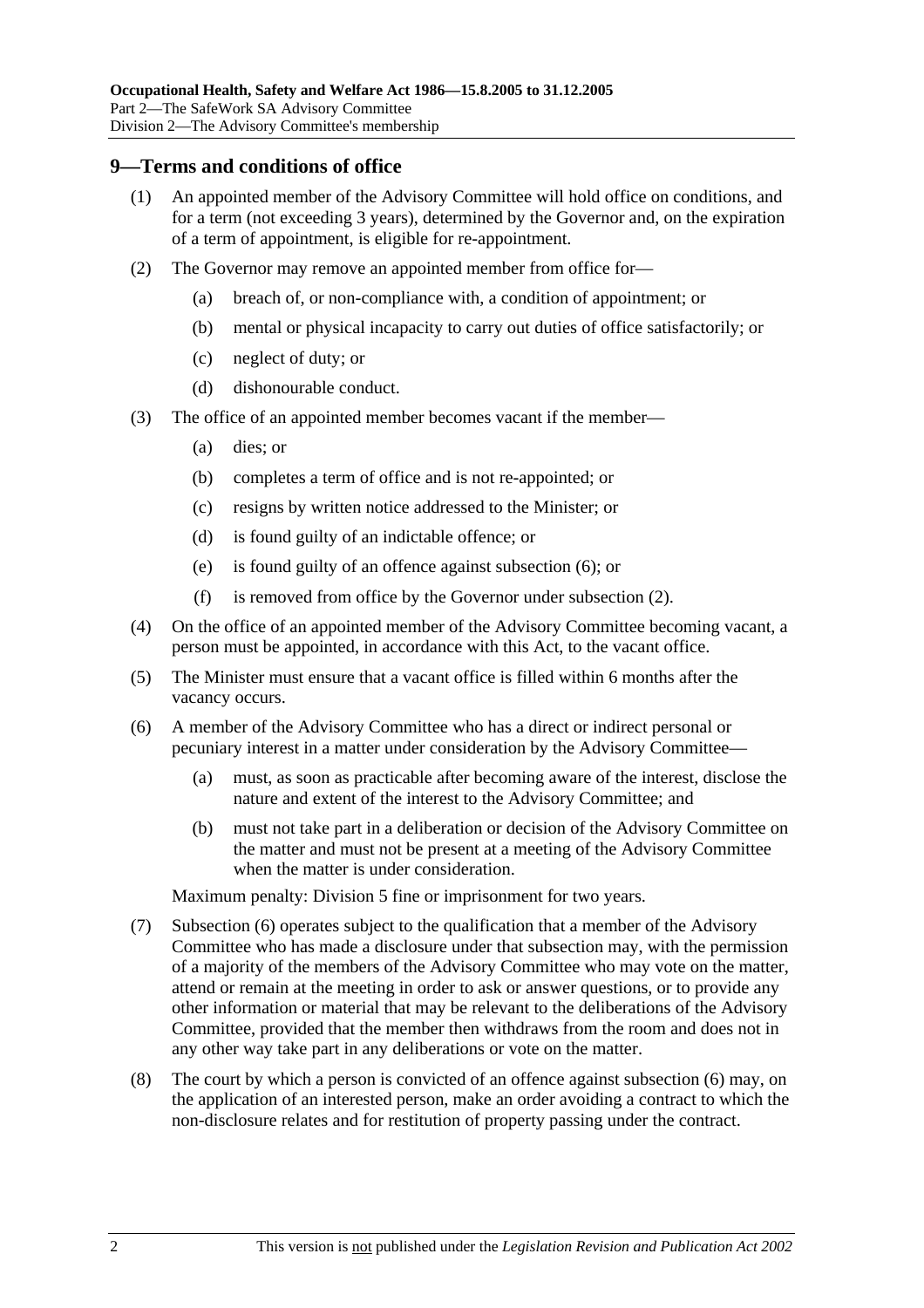### **9—Terms and conditions of office**

- (1) An appointed member of the Advisory Committee will hold office on conditions, and for a term (not exceeding 3 years), determined by the Governor and, on the expiration of a term of appointment, is eligible for re-appointment.
- (2) The Governor may remove an appointed member from office for—
	- (a) breach of, or non-compliance with, a condition of appointment; or
	- (b) mental or physical incapacity to carry out duties of office satisfactorily; or
	- (c) neglect of duty; or
	- (d) dishonourable conduct.
- (3) The office of an appointed member becomes vacant if the member—
	- (a) dies; or
	- (b) completes a term of office and is not re-appointed; or
	- (c) resigns by written notice addressed to the Minister; or
	- (d) is found guilty of an indictable offence; or
	- (e) is found guilty of an offence against subsection (6); or
	- (f) is removed from office by the Governor under subsection (2).
- (4) On the office of an appointed member of the Advisory Committee becoming vacant, a person must be appointed, in accordance with this Act, to the vacant office.
- (5) The Minister must ensure that a vacant office is filled within 6 months after the vacancy occurs.
- (6) A member of the Advisory Committee who has a direct or indirect personal or pecuniary interest in a matter under consideration by the Advisory Committee—
	- (a) must, as soon as practicable after becoming aware of the interest, disclose the nature and extent of the interest to the Advisory Committee; and
	- (b) must not take part in a deliberation or decision of the Advisory Committee on the matter and must not be present at a meeting of the Advisory Committee when the matter is under consideration.

Maximum penalty: Division 5 fine or imprisonment for two years.

- (7) Subsection (6) operates subject to the qualification that a member of the Advisory Committee who has made a disclosure under that subsection may, with the permission of a majority of the members of the Advisory Committee who may vote on the matter, attend or remain at the meeting in order to ask or answer questions, or to provide any other information or material that may be relevant to the deliberations of the Advisory Committee, provided that the member then withdraws from the room and does not in any other way take part in any deliberations or vote on the matter.
- (8) The court by which a person is convicted of an offence against subsection (6) may, on the application of an interested person, make an order avoiding a contract to which the non-disclosure relates and for restitution of property passing under the contract.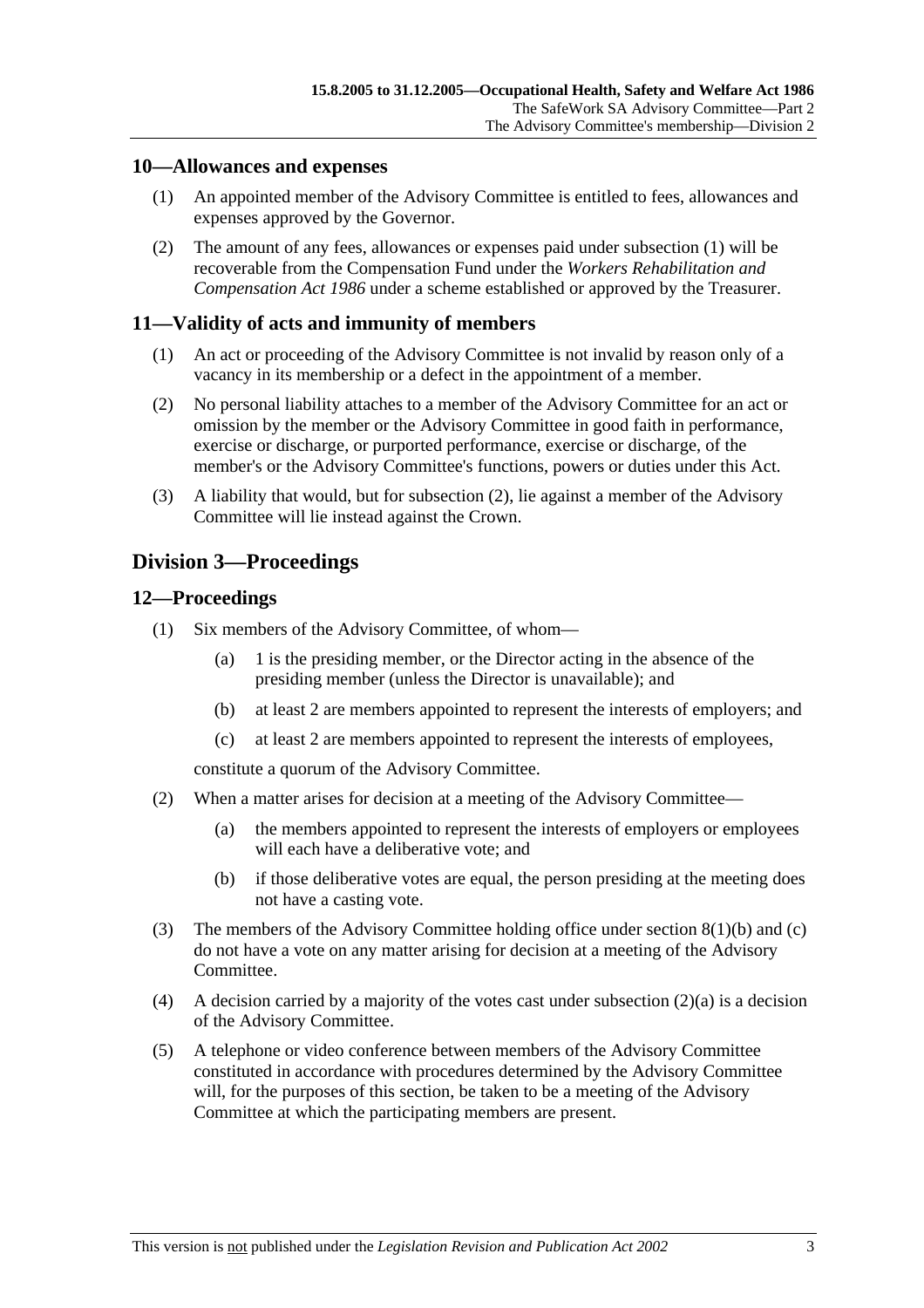### **10—Allowances and expenses**

- (1) An appointed member of the Advisory Committee is entitled to fees, allowances and expenses approved by the Governor.
- (2) The amount of any fees, allowances or expenses paid under subsection (1) will be recoverable from the Compensation Fund under the *Workers Rehabilitation and Compensation Act 1986* under a scheme established or approved by the Treasurer.

### **11—Validity of acts and immunity of members**

- (1) An act or proceeding of the Advisory Committee is not invalid by reason only of a vacancy in its membership or a defect in the appointment of a member.
- (2) No personal liability attaches to a member of the Advisory Committee for an act or omission by the member or the Advisory Committee in good faith in performance, exercise or discharge, or purported performance, exercise or discharge, of the member's or the Advisory Committee's functions, powers or duties under this Act.
- (3) A liability that would, but for subsection (2), lie against a member of the Advisory Committee will lie instead against the Crown.

### **Division 3—Proceedings**

### **12—Proceedings**

- (1) Six members of the Advisory Committee, of whom—
	- (a) 1 is the presiding member, or the Director acting in the absence of the presiding member (unless the Director is unavailable); and
	- (b) at least 2 are members appointed to represent the interests of employers; and
	- (c) at least 2 are members appointed to represent the interests of employees,

constitute a quorum of the Advisory Committee.

- (2) When a matter arises for decision at a meeting of the Advisory Committee—
	- (a) the members appointed to represent the interests of employers or employees will each have a deliberative vote; and
	- (b) if those deliberative votes are equal, the person presiding at the meeting does not have a casting vote.
- (3) The members of the Advisory Committee holding office under section 8(1)(b) and (c) do not have a vote on any matter arising for decision at a meeting of the Advisory Committee.
- (4) A decision carried by a majority of the votes cast under subsection  $(2)(a)$  is a decision of the Advisory Committee.
- (5) A telephone or video conference between members of the Advisory Committee constituted in accordance with procedures determined by the Advisory Committee will, for the purposes of this section, be taken to be a meeting of the Advisory Committee at which the participating members are present.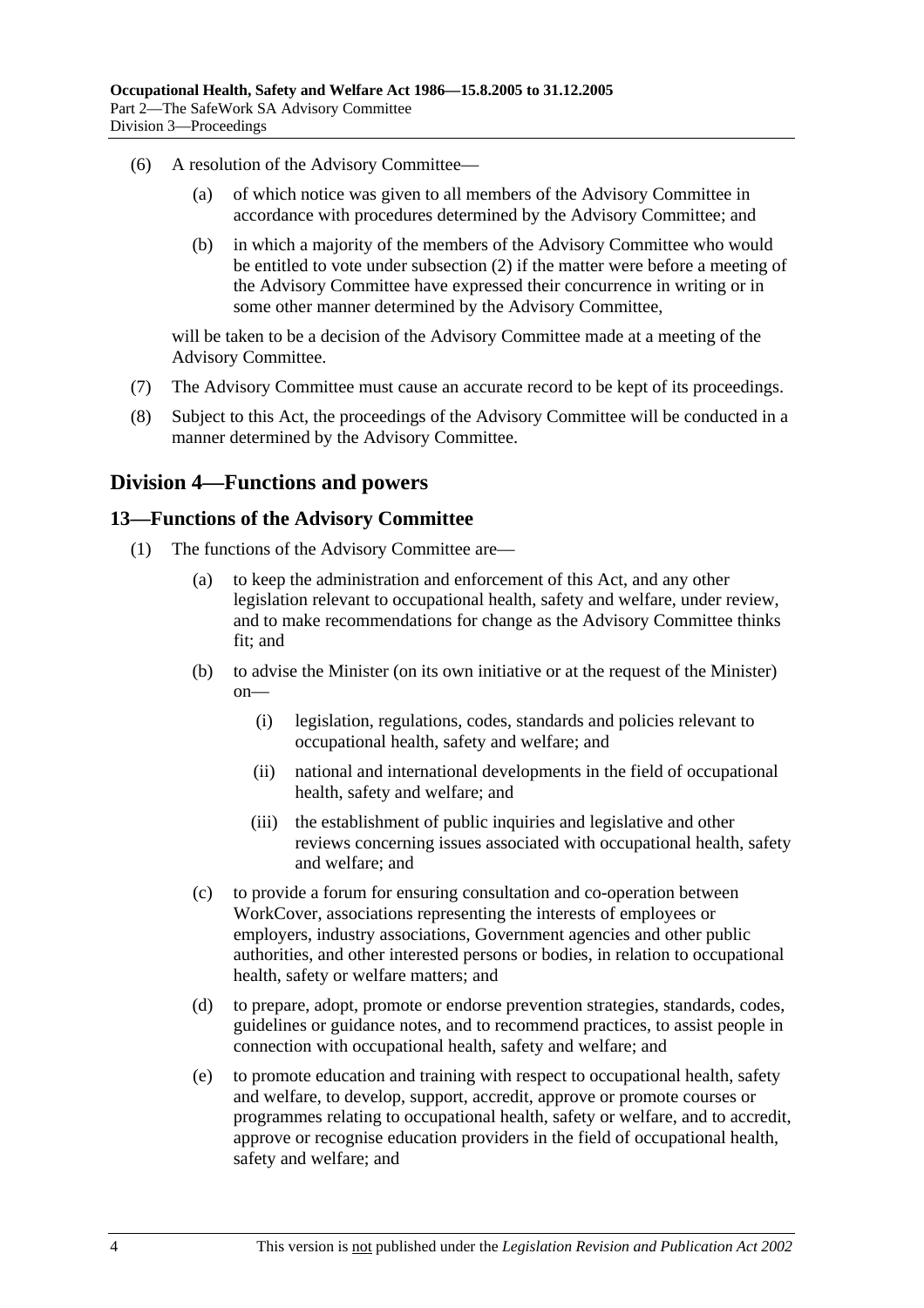- (6) A resolution of the Advisory Committee—
	- (a) of which notice was given to all members of the Advisory Committee in accordance with procedures determined by the Advisory Committee; and
	- (b) in which a majority of the members of the Advisory Committee who would be entitled to vote under subsection (2) if the matter were before a meeting of the Advisory Committee have expressed their concurrence in writing or in some other manner determined by the Advisory Committee,

will be taken to be a decision of the Advisory Committee made at a meeting of the Advisory Committee.

- (7) The Advisory Committee must cause an accurate record to be kept of its proceedings.
- (8) Subject to this Act, the proceedings of the Advisory Committee will be conducted in a manner determined by the Advisory Committee.

### **Division 4—Functions and powers**

#### **13—Functions of the Advisory Committee**

- (1) The functions of the Advisory Committee are—
	- (a) to keep the administration and enforcement of this Act, and any other legislation relevant to occupational health, safety and welfare, under review, and to make recommendations for change as the Advisory Committee thinks fit; and
	- (b) to advise the Minister (on its own initiative or at the request of the Minister) on—
		- (i) legislation, regulations, codes, standards and policies relevant to occupational health, safety and welfare; and
		- (ii) national and international developments in the field of occupational health, safety and welfare; and
		- (iii) the establishment of public inquiries and legislative and other reviews concerning issues associated with occupational health, safety and welfare; and
	- (c) to provide a forum for ensuring consultation and co-operation between WorkCover, associations representing the interests of employees or employers, industry associations, Government agencies and other public authorities, and other interested persons or bodies, in relation to occupational health, safety or welfare matters; and
	- (d) to prepare, adopt, promote or endorse prevention strategies, standards, codes, guidelines or guidance notes, and to recommend practices, to assist people in connection with occupational health, safety and welfare; and
	- (e) to promote education and training with respect to occupational health, safety and welfare, to develop, support, accredit, approve or promote courses or programmes relating to occupational health, safety or welfare, and to accredit, approve or recognise education providers in the field of occupational health, safety and welfare; and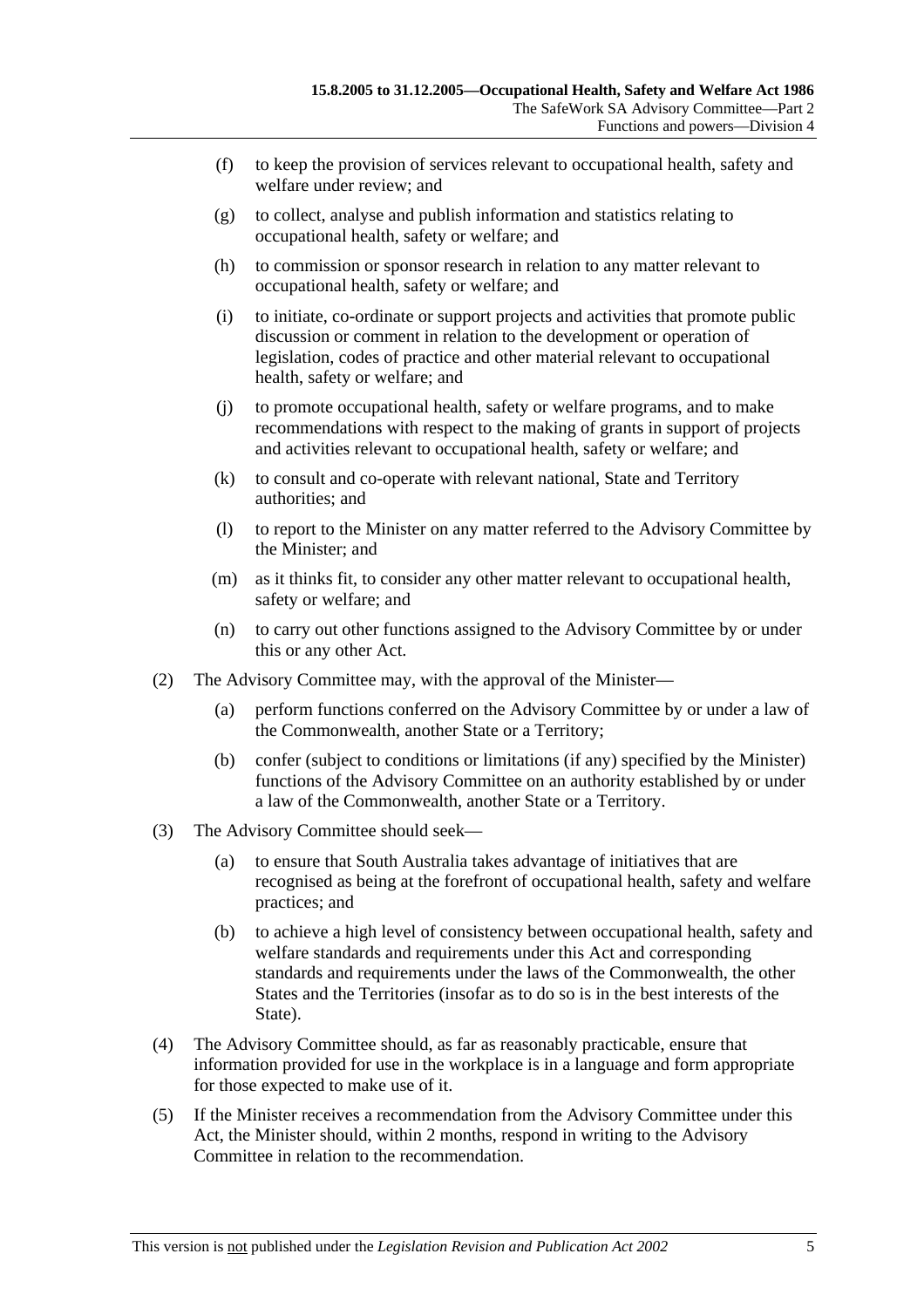- (f) to keep the provision of services relevant to occupational health, safety and welfare under review; and
- (g) to collect, analyse and publish information and statistics relating to occupational health, safety or welfare; and
- (h) to commission or sponsor research in relation to any matter relevant to occupational health, safety or welfare; and
- (i) to initiate, co-ordinate or support projects and activities that promote public discussion or comment in relation to the development or operation of legislation, codes of practice and other material relevant to occupational health, safety or welfare; and
- (j) to promote occupational health, safety or welfare programs, and to make recommendations with respect to the making of grants in support of projects and activities relevant to occupational health, safety or welfare; and
- (k) to consult and co-operate with relevant national, State and Territory authorities; and
- (l) to report to the Minister on any matter referred to the Advisory Committee by the Minister; and
- (m) as it thinks fit, to consider any other matter relevant to occupational health, safety or welfare; and
- (n) to carry out other functions assigned to the Advisory Committee by or under this or any other Act.
- (2) The Advisory Committee may, with the approval of the Minister—
	- (a) perform functions conferred on the Advisory Committee by or under a law of the Commonwealth, another State or a Territory;
	- (b) confer (subject to conditions or limitations (if any) specified by the Minister) functions of the Advisory Committee on an authority established by or under a law of the Commonwealth, another State or a Territory.
- (3) The Advisory Committee should seek—
	- (a) to ensure that South Australia takes advantage of initiatives that are recognised as being at the forefront of occupational health, safety and welfare practices; and
	- (b) to achieve a high level of consistency between occupational health, safety and welfare standards and requirements under this Act and corresponding standards and requirements under the laws of the Commonwealth, the other States and the Territories (insofar as to do so is in the best interests of the State).
- (4) The Advisory Committee should, as far as reasonably practicable, ensure that information provided for use in the workplace is in a language and form appropriate for those expected to make use of it.
- (5) If the Minister receives a recommendation from the Advisory Committee under this Act, the Minister should, within 2 months, respond in writing to the Advisory Committee in relation to the recommendation.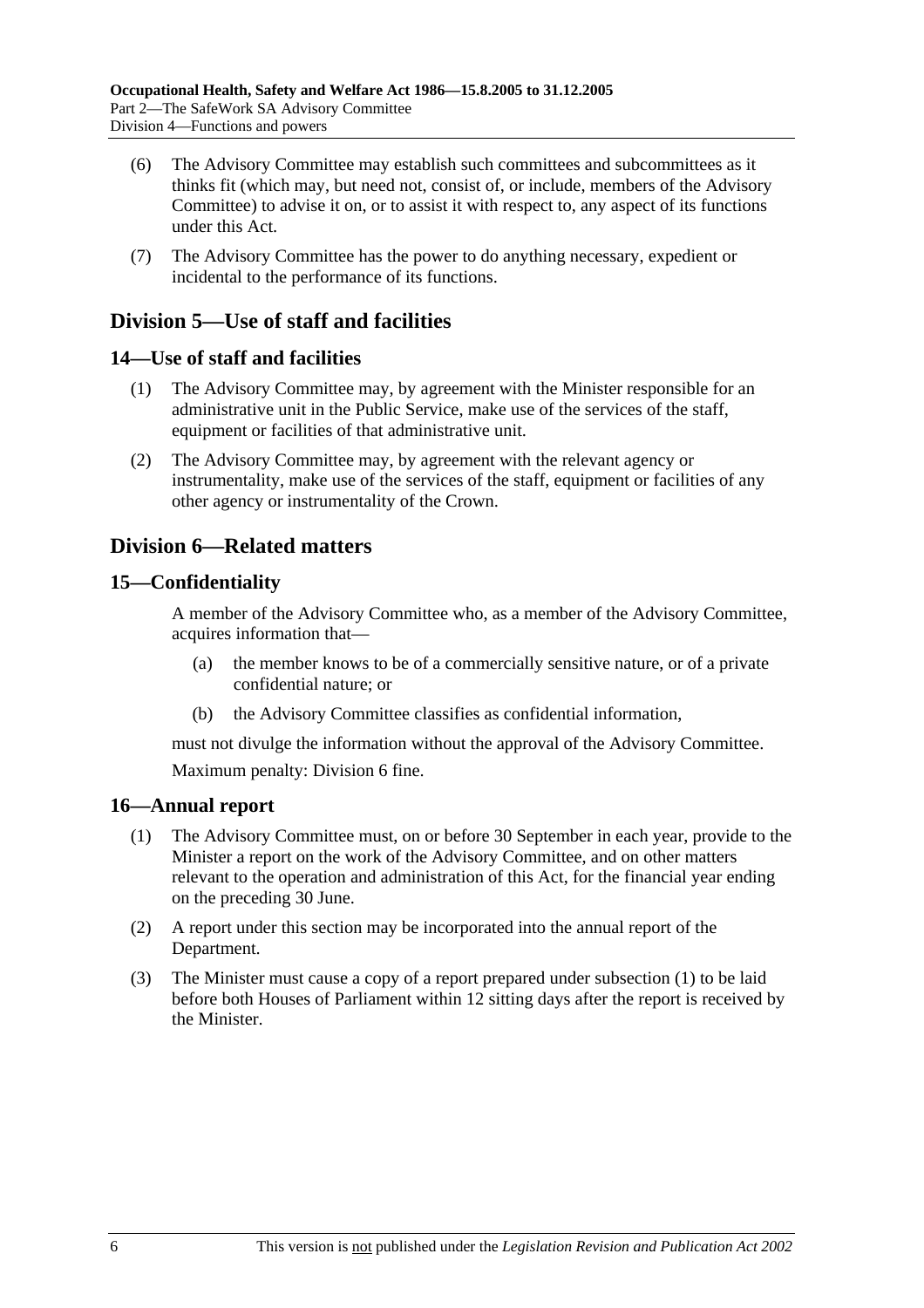- (6) The Advisory Committee may establish such committees and subcommittees as it thinks fit (which may, but need not, consist of, or include, members of the Advisory Committee) to advise it on, or to assist it with respect to, any aspect of its functions under this Act.
- (7) The Advisory Committee has the power to do anything necessary, expedient or incidental to the performance of its functions.

### **Division 5—Use of staff and facilities**

### **14—Use of staff and facilities**

- (1) The Advisory Committee may, by agreement with the Minister responsible for an administrative unit in the Public Service, make use of the services of the staff, equipment or facilities of that administrative unit.
- (2) The Advisory Committee may, by agreement with the relevant agency or instrumentality, make use of the services of the staff, equipment or facilities of any other agency or instrumentality of the Crown.

### **Division 6—Related matters**

### **15—Confidentiality**

A member of the Advisory Committee who, as a member of the Advisory Committee, acquires information that—

- (a) the member knows to be of a commercially sensitive nature, or of a private confidential nature; or
- (b) the Advisory Committee classifies as confidential information,

must not divulge the information without the approval of the Advisory Committee. Maximum penalty: Division 6 fine.

### **16—Annual report**

- (1) The Advisory Committee must, on or before 30 September in each year, provide to the Minister a report on the work of the Advisory Committee, and on other matters relevant to the operation and administration of this Act, for the financial year ending on the preceding 30 June.
- (2) A report under this section may be incorporated into the annual report of the Department.
- (3) The Minister must cause a copy of a report prepared under subsection (1) to be laid before both Houses of Parliament within 12 sitting days after the report is received by the Minister.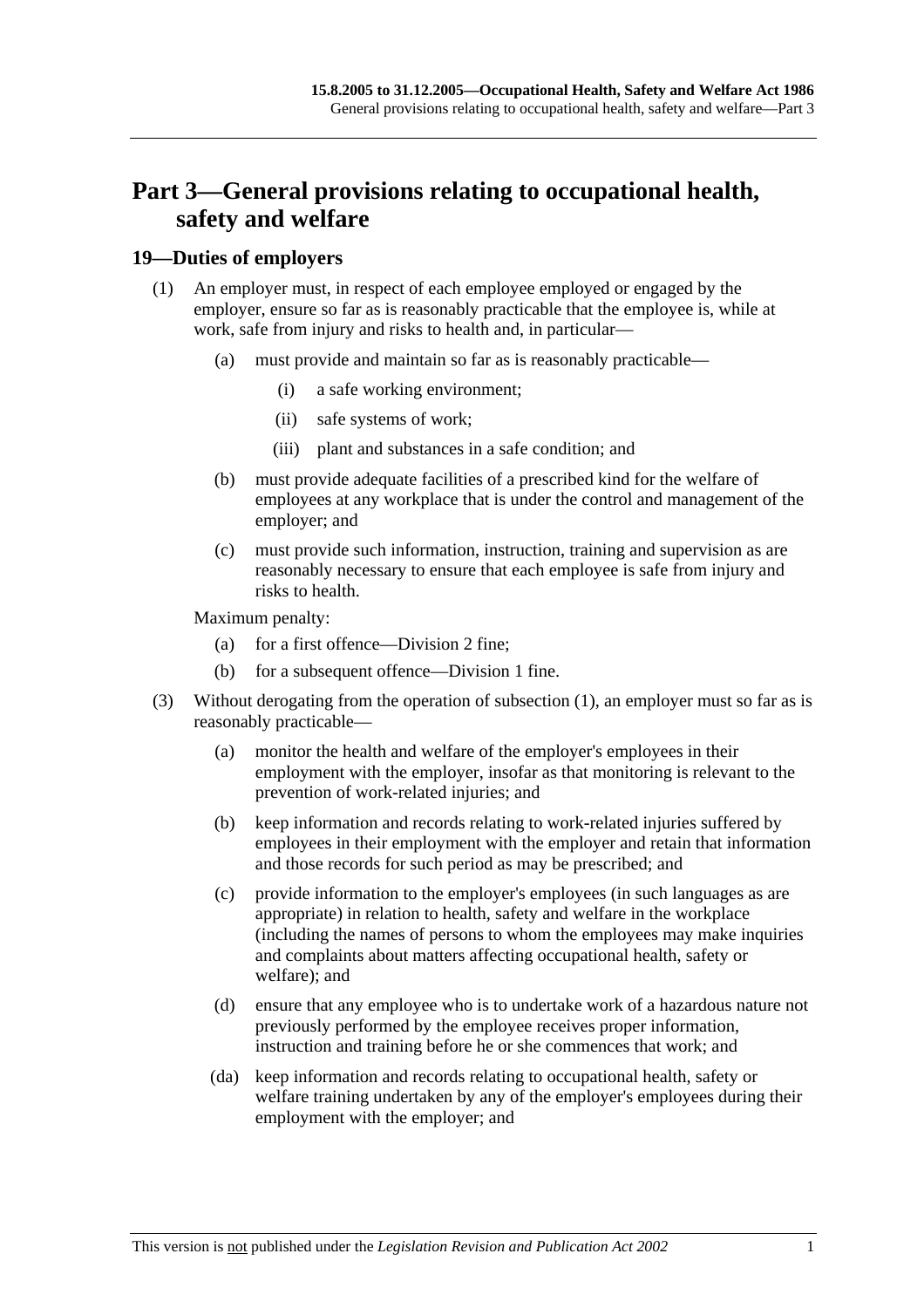# **Part 3—General provisions relating to occupational health, safety and welfare**

### **19—Duties of employers**

- (1) An employer must, in respect of each employee employed or engaged by the employer, ensure so far as is reasonably practicable that the employee is, while at work, safe from injury and risks to health and, in particular—
	- (a) must provide and maintain so far as is reasonably practicable—
		- (i) a safe working environment;
		- (ii) safe systems of work;
		- (iii) plant and substances in a safe condition; and
	- (b) must provide adequate facilities of a prescribed kind for the welfare of employees at any workplace that is under the control and management of the employer; and
	- (c) must provide such information, instruction, training and supervision as are reasonably necessary to ensure that each employee is safe from injury and risks to health.

Maximum penalty:

- (a) for a first offence—Division 2 fine;
- (b) for a subsequent offence—Division 1 fine.
- (3) Without derogating from the operation of subsection (1), an employer must so far as is reasonably practicable—
	- (a) monitor the health and welfare of the employer's employees in their employment with the employer, insofar as that monitoring is relevant to the prevention of work-related injuries; and
	- (b) keep information and records relating to work-related injuries suffered by employees in their employment with the employer and retain that information and those records for such period as may be prescribed; and
	- (c) provide information to the employer's employees (in such languages as are appropriate) in relation to health, safety and welfare in the workplace (including the names of persons to whom the employees may make inquiries and complaints about matters affecting occupational health, safety or welfare); and
	- (d) ensure that any employee who is to undertake work of a hazardous nature not previously performed by the employee receives proper information, instruction and training before he or she commences that work; and
	- (da) keep information and records relating to occupational health, safety or welfare training undertaken by any of the employer's employees during their employment with the employer; and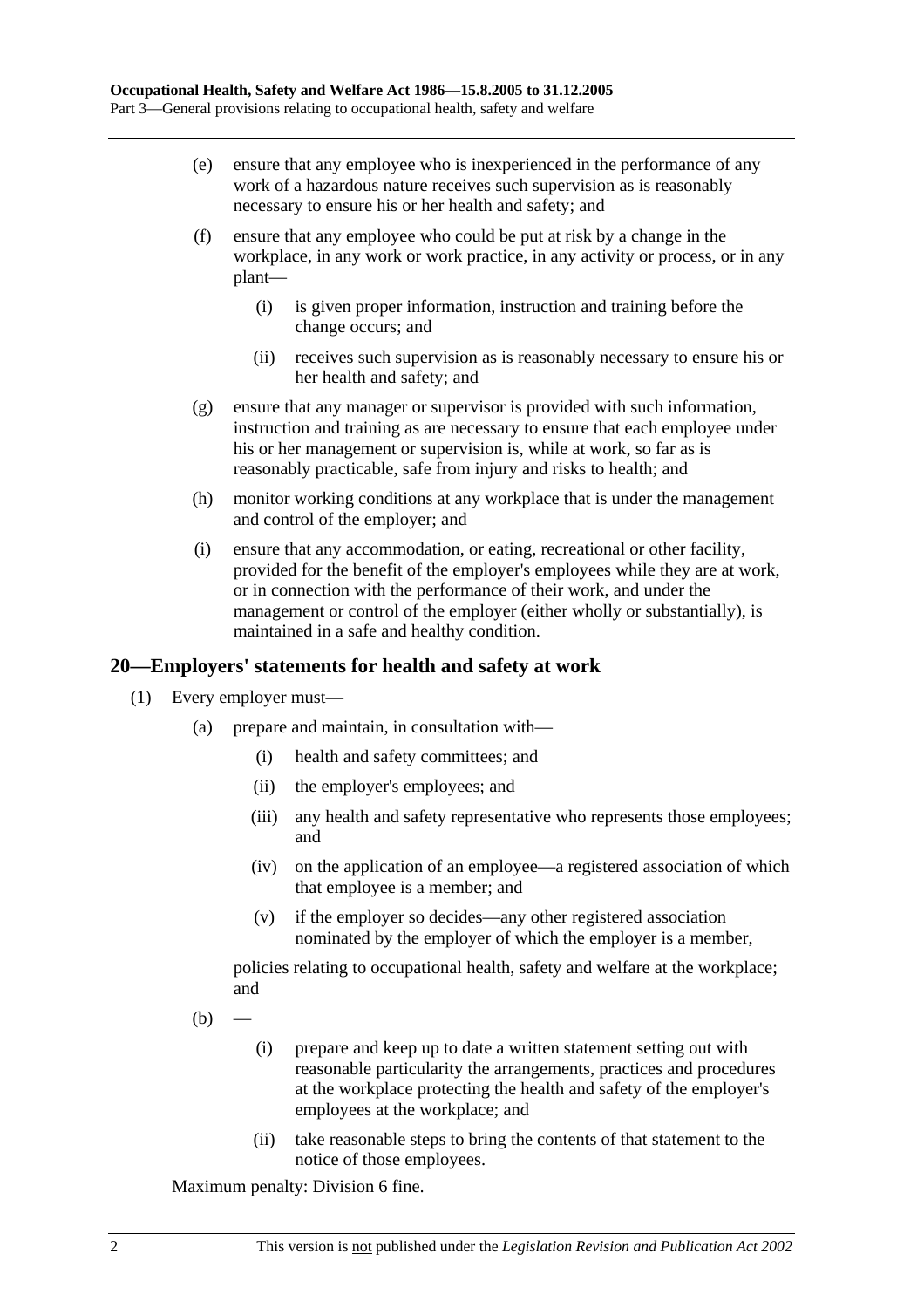- (e) ensure that any employee who is inexperienced in the performance of any work of a hazardous nature receives such supervision as is reasonably necessary to ensure his or her health and safety; and
- (f) ensure that any employee who could be put at risk by a change in the workplace, in any work or work practice, in any activity or process, or in any plant—
	- (i) is given proper information, instruction and training before the change occurs; and
	- (ii) receives such supervision as is reasonably necessary to ensure his or her health and safety; and
- (g) ensure that any manager or supervisor is provided with such information, instruction and training as are necessary to ensure that each employee under his or her management or supervision is, while at work, so far as is reasonably practicable, safe from injury and risks to health; and
- (h) monitor working conditions at any workplace that is under the management and control of the employer; and
- (i) ensure that any accommodation, or eating, recreational or other facility, provided for the benefit of the employer's employees while they are at work, or in connection with the performance of their work, and under the management or control of the employer (either wholly or substantially), is maintained in a safe and healthy condition.

### **20—Employers' statements for health and safety at work**

- (1) Every employer must—
	- (a) prepare and maintain, in consultation with—
		- (i) health and safety committees; and
		- (ii) the employer's employees; and
		- (iii) any health and safety representative who represents those employees; and
		- (iv) on the application of an employee—a registered association of which that employee is a member; and
		- (v) if the employer so decides—any other registered association nominated by the employer of which the employer is a member,

policies relating to occupational health, safety and welfare at the workplace; and

- $(b)$
- (i) prepare and keep up to date a written statement setting out with reasonable particularity the arrangements, practices and procedures at the workplace protecting the health and safety of the employer's employees at the workplace; and
- (ii) take reasonable steps to bring the contents of that statement to the notice of those employees.

Maximum penalty: Division 6 fine.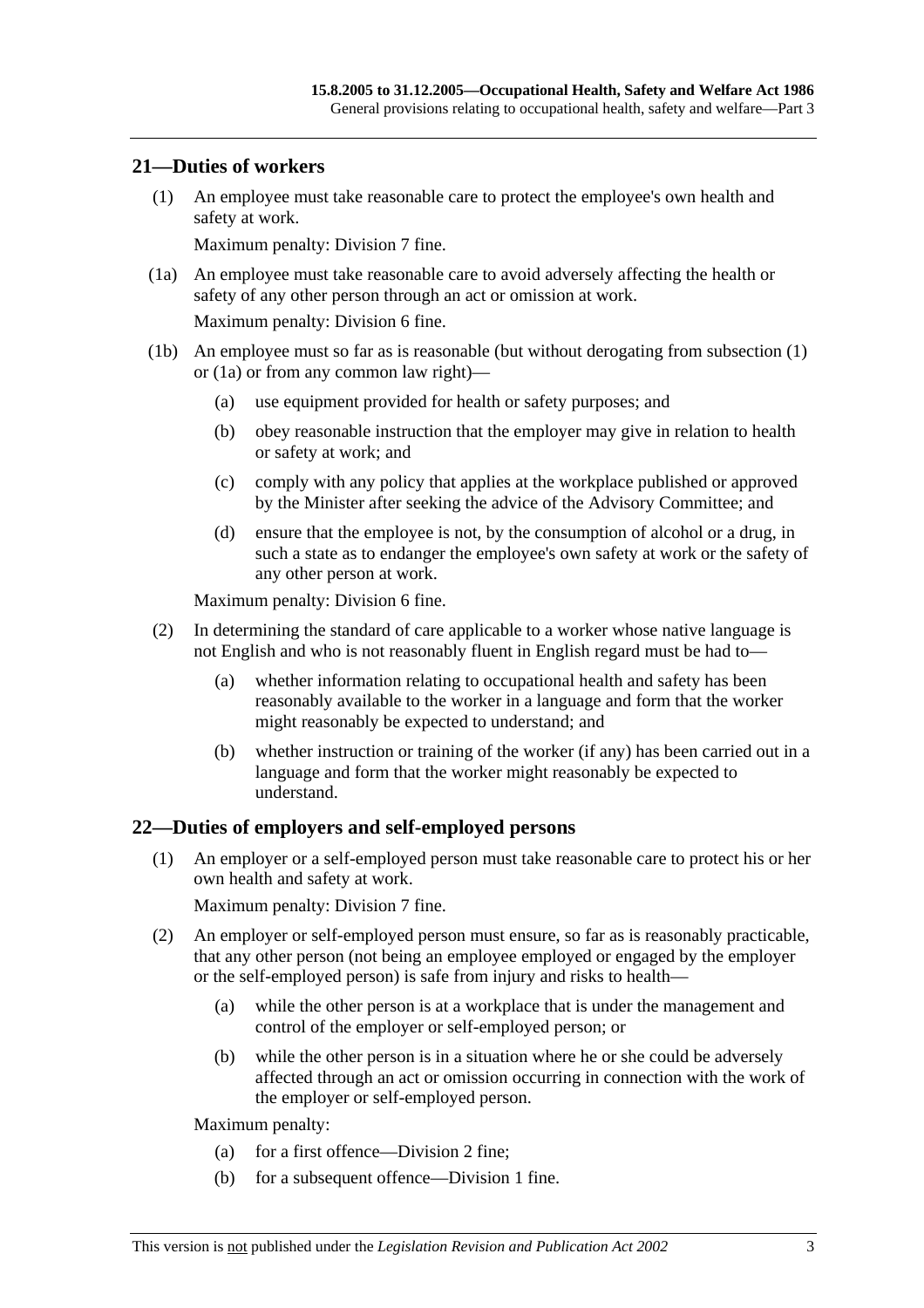#### **21—Duties of workers**

 (1) An employee must take reasonable care to protect the employee's own health and safety at work.

Maximum penalty: Division 7 fine.

 (1a) An employee must take reasonable care to avoid adversely affecting the health or safety of any other person through an act or omission at work.

Maximum penalty: Division 6 fine.

- (1b) An employee must so far as is reasonable (but without derogating from subsection (1) or (1a) or from any common law right)—
	- (a) use equipment provided for health or safety purposes; and
	- (b) obey reasonable instruction that the employer may give in relation to health or safety at work; and
	- (c) comply with any policy that applies at the workplace published or approved by the Minister after seeking the advice of the Advisory Committee; and
	- (d) ensure that the employee is not, by the consumption of alcohol or a drug, in such a state as to endanger the employee's own safety at work or the safety of any other person at work.

Maximum penalty: Division 6 fine.

- (2) In determining the standard of care applicable to a worker whose native language is not English and who is not reasonably fluent in English regard must be had to—
	- (a) whether information relating to occupational health and safety has been reasonably available to the worker in a language and form that the worker might reasonably be expected to understand; and
	- (b) whether instruction or training of the worker (if any) has been carried out in a language and form that the worker might reasonably be expected to understand.

### **22—Duties of employers and self-employed persons**

 (1) An employer or a self-employed person must take reasonable care to protect his or her own health and safety at work.

Maximum penalty: Division 7 fine.

- (2) An employer or self-employed person must ensure, so far as is reasonably practicable, that any other person (not being an employee employed or engaged by the employer or the self-employed person) is safe from injury and risks to health—
	- (a) while the other person is at a workplace that is under the management and control of the employer or self-employed person; or
	- (b) while the other person is in a situation where he or she could be adversely affected through an act or omission occurring in connection with the work of the employer or self-employed person.

Maximum penalty:

- (a) for a first offence—Division 2 fine;
- (b) for a subsequent offence—Division 1 fine.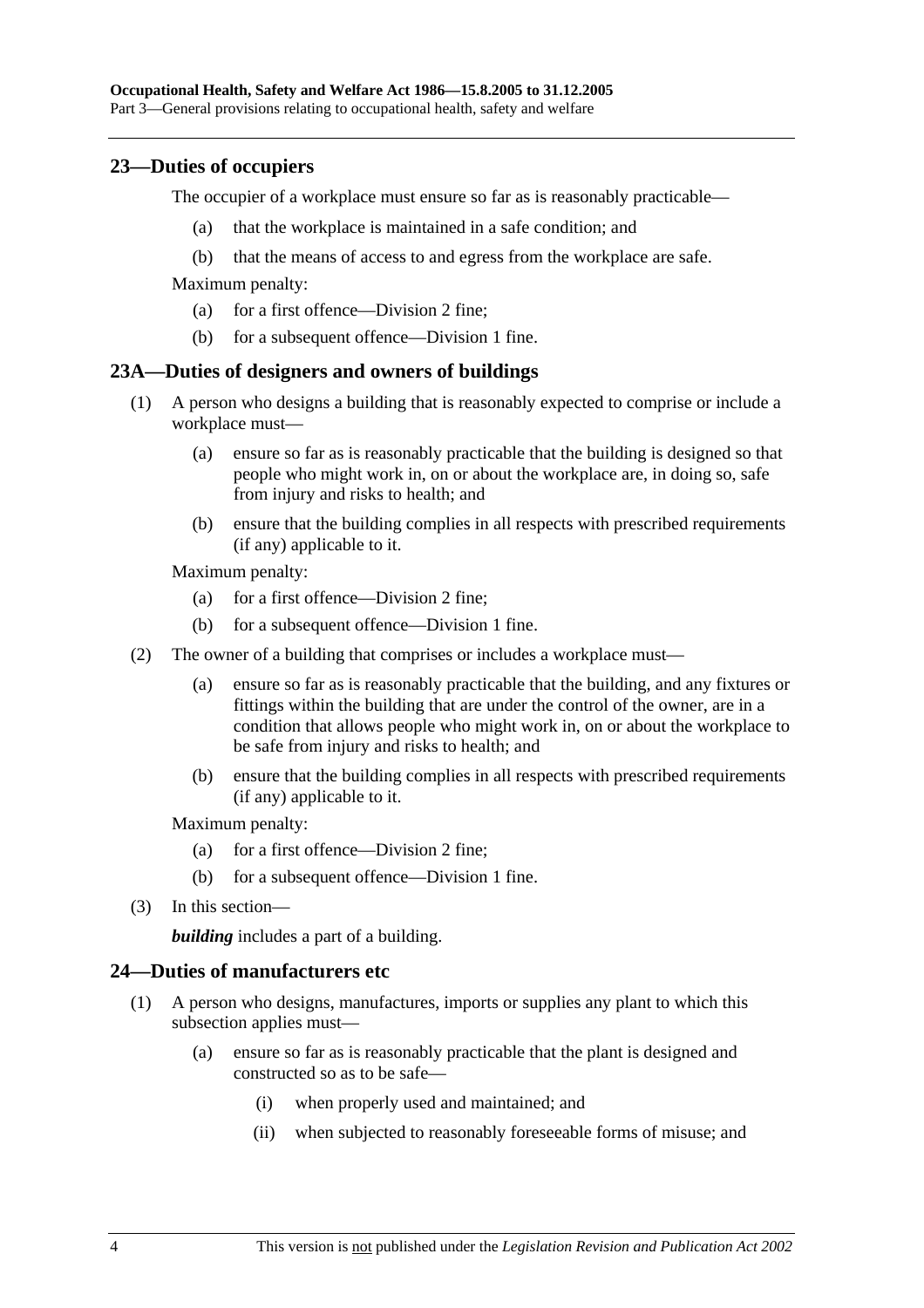### **23—Duties of occupiers**

The occupier of a workplace must ensure so far as is reasonably practicable—

- (a) that the workplace is maintained in a safe condition; and
- (b) that the means of access to and egress from the workplace are safe.

Maximum penalty:

- (a) for a first offence—Division 2 fine;
- (b) for a subsequent offence—Division 1 fine.

#### **23A—Duties of designers and owners of buildings**

- (1) A person who designs a building that is reasonably expected to comprise or include a workplace must—
	- (a) ensure so far as is reasonably practicable that the building is designed so that people who might work in, on or about the workplace are, in doing so, safe from injury and risks to health; and
	- (b) ensure that the building complies in all respects with prescribed requirements (if any) applicable to it.

Maximum penalty:

- (a) for a first offence—Division 2 fine;
- (b) for a subsequent offence—Division 1 fine.
- (2) The owner of a building that comprises or includes a workplace must—
	- (a) ensure so far as is reasonably practicable that the building, and any fixtures or fittings within the building that are under the control of the owner, are in a condition that allows people who might work in, on or about the workplace to be safe from injury and risks to health; and
	- (b) ensure that the building complies in all respects with prescribed requirements (if any) applicable to it.

Maximum penalty:

- (a) for a first offence—Division 2 fine;
- (b) for a subsequent offence—Division 1 fine.
- (3) In this section—

*building* includes a part of a building.

#### **24—Duties of manufacturers etc**

- (1) A person who designs, manufactures, imports or supplies any plant to which this subsection applies must—
	- (a) ensure so far as is reasonably practicable that the plant is designed and constructed so as to be safe—
		- (i) when properly used and maintained; and
		- (ii) when subjected to reasonably foreseeable forms of misuse; and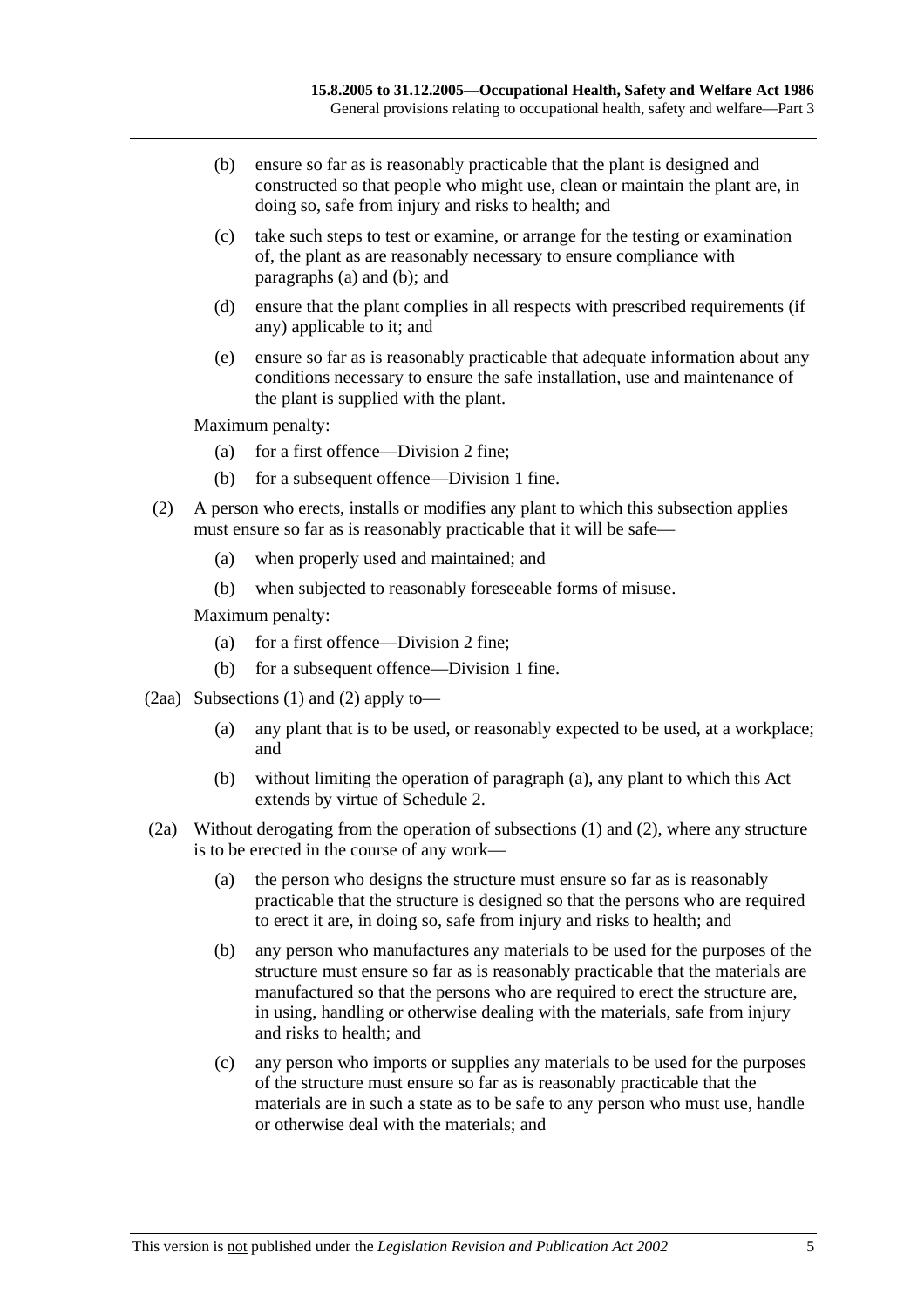- (b) ensure so far as is reasonably practicable that the plant is designed and constructed so that people who might use, clean or maintain the plant are, in doing so, safe from injury and risks to health; and
- (c) take such steps to test or examine, or arrange for the testing or examination of, the plant as are reasonably necessary to ensure compliance with paragraphs (a) and (b); and
- (d) ensure that the plant complies in all respects with prescribed requirements (if any) applicable to it; and
- (e) ensure so far as is reasonably practicable that adequate information about any conditions necessary to ensure the safe installation, use and maintenance of the plant is supplied with the plant.

Maximum penalty:

- (a) for a first offence—Division 2 fine;
- (b) for a subsequent offence—Division 1 fine.
- (2) A person who erects, installs or modifies any plant to which this subsection applies must ensure so far as is reasonably practicable that it will be safe—
	- (a) when properly used and maintained; and
	- (b) when subjected to reasonably foreseeable forms of misuse.

Maximum penalty:

- (a) for a first offence—Division 2 fine;
- (b) for a subsequent offence—Division 1 fine.
- (2aa) Subsections (1) and (2) apply to—
	- (a) any plant that is to be used, or reasonably expected to be used, at a workplace; and
	- (b) without limiting the operation of paragraph (a), any plant to which this Act extends by virtue of Schedule 2.
- (2a) Without derogating from the operation of subsections (1) and (2), where any structure is to be erected in the course of any work—
	- (a) the person who designs the structure must ensure so far as is reasonably practicable that the structure is designed so that the persons who are required to erect it are, in doing so, safe from injury and risks to health; and
	- (b) any person who manufactures any materials to be used for the purposes of the structure must ensure so far as is reasonably practicable that the materials are manufactured so that the persons who are required to erect the structure are, in using, handling or otherwise dealing with the materials, safe from injury and risks to health; and
	- (c) any person who imports or supplies any materials to be used for the purposes of the structure must ensure so far as is reasonably practicable that the materials are in such a state as to be safe to any person who must use, handle or otherwise deal with the materials; and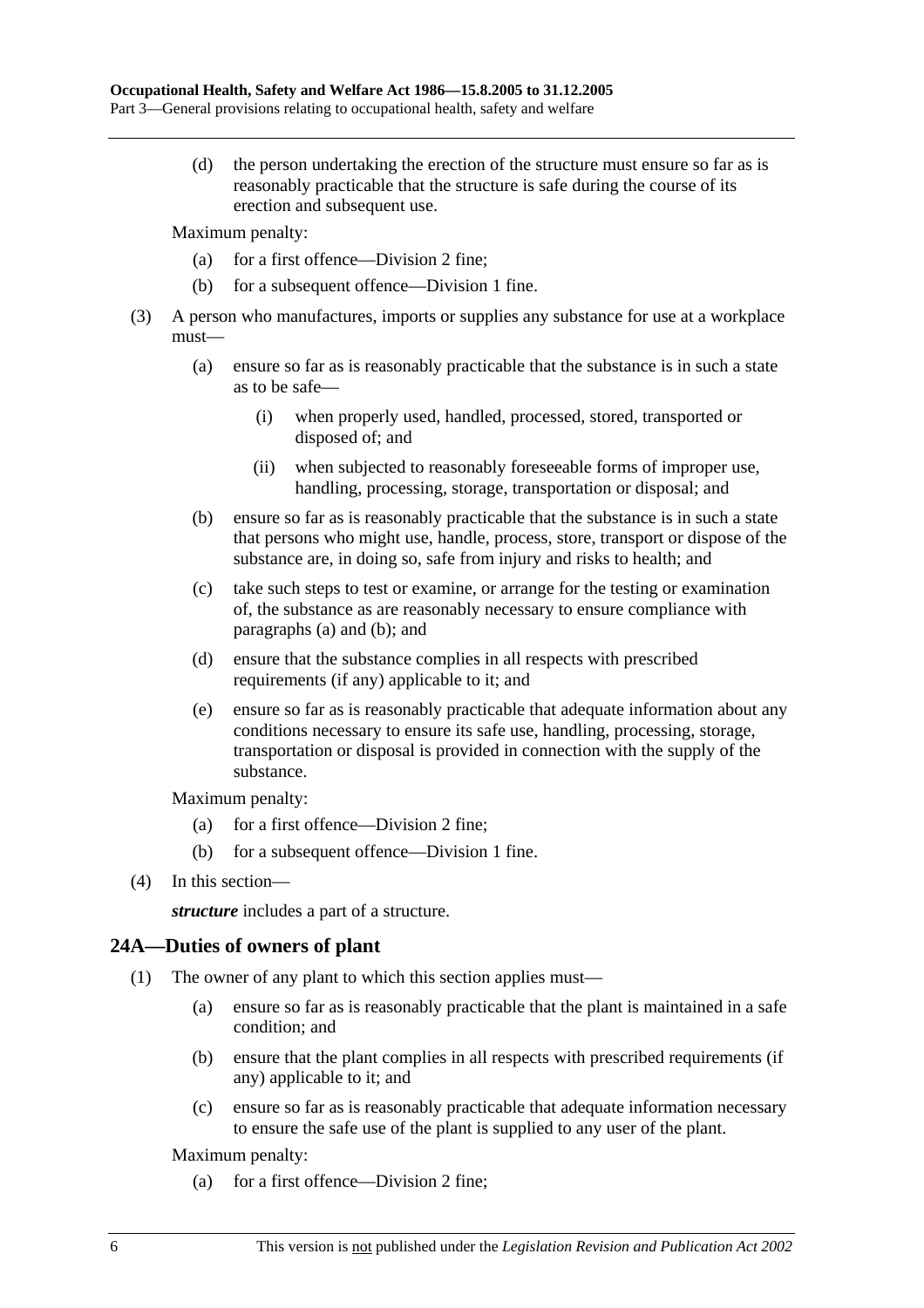(d) the person undertaking the erection of the structure must ensure so far as is reasonably practicable that the structure is safe during the course of its erection and subsequent use.

Maximum penalty:

- (a) for a first offence—Division 2 fine;
- (b) for a subsequent offence—Division 1 fine.
- (3) A person who manufactures, imports or supplies any substance for use at a workplace must—
	- (a) ensure so far as is reasonably practicable that the substance is in such a state as to be safe—
		- (i) when properly used, handled, processed, stored, transported or disposed of; and
		- (ii) when subjected to reasonably foreseeable forms of improper use, handling, processing, storage, transportation or disposal; and
	- (b) ensure so far as is reasonably practicable that the substance is in such a state that persons who might use, handle, process, store, transport or dispose of the substance are, in doing so, safe from injury and risks to health; and
	- (c) take such steps to test or examine, or arrange for the testing or examination of, the substance as are reasonably necessary to ensure compliance with paragraphs (a) and (b); and
	- (d) ensure that the substance complies in all respects with prescribed requirements (if any) applicable to it; and
	- (e) ensure so far as is reasonably practicable that adequate information about any conditions necessary to ensure its safe use, handling, processing, storage, transportation or disposal is provided in connection with the supply of the substance.

Maximum penalty:

- (a) for a first offence—Division 2 fine;
- (b) for a subsequent offence—Division 1 fine.
- (4) In this section—

*structure* includes a part of a structure.

### **24A—Duties of owners of plant**

- (1) The owner of any plant to which this section applies must—
	- (a) ensure so far as is reasonably practicable that the plant is maintained in a safe condition; and
	- (b) ensure that the plant complies in all respects with prescribed requirements (if any) applicable to it; and
	- (c) ensure so far as is reasonably practicable that adequate information necessary to ensure the safe use of the plant is supplied to any user of the plant.

Maximum penalty:

(a) for a first offence—Division 2 fine;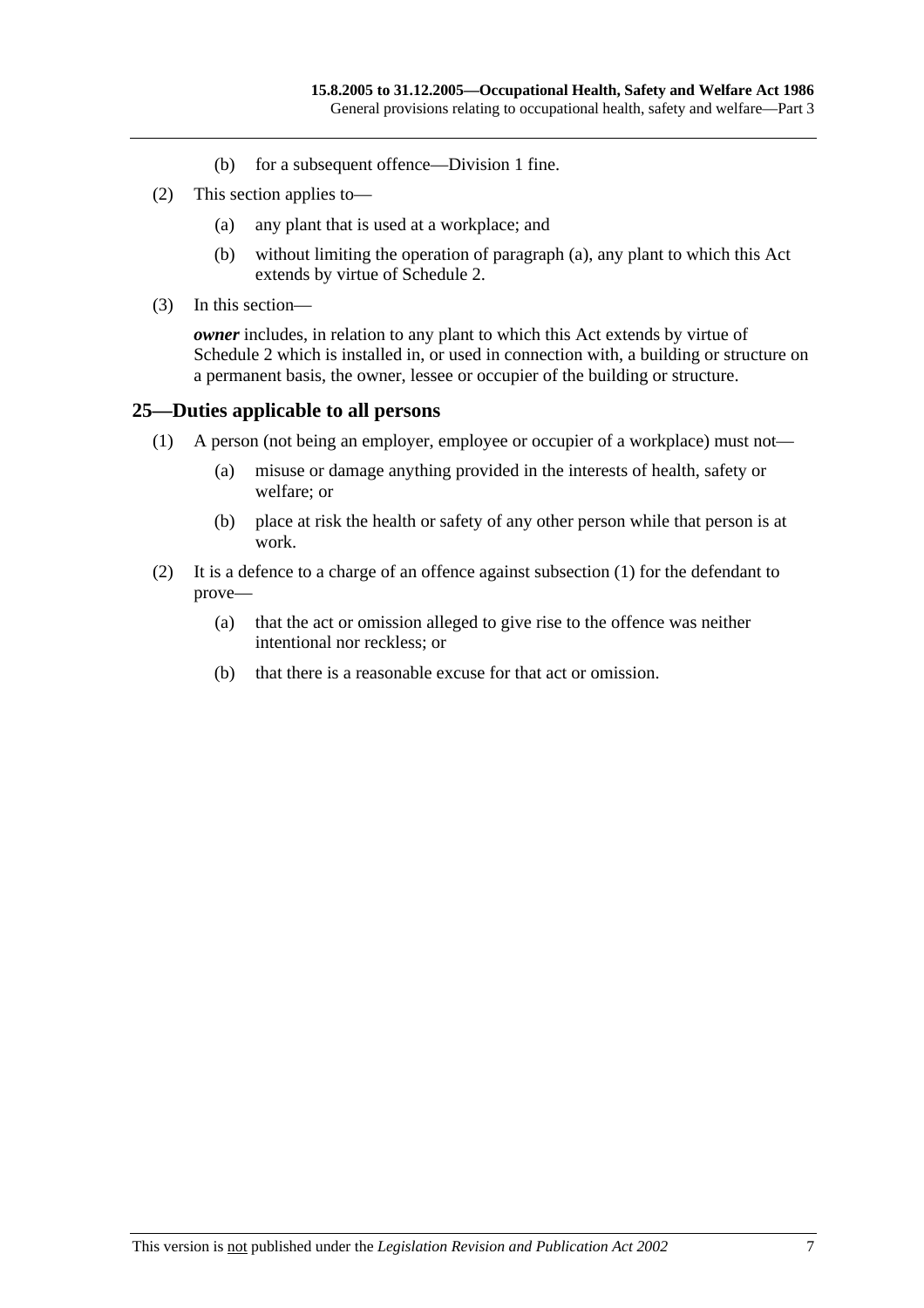- (b) for a subsequent offence—Division 1 fine.
- (2) This section applies to—
	- (a) any plant that is used at a workplace; and
	- (b) without limiting the operation of paragraph (a), any plant to which this Act extends by virtue of Schedule 2.
- (3) In this section—

*owner* includes, in relation to any plant to which this Act extends by virtue of Schedule 2 which is installed in, or used in connection with, a building or structure on a permanent basis, the owner, lessee or occupier of the building or structure.

### **25—Duties applicable to all persons**

- (1) A person (not being an employer, employee or occupier of a workplace) must not—
	- (a) misuse or damage anything provided in the interests of health, safety or welfare; or
	- (b) place at risk the health or safety of any other person while that person is at work.
- (2) It is a defence to a charge of an offence against subsection (1) for the defendant to prove—
	- (a) that the act or omission alleged to give rise to the offence was neither intentional nor reckless; or
	- (b) that there is a reasonable excuse for that act or omission.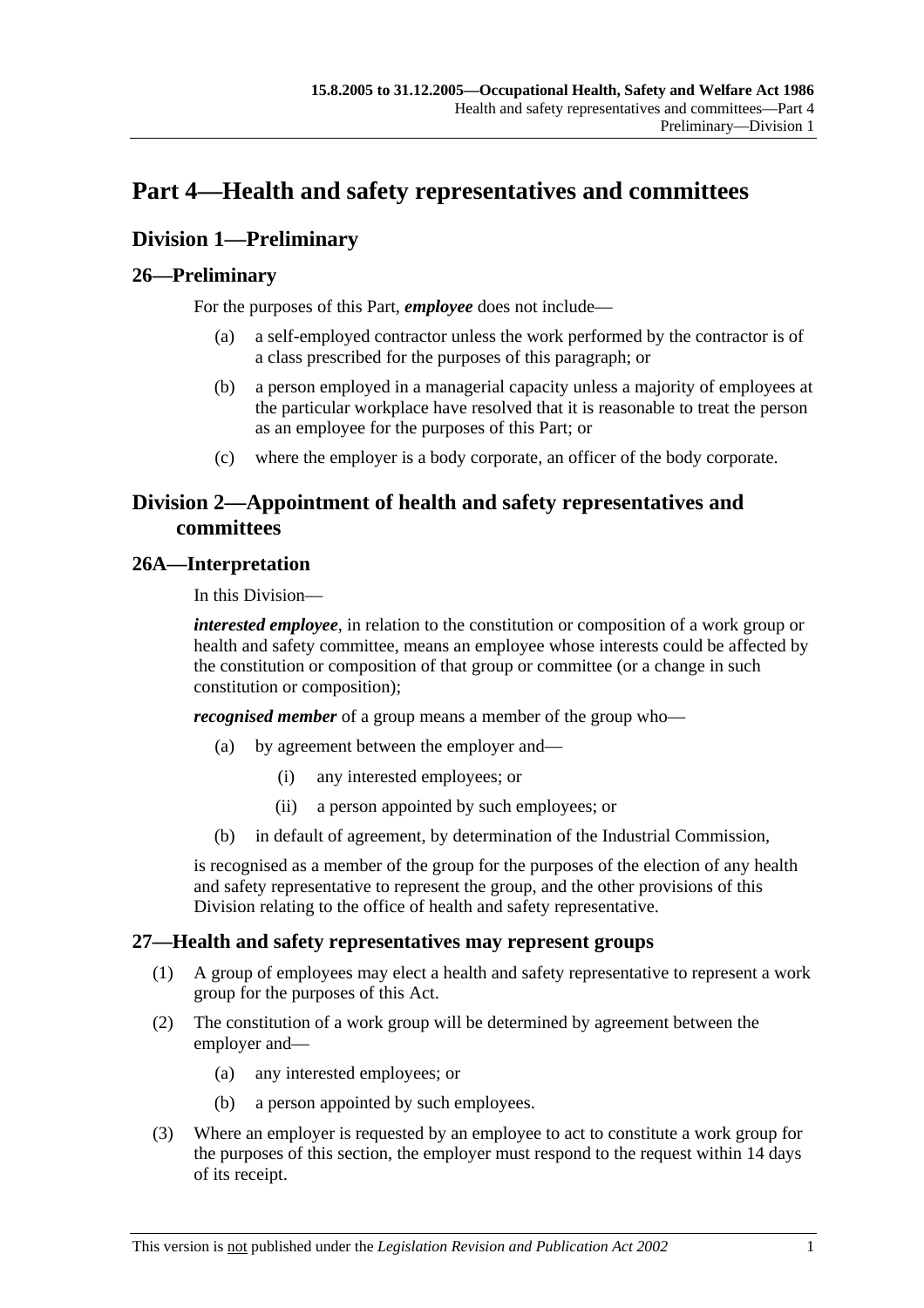# **Part 4—Health and safety representatives and committees**

### **Division 1—Preliminary**

### **26—Preliminary**

For the purposes of this Part, *employee* does not include—

- (a) a self-employed contractor unless the work performed by the contractor is of a class prescribed for the purposes of this paragraph; or
- (b) a person employed in a managerial capacity unless a majority of employees at the particular workplace have resolved that it is reasonable to treat the person as an employee for the purposes of this Part; or
- (c) where the employer is a body corporate, an officer of the body corporate.

### **Division 2—Appointment of health and safety representatives and committees**

### **26A—Interpretation**

In this Division—

*interested employee*, in relation to the constitution or composition of a work group or health and safety committee, means an employee whose interests could be affected by the constitution or composition of that group or committee (or a change in such constitution or composition);

*recognised member* of a group means a member of the group who—

- (a) by agreement between the employer and—
	- (i) any interested employees; or
	- (ii) a person appointed by such employees; or
- (b) in default of agreement, by determination of the Industrial Commission,

is recognised as a member of the group for the purposes of the election of any health and safety representative to represent the group, and the other provisions of this Division relating to the office of health and safety representative.

### **27—Health and safety representatives may represent groups**

- (1) A group of employees may elect a health and safety representative to represent a work group for the purposes of this Act.
- (2) The constitution of a work group will be determined by agreement between the employer and—
	- (a) any interested employees; or
	- (b) a person appointed by such employees.
- (3) Where an employer is requested by an employee to act to constitute a work group for the purposes of this section, the employer must respond to the request within 14 days of its receipt.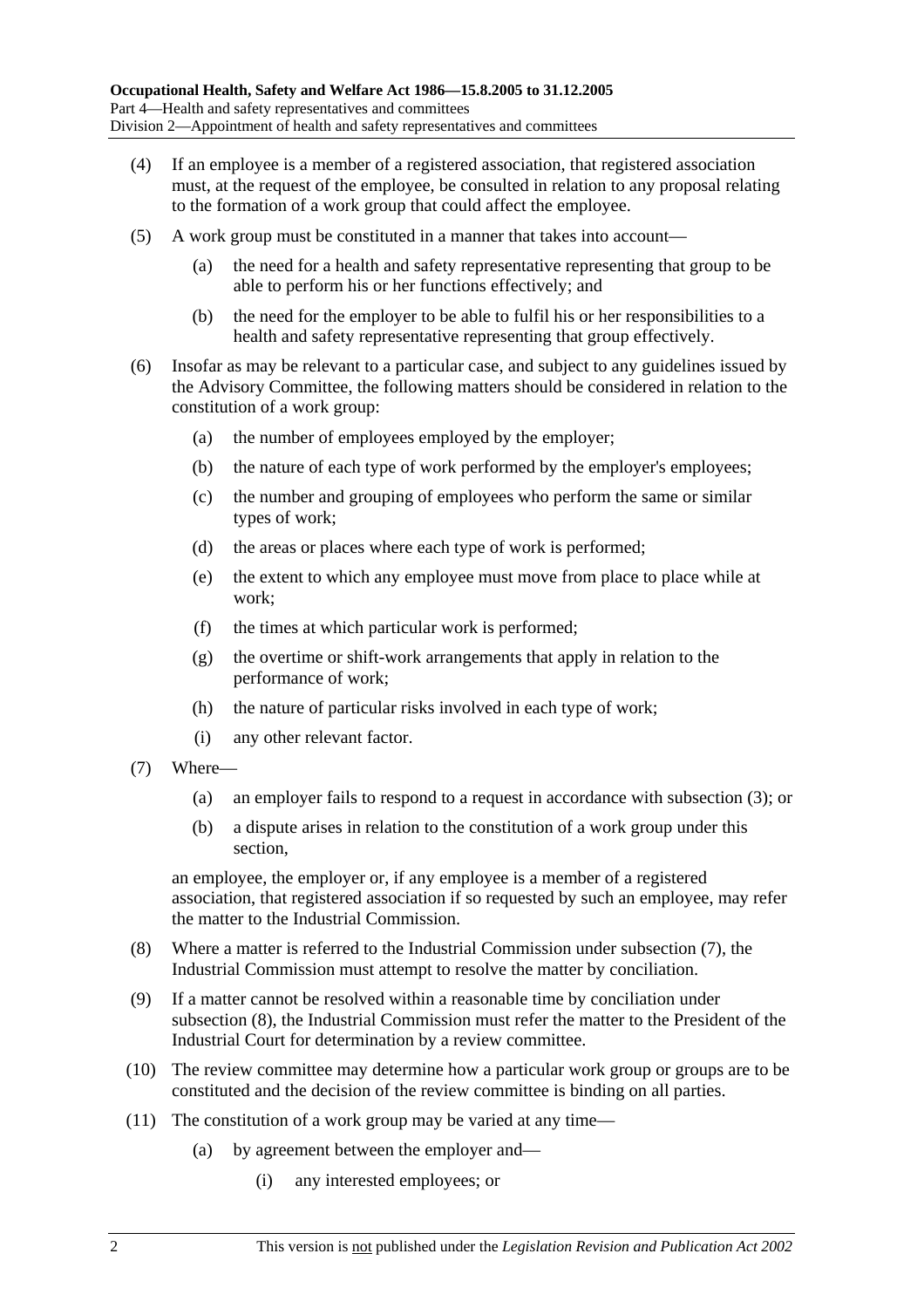- (4) If an employee is a member of a registered association, that registered association must, at the request of the employee, be consulted in relation to any proposal relating to the formation of a work group that could affect the employee.
- (5) A work group must be constituted in a manner that takes into account—
	- (a) the need for a health and safety representative representing that group to be able to perform his or her functions effectively; and
	- (b) the need for the employer to be able to fulfil his or her responsibilities to a health and safety representative representing that group effectively.
- (6) Insofar as may be relevant to a particular case, and subject to any guidelines issued by the Advisory Committee, the following matters should be considered in relation to the constitution of a work group:
	- (a) the number of employees employed by the employer;
	- (b) the nature of each type of work performed by the employer's employees;
	- (c) the number and grouping of employees who perform the same or similar types of work;
	- (d) the areas or places where each type of work is performed;
	- (e) the extent to which any employee must move from place to place while at work;
	- (f) the times at which particular work is performed;
	- (g) the overtime or shift-work arrangements that apply in relation to the performance of work;
	- (h) the nature of particular risks involved in each type of work;
	- (i) any other relevant factor.
- (7) Where—
	- (a) an employer fails to respond to a request in accordance with subsection (3); or
	- (b) a dispute arises in relation to the constitution of a work group under this section,

an employee, the employer or, if any employee is a member of a registered association, that registered association if so requested by such an employee, may refer the matter to the Industrial Commission.

- (8) Where a matter is referred to the Industrial Commission under subsection (7), the Industrial Commission must attempt to resolve the matter by conciliation.
- (9) If a matter cannot be resolved within a reasonable time by conciliation under subsection (8), the Industrial Commission must refer the matter to the President of the Industrial Court for determination by a review committee.
- (10) The review committee may determine how a particular work group or groups are to be constituted and the decision of the review committee is binding on all parties.
- (11) The constitution of a work group may be varied at any time—
	- (a) by agreement between the employer and—
		- (i) any interested employees; or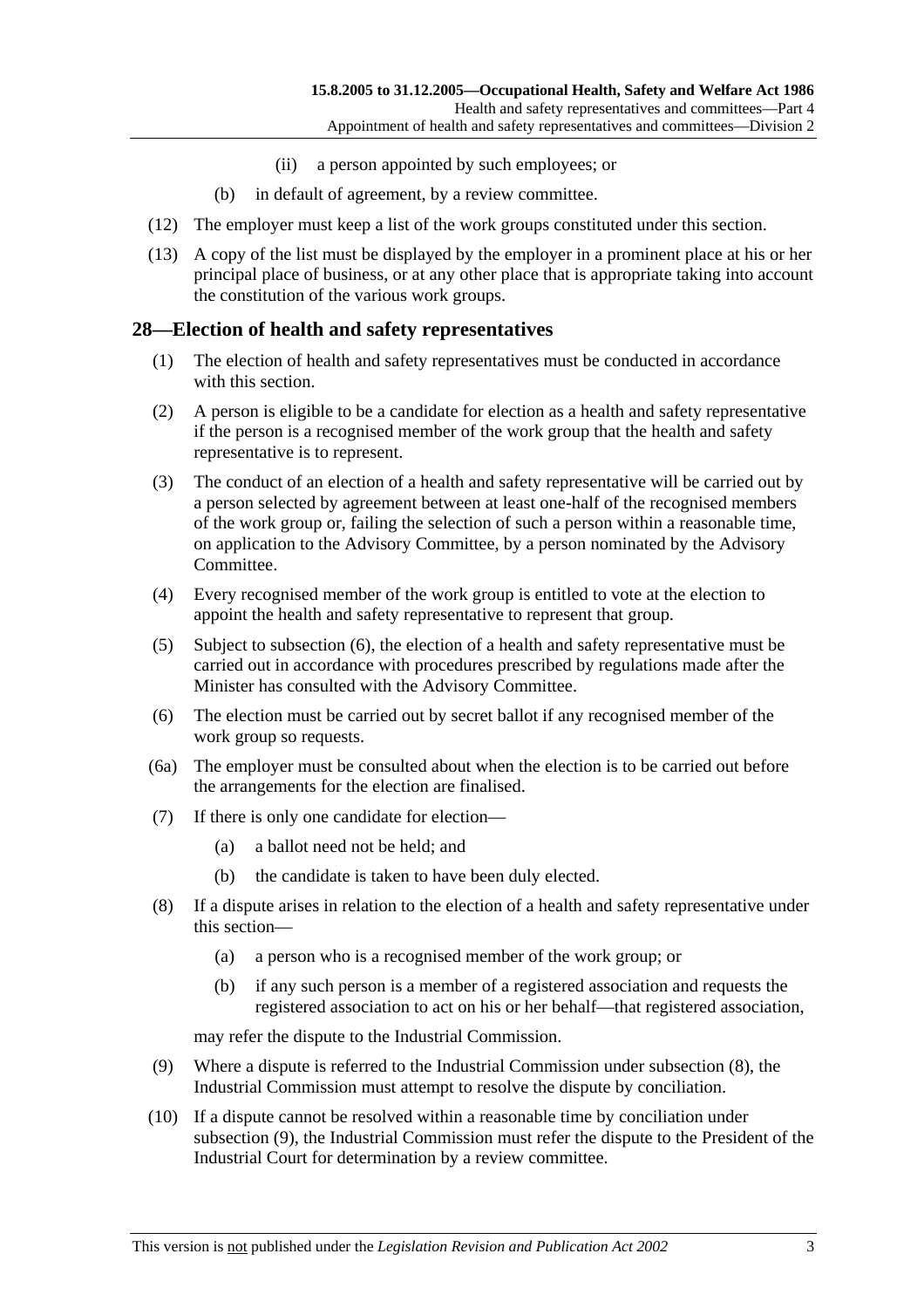- (ii) a person appointed by such employees; or
- (b) in default of agreement, by a review committee.
- (12) The employer must keep a list of the work groups constituted under this section.
- (13) A copy of the list must be displayed by the employer in a prominent place at his or her principal place of business, or at any other place that is appropriate taking into account the constitution of the various work groups.

### **28—Election of health and safety representatives**

- (1) The election of health and safety representatives must be conducted in accordance with this section.
- (2) A person is eligible to be a candidate for election as a health and safety representative if the person is a recognised member of the work group that the health and safety representative is to represent.
- (3) The conduct of an election of a health and safety representative will be carried out by a person selected by agreement between at least one-half of the recognised members of the work group or, failing the selection of such a person within a reasonable time, on application to the Advisory Committee, by a person nominated by the Advisory Committee.
- (4) Every recognised member of the work group is entitled to vote at the election to appoint the health and safety representative to represent that group.
- (5) Subject to subsection (6), the election of a health and safety representative must be carried out in accordance with procedures prescribed by regulations made after the Minister has consulted with the Advisory Committee.
- (6) The election must be carried out by secret ballot if any recognised member of the work group so requests.
- (6a) The employer must be consulted about when the election is to be carried out before the arrangements for the election are finalised.
- (7) If there is only one candidate for election—
	- (a) a ballot need not be held; and
	- (b) the candidate is taken to have been duly elected.
- (8) If a dispute arises in relation to the election of a health and safety representative under this section—
	- (a) a person who is a recognised member of the work group; or
	- (b) if any such person is a member of a registered association and requests the registered association to act on his or her behalf—that registered association,

may refer the dispute to the Industrial Commission.

- (9) Where a dispute is referred to the Industrial Commission under subsection (8), the Industrial Commission must attempt to resolve the dispute by conciliation.
- (10) If a dispute cannot be resolved within a reasonable time by conciliation under subsection (9), the Industrial Commission must refer the dispute to the President of the Industrial Court for determination by a review committee.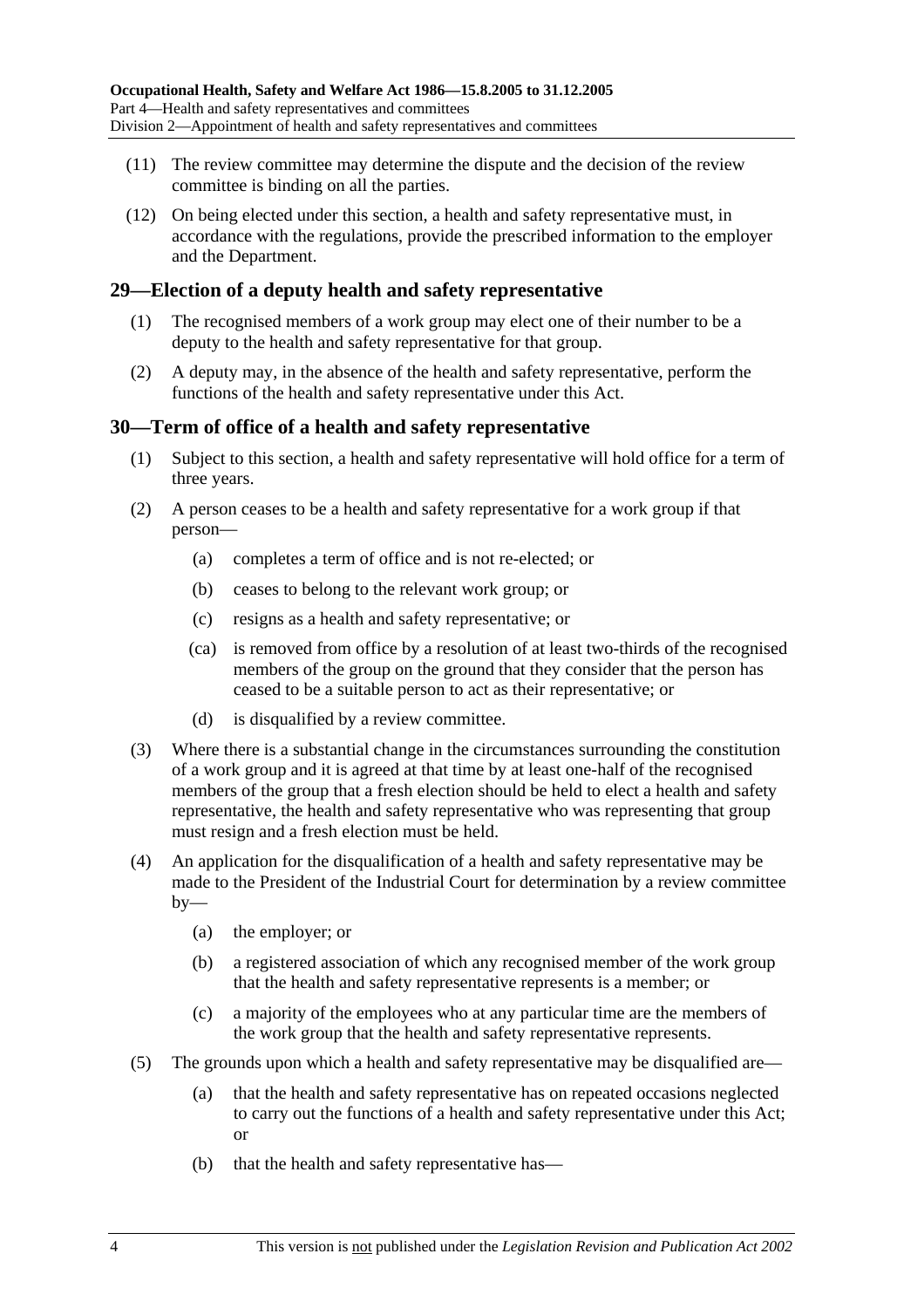- (11) The review committee may determine the dispute and the decision of the review committee is binding on all the parties.
- (12) On being elected under this section, a health and safety representative must, in accordance with the regulations, provide the prescribed information to the employer and the Department.

### **29—Election of a deputy health and safety representative**

- (1) The recognised members of a work group may elect one of their number to be a deputy to the health and safety representative for that group.
- (2) A deputy may, in the absence of the health and safety representative, perform the functions of the health and safety representative under this Act.

### **30—Term of office of a health and safety representative**

- (1) Subject to this section, a health and safety representative will hold office for a term of three years.
- (2) A person ceases to be a health and safety representative for a work group if that person—
	- (a) completes a term of office and is not re-elected; or
	- (b) ceases to belong to the relevant work group; or
	- (c) resigns as a health and safety representative; or
	- (ca) is removed from office by a resolution of at least two-thirds of the recognised members of the group on the ground that they consider that the person has ceased to be a suitable person to act as their representative; or
	- (d) is disqualified by a review committee.
- (3) Where there is a substantial change in the circumstances surrounding the constitution of a work group and it is agreed at that time by at least one-half of the recognised members of the group that a fresh election should be held to elect a health and safety representative, the health and safety representative who was representing that group must resign and a fresh election must be held.
- (4) An application for the disqualification of a health and safety representative may be made to the President of the Industrial Court for determination by a review committee  $by-$ 
	- (a) the employer; or
	- (b) a registered association of which any recognised member of the work group that the health and safety representative represents is a member; or
	- (c) a majority of the employees who at any particular time are the members of the work group that the health and safety representative represents.
- (5) The grounds upon which a health and safety representative may be disqualified are—
	- (a) that the health and safety representative has on repeated occasions neglected to carry out the functions of a health and safety representative under this Act; or
	- (b) that the health and safety representative has—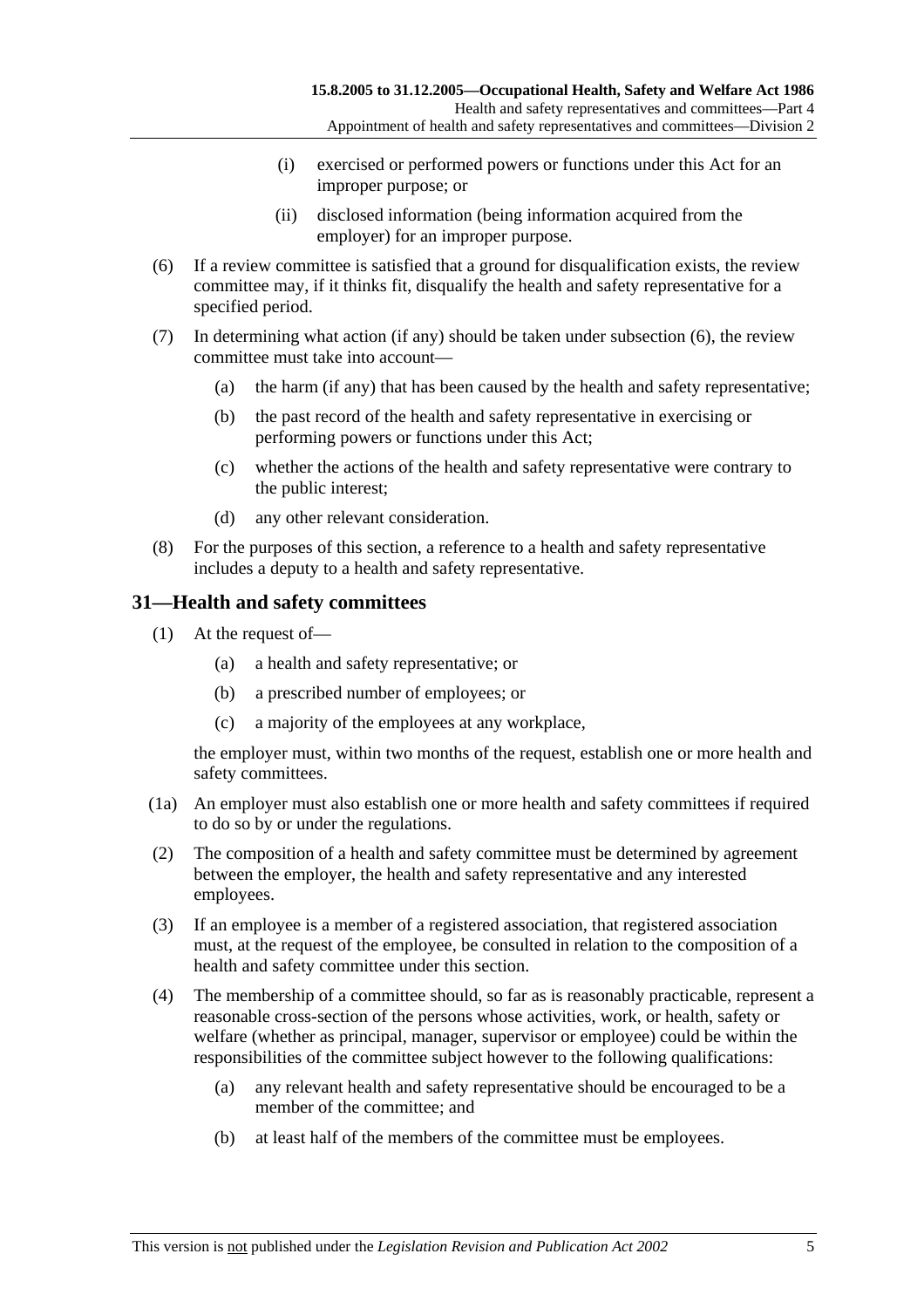- (i) exercised or performed powers or functions under this Act for an improper purpose; or
- (ii) disclosed information (being information acquired from the employer) for an improper purpose.
- (6) If a review committee is satisfied that a ground for disqualification exists, the review committee may, if it thinks fit, disqualify the health and safety representative for a specified period.
- (7) In determining what action (if any) should be taken under subsection (6), the review committee must take into account—
	- (a) the harm (if any) that has been caused by the health and safety representative;
	- (b) the past record of the health and safety representative in exercising or performing powers or functions under this Act;
	- (c) whether the actions of the health and safety representative were contrary to the public interest;
	- (d) any other relevant consideration.
- (8) For the purposes of this section, a reference to a health and safety representative includes a deputy to a health and safety representative.

### **31—Health and safety committees**

- (1) At the request of—
	- (a) a health and safety representative; or
	- (b) a prescribed number of employees; or
	- (c) a majority of the employees at any workplace,

the employer must, within two months of the request, establish one or more health and safety committees.

- (1a) An employer must also establish one or more health and safety committees if required to do so by or under the regulations.
- (2) The composition of a health and safety committee must be determined by agreement between the employer, the health and safety representative and any interested employees.
- (3) If an employee is a member of a registered association, that registered association must, at the request of the employee, be consulted in relation to the composition of a health and safety committee under this section.
- (4) The membership of a committee should, so far as is reasonably practicable, represent a reasonable cross-section of the persons whose activities, work, or health, safety or welfare (whether as principal, manager, supervisor or employee) could be within the responsibilities of the committee subject however to the following qualifications:
	- (a) any relevant health and safety representative should be encouraged to be a member of the committee; and
	- (b) at least half of the members of the committee must be employees.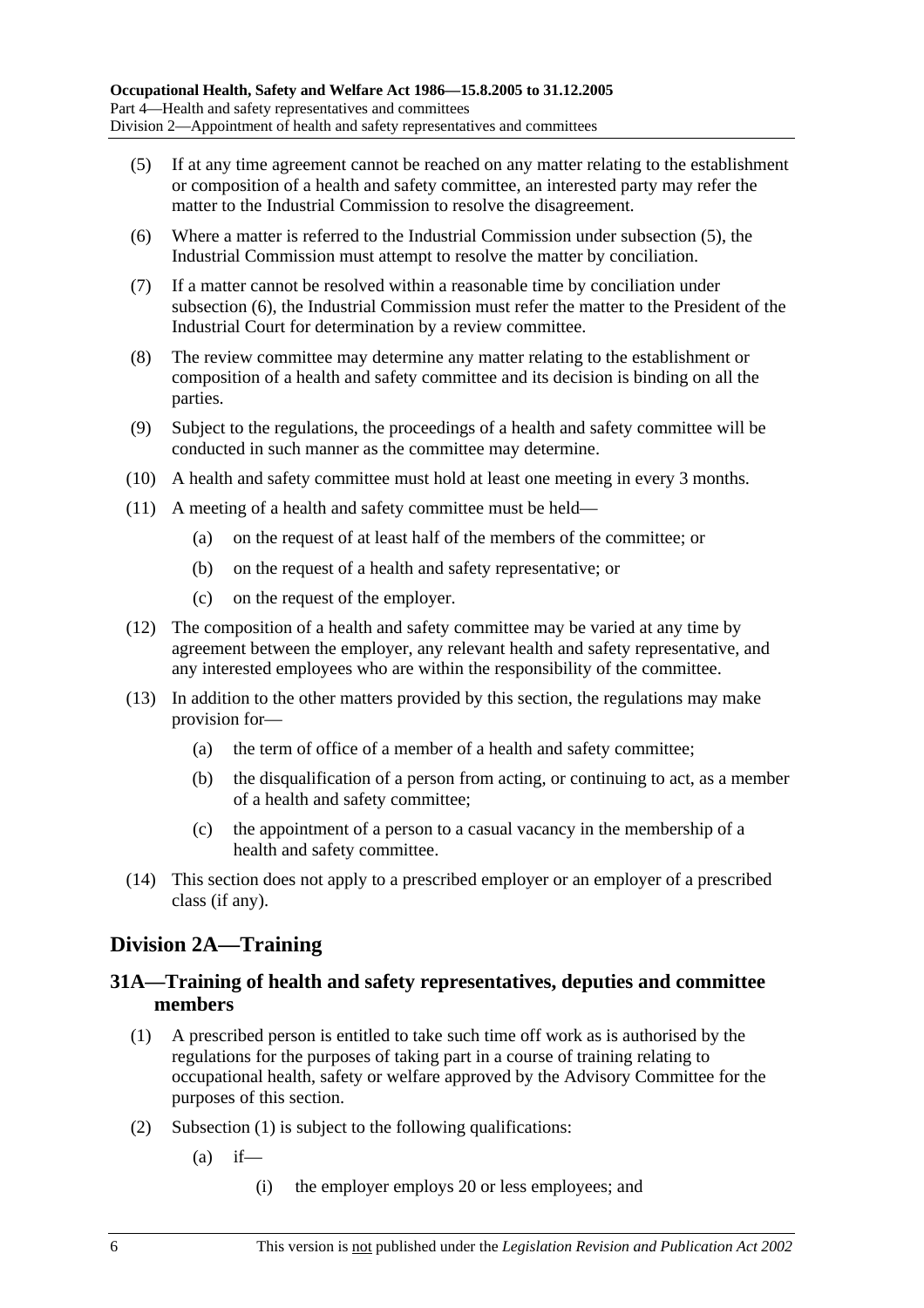- (5) If at any time agreement cannot be reached on any matter relating to the establishment or composition of a health and safety committee, an interested party may refer the matter to the Industrial Commission to resolve the disagreement.
- (6) Where a matter is referred to the Industrial Commission under subsection (5), the Industrial Commission must attempt to resolve the matter by conciliation.
- (7) If a matter cannot be resolved within a reasonable time by conciliation under subsection (6), the Industrial Commission must refer the matter to the President of the Industrial Court for determination by a review committee.
- (8) The review committee may determine any matter relating to the establishment or composition of a health and safety committee and its decision is binding on all the parties.
- (9) Subject to the regulations, the proceedings of a health and safety committee will be conducted in such manner as the committee may determine.
- (10) A health and safety committee must hold at least one meeting in every 3 months.
- (11) A meeting of a health and safety committee must be held—
	- (a) on the request of at least half of the members of the committee; or
	- (b) on the request of a health and safety representative; or
	- (c) on the request of the employer.
- (12) The composition of a health and safety committee may be varied at any time by agreement between the employer, any relevant health and safety representative, and any interested employees who are within the responsibility of the committee.
- (13) In addition to the other matters provided by this section, the regulations may make provision for—
	- (a) the term of office of a member of a health and safety committee;
	- (b) the disqualification of a person from acting, or continuing to act, as a member of a health and safety committee;
	- (c) the appointment of a person to a casual vacancy in the membership of a health and safety committee.
- (14) This section does not apply to a prescribed employer or an employer of a prescribed class (if any).

### **Division 2A—Training**

### **31A—Training of health and safety representatives, deputies and committee members**

- (1) A prescribed person is entitled to take such time off work as is authorised by the regulations for the purposes of taking part in a course of training relating to occupational health, safety or welfare approved by the Advisory Committee for the purposes of this section.
- (2) Subsection (1) is subject to the following qualifications:
	- $(a)$  if—
		- (i) the employer employs 20 or less employees; and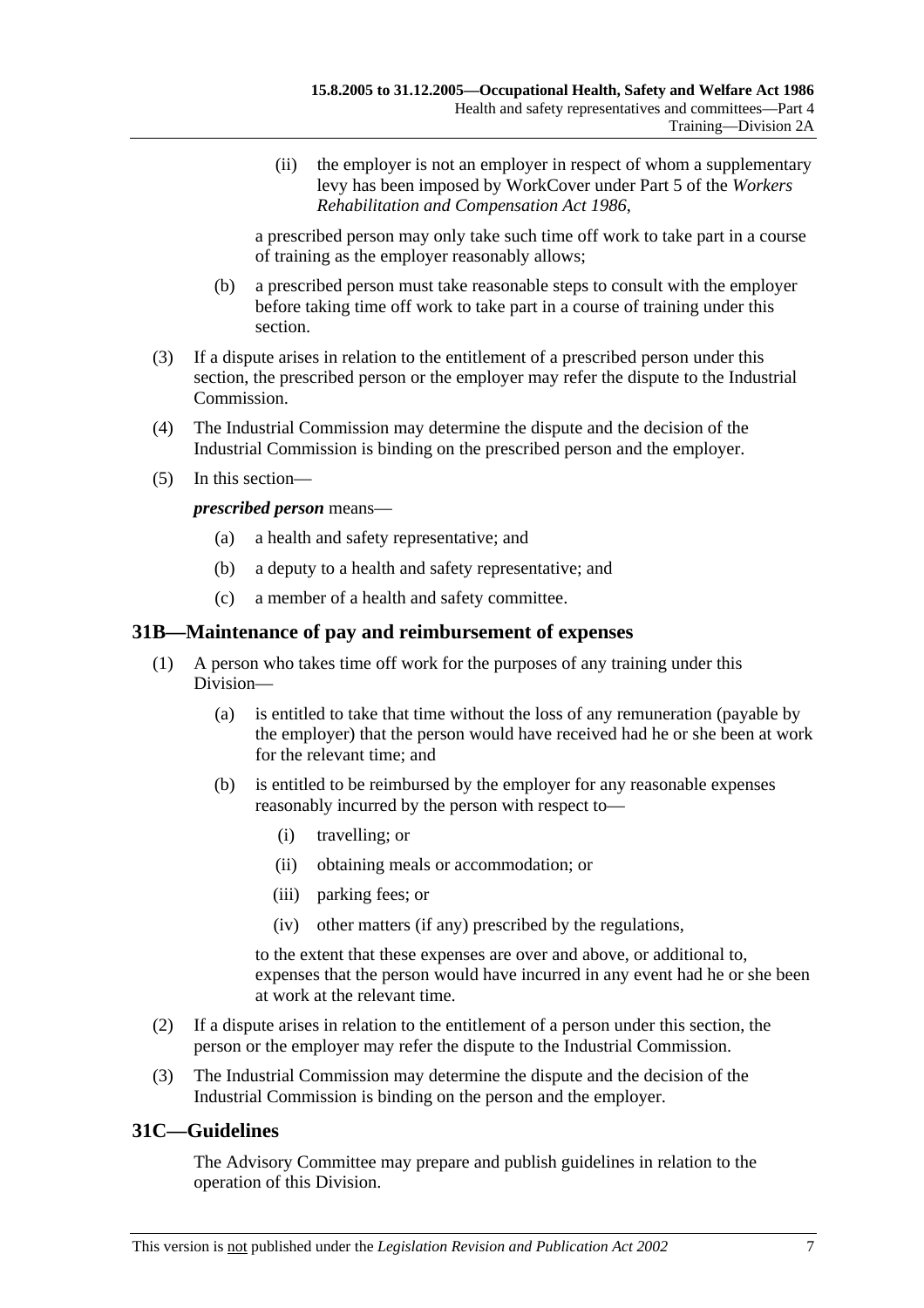(ii) the employer is not an employer in respect of whom a supplementary levy has been imposed by WorkCover under Part 5 of the *Workers Rehabilitation and Compensation Act 1986*,

a prescribed person may only take such time off work to take part in a course of training as the employer reasonably allows;

- (b) a prescribed person must take reasonable steps to consult with the employer before taking time off work to take part in a course of training under this section.
- (3) If a dispute arises in relation to the entitlement of a prescribed person under this section, the prescribed person or the employer may refer the dispute to the Industrial Commission.
- (4) The Industrial Commission may determine the dispute and the decision of the Industrial Commission is binding on the prescribed person and the employer.
- (5) In this section—

*prescribed person* means—

- (a) a health and safety representative; and
- (b) a deputy to a health and safety representative; and
- (c) a member of a health and safety committee.

### **31B—Maintenance of pay and reimbursement of expenses**

- (1) A person who takes time off work for the purposes of any training under this Division—
	- (a) is entitled to take that time without the loss of any remuneration (payable by the employer) that the person would have received had he or she been at work for the relevant time; and
	- (b) is entitled to be reimbursed by the employer for any reasonable expenses reasonably incurred by the person with respect to—
		- (i) travelling; or
		- (ii) obtaining meals or accommodation; or
		- (iii) parking fees; or
		- (iv) other matters (if any) prescribed by the regulations,

to the extent that these expenses are over and above, or additional to, expenses that the person would have incurred in any event had he or she been at work at the relevant time.

- (2) If a dispute arises in relation to the entitlement of a person under this section, the person or the employer may refer the dispute to the Industrial Commission.
- (3) The Industrial Commission may determine the dispute and the decision of the Industrial Commission is binding on the person and the employer.

### **31C—Guidelines**

The Advisory Committee may prepare and publish guidelines in relation to the operation of this Division.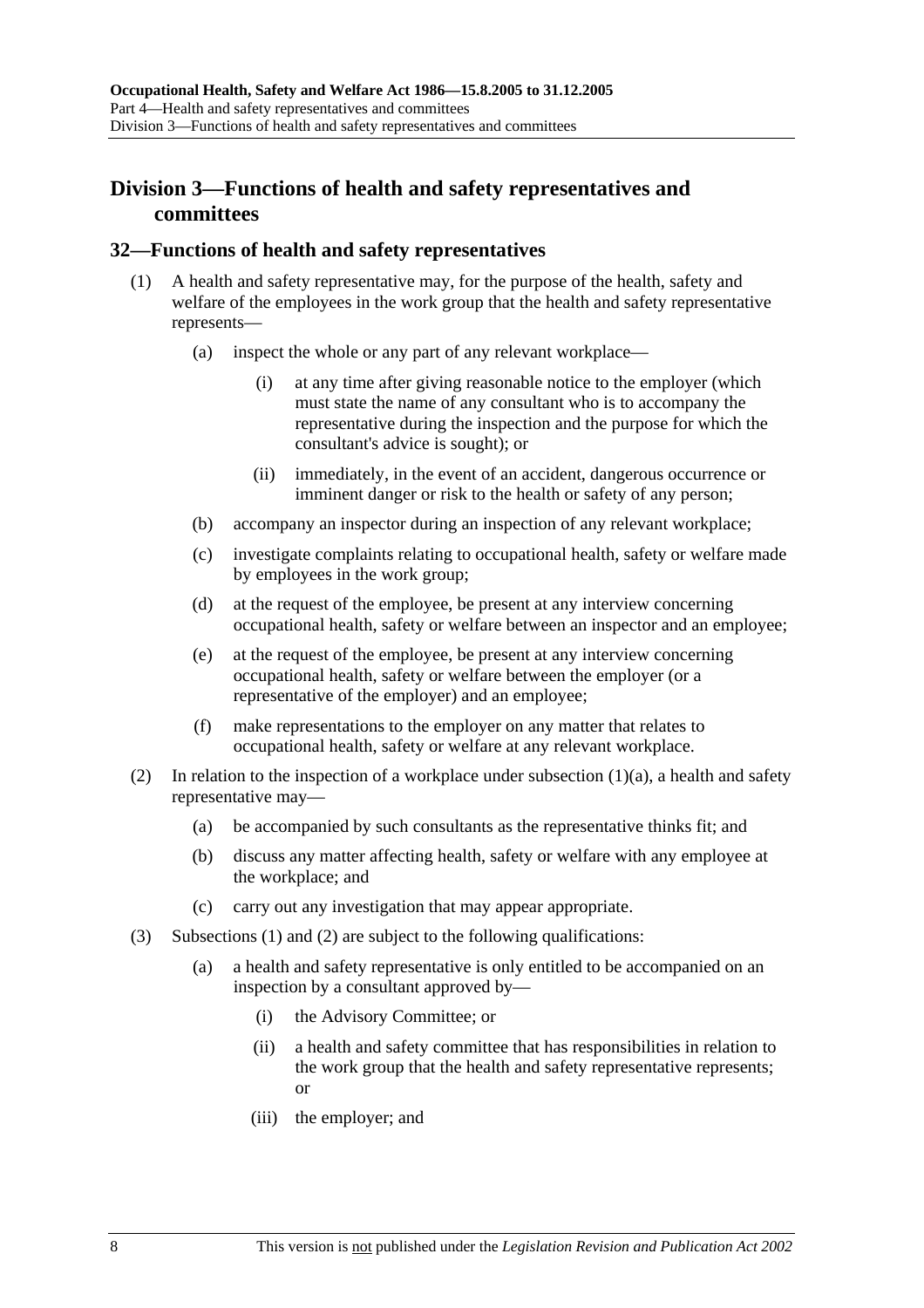### **Division 3—Functions of health and safety representatives and committees**

#### **32—Functions of health and safety representatives**

- (1) A health and safety representative may, for the purpose of the health, safety and welfare of the employees in the work group that the health and safety representative represents—
	- (a) inspect the whole or any part of any relevant workplace—
		- (i) at any time after giving reasonable notice to the employer (which must state the name of any consultant who is to accompany the representative during the inspection and the purpose for which the consultant's advice is sought); or
		- (ii) immediately, in the event of an accident, dangerous occurrence or imminent danger or risk to the health or safety of any person;
	- (b) accompany an inspector during an inspection of any relevant workplace;
	- (c) investigate complaints relating to occupational health, safety or welfare made by employees in the work group;
	- (d) at the request of the employee, be present at any interview concerning occupational health, safety or welfare between an inspector and an employee;
	- (e) at the request of the employee, be present at any interview concerning occupational health, safety or welfare between the employer (or a representative of the employer) and an employee;
	- (f) make representations to the employer on any matter that relates to occupational health, safety or welfare at any relevant workplace.
- (2) In relation to the inspection of a workplace under subsection  $(1)(a)$ , a health and safety representative may—
	- (a) be accompanied by such consultants as the representative thinks fit; and
	- (b) discuss any matter affecting health, safety or welfare with any employee at the workplace; and
	- (c) carry out any investigation that may appear appropriate.
- (3) Subsections (1) and (2) are subject to the following qualifications:
	- (a) a health and safety representative is only entitled to be accompanied on an inspection by a consultant approved by—
		- (i) the Advisory Committee; or
		- (ii) a health and safety committee that has responsibilities in relation to the work group that the health and safety representative represents; or
		- (iii) the employer; and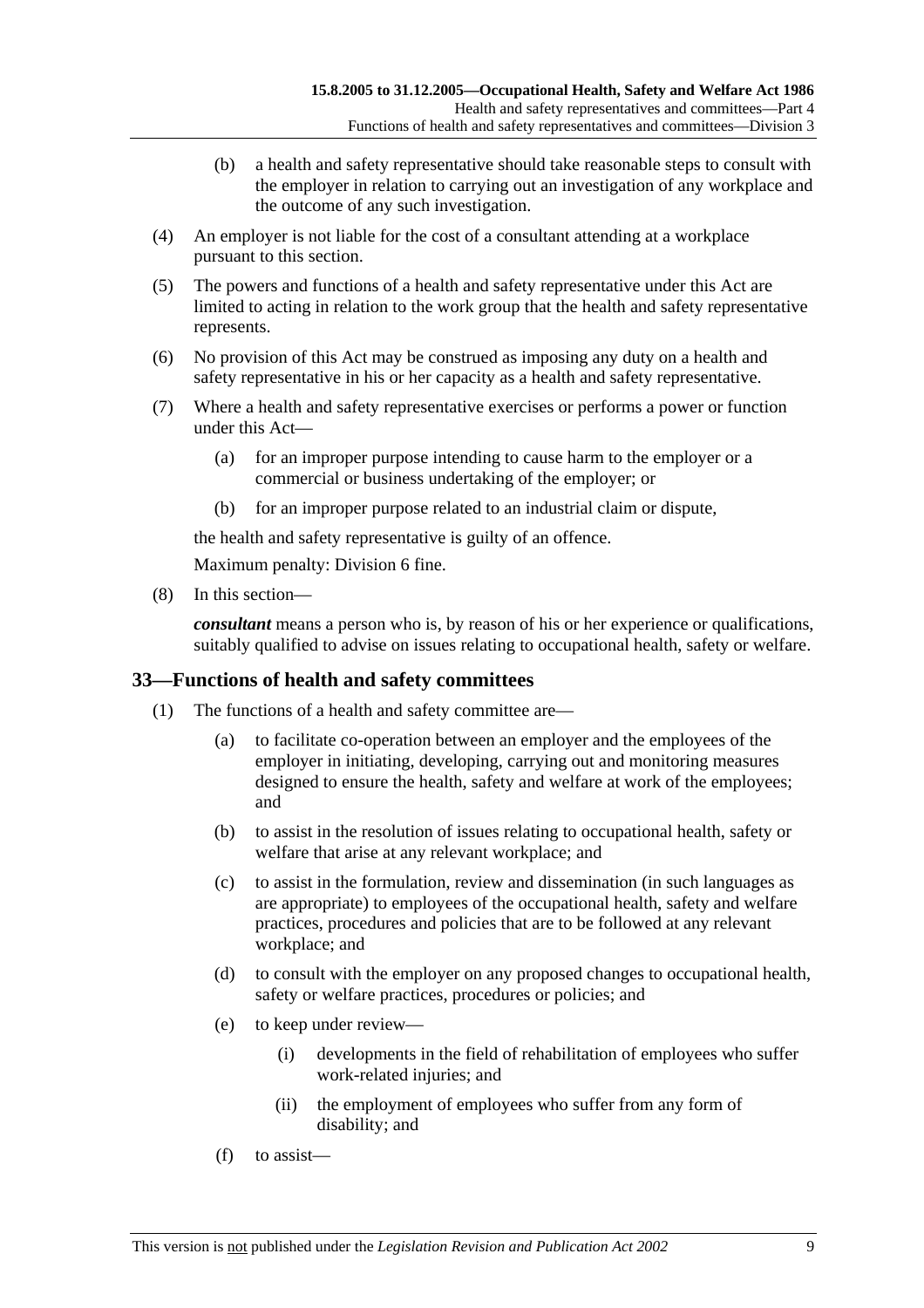- (b) a health and safety representative should take reasonable steps to consult with the employer in relation to carrying out an investigation of any workplace and the outcome of any such investigation.
- (4) An employer is not liable for the cost of a consultant attending at a workplace pursuant to this section.
- (5) The powers and functions of a health and safety representative under this Act are limited to acting in relation to the work group that the health and safety representative represents.
- (6) No provision of this Act may be construed as imposing any duty on a health and safety representative in his or her capacity as a health and safety representative.
- (7) Where a health and safety representative exercises or performs a power or function under this Act—
	- (a) for an improper purpose intending to cause harm to the employer or a commercial or business undertaking of the employer; or
	- (b) for an improper purpose related to an industrial claim or dispute,

the health and safety representative is guilty of an offence.

Maximum penalty: Division 6 fine.

(8) In this section—

*consultant* means a person who is, by reason of his or her experience or qualifications, suitably qualified to advise on issues relating to occupational health, safety or welfare.

### **33—Functions of health and safety committees**

- (1) The functions of a health and safety committee are—
	- (a) to facilitate co-operation between an employer and the employees of the employer in initiating, developing, carrying out and monitoring measures designed to ensure the health, safety and welfare at work of the employees; and
	- (b) to assist in the resolution of issues relating to occupational health, safety or welfare that arise at any relevant workplace; and
	- (c) to assist in the formulation, review and dissemination (in such languages as are appropriate) to employees of the occupational health, safety and welfare practices, procedures and policies that are to be followed at any relevant workplace; and
	- (d) to consult with the employer on any proposed changes to occupational health, safety or welfare practices, procedures or policies; and
	- (e) to keep under review—
		- (i) developments in the field of rehabilitation of employees who suffer work-related injuries; and
		- (ii) the employment of employees who suffer from any form of disability; and
	- (f) to assist—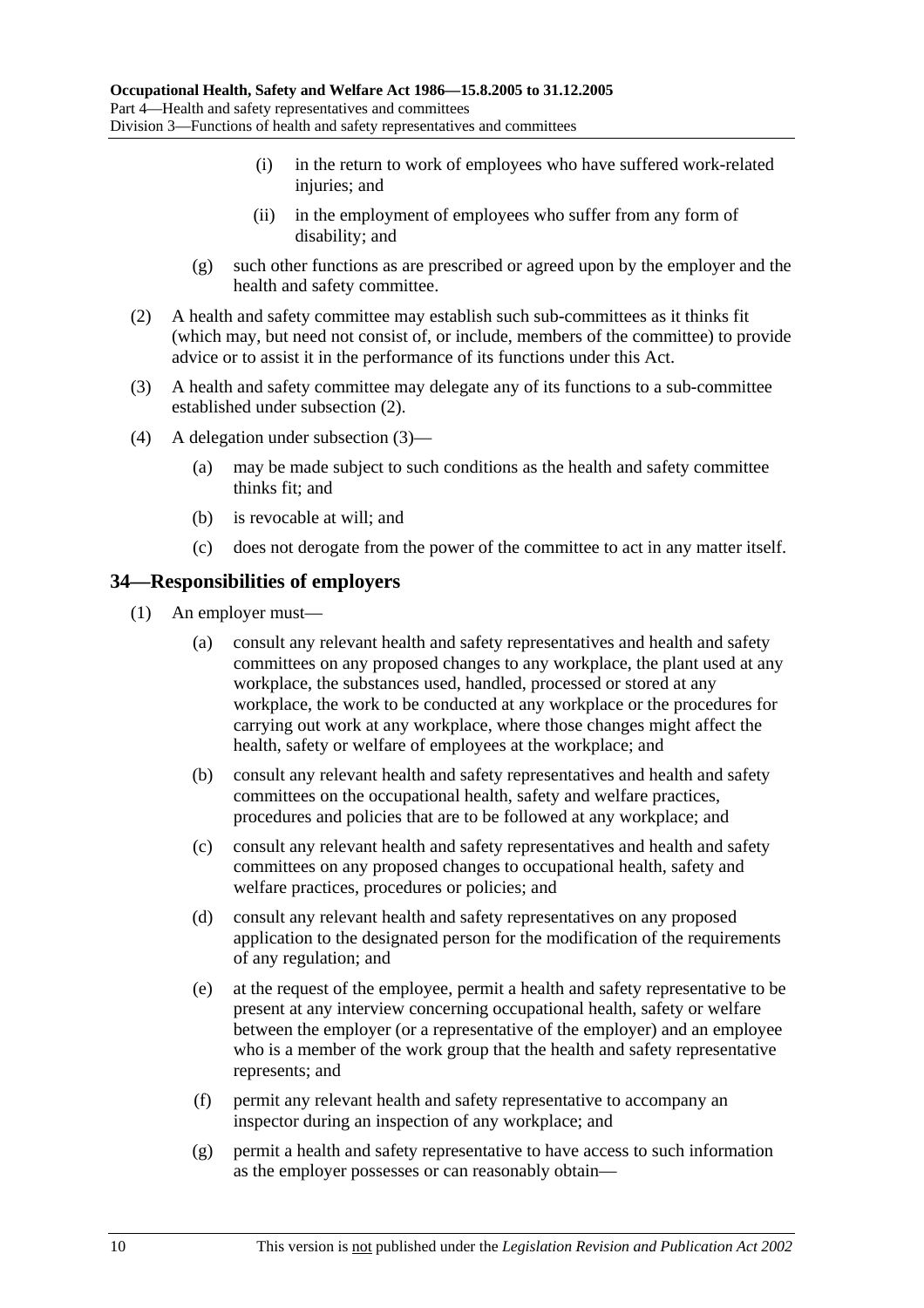- (i) in the return to work of employees who have suffered work-related injuries; and
- (ii) in the employment of employees who suffer from any form of disability; and
- (g) such other functions as are prescribed or agreed upon by the employer and the health and safety committee.
- (2) A health and safety committee may establish such sub-committees as it thinks fit (which may, but need not consist of, or include, members of the committee) to provide advice or to assist it in the performance of its functions under this Act.
- (3) A health and safety committee may delegate any of its functions to a sub-committee established under subsection (2).
- (4) A delegation under subsection (3)—
	- (a) may be made subject to such conditions as the health and safety committee thinks fit; and
	- (b) is revocable at will; and
	- (c) does not derogate from the power of the committee to act in any matter itself.

### **34—Responsibilities of employers**

- (1) An employer must—
	- (a) consult any relevant health and safety representatives and health and safety committees on any proposed changes to any workplace, the plant used at any workplace, the substances used, handled, processed or stored at any workplace, the work to be conducted at any workplace or the procedures for carrying out work at any workplace, where those changes might affect the health, safety or welfare of employees at the workplace; and
	- (b) consult any relevant health and safety representatives and health and safety committees on the occupational health, safety and welfare practices, procedures and policies that are to be followed at any workplace; and
	- (c) consult any relevant health and safety representatives and health and safety committees on any proposed changes to occupational health, safety and welfare practices, procedures or policies; and
	- (d) consult any relevant health and safety representatives on any proposed application to the designated person for the modification of the requirements of any regulation; and
	- (e) at the request of the employee, permit a health and safety representative to be present at any interview concerning occupational health, safety or welfare between the employer (or a representative of the employer) and an employee who is a member of the work group that the health and safety representative represents; and
	- (f) permit any relevant health and safety representative to accompany an inspector during an inspection of any workplace; and
	- (g) permit a health and safety representative to have access to such information as the employer possesses or can reasonably obtain—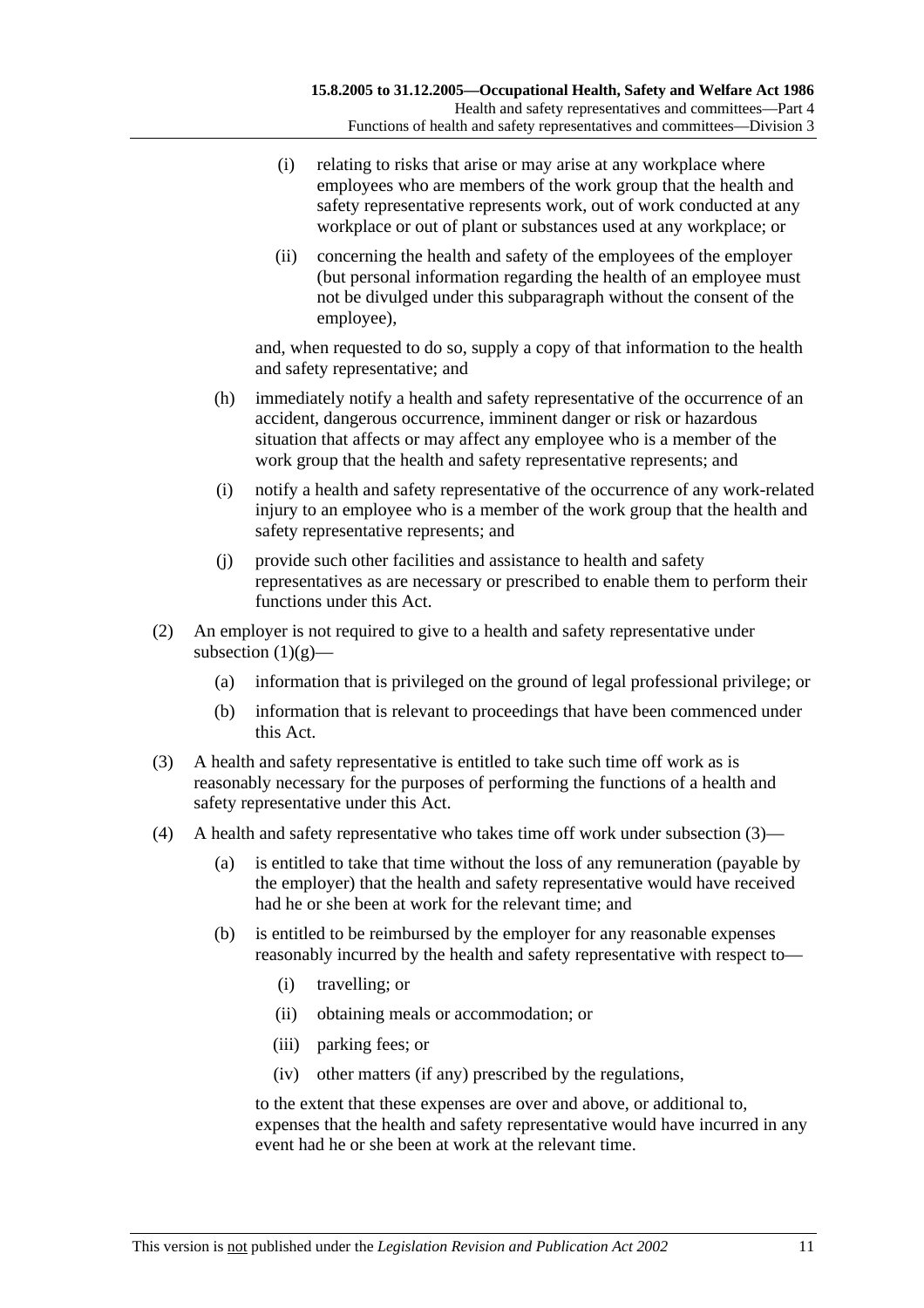- (i) relating to risks that arise or may arise at any workplace where employees who are members of the work group that the health and safety representative represents work, out of work conducted at any workplace or out of plant or substances used at any workplace; or
- (ii) concerning the health and safety of the employees of the employer (but personal information regarding the health of an employee must not be divulged under this subparagraph without the consent of the employee),

and, when requested to do so, supply a copy of that information to the health and safety representative; and

- (h) immediately notify a health and safety representative of the occurrence of an accident, dangerous occurrence, imminent danger or risk or hazardous situation that affects or may affect any employee who is a member of the work group that the health and safety representative represents; and
- (i) notify a health and safety representative of the occurrence of any work-related injury to an employee who is a member of the work group that the health and safety representative represents; and
- (j) provide such other facilities and assistance to health and safety representatives as are necessary or prescribed to enable them to perform their functions under this Act.
- (2) An employer is not required to give to a health and safety representative under subsection  $(1)(g)$ —
	- (a) information that is privileged on the ground of legal professional privilege; or
	- (b) information that is relevant to proceedings that have been commenced under this Act.
- (3) A health and safety representative is entitled to take such time off work as is reasonably necessary for the purposes of performing the functions of a health and safety representative under this Act.
- (4) A health and safety representative who takes time off work under subsection (3)—
	- (a) is entitled to take that time without the loss of any remuneration (payable by the employer) that the health and safety representative would have received had he or she been at work for the relevant time; and
	- (b) is entitled to be reimbursed by the employer for any reasonable expenses reasonably incurred by the health and safety representative with respect to—
		- (i) travelling; or
		- (ii) obtaining meals or accommodation; or
		- (iii) parking fees; or
		- (iv) other matters (if any) prescribed by the regulations,

to the extent that these expenses are over and above, or additional to, expenses that the health and safety representative would have incurred in any event had he or she been at work at the relevant time.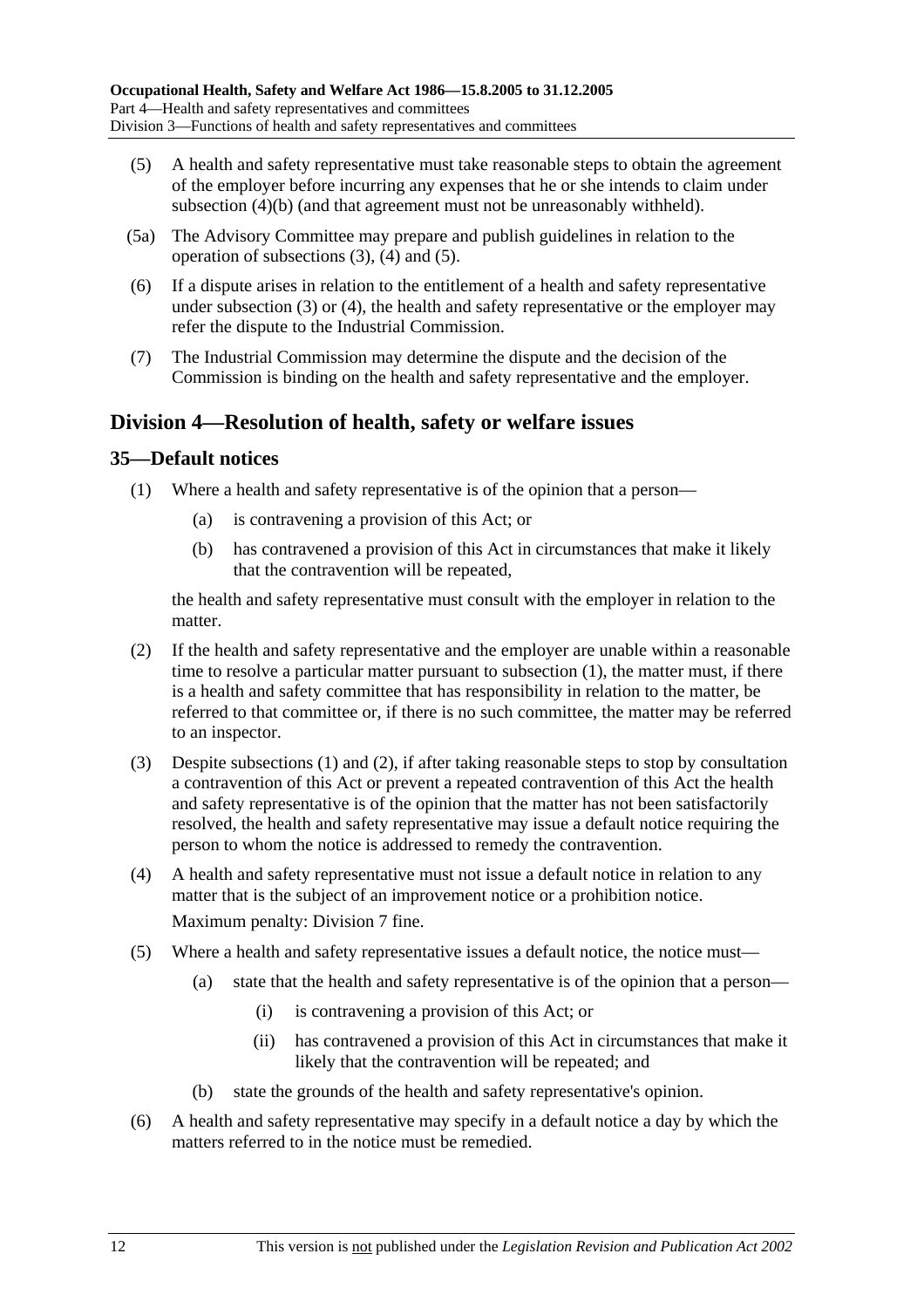- (5) A health and safety representative must take reasonable steps to obtain the agreement of the employer before incurring any expenses that he or she intends to claim under subsection (4)(b) (and that agreement must not be unreasonably withheld).
- (5a) The Advisory Committee may prepare and publish guidelines in relation to the operation of subsections (3), (4) and (5).
- (6) If a dispute arises in relation to the entitlement of a health and safety representative under subsection (3) or (4), the health and safety representative or the employer may refer the dispute to the Industrial Commission.
- (7) The Industrial Commission may determine the dispute and the decision of the Commission is binding on the health and safety representative and the employer.

### **Division 4—Resolution of health, safety or welfare issues**

### **35—Default notices**

- (1) Where a health and safety representative is of the opinion that a person—
	- (a) is contravening a provision of this Act; or
	- (b) has contravened a provision of this Act in circumstances that make it likely that the contravention will be repeated,

the health and safety representative must consult with the employer in relation to the matter.

- (2) If the health and safety representative and the employer are unable within a reasonable time to resolve a particular matter pursuant to subsection (1), the matter must, if there is a health and safety committee that has responsibility in relation to the matter, be referred to that committee or, if there is no such committee, the matter may be referred to an inspector.
- (3) Despite subsections (1) and (2), if after taking reasonable steps to stop by consultation a contravention of this Act or prevent a repeated contravention of this Act the health and safety representative is of the opinion that the matter has not been satisfactorily resolved, the health and safety representative may issue a default notice requiring the person to whom the notice is addressed to remedy the contravention.
- (4) A health and safety representative must not issue a default notice in relation to any matter that is the subject of an improvement notice or a prohibition notice. Maximum penalty: Division 7 fine.
- (5) Where a health and safety representative issues a default notice, the notice must—
	- (a) state that the health and safety representative is of the opinion that a person—
		- (i) is contravening a provision of this Act; or
		- (ii) has contravened a provision of this Act in circumstances that make it likely that the contravention will be repeated; and
	- (b) state the grounds of the health and safety representative's opinion.
- (6) A health and safety representative may specify in a default notice a day by which the matters referred to in the notice must be remedied.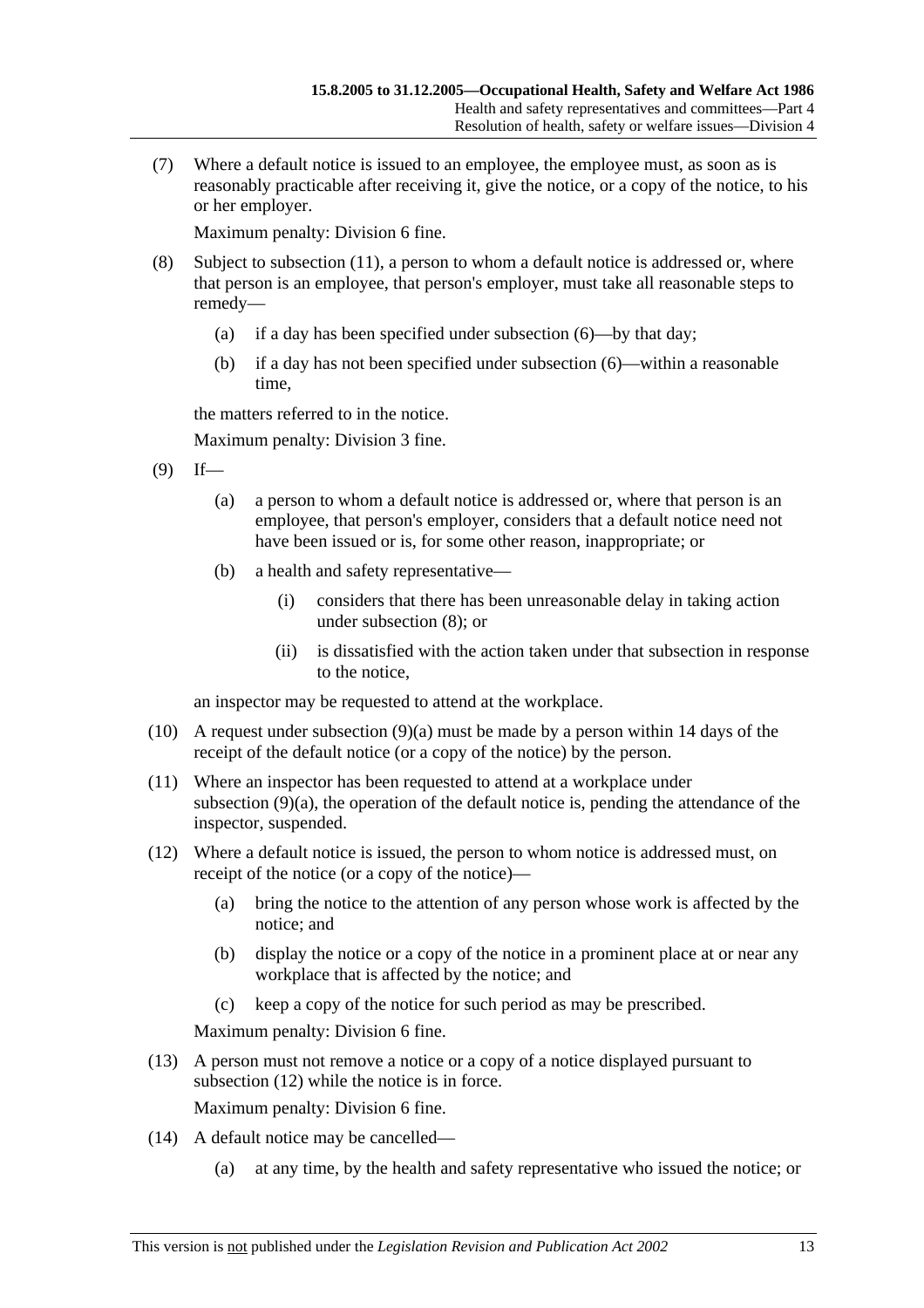(7) Where a default notice is issued to an employee, the employee must, as soon as is reasonably practicable after receiving it, give the notice, or a copy of the notice, to his or her employer.

Maximum penalty: Division 6 fine.

- (8) Subject to subsection (11), a person to whom a default notice is addressed or, where that person is an employee, that person's employer, must take all reasonable steps to remedy—
	- (a) if a day has been specified under subsection (6)—by that day;
	- (b) if a day has not been specified under subsection (6)—within a reasonable time,

the matters referred to in the notice.

Maximum penalty: Division 3 fine.

- $(9)$  If—
	- (a) a person to whom a default notice is addressed or, where that person is an employee, that person's employer, considers that a default notice need not have been issued or is, for some other reason, inappropriate; or
	- (b) a health and safety representative—
		- (i) considers that there has been unreasonable delay in taking action under subsection (8); or
		- (ii) is dissatisfied with the action taken under that subsection in response to the notice,

an inspector may be requested to attend at the workplace.

- (10) A request under subsection (9)(a) must be made by a person within 14 days of the receipt of the default notice (or a copy of the notice) by the person.
- (11) Where an inspector has been requested to attend at a workplace under subsection (9)(a), the operation of the default notice is, pending the attendance of the inspector, suspended.
- (12) Where a default notice is issued, the person to whom notice is addressed must, on receipt of the notice (or a copy of the notice)—
	- (a) bring the notice to the attention of any person whose work is affected by the notice; and
	- (b) display the notice or a copy of the notice in a prominent place at or near any workplace that is affected by the notice; and
	- (c) keep a copy of the notice for such period as may be prescribed.

Maximum penalty: Division 6 fine.

 (13) A person must not remove a notice or a copy of a notice displayed pursuant to subsection (12) while the notice is in force.

Maximum penalty: Division 6 fine.

- (14) A default notice may be cancelled—
	- (a) at any time, by the health and safety representative who issued the notice; or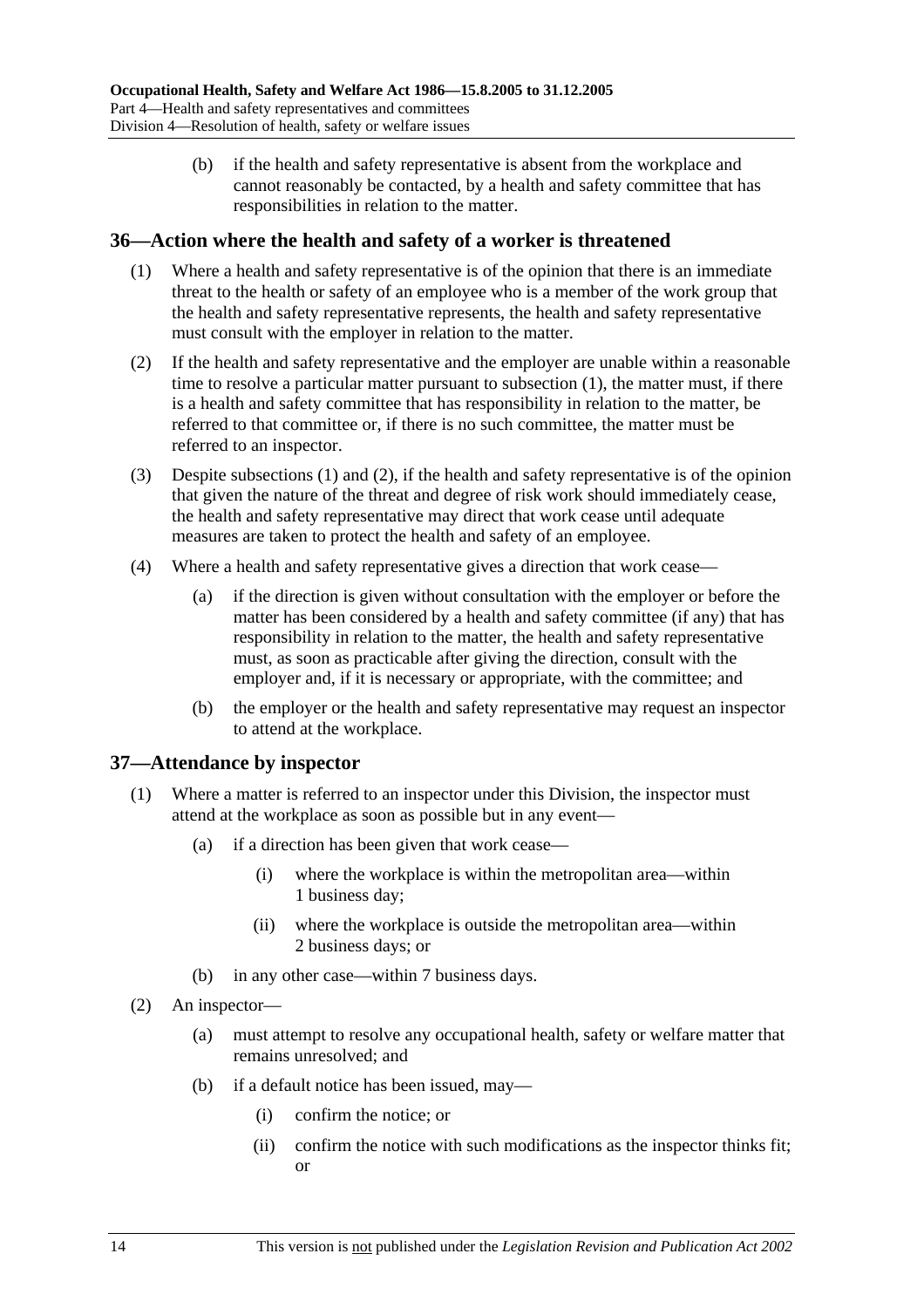(b) if the health and safety representative is absent from the workplace and cannot reasonably be contacted, by a health and safety committee that has responsibilities in relation to the matter.

## **36—Action where the health and safety of a worker is threatened**

- (1) Where a health and safety representative is of the opinion that there is an immediate threat to the health or safety of an employee who is a member of the work group that the health and safety representative represents, the health and safety representative must consult with the employer in relation to the matter.
- (2) If the health and safety representative and the employer are unable within a reasonable time to resolve a particular matter pursuant to subsection (1), the matter must, if there is a health and safety committee that has responsibility in relation to the matter, be referred to that committee or, if there is no such committee, the matter must be referred to an inspector.
- (3) Despite subsections (1) and (2), if the health and safety representative is of the opinion that given the nature of the threat and degree of risk work should immediately cease, the health and safety representative may direct that work cease until adequate measures are taken to protect the health and safety of an employee.
- (4) Where a health and safety representative gives a direction that work cease—
	- (a) if the direction is given without consultation with the employer or before the matter has been considered by a health and safety committee (if any) that has responsibility in relation to the matter, the health and safety representative must, as soon as practicable after giving the direction, consult with the employer and, if it is necessary or appropriate, with the committee; and
	- (b) the employer or the health and safety representative may request an inspector to attend at the workplace.

## **37—Attendance by inspector**

- (1) Where a matter is referred to an inspector under this Division, the inspector must attend at the workplace as soon as possible but in any event—
	- (a) if a direction has been given that work cease—
		- (i) where the workplace is within the metropolitan area—within 1 business day;
		- (ii) where the workplace is outside the metropolitan area—within 2 business days; or
	- (b) in any other case—within 7 business days.
- (2) An inspector—
	- (a) must attempt to resolve any occupational health, safety or welfare matter that remains unresolved; and
	- (b) if a default notice has been issued, may—
		- (i) confirm the notice; or
		- (ii) confirm the notice with such modifications as the inspector thinks fit; or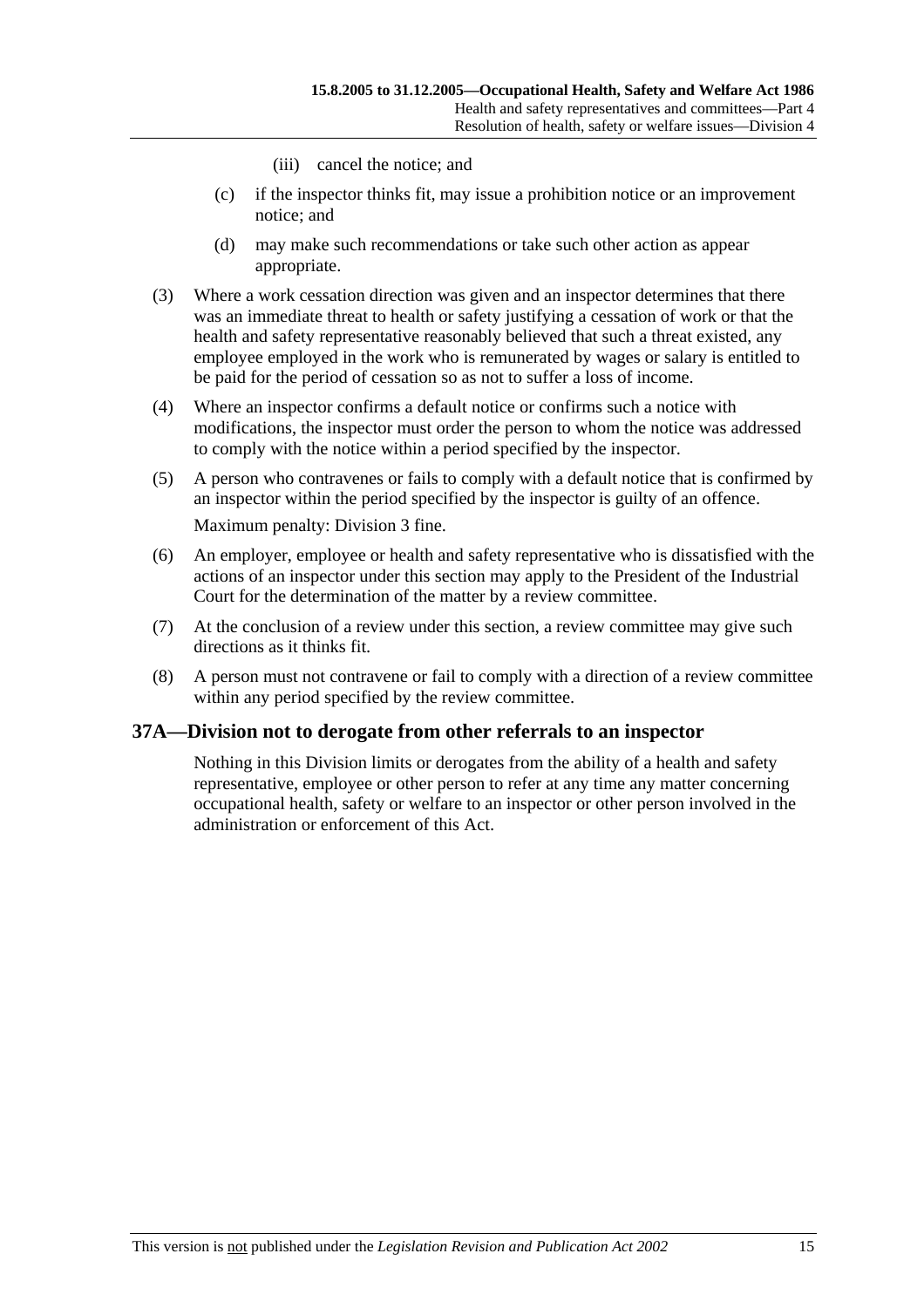- (iii) cancel the notice; and
- (c) if the inspector thinks fit, may issue a prohibition notice or an improvement notice; and
- (d) may make such recommendations or take such other action as appear appropriate.
- (3) Where a work cessation direction was given and an inspector determines that there was an immediate threat to health or safety justifying a cessation of work or that the health and safety representative reasonably believed that such a threat existed, any employee employed in the work who is remunerated by wages or salary is entitled to be paid for the period of cessation so as not to suffer a loss of income.
- (4) Where an inspector confirms a default notice or confirms such a notice with modifications, the inspector must order the person to whom the notice was addressed to comply with the notice within a period specified by the inspector.
- (5) A person who contravenes or fails to comply with a default notice that is confirmed by an inspector within the period specified by the inspector is guilty of an offence. Maximum penalty: Division 3 fine.
- (6) An employer, employee or health and safety representative who is dissatisfied with the actions of an inspector under this section may apply to the President of the Industrial Court for the determination of the matter by a review committee.
- (7) At the conclusion of a review under this section, a review committee may give such directions as it thinks fit.
- (8) A person must not contravene or fail to comply with a direction of a review committee within any period specified by the review committee.

# **37A—Division not to derogate from other referrals to an inspector**

Nothing in this Division limits or derogates from the ability of a health and safety representative, employee or other person to refer at any time any matter concerning occupational health, safety or welfare to an inspector or other person involved in the administration or enforcement of this Act.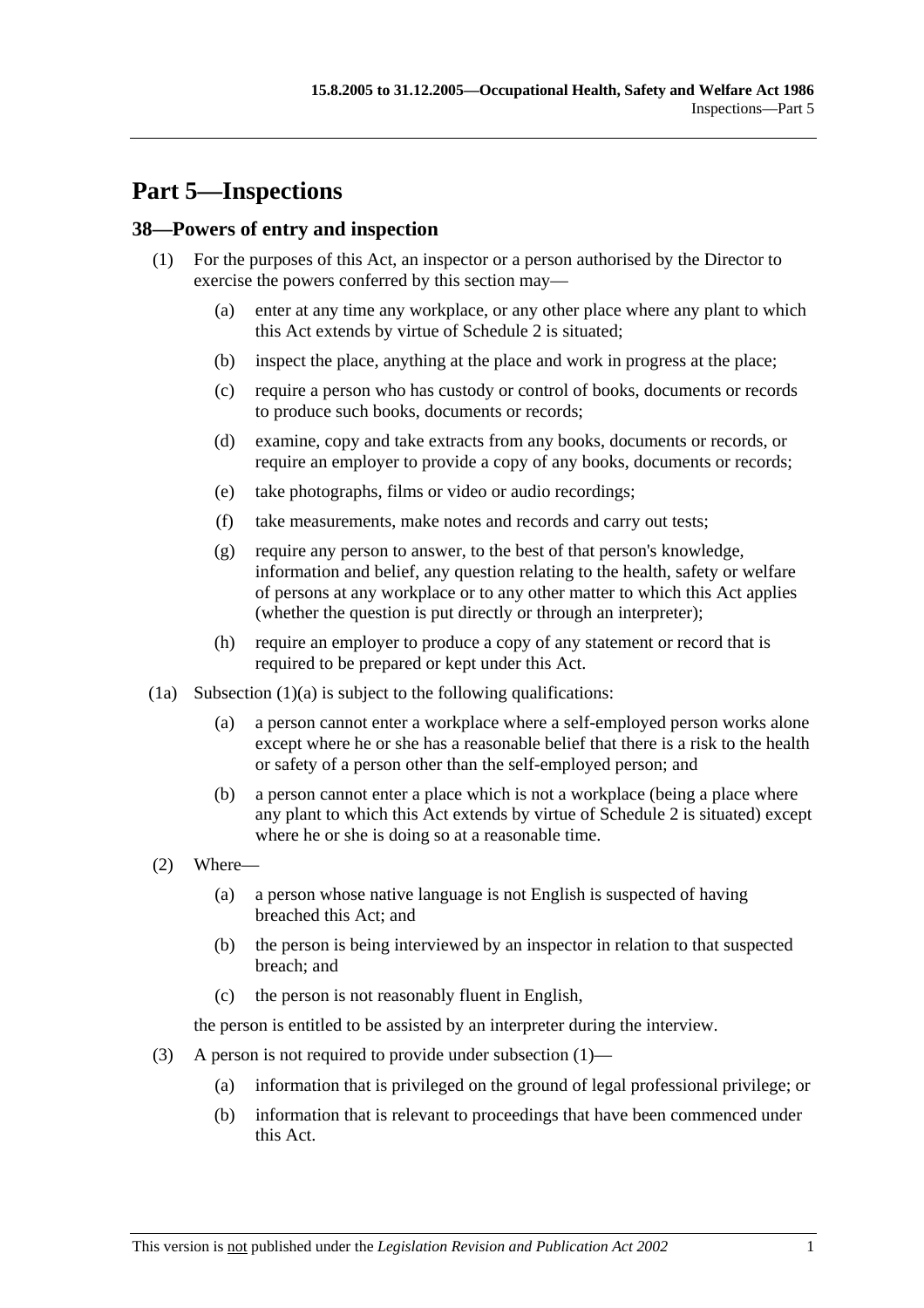# **Part 5—Inspections**

## **38—Powers of entry and inspection**

- (1) For the purposes of this Act, an inspector or a person authorised by the Director to exercise the powers conferred by this section may—
	- (a) enter at any time any workplace, or any other place where any plant to which this Act extends by virtue of Schedule 2 is situated;
	- (b) inspect the place, anything at the place and work in progress at the place;
	- (c) require a person who has custody or control of books, documents or records to produce such books, documents or records;
	- (d) examine, copy and take extracts from any books, documents or records, or require an employer to provide a copy of any books, documents or records;
	- (e) take photographs, films or video or audio recordings;
	- (f) take measurements, make notes and records and carry out tests;
	- (g) require any person to answer, to the best of that person's knowledge, information and belief, any question relating to the health, safety or welfare of persons at any workplace or to any other matter to which this Act applies (whether the question is put directly or through an interpreter);
	- (h) require an employer to produce a copy of any statement or record that is required to be prepared or kept under this Act.
- $(1a)$  Subsection  $(1)(a)$  is subject to the following qualifications:
	- (a) a person cannot enter a workplace where a self-employed person works alone except where he or she has a reasonable belief that there is a risk to the health or safety of a person other than the self-employed person; and
	- (b) a person cannot enter a place which is not a workplace (being a place where any plant to which this Act extends by virtue of Schedule 2 is situated) except where he or she is doing so at a reasonable time.
- (2) Where—
	- (a) a person whose native language is not English is suspected of having breached this Act; and
	- (b) the person is being interviewed by an inspector in relation to that suspected breach; and
	- (c) the person is not reasonably fluent in English,

the person is entitled to be assisted by an interpreter during the interview.

- (3) A person is not required to provide under subsection (1)—
	- (a) information that is privileged on the ground of legal professional privilege; or
	- (b) information that is relevant to proceedings that have been commenced under this Act.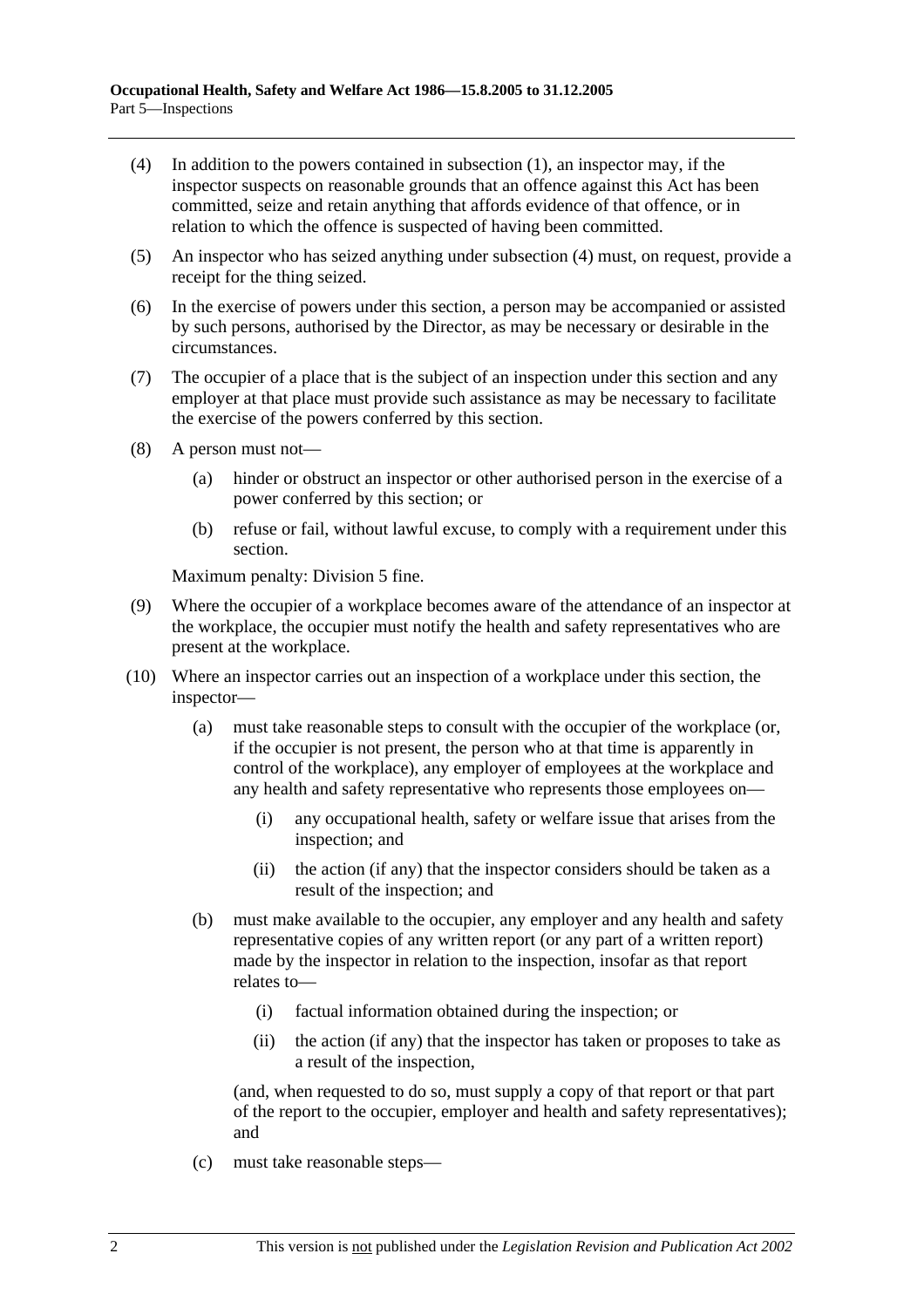- (4) In addition to the powers contained in subsection (1), an inspector may, if the inspector suspects on reasonable grounds that an offence against this Act has been committed, seize and retain anything that affords evidence of that offence, or in relation to which the offence is suspected of having been committed.
- (5) An inspector who has seized anything under subsection (4) must, on request, provide a receipt for the thing seized.
- (6) In the exercise of powers under this section, a person may be accompanied or assisted by such persons, authorised by the Director, as may be necessary or desirable in the circumstances.
- (7) The occupier of a place that is the subject of an inspection under this section and any employer at that place must provide such assistance as may be necessary to facilitate the exercise of the powers conferred by this section.
- (8) A person must not—
	- (a) hinder or obstruct an inspector or other authorised person in the exercise of a power conferred by this section; or
	- (b) refuse or fail, without lawful excuse, to comply with a requirement under this section.

Maximum penalty: Division 5 fine.

- (9) Where the occupier of a workplace becomes aware of the attendance of an inspector at the workplace, the occupier must notify the health and safety representatives who are present at the workplace.
- (10) Where an inspector carries out an inspection of a workplace under this section, the inspector—
	- (a) must take reasonable steps to consult with the occupier of the workplace (or, if the occupier is not present, the person who at that time is apparently in control of the workplace), any employer of employees at the workplace and any health and safety representative who represents those employees on—
		- (i) any occupational health, safety or welfare issue that arises from the inspection; and
		- (ii) the action (if any) that the inspector considers should be taken as a result of the inspection; and
	- (b) must make available to the occupier, any employer and any health and safety representative copies of any written report (or any part of a written report) made by the inspector in relation to the inspection, insofar as that report relates to—
		- (i) factual information obtained during the inspection; or
		- (ii) the action (if any) that the inspector has taken or proposes to take as a result of the inspection,

(and, when requested to do so, must supply a copy of that report or that part of the report to the occupier, employer and health and safety representatives); and

(c) must take reasonable steps—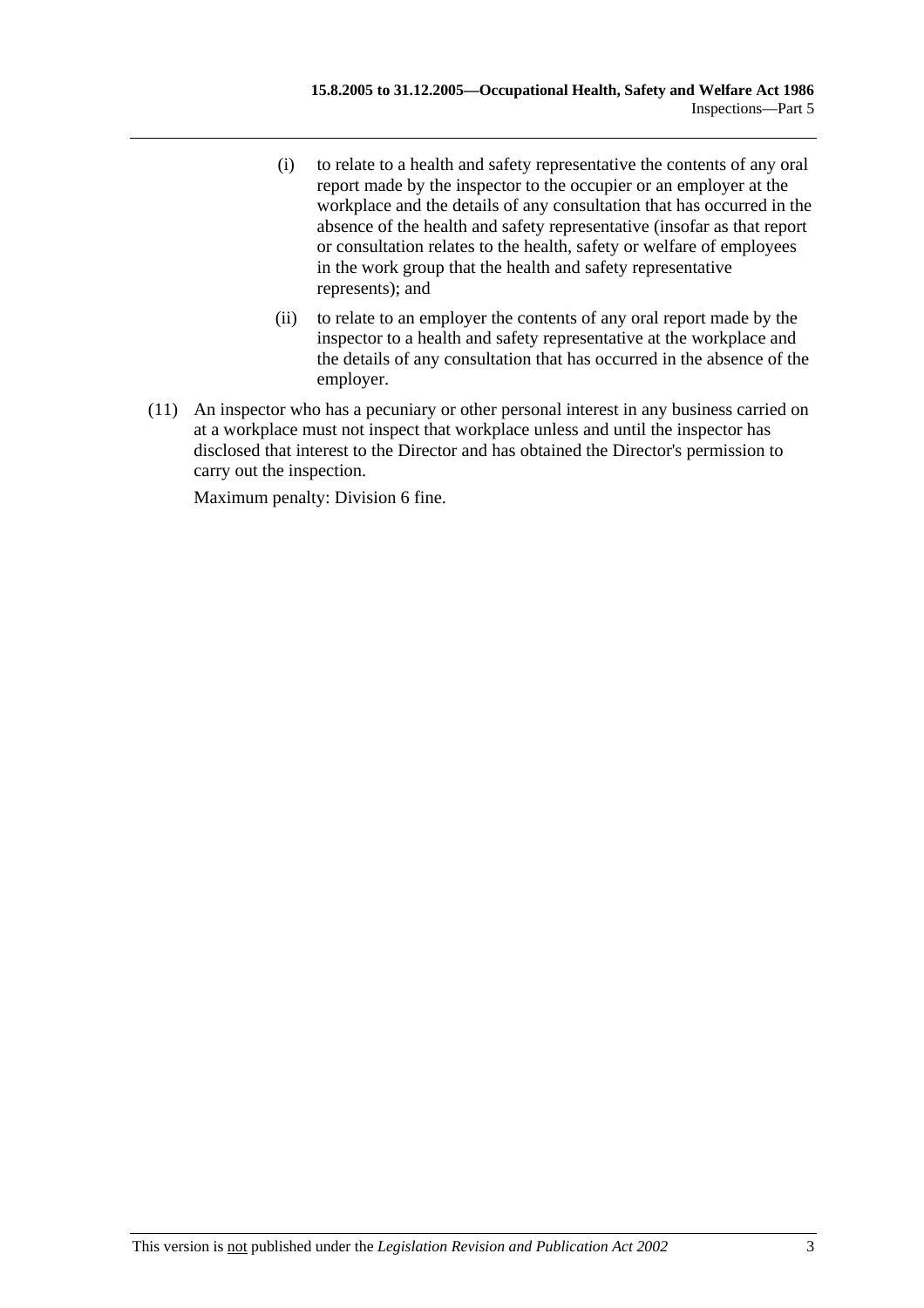- (i) to relate to a health and safety representative the contents of any oral report made by the inspector to the occupier or an employer at the workplace and the details of any consultation that has occurred in the absence of the health and safety representative (insofar as that report or consultation relates to the health, safety or welfare of employees in the work group that the health and safety representative represents); and
- (ii) to relate to an employer the contents of any oral report made by the inspector to a health and safety representative at the workplace and the details of any consultation that has occurred in the absence of the employer.
- (11) An inspector who has a pecuniary or other personal interest in any business carried on at a workplace must not inspect that workplace unless and until the inspector has disclosed that interest to the Director and has obtained the Director's permission to carry out the inspection.

Maximum penalty: Division 6 fine.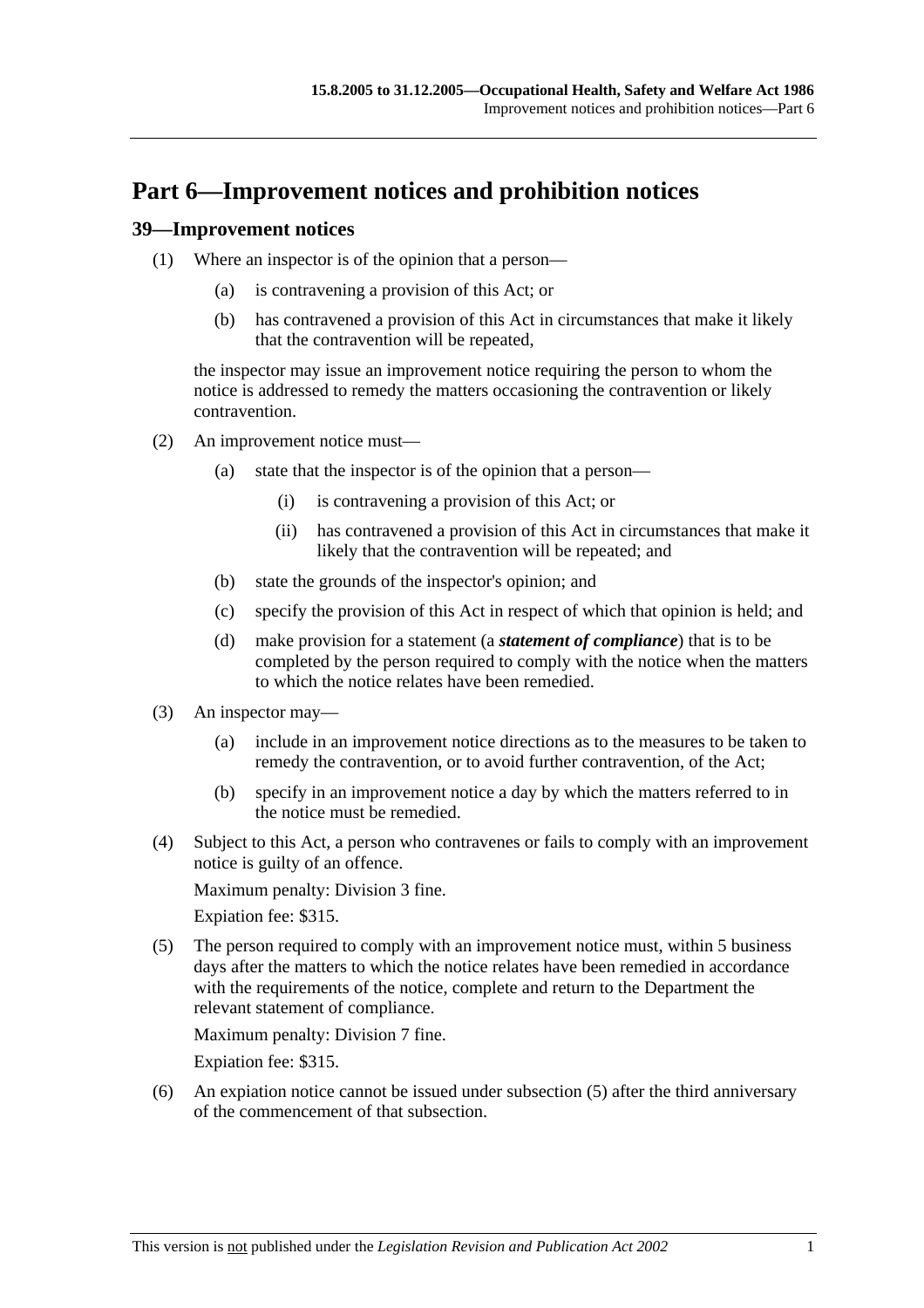# **Part 6—Improvement notices and prohibition notices**

## **39—Improvement notices**

- (1) Where an inspector is of the opinion that a person—
	- (a) is contravening a provision of this Act; or
	- (b) has contravened a provision of this Act in circumstances that make it likely that the contravention will be repeated,

the inspector may issue an improvement notice requiring the person to whom the notice is addressed to remedy the matters occasioning the contravention or likely contravention.

- (2) An improvement notice must—
	- (a) state that the inspector is of the opinion that a person—
		- (i) is contravening a provision of this Act; or
		- (ii) has contravened a provision of this Act in circumstances that make it likely that the contravention will be repeated; and
	- (b) state the grounds of the inspector's opinion; and
	- (c) specify the provision of this Act in respect of which that opinion is held; and
	- (d) make provision for a statement (a *statement of compliance*) that is to be completed by the person required to comply with the notice when the matters to which the notice relates have been remedied.
- (3) An inspector may—
	- (a) include in an improvement notice directions as to the measures to be taken to remedy the contravention, or to avoid further contravention, of the Act;
	- (b) specify in an improvement notice a day by which the matters referred to in the notice must be remedied.
- (4) Subject to this Act, a person who contravenes or fails to comply with an improvement notice is guilty of an offence.

Maximum penalty: Division 3 fine.

Expiation fee: \$315.

 (5) The person required to comply with an improvement notice must, within 5 business days after the matters to which the notice relates have been remedied in accordance with the requirements of the notice, complete and return to the Department the relevant statement of compliance.

Maximum penalty: Division 7 fine.

Expiation fee: \$315.

 (6) An expiation notice cannot be issued under subsection (5) after the third anniversary of the commencement of that subsection.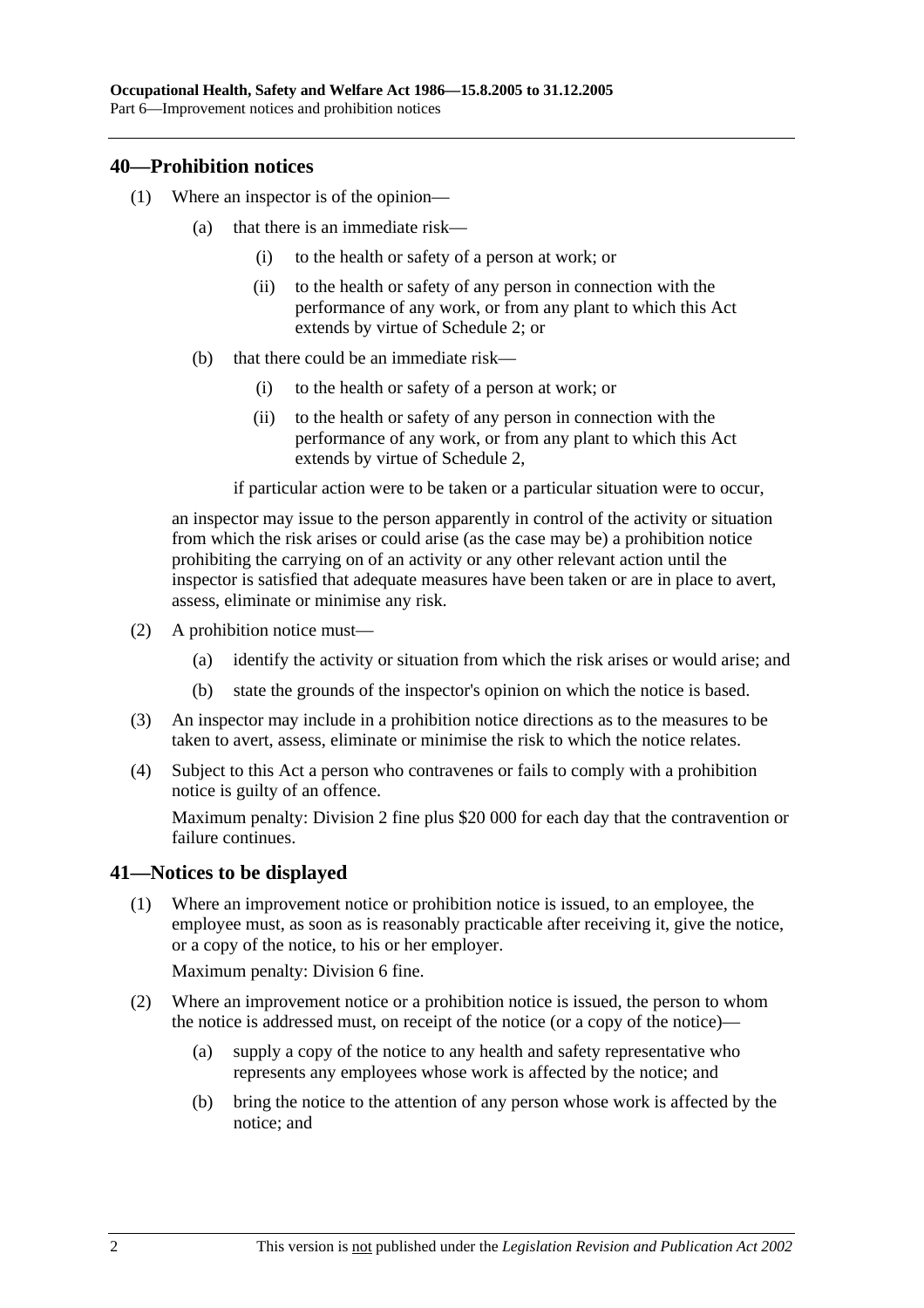## **40—Prohibition notices**

- (1) Where an inspector is of the opinion—
	- (a) that there is an immediate risk—
		- (i) to the health or safety of a person at work; or
		- (ii) to the health or safety of any person in connection with the performance of any work, or from any plant to which this Act extends by virtue of Schedule 2; or
	- (b) that there could be an immediate risk—
		- (i) to the health or safety of a person at work; or
		- (ii) to the health or safety of any person in connection with the performance of any work, or from any plant to which this Act extends by virtue of Schedule 2,

if particular action were to be taken or a particular situation were to occur,

an inspector may issue to the person apparently in control of the activity or situation from which the risk arises or could arise (as the case may be) a prohibition notice prohibiting the carrying on of an activity or any other relevant action until the inspector is satisfied that adequate measures have been taken or are in place to avert, assess, eliminate or minimise any risk.

- (2) A prohibition notice must—
	- (a) identify the activity or situation from which the risk arises or would arise; and
	- (b) state the grounds of the inspector's opinion on which the notice is based.
- (3) An inspector may include in a prohibition notice directions as to the measures to be taken to avert, assess, eliminate or minimise the risk to which the notice relates.
- (4) Subject to this Act a person who contravenes or fails to comply with a prohibition notice is guilty of an offence.

Maximum penalty: Division 2 fine plus \$20 000 for each day that the contravention or failure continues.

# **41—Notices to be displayed**

 (1) Where an improvement notice or prohibition notice is issued, to an employee, the employee must, as soon as is reasonably practicable after receiving it, give the notice, or a copy of the notice, to his or her employer.

Maximum penalty: Division 6 fine.

- (2) Where an improvement notice or a prohibition notice is issued, the person to whom the notice is addressed must, on receipt of the notice (or a copy of the notice)—
	- (a) supply a copy of the notice to any health and safety representative who represents any employees whose work is affected by the notice; and
	- (b) bring the notice to the attention of any person whose work is affected by the notice; and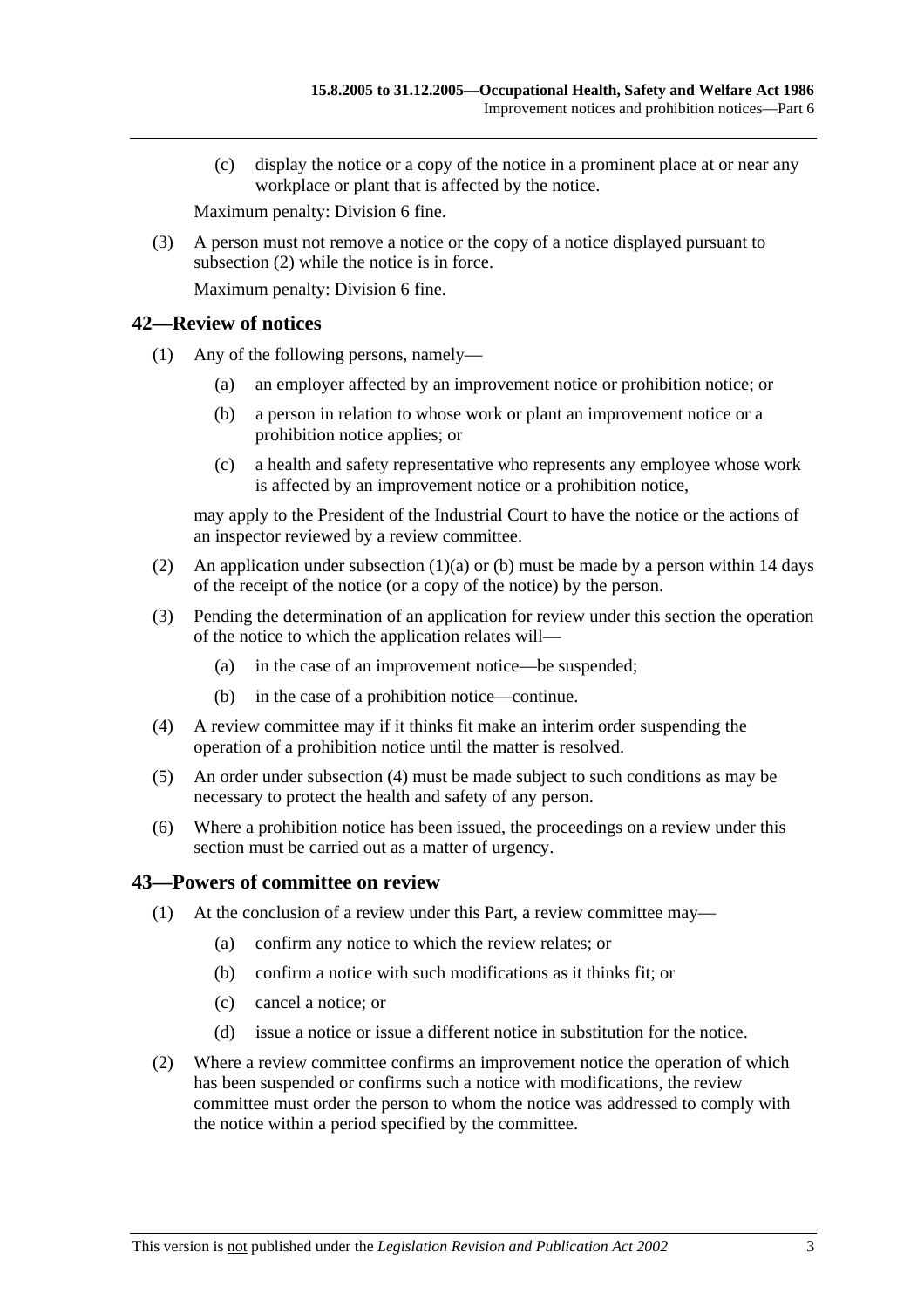(c) display the notice or a copy of the notice in a prominent place at or near any workplace or plant that is affected by the notice.

Maximum penalty: Division 6 fine.

 (3) A person must not remove a notice or the copy of a notice displayed pursuant to subsection (2) while the notice is in force.

Maximum penalty: Division 6 fine.

## **42—Review of notices**

- (1) Any of the following persons, namely—
	- (a) an employer affected by an improvement notice or prohibition notice; or
	- (b) a person in relation to whose work or plant an improvement notice or a prohibition notice applies; or
	- (c) a health and safety representative who represents any employee whose work is affected by an improvement notice or a prohibition notice,

may apply to the President of the Industrial Court to have the notice or the actions of an inspector reviewed by a review committee.

- (2) An application under subsection  $(1)(a)$  or (b) must be made by a person within 14 days of the receipt of the notice (or a copy of the notice) by the person.
- (3) Pending the determination of an application for review under this section the operation of the notice to which the application relates will—
	- (a) in the case of an improvement notice—be suspended;
	- (b) in the case of a prohibition notice—continue.
- (4) A review committee may if it thinks fit make an interim order suspending the operation of a prohibition notice until the matter is resolved.
- (5) An order under subsection (4) must be made subject to such conditions as may be necessary to protect the health and safety of any person.
- (6) Where a prohibition notice has been issued, the proceedings on a review under this section must be carried out as a matter of urgency.

## **43—Powers of committee on review**

- (1) At the conclusion of a review under this Part, a review committee may—
	- (a) confirm any notice to which the review relates; or
	- (b) confirm a notice with such modifications as it thinks fit; or
	- (c) cancel a notice; or
	- (d) issue a notice or issue a different notice in substitution for the notice.
- (2) Where a review committee confirms an improvement notice the operation of which has been suspended or confirms such a notice with modifications, the review committee must order the person to whom the notice was addressed to comply with the notice within a period specified by the committee.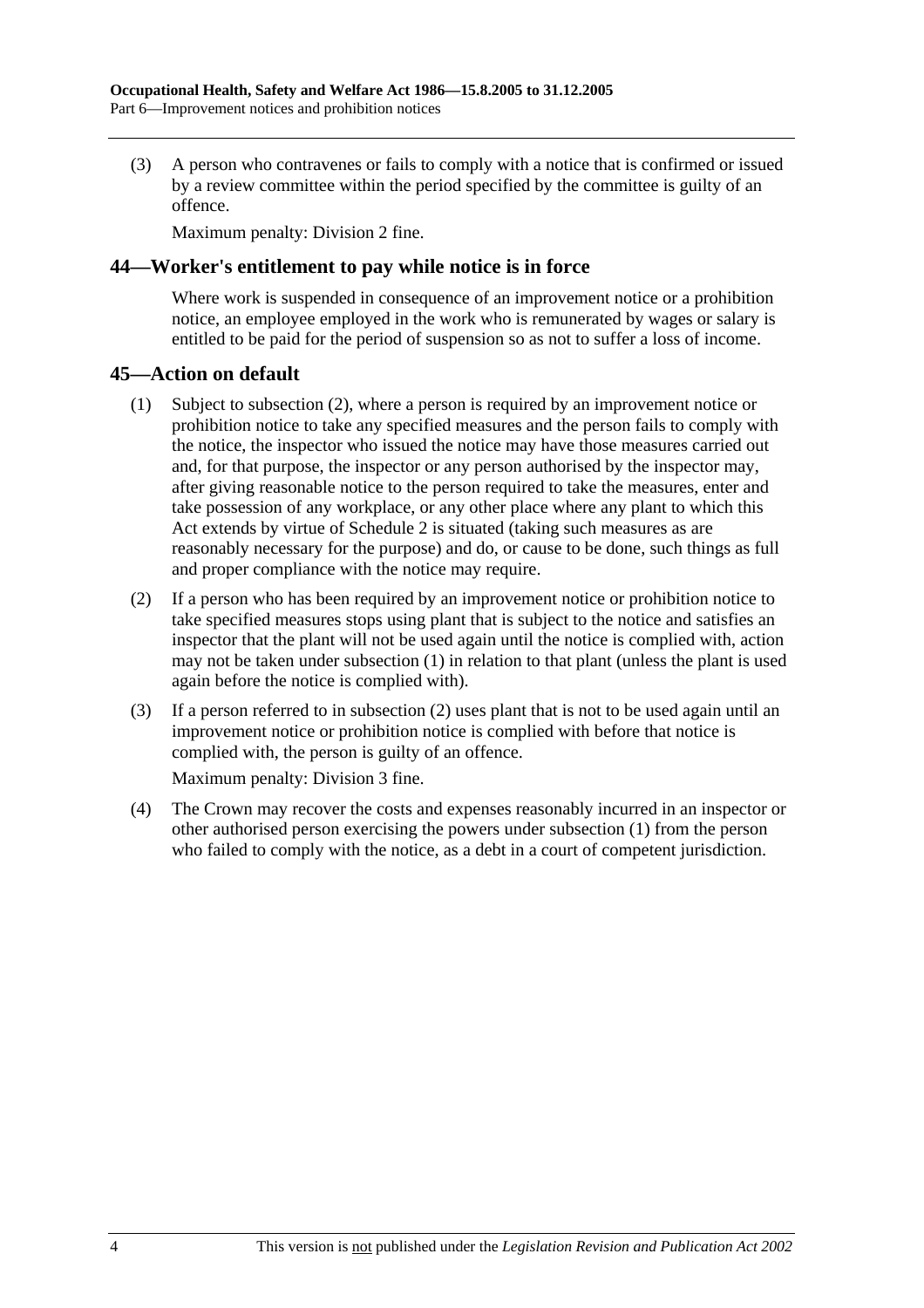(3) A person who contravenes or fails to comply with a notice that is confirmed or issued by a review committee within the period specified by the committee is guilty of an offence.

Maximum penalty: Division 2 fine.

## **44—Worker's entitlement to pay while notice is in force**

Where work is suspended in consequence of an improvement notice or a prohibition notice, an employee employed in the work who is remunerated by wages or salary is entitled to be paid for the period of suspension so as not to suffer a loss of income.

## **45—Action on default**

- (1) Subject to subsection (2), where a person is required by an improvement notice or prohibition notice to take any specified measures and the person fails to comply with the notice, the inspector who issued the notice may have those measures carried out and, for that purpose, the inspector or any person authorised by the inspector may, after giving reasonable notice to the person required to take the measures, enter and take possession of any workplace, or any other place where any plant to which this Act extends by virtue of Schedule 2 is situated (taking such measures as are reasonably necessary for the purpose) and do, or cause to be done, such things as full and proper compliance with the notice may require.
- (2) If a person who has been required by an improvement notice or prohibition notice to take specified measures stops using plant that is subject to the notice and satisfies an inspector that the plant will not be used again until the notice is complied with, action may not be taken under subsection (1) in relation to that plant (unless the plant is used again before the notice is complied with).
- (3) If a person referred to in subsection (2) uses plant that is not to be used again until an improvement notice or prohibition notice is complied with before that notice is complied with, the person is guilty of an offence.

Maximum penalty: Division 3 fine.

 (4) The Crown may recover the costs and expenses reasonably incurred in an inspector or other authorised person exercising the powers under subsection (1) from the person who failed to comply with the notice, as a debt in a court of competent jurisdiction.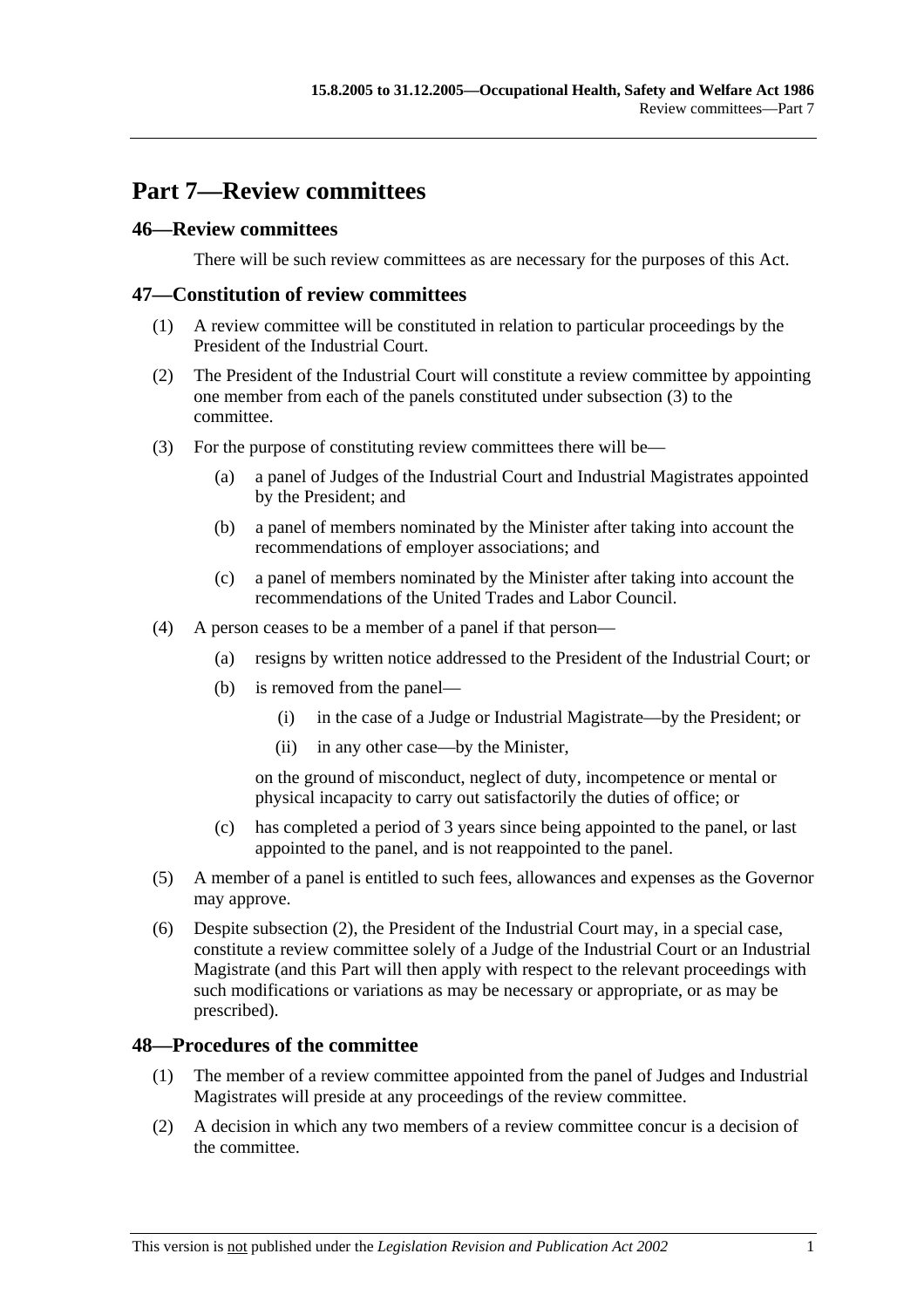# **Part 7—Review committees**

## **46—Review committees**

There will be such review committees as are necessary for the purposes of this Act.

## **47—Constitution of review committees**

- (1) A review committee will be constituted in relation to particular proceedings by the President of the Industrial Court.
- (2) The President of the Industrial Court will constitute a review committee by appointing one member from each of the panels constituted under subsection (3) to the committee.
- (3) For the purpose of constituting review committees there will be—
	- (a) a panel of Judges of the Industrial Court and Industrial Magistrates appointed by the President; and
	- (b) a panel of members nominated by the Minister after taking into account the recommendations of employer associations; and
	- (c) a panel of members nominated by the Minister after taking into account the recommendations of the United Trades and Labor Council.
- (4) A person ceases to be a member of a panel if that person—
	- (a) resigns by written notice addressed to the President of the Industrial Court; or
	- (b) is removed from the panel—
		- (i) in the case of a Judge or Industrial Magistrate—by the President; or
		- (ii) in any other case—by the Minister,

on the ground of misconduct, neglect of duty, incompetence or mental or physical incapacity to carry out satisfactorily the duties of office; or

- (c) has completed a period of 3 years since being appointed to the panel, or last appointed to the panel, and is not reappointed to the panel.
- (5) A member of a panel is entitled to such fees, allowances and expenses as the Governor may approve.
- (6) Despite subsection (2), the President of the Industrial Court may, in a special case, constitute a review committee solely of a Judge of the Industrial Court or an Industrial Magistrate (and this Part will then apply with respect to the relevant proceedings with such modifications or variations as may be necessary or appropriate, or as may be prescribed).

## **48—Procedures of the committee**

- (1) The member of a review committee appointed from the panel of Judges and Industrial Magistrates will preside at any proceedings of the review committee.
- (2) A decision in which any two members of a review committee concur is a decision of the committee.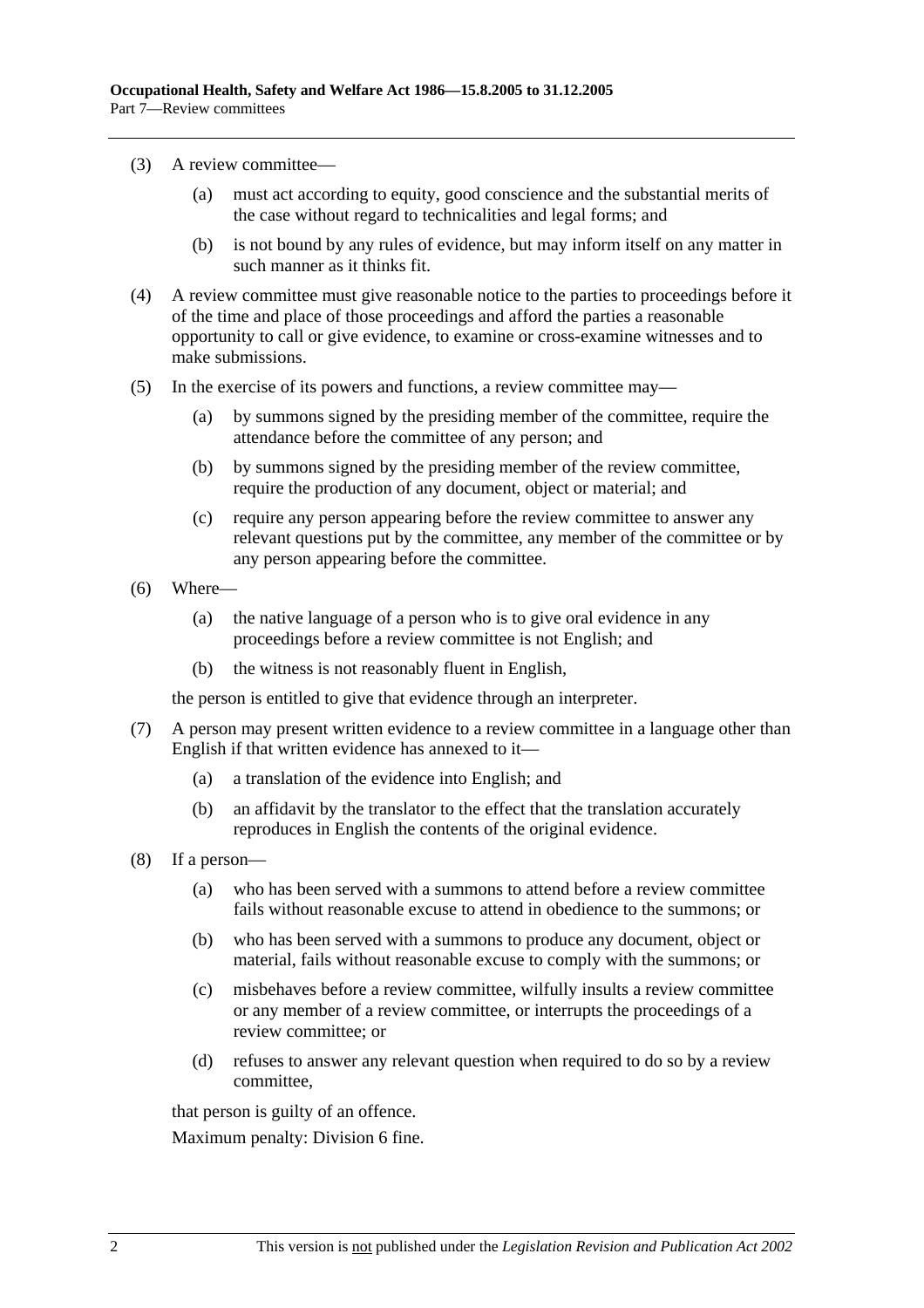- (3) A review committee—
	- (a) must act according to equity, good conscience and the substantial merits of the case without regard to technicalities and legal forms; and
	- (b) is not bound by any rules of evidence, but may inform itself on any matter in such manner as it thinks fit.
- (4) A review committee must give reasonable notice to the parties to proceedings before it of the time and place of those proceedings and afford the parties a reasonable opportunity to call or give evidence, to examine or cross-examine witnesses and to make submissions.
- (5) In the exercise of its powers and functions, a review committee may—
	- (a) by summons signed by the presiding member of the committee, require the attendance before the committee of any person; and
	- (b) by summons signed by the presiding member of the review committee, require the production of any document, object or material; and
	- (c) require any person appearing before the review committee to answer any relevant questions put by the committee, any member of the committee or by any person appearing before the committee.
- (6) Where—
	- (a) the native language of a person who is to give oral evidence in any proceedings before a review committee is not English; and
	- (b) the witness is not reasonably fluent in English,

the person is entitled to give that evidence through an interpreter.

- (7) A person may present written evidence to a review committee in a language other than English if that written evidence has annexed to it—
	- (a) a translation of the evidence into English; and
	- (b) an affidavit by the translator to the effect that the translation accurately reproduces in English the contents of the original evidence.
- (8) If a person—
	- (a) who has been served with a summons to attend before a review committee fails without reasonable excuse to attend in obedience to the summons; or
	- (b) who has been served with a summons to produce any document, object or material, fails without reasonable excuse to comply with the summons; or
	- (c) misbehaves before a review committee, wilfully insults a review committee or any member of a review committee, or interrupts the proceedings of a review committee; or
	- (d) refuses to answer any relevant question when required to do so by a review committee,

that person is guilty of an offence.

Maximum penalty: Division 6 fine.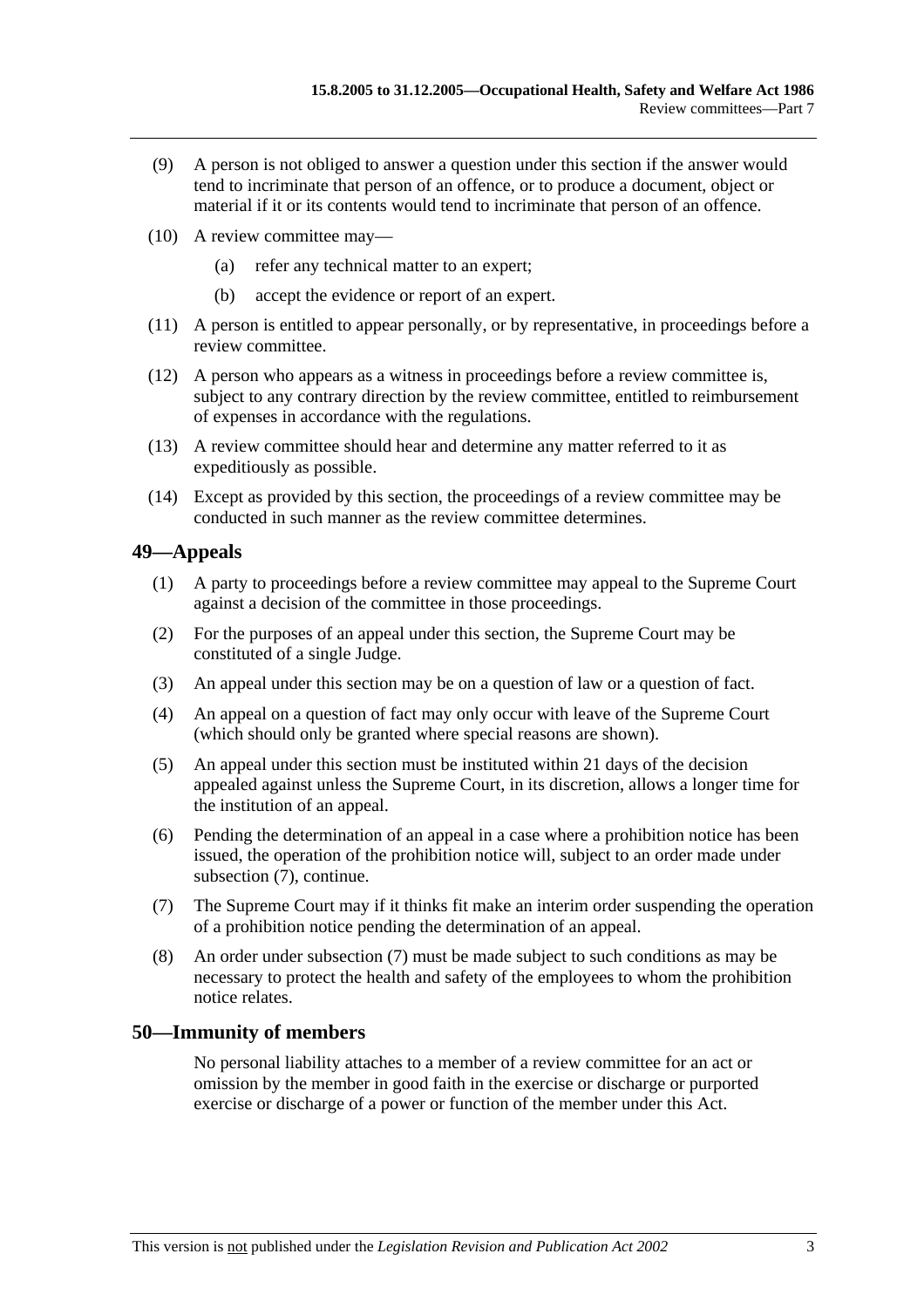- (9) A person is not obliged to answer a question under this section if the answer would tend to incriminate that person of an offence, or to produce a document, object or material if it or its contents would tend to incriminate that person of an offence.
- (10) A review committee may—
	- (a) refer any technical matter to an expert;
	- (b) accept the evidence or report of an expert.
- (11) A person is entitled to appear personally, or by representative, in proceedings before a review committee.
- (12) A person who appears as a witness in proceedings before a review committee is, subject to any contrary direction by the review committee, entitled to reimbursement of expenses in accordance with the regulations.
- (13) A review committee should hear and determine any matter referred to it as expeditiously as possible.
- (14) Except as provided by this section, the proceedings of a review committee may be conducted in such manner as the review committee determines.

## **49—Appeals**

- (1) A party to proceedings before a review committee may appeal to the Supreme Court against a decision of the committee in those proceedings.
- (2) For the purposes of an appeal under this section, the Supreme Court may be constituted of a single Judge.
- (3) An appeal under this section may be on a question of law or a question of fact.
- (4) An appeal on a question of fact may only occur with leave of the Supreme Court (which should only be granted where special reasons are shown).
- (5) An appeal under this section must be instituted within 21 days of the decision appealed against unless the Supreme Court, in its discretion, allows a longer time for the institution of an appeal.
- (6) Pending the determination of an appeal in a case where a prohibition notice has been issued, the operation of the prohibition notice will, subject to an order made under subsection (7), continue.
- (7) The Supreme Court may if it thinks fit make an interim order suspending the operation of a prohibition notice pending the determination of an appeal.
- (8) An order under subsection (7) must be made subject to such conditions as may be necessary to protect the health and safety of the employees to whom the prohibition notice relates.

## **50—Immunity of members**

No personal liability attaches to a member of a review committee for an act or omission by the member in good faith in the exercise or discharge or purported exercise or discharge of a power or function of the member under this Act.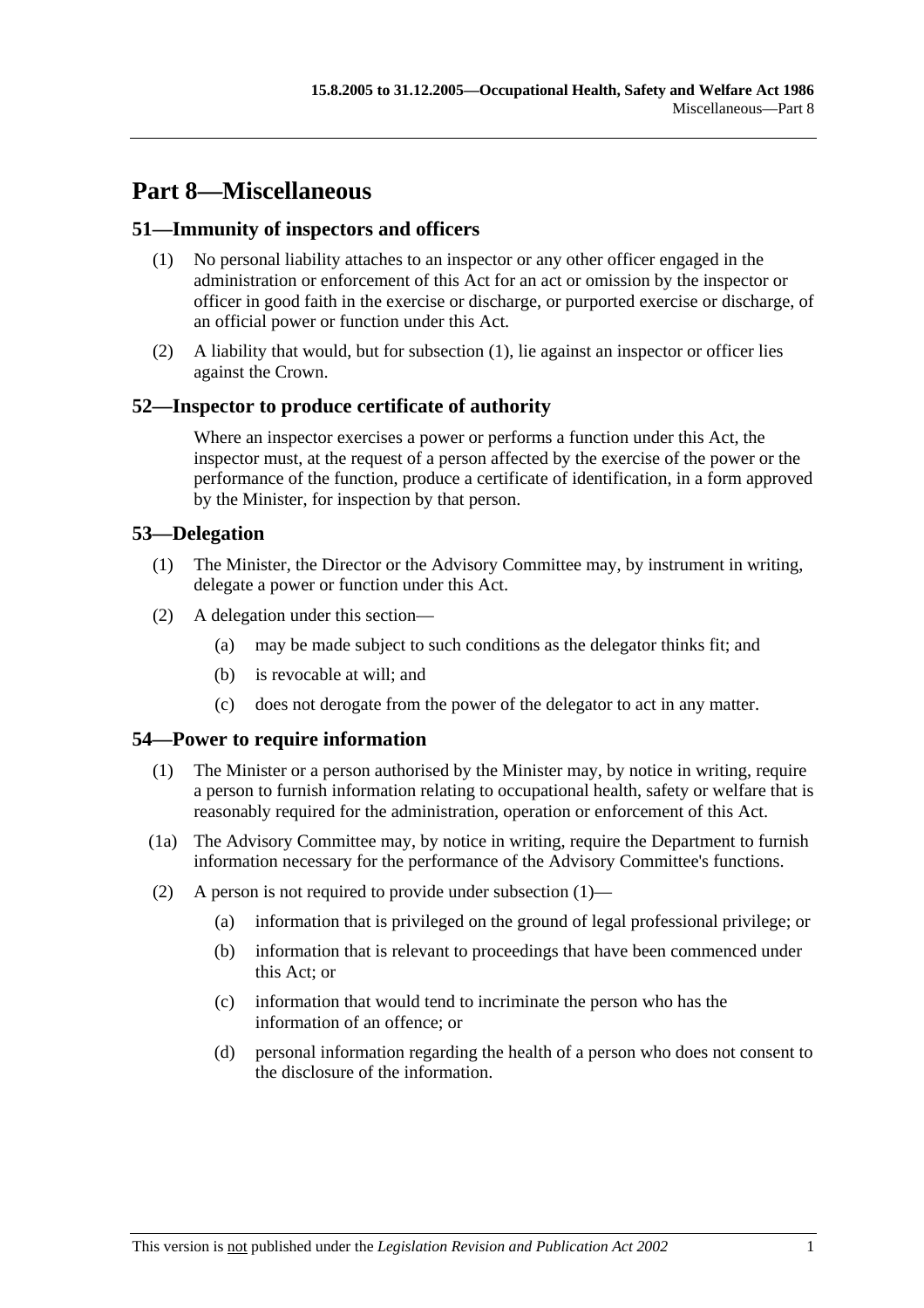# **Part 8—Miscellaneous**

# **51—Immunity of inspectors and officers**

- (1) No personal liability attaches to an inspector or any other officer engaged in the administration or enforcement of this Act for an act or omission by the inspector or officer in good faith in the exercise or discharge, or purported exercise or discharge, of an official power or function under this Act.
- (2) A liability that would, but for subsection (1), lie against an inspector or officer lies against the Crown.

# **52—Inspector to produce certificate of authority**

Where an inspector exercises a power or performs a function under this Act, the inspector must, at the request of a person affected by the exercise of the power or the performance of the function, produce a certificate of identification, in a form approved by the Minister, for inspection by that person.

# **53—Delegation**

- (1) The Minister, the Director or the Advisory Committee may, by instrument in writing, delegate a power or function under this Act.
- (2) A delegation under this section—
	- (a) may be made subject to such conditions as the delegator thinks fit; and
	- (b) is revocable at will; and
	- (c) does not derogate from the power of the delegator to act in any matter.

# **54—Power to require information**

- (1) The Minister or a person authorised by the Minister may, by notice in writing, require a person to furnish information relating to occupational health, safety or welfare that is reasonably required for the administration, operation or enforcement of this Act.
- (1a) The Advisory Committee may, by notice in writing, require the Department to furnish information necessary for the performance of the Advisory Committee's functions.
- (2) A person is not required to provide under subsection  $(1)$ 
	- (a) information that is privileged on the ground of legal professional privilege; or
	- (b) information that is relevant to proceedings that have been commenced under this Act; or
	- (c) information that would tend to incriminate the person who has the information of an offence; or
	- (d) personal information regarding the health of a person who does not consent to the disclosure of the information.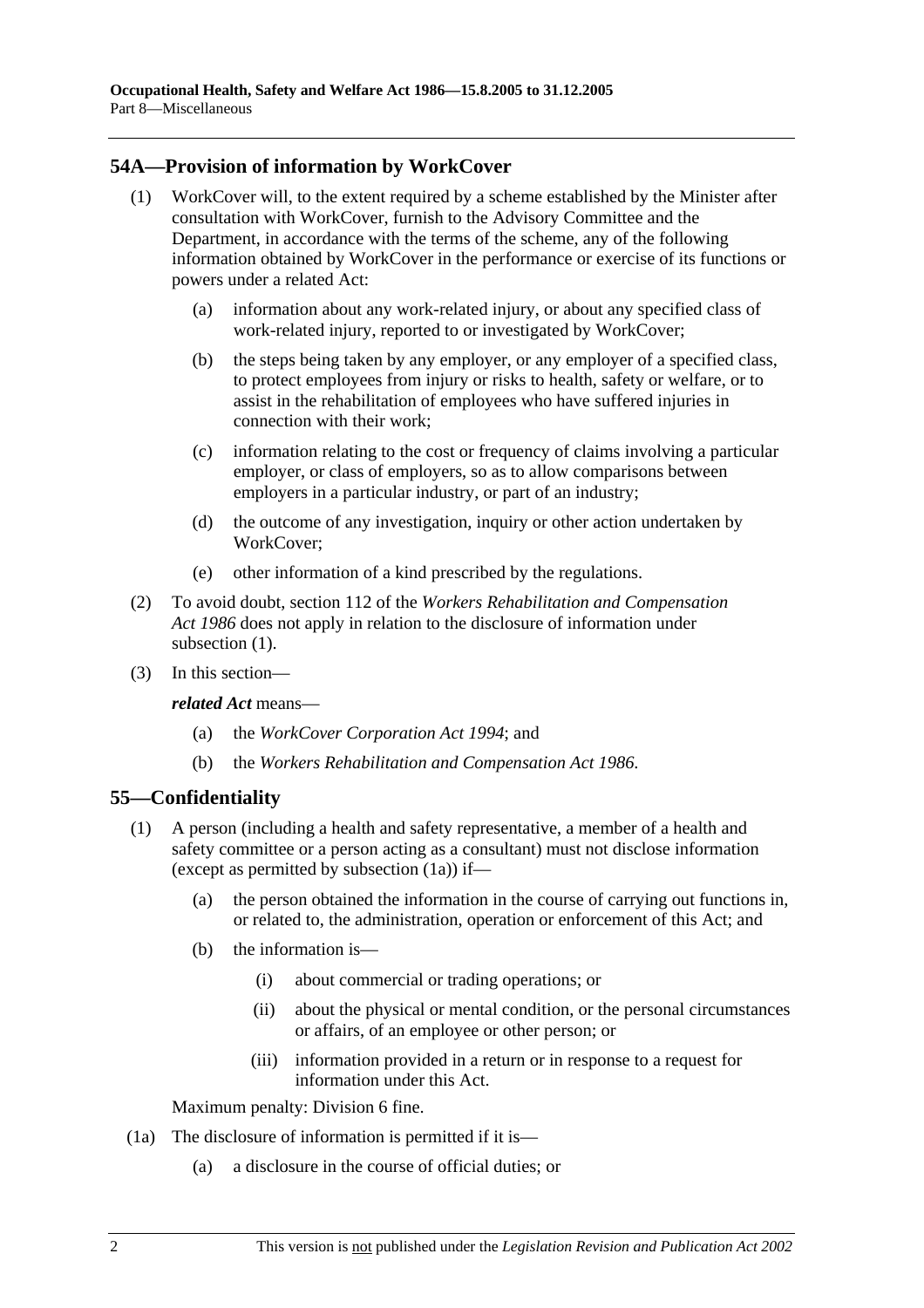# **54A—Provision of information by WorkCover**

- (1) WorkCover will, to the extent required by a scheme established by the Minister after consultation with WorkCover, furnish to the Advisory Committee and the Department, in accordance with the terms of the scheme, any of the following information obtained by WorkCover in the performance or exercise of its functions or powers under a related Act:
	- (a) information about any work-related injury, or about any specified class of work-related injury, reported to or investigated by WorkCover;
	- (b) the steps being taken by any employer, or any employer of a specified class, to protect employees from injury or risks to health, safety or welfare, or to assist in the rehabilitation of employees who have suffered injuries in connection with their work;
	- (c) information relating to the cost or frequency of claims involving a particular employer, or class of employers, so as to allow comparisons between employers in a particular industry, or part of an industry;
	- (d) the outcome of any investigation, inquiry or other action undertaken by WorkCover;
	- (e) other information of a kind prescribed by the regulations.
- (2) To avoid doubt, section 112 of the *Workers Rehabilitation and Compensation Act 1986* does not apply in relation to the disclosure of information under subsection  $(1)$ .
- (3) In this section—

*related Act* means—

- (a) the *WorkCover Corporation Act 1994*; and
- (b) the *Workers Rehabilitation and Compensation Act 1986*.

# **55—Confidentiality**

- (1) A person (including a health and safety representative, a member of a health and safety committee or a person acting as a consultant) must not disclose information (except as permitted by subsection (1a)) if—
	- (a) the person obtained the information in the course of carrying out functions in, or related to, the administration, operation or enforcement of this Act; and
	- (b) the information is—
		- (i) about commercial or trading operations; or
		- (ii) about the physical or mental condition, or the personal circumstances or affairs, of an employee or other person; or
		- (iii) information provided in a return or in response to a request for information under this Act.

Maximum penalty: Division 6 fine.

- (1a) The disclosure of information is permitted if it is—
	- (a) a disclosure in the course of official duties; or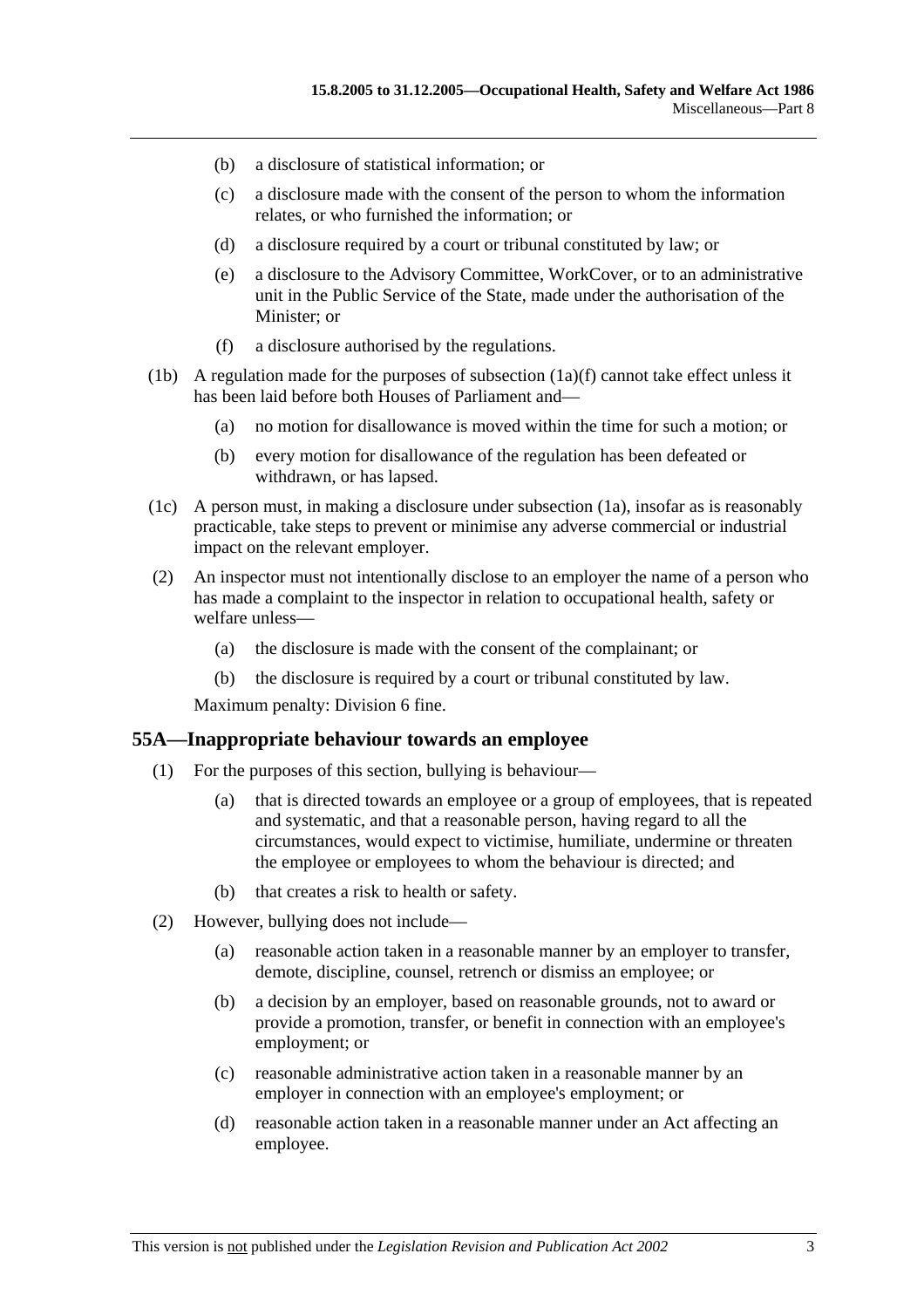- (b) a disclosure of statistical information; or
- (c) a disclosure made with the consent of the person to whom the information relates, or who furnished the information; or
- (d) a disclosure required by a court or tribunal constituted by law; or
- (e) a disclosure to the Advisory Committee, WorkCover, or to an administrative unit in the Public Service of the State, made under the authorisation of the Minister; or
- (f) a disclosure authorised by the regulations.
- (1b) A regulation made for the purposes of subsection  $(1a)(f)$  cannot take effect unless it has been laid before both Houses of Parliament and—
	- (a) no motion for disallowance is moved within the time for such a motion; or
	- (b) every motion for disallowance of the regulation has been defeated or withdrawn, or has lapsed.
- (1c) A person must, in making a disclosure under subsection (1a), insofar as is reasonably practicable, take steps to prevent or minimise any adverse commercial or industrial impact on the relevant employer.
- (2) An inspector must not intentionally disclose to an employer the name of a person who has made a complaint to the inspector in relation to occupational health, safety or welfare unless—
	- (a) the disclosure is made with the consent of the complainant; or
	- (b) the disclosure is required by a court or tribunal constituted by law.

Maximum penalty: Division 6 fine.

#### **55A—Inappropriate behaviour towards an employee**

- (1) For the purposes of this section, bullying is behaviour—
	- (a) that is directed towards an employee or a group of employees, that is repeated and systematic, and that a reasonable person, having regard to all the circumstances, would expect to victimise, humiliate, undermine or threaten the employee or employees to whom the behaviour is directed; and
	- (b) that creates a risk to health or safety.
- (2) However, bullying does not include—
	- (a) reasonable action taken in a reasonable manner by an employer to transfer, demote, discipline, counsel, retrench or dismiss an employee; or
	- (b) a decision by an employer, based on reasonable grounds, not to award or provide a promotion, transfer, or benefit in connection with an employee's employment; or
	- (c) reasonable administrative action taken in a reasonable manner by an employer in connection with an employee's employment; or
	- (d) reasonable action taken in a reasonable manner under an Act affecting an employee.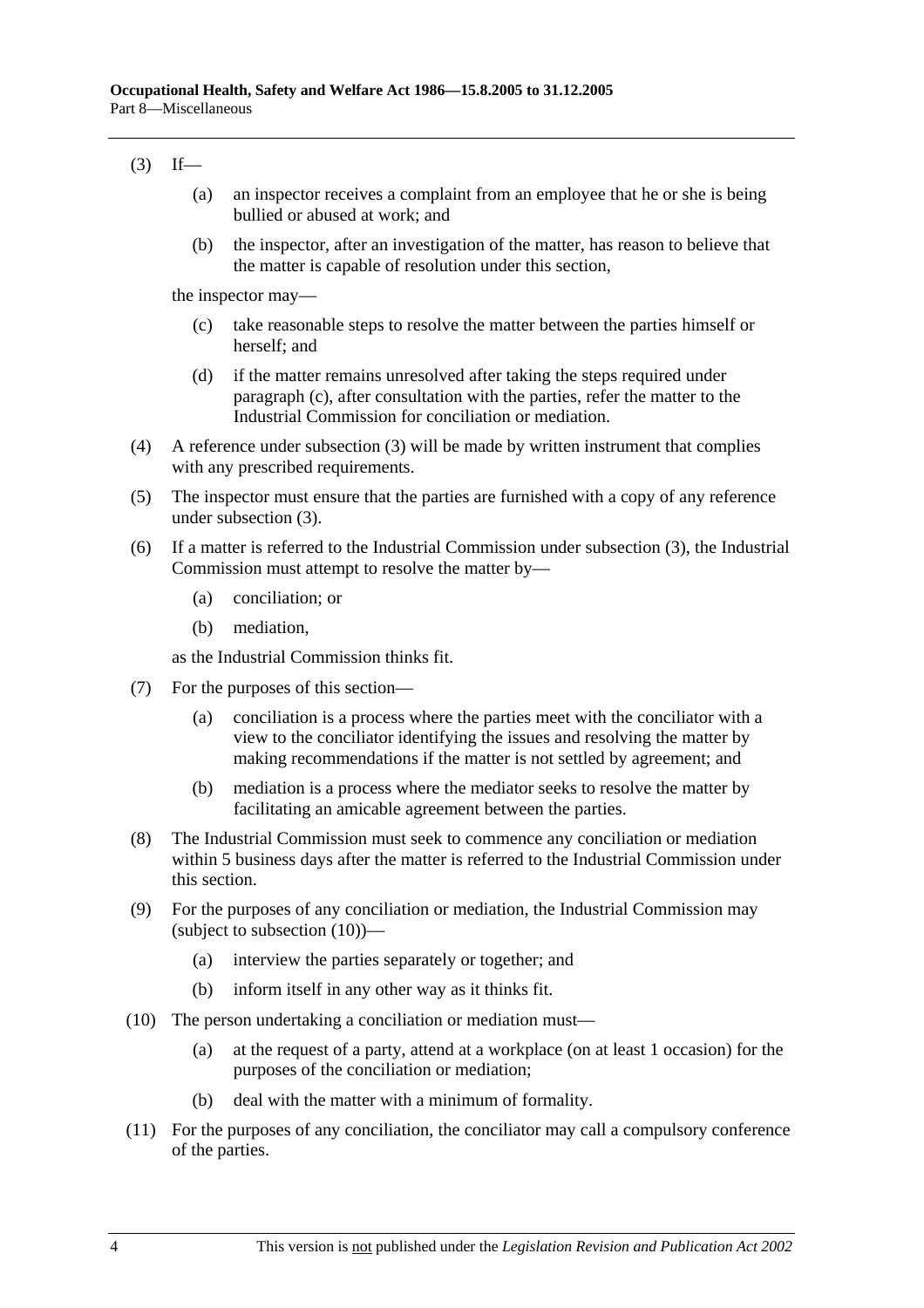# $(3)$  If—

- (a) an inspector receives a complaint from an employee that he or she is being bullied or abused at work; and
- (b) the inspector, after an investigation of the matter, has reason to believe that the matter is capable of resolution under this section,

the inspector may—

- (c) take reasonable steps to resolve the matter between the parties himself or herself; and
- (d) if the matter remains unresolved after taking the steps required under paragraph (c), after consultation with the parties, refer the matter to the Industrial Commission for conciliation or mediation.
- (4) A reference under subsection (3) will be made by written instrument that complies with any prescribed requirements.
- (5) The inspector must ensure that the parties are furnished with a copy of any reference under subsection (3).
- (6) If a matter is referred to the Industrial Commission under subsection (3), the Industrial Commission must attempt to resolve the matter by—
	- (a) conciliation; or
	- (b) mediation,

as the Industrial Commission thinks fit.

- (7) For the purposes of this section—
	- (a) conciliation is a process where the parties meet with the conciliator with a view to the conciliator identifying the issues and resolving the matter by making recommendations if the matter is not settled by agreement; and
	- (b) mediation is a process where the mediator seeks to resolve the matter by facilitating an amicable agreement between the parties.
- (8) The Industrial Commission must seek to commence any conciliation or mediation within 5 business days after the matter is referred to the Industrial Commission under this section.
- (9) For the purposes of any conciliation or mediation, the Industrial Commission may (subject to subsection (10))—
	- (a) interview the parties separately or together; and
	- (b) inform itself in any other way as it thinks fit.
- (10) The person undertaking a conciliation or mediation must—
	- (a) at the request of a party, attend at a workplace (on at least 1 occasion) for the purposes of the conciliation or mediation;
	- (b) deal with the matter with a minimum of formality.
- (11) For the purposes of any conciliation, the conciliator may call a compulsory conference of the parties.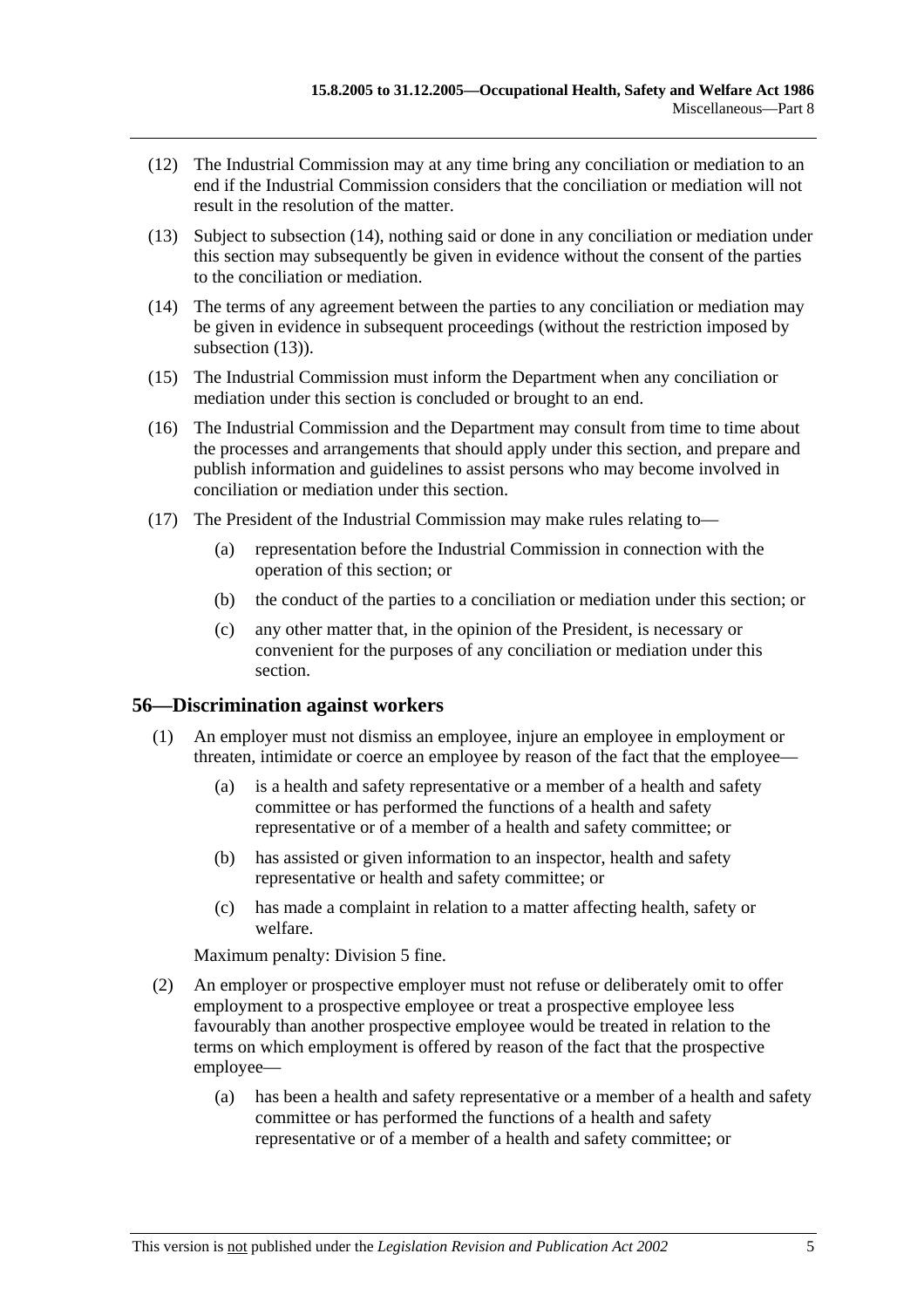- (12) The Industrial Commission may at any time bring any conciliation or mediation to an end if the Industrial Commission considers that the conciliation or mediation will not result in the resolution of the matter.
- (13) Subject to subsection (14), nothing said or done in any conciliation or mediation under this section may subsequently be given in evidence without the consent of the parties to the conciliation or mediation.
- (14) The terms of any agreement between the parties to any conciliation or mediation may be given in evidence in subsequent proceedings (without the restriction imposed by subsection  $(13)$ ).
- (15) The Industrial Commission must inform the Department when any conciliation or mediation under this section is concluded or brought to an end.
- (16) The Industrial Commission and the Department may consult from time to time about the processes and arrangements that should apply under this section, and prepare and publish information and guidelines to assist persons who may become involved in conciliation or mediation under this section.
- (17) The President of the Industrial Commission may make rules relating to—
	- (a) representation before the Industrial Commission in connection with the operation of this section; or
	- (b) the conduct of the parties to a conciliation or mediation under this section; or
	- (c) any other matter that, in the opinion of the President, is necessary or convenient for the purposes of any conciliation or mediation under this section.

## **56—Discrimination against workers**

- (1) An employer must not dismiss an employee, injure an employee in employment or threaten, intimidate or coerce an employee by reason of the fact that the employee—
	- (a) is a health and safety representative or a member of a health and safety committee or has performed the functions of a health and safety representative or of a member of a health and safety committee; or
	- (b) has assisted or given information to an inspector, health and safety representative or health and safety committee; or
	- (c) has made a complaint in relation to a matter affecting health, safety or welfare.

Maximum penalty: Division 5 fine.

- (2) An employer or prospective employer must not refuse or deliberately omit to offer employment to a prospective employee or treat a prospective employee less favourably than another prospective employee would be treated in relation to the terms on which employment is offered by reason of the fact that the prospective employee—
	- (a) has been a health and safety representative or a member of a health and safety committee or has performed the functions of a health and safety representative or of a member of a health and safety committee; or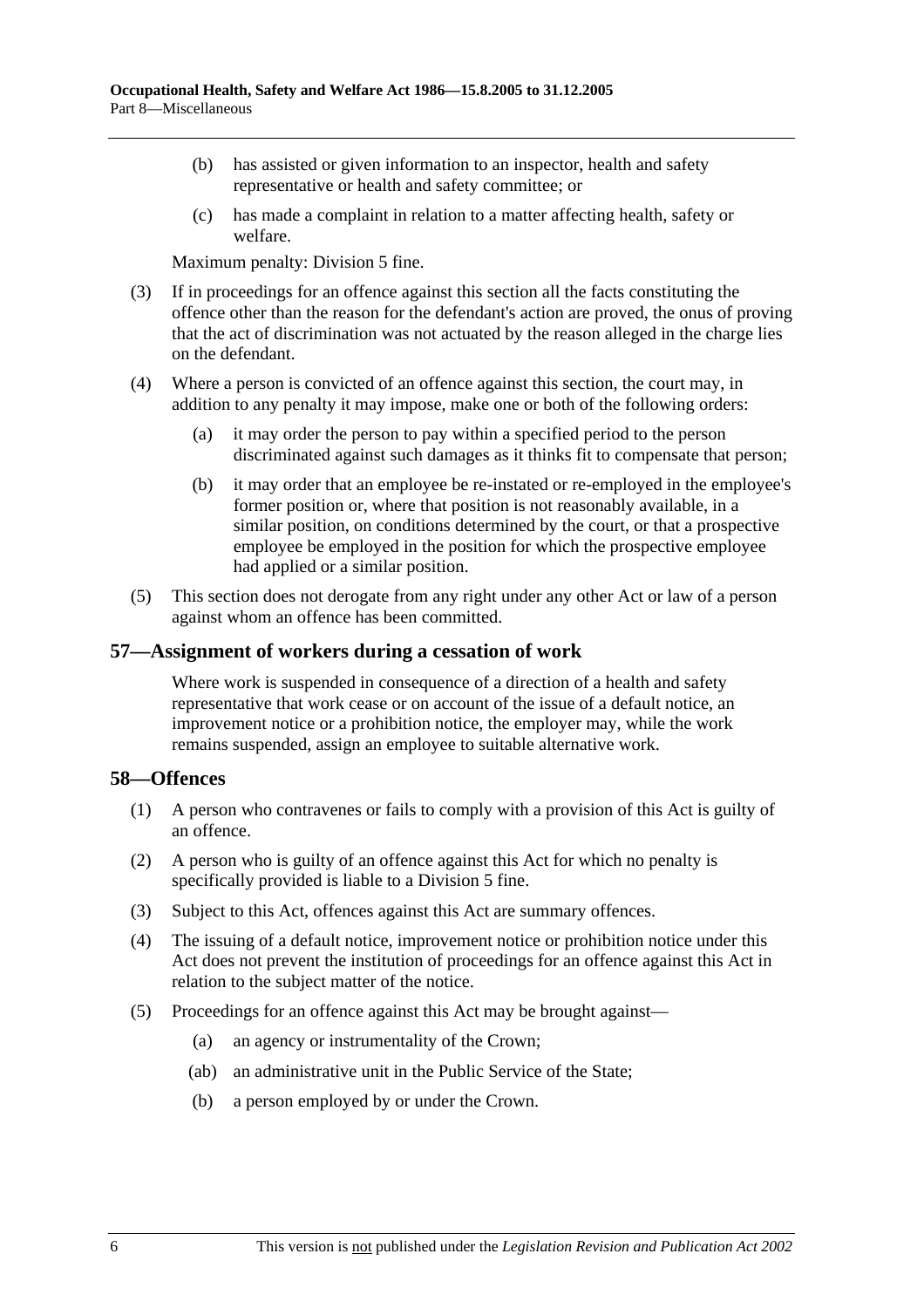- (b) has assisted or given information to an inspector, health and safety representative or health and safety committee; or
- (c) has made a complaint in relation to a matter affecting health, safety or welfare.

Maximum penalty: Division 5 fine.

- (3) If in proceedings for an offence against this section all the facts constituting the offence other than the reason for the defendant's action are proved, the onus of proving that the act of discrimination was not actuated by the reason alleged in the charge lies on the defendant.
- (4) Where a person is convicted of an offence against this section, the court may, in addition to any penalty it may impose, make one or both of the following orders:
	- (a) it may order the person to pay within a specified period to the person discriminated against such damages as it thinks fit to compensate that person;
	- (b) it may order that an employee be re-instated or re-employed in the employee's former position or, where that position is not reasonably available, in a similar position, on conditions determined by the court, or that a prospective employee be employed in the position for which the prospective employee had applied or a similar position.
- (5) This section does not derogate from any right under any other Act or law of a person against whom an offence has been committed.

## **57—Assignment of workers during a cessation of work**

Where work is suspended in consequence of a direction of a health and safety representative that work cease or on account of the issue of a default notice, an improvement notice or a prohibition notice, the employer may, while the work remains suspended, assign an employee to suitable alternative work.

## **58—Offences**

- (1) A person who contravenes or fails to comply with a provision of this Act is guilty of an offence.
- (2) A person who is guilty of an offence against this Act for which no penalty is specifically provided is liable to a Division 5 fine.
- (3) Subject to this Act, offences against this Act are summary offences.
- (4) The issuing of a default notice, improvement notice or prohibition notice under this Act does not prevent the institution of proceedings for an offence against this Act in relation to the subject matter of the notice.
- (5) Proceedings for an offence against this Act may be brought against—
	- (a) an agency or instrumentality of the Crown;
	- (ab) an administrative unit in the Public Service of the State;
	- (b) a person employed by or under the Crown.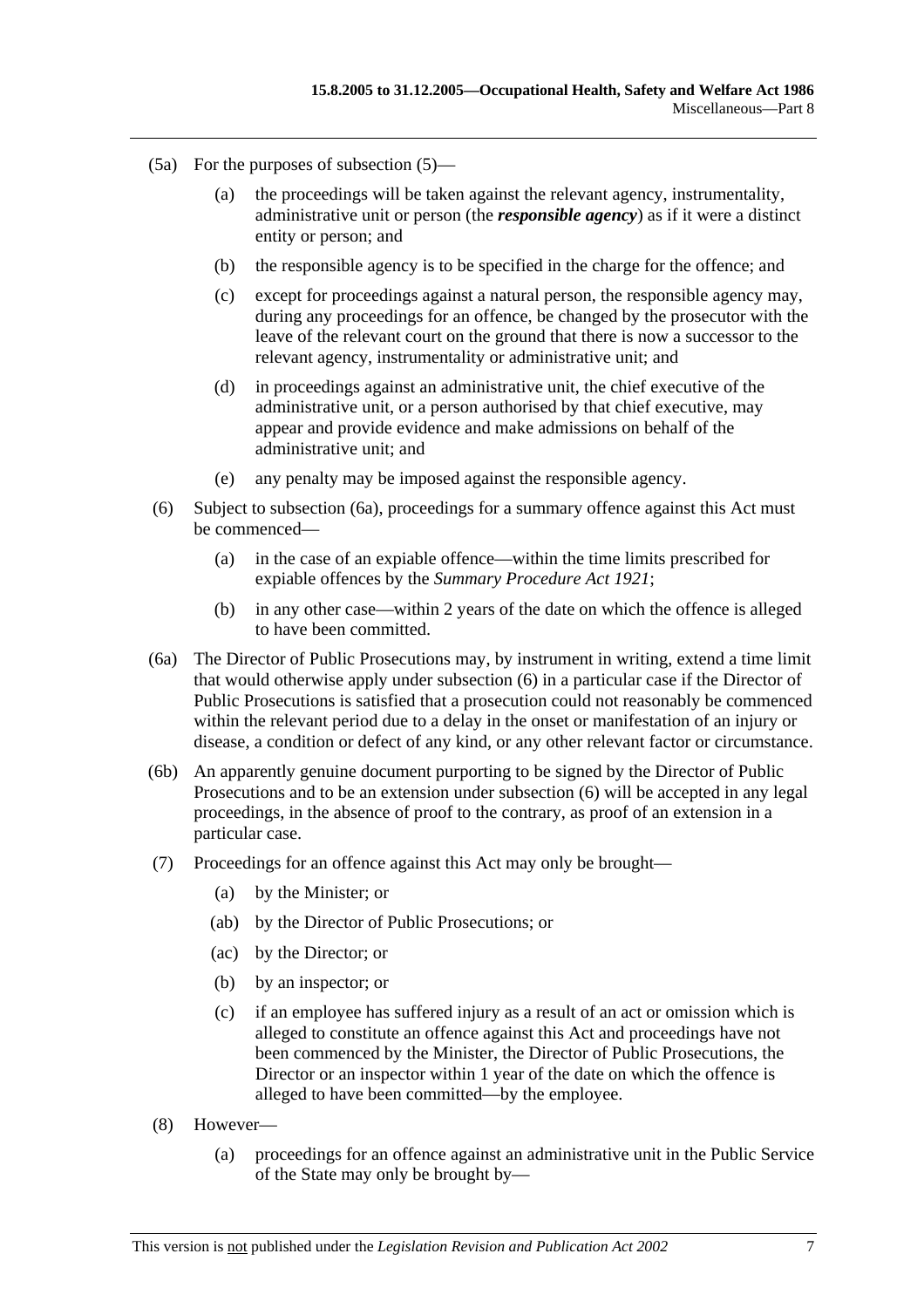- (5a) For the purposes of subsection (5)—
	- (a) the proceedings will be taken against the relevant agency, instrumentality, administrative unit or person (the *responsible agency*) as if it were a distinct entity or person; and
	- (b) the responsible agency is to be specified in the charge for the offence; and
	- (c) except for proceedings against a natural person, the responsible agency may, during any proceedings for an offence, be changed by the prosecutor with the leave of the relevant court on the ground that there is now a successor to the relevant agency, instrumentality or administrative unit; and
	- (d) in proceedings against an administrative unit, the chief executive of the administrative unit, or a person authorised by that chief executive, may appear and provide evidence and make admissions on behalf of the administrative unit; and
	- (e) any penalty may be imposed against the responsible agency.
- (6) Subject to subsection (6a), proceedings for a summary offence against this Act must be commenced—
	- (a) in the case of an expiable offence—within the time limits prescribed for expiable offences by the *Summary Procedure Act 1921*;
	- (b) in any other case—within 2 years of the date on which the offence is alleged to have been committed.
- (6a) The Director of Public Prosecutions may, by instrument in writing, extend a time limit that would otherwise apply under subsection (6) in a particular case if the Director of Public Prosecutions is satisfied that a prosecution could not reasonably be commenced within the relevant period due to a delay in the onset or manifestation of an injury or disease, a condition or defect of any kind, or any other relevant factor or circumstance.
- (6b) An apparently genuine document purporting to be signed by the Director of Public Prosecutions and to be an extension under subsection (6) will be accepted in any legal proceedings, in the absence of proof to the contrary, as proof of an extension in a particular case.
- (7) Proceedings for an offence against this Act may only be brought—
	- (a) by the Minister; or
	- (ab) by the Director of Public Prosecutions; or
	- (ac) by the Director; or
	- (b) by an inspector; or
	- (c) if an employee has suffered injury as a result of an act or omission which is alleged to constitute an offence against this Act and proceedings have not been commenced by the Minister, the Director of Public Prosecutions, the Director or an inspector within 1 year of the date on which the offence is alleged to have been committed—by the employee.
- (8) However—
	- (a) proceedings for an offence against an administrative unit in the Public Service of the State may only be brought by—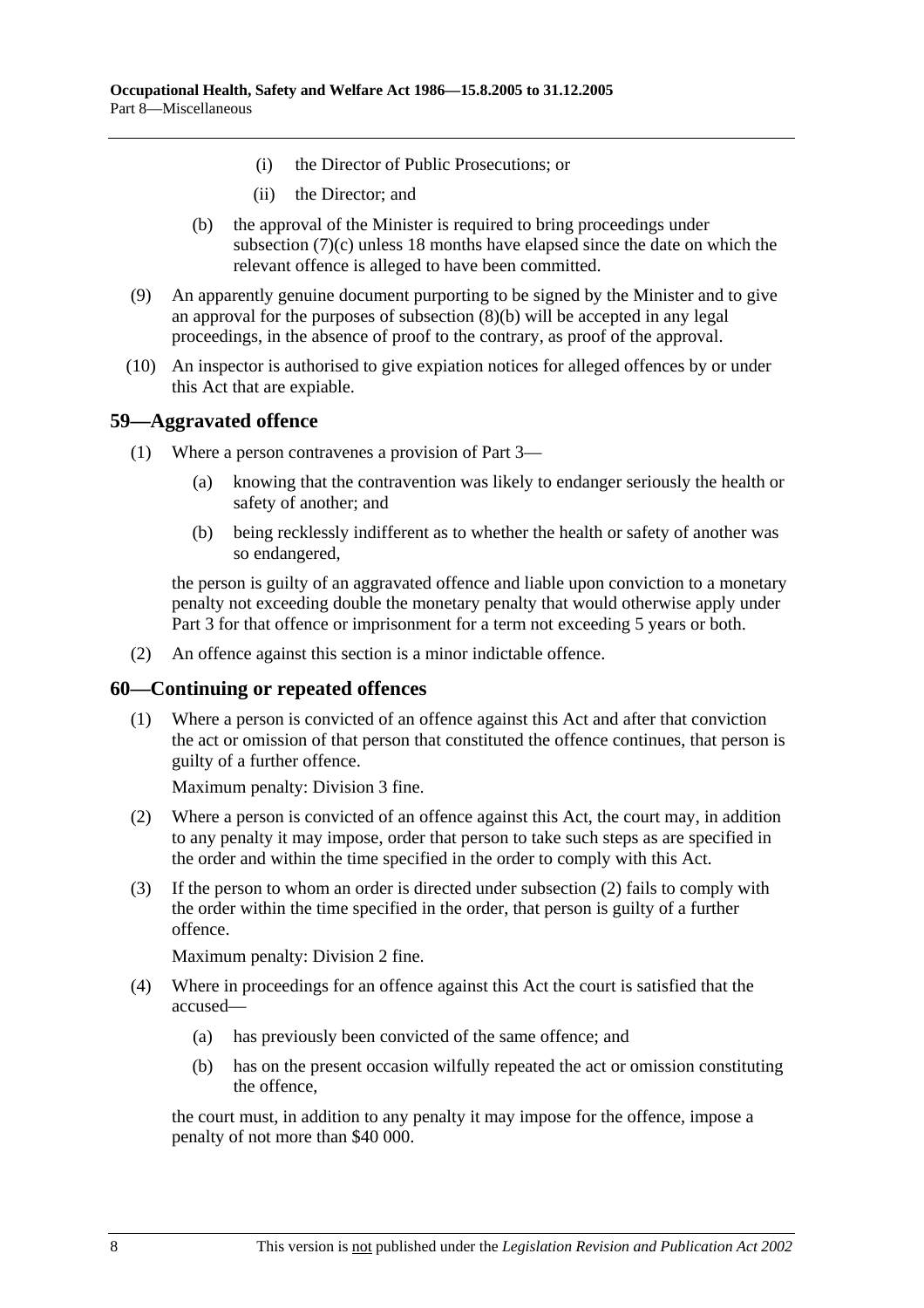- (i) the Director of Public Prosecutions; or
- (ii) the Director; and
- (b) the approval of the Minister is required to bring proceedings under subsection (7)(c) unless 18 months have elapsed since the date on which the relevant offence is alleged to have been committed.
- (9) An apparently genuine document purporting to be signed by the Minister and to give an approval for the purposes of subsection (8)(b) will be accepted in any legal proceedings, in the absence of proof to the contrary, as proof of the approval.
- (10) An inspector is authorised to give expiation notices for alleged offences by or under this Act that are expiable.

## **59—Aggravated offence**

- (1) Where a person contravenes a provision of Part 3—
	- (a) knowing that the contravention was likely to endanger seriously the health or safety of another; and
	- (b) being recklessly indifferent as to whether the health or safety of another was so endangered,

the person is guilty of an aggravated offence and liable upon conviction to a monetary penalty not exceeding double the monetary penalty that would otherwise apply under Part 3 for that offence or imprisonment for a term not exceeding 5 years or both.

(2) An offence against this section is a minor indictable offence.

#### **60—Continuing or repeated offences**

 (1) Where a person is convicted of an offence against this Act and after that conviction the act or omission of that person that constituted the offence continues, that person is guilty of a further offence.

Maximum penalty: Division 3 fine.

- (2) Where a person is convicted of an offence against this Act, the court may, in addition to any penalty it may impose, order that person to take such steps as are specified in the order and within the time specified in the order to comply with this Act.
- (3) If the person to whom an order is directed under subsection (2) fails to comply with the order within the time specified in the order, that person is guilty of a further offence.

Maximum penalty: Division 2 fine.

- (4) Where in proceedings for an offence against this Act the court is satisfied that the accused—
	- (a) has previously been convicted of the same offence; and
	- (b) has on the present occasion wilfully repeated the act or omission constituting the offence,

the court must, in addition to any penalty it may impose for the offence, impose a penalty of not more than \$40 000.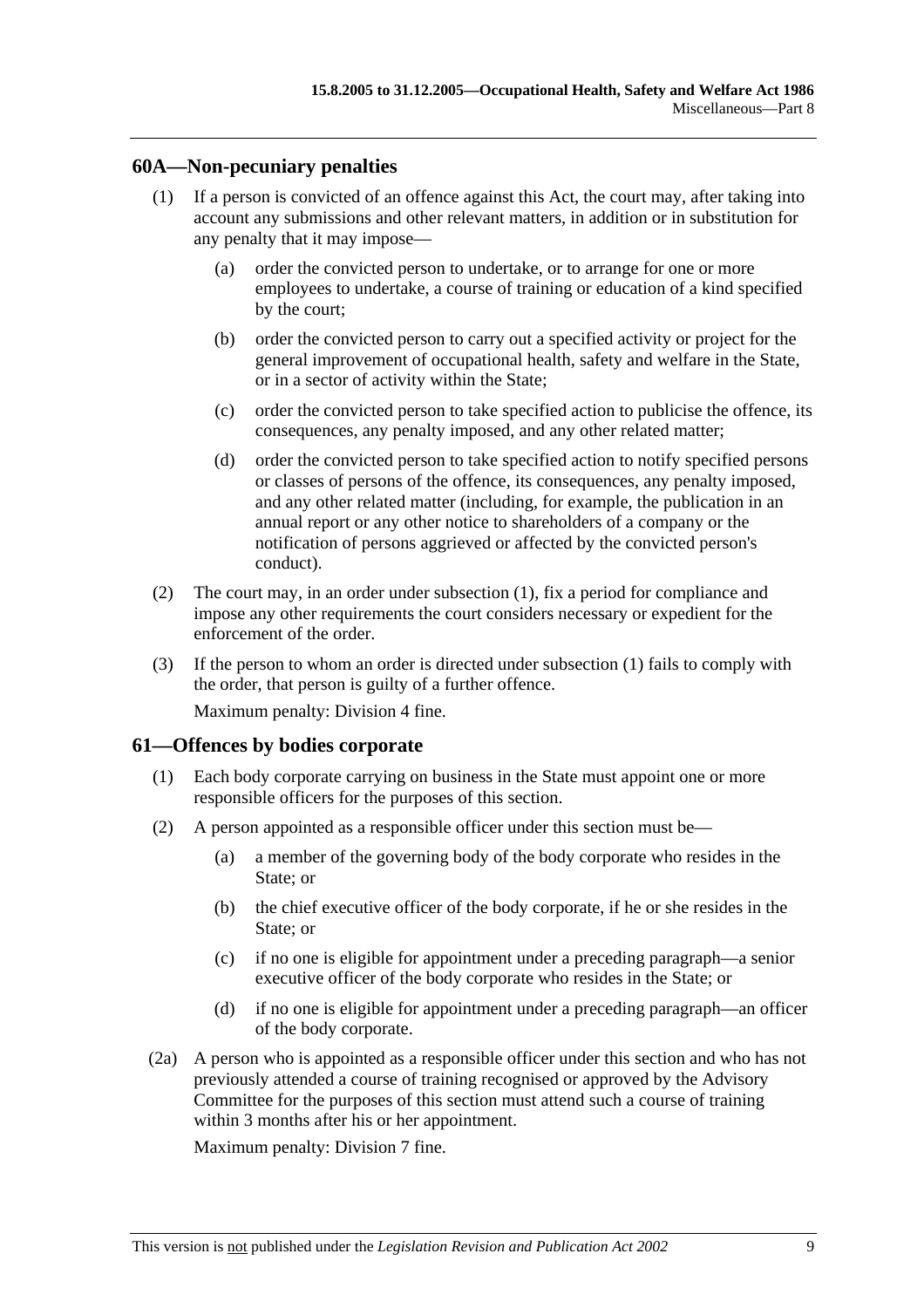# **60A—Non-pecuniary penalties**

- (1) If a person is convicted of an offence against this Act, the court may, after taking into account any submissions and other relevant matters, in addition or in substitution for any penalty that it may impose—
	- (a) order the convicted person to undertake, or to arrange for one or more employees to undertake, a course of training or education of a kind specified by the court;
	- (b) order the convicted person to carry out a specified activity or project for the general improvement of occupational health, safety and welfare in the State, or in a sector of activity within the State;
	- (c) order the convicted person to take specified action to publicise the offence, its consequences, any penalty imposed, and any other related matter;
	- (d) order the convicted person to take specified action to notify specified persons or classes of persons of the offence, its consequences, any penalty imposed, and any other related matter (including, for example, the publication in an annual report or any other notice to shareholders of a company or the notification of persons aggrieved or affected by the convicted person's conduct).
- (2) The court may, in an order under subsection (1), fix a period for compliance and impose any other requirements the court considers necessary or expedient for the enforcement of the order.
- (3) If the person to whom an order is directed under subsection (1) fails to comply with the order, that person is guilty of a further offence. Maximum penalty: Division 4 fine.

# **61—Offences by bodies corporate**

- (1) Each body corporate carrying on business in the State must appoint one or more responsible officers for the purposes of this section.
- (2) A person appointed as a responsible officer under this section must be—
	- (a) a member of the governing body of the body corporate who resides in the State; or
	- (b) the chief executive officer of the body corporate, if he or she resides in the State; or
	- (c) if no one is eligible for appointment under a preceding paragraph—a senior executive officer of the body corporate who resides in the State; or
	- (d) if no one is eligible for appointment under a preceding paragraph—an officer of the body corporate.
- (2a) A person who is appointed as a responsible officer under this section and who has not previously attended a course of training recognised or approved by the Advisory Committee for the purposes of this section must attend such a course of training within 3 months after his or her appointment.

Maximum penalty: Division 7 fine.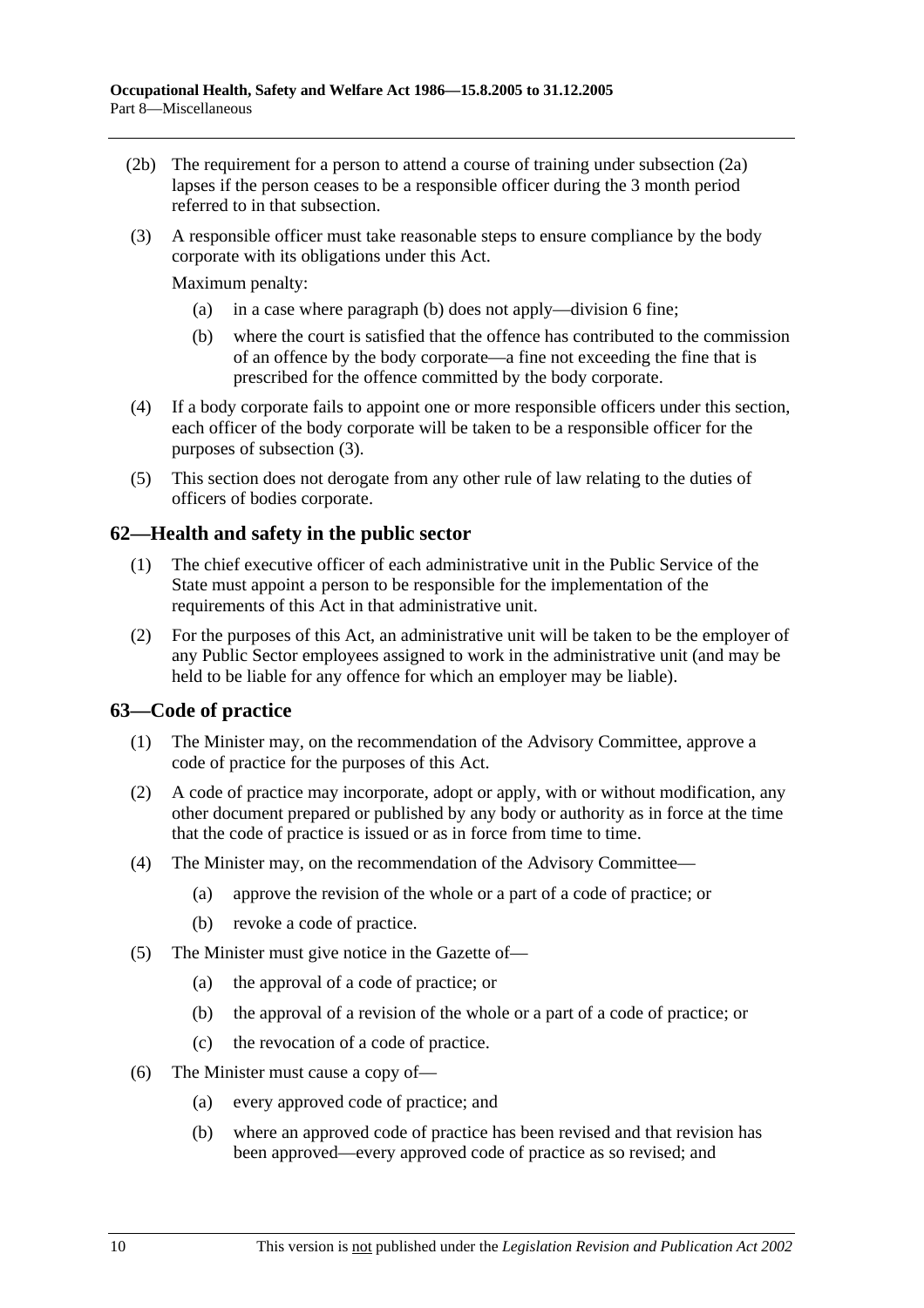- (2b) The requirement for a person to attend a course of training under subsection (2a) lapses if the person ceases to be a responsible officer during the 3 month period referred to in that subsection.
- (3) A responsible officer must take reasonable steps to ensure compliance by the body corporate with its obligations under this Act.

Maximum penalty:

- (a) in a case where paragraph (b) does not apply—division 6 fine;
- (b) where the court is satisfied that the offence has contributed to the commission of an offence by the body corporate—a fine not exceeding the fine that is prescribed for the offence committed by the body corporate.
- (4) If a body corporate fails to appoint one or more responsible officers under this section, each officer of the body corporate will be taken to be a responsible officer for the purposes of subsection (3).
- (5) This section does not derogate from any other rule of law relating to the duties of officers of bodies corporate.

# **62—Health and safety in the public sector**

- (1) The chief executive officer of each administrative unit in the Public Service of the State must appoint a person to be responsible for the implementation of the requirements of this Act in that administrative unit.
- (2) For the purposes of this Act, an administrative unit will be taken to be the employer of any Public Sector employees assigned to work in the administrative unit (and may be held to be liable for any offence for which an employer may be liable).

# **63—Code of practice**

- (1) The Minister may, on the recommendation of the Advisory Committee, approve a code of practice for the purposes of this Act.
- (2) A code of practice may incorporate, adopt or apply, with or without modification, any other document prepared or published by any body or authority as in force at the time that the code of practice is issued or as in force from time to time.
- (4) The Minister may, on the recommendation of the Advisory Committee—
	- (a) approve the revision of the whole or a part of a code of practice; or
	- (b) revoke a code of practice.
- (5) The Minister must give notice in the Gazette of—
	- (a) the approval of a code of practice; or
	- (b) the approval of a revision of the whole or a part of a code of practice; or
	- (c) the revocation of a code of practice.
- (6) The Minister must cause a copy of—
	- (a) every approved code of practice; and
	- (b) where an approved code of practice has been revised and that revision has been approved—every approved code of practice as so revised; and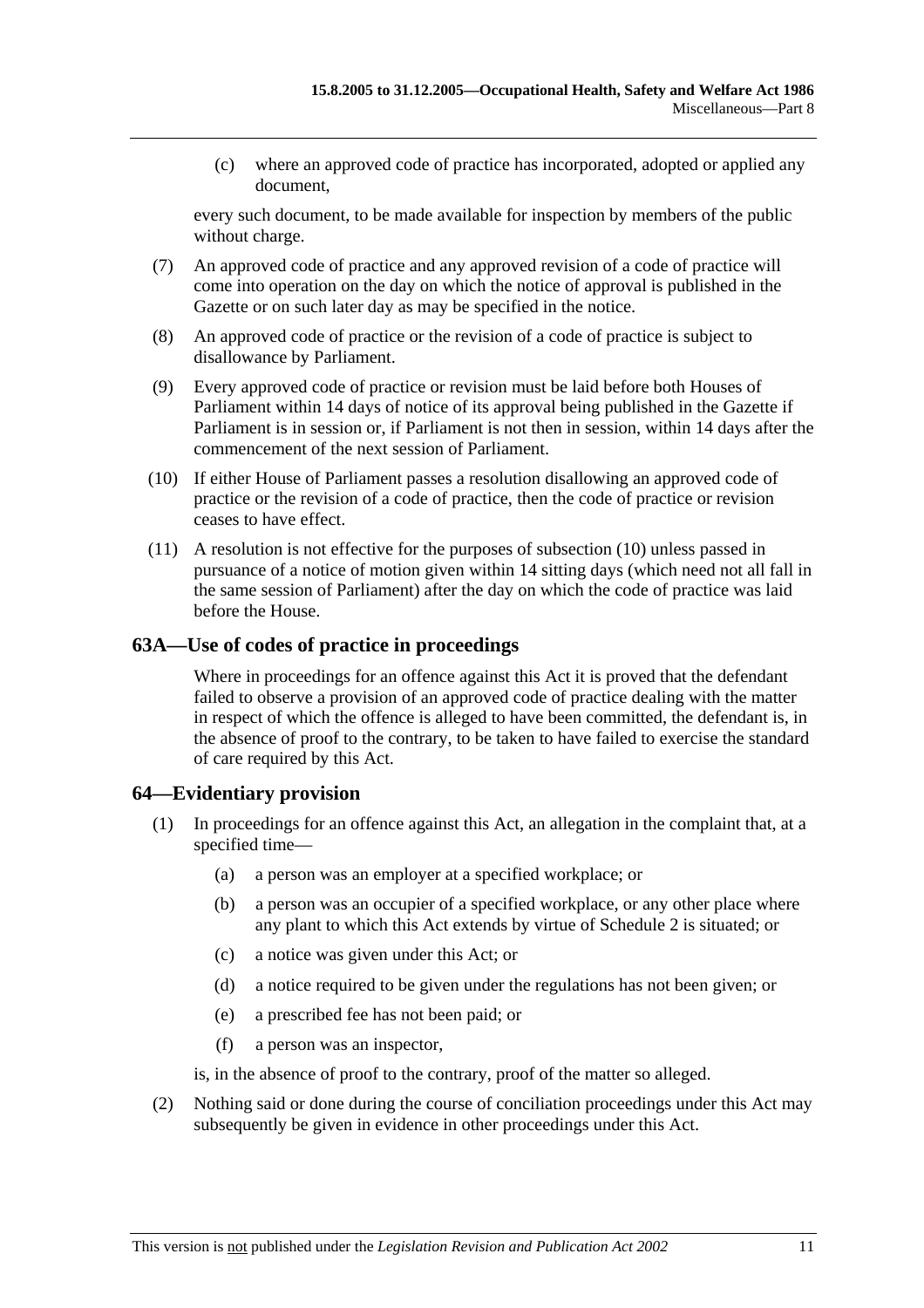(c) where an approved code of practice has incorporated, adopted or applied any document,

every such document, to be made available for inspection by members of the public without charge.

- (7) An approved code of practice and any approved revision of a code of practice will come into operation on the day on which the notice of approval is published in the Gazette or on such later day as may be specified in the notice.
- (8) An approved code of practice or the revision of a code of practice is subject to disallowance by Parliament.
- (9) Every approved code of practice or revision must be laid before both Houses of Parliament within 14 days of notice of its approval being published in the Gazette if Parliament is in session or, if Parliament is not then in session, within 14 days after the commencement of the next session of Parliament.
- (10) If either House of Parliament passes a resolution disallowing an approved code of practice or the revision of a code of practice, then the code of practice or revision ceases to have effect.
- (11) A resolution is not effective for the purposes of subsection (10) unless passed in pursuance of a notice of motion given within 14 sitting days (which need not all fall in the same session of Parliament) after the day on which the code of practice was laid before the House.

## **63A—Use of codes of practice in proceedings**

Where in proceedings for an offence against this Act it is proved that the defendant failed to observe a provision of an approved code of practice dealing with the matter in respect of which the offence is alleged to have been committed, the defendant is, in the absence of proof to the contrary, to be taken to have failed to exercise the standard of care required by this Act.

# **64—Evidentiary provision**

- (1) In proceedings for an offence against this Act, an allegation in the complaint that, at a specified time—
	- (a) a person was an employer at a specified workplace; or
	- (b) a person was an occupier of a specified workplace, or any other place where any plant to which this Act extends by virtue of Schedule 2 is situated; or
	- (c) a notice was given under this Act; or
	- (d) a notice required to be given under the regulations has not been given; or
	- (e) a prescribed fee has not been paid; or
	- (f) a person was an inspector,

is, in the absence of proof to the contrary, proof of the matter so alleged.

 (2) Nothing said or done during the course of conciliation proceedings under this Act may subsequently be given in evidence in other proceedings under this Act.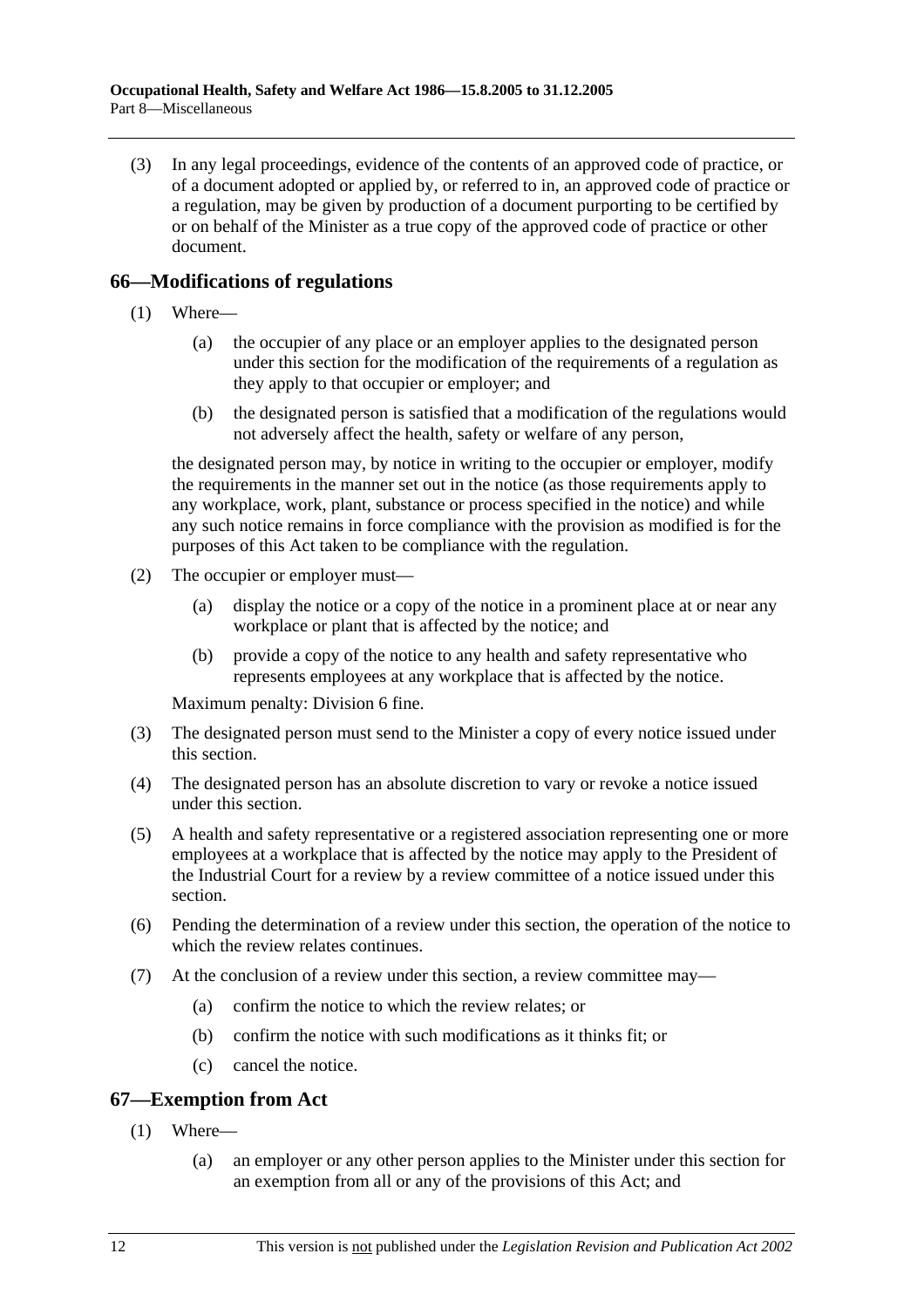(3) In any legal proceedings, evidence of the contents of an approved code of practice, or of a document adopted or applied by, or referred to in, an approved code of practice or a regulation, may be given by production of a document purporting to be certified by or on behalf of the Minister as a true copy of the approved code of practice or other document.

# **66—Modifications of regulations**

- (1) Where—
	- (a) the occupier of any place or an employer applies to the designated person under this section for the modification of the requirements of a regulation as they apply to that occupier or employer; and
	- (b) the designated person is satisfied that a modification of the regulations would not adversely affect the health, safety or welfare of any person,

the designated person may, by notice in writing to the occupier or employer, modify the requirements in the manner set out in the notice (as those requirements apply to any workplace, work, plant, substance or process specified in the notice) and while any such notice remains in force compliance with the provision as modified is for the purposes of this Act taken to be compliance with the regulation.

- (2) The occupier or employer must—
	- (a) display the notice or a copy of the notice in a prominent place at or near any workplace or plant that is affected by the notice; and
	- (b) provide a copy of the notice to any health and safety representative who represents employees at any workplace that is affected by the notice.

Maximum penalty: Division 6 fine.

- (3) The designated person must send to the Minister a copy of every notice issued under this section.
- (4) The designated person has an absolute discretion to vary or revoke a notice issued under this section.
- (5) A health and safety representative or a registered association representing one or more employees at a workplace that is affected by the notice may apply to the President of the Industrial Court for a review by a review committee of a notice issued under this section.
- (6) Pending the determination of a review under this section, the operation of the notice to which the review relates continues.
- (7) At the conclusion of a review under this section, a review committee may—
	- (a) confirm the notice to which the review relates; or
	- (b) confirm the notice with such modifications as it thinks fit; or
	- (c) cancel the notice.

# **67—Exemption from Act**

- (1) Where—
	- (a) an employer or any other person applies to the Minister under this section for an exemption from all or any of the provisions of this Act; and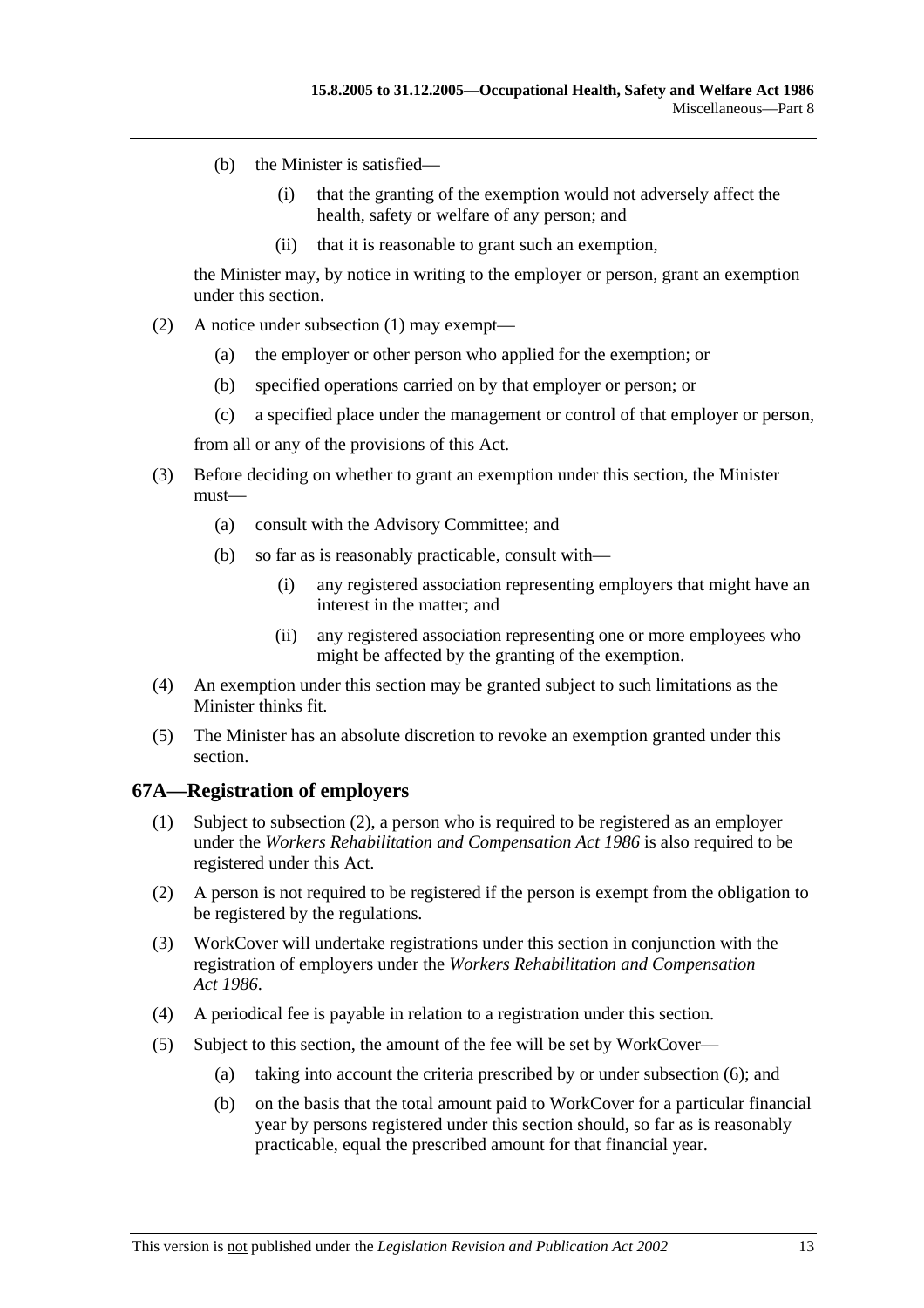- (b) the Minister is satisfied—
	- (i) that the granting of the exemption would not adversely affect the health, safety or welfare of any person; and
	- (ii) that it is reasonable to grant such an exemption,

the Minister may, by notice in writing to the employer or person, grant an exemption under this section.

- (2) A notice under subsection (1) may exempt—
	- (a) the employer or other person who applied for the exemption; or
	- (b) specified operations carried on by that employer or person; or
	- (c) a specified place under the management or control of that employer or person,

from all or any of the provisions of this Act.

- (3) Before deciding on whether to grant an exemption under this section, the Minister must—
	- (a) consult with the Advisory Committee; and
	- (b) so far as is reasonably practicable, consult with—
		- (i) any registered association representing employers that might have an interest in the matter; and
		- (ii) any registered association representing one or more employees who might be affected by the granting of the exemption.
- (4) An exemption under this section may be granted subject to such limitations as the Minister thinks fit.
- (5) The Minister has an absolute discretion to revoke an exemption granted under this section.

## **67A—Registration of employers**

- (1) Subject to subsection (2), a person who is required to be registered as an employer under the *Workers Rehabilitation and Compensation Act 1986* is also required to be registered under this Act.
- (2) A person is not required to be registered if the person is exempt from the obligation to be registered by the regulations.
- (3) WorkCover will undertake registrations under this section in conjunction with the registration of employers under the *Workers Rehabilitation and Compensation Act 1986*.
- (4) A periodical fee is payable in relation to a registration under this section.
- (5) Subject to this section, the amount of the fee will be set by WorkCover—
	- (a) taking into account the criteria prescribed by or under subsection (6); and
	- (b) on the basis that the total amount paid to WorkCover for a particular financial year by persons registered under this section should, so far as is reasonably practicable, equal the prescribed amount for that financial year.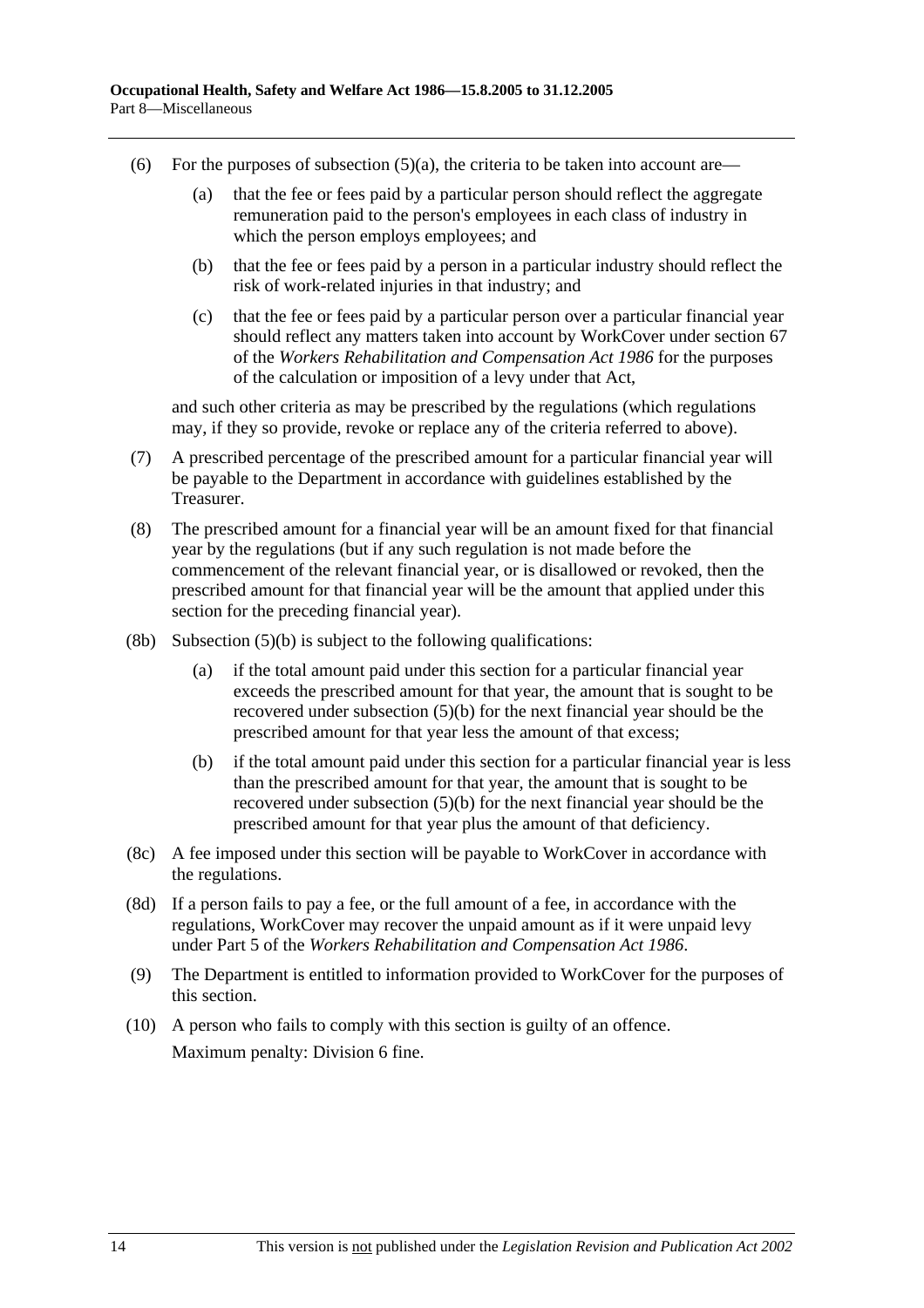- (6) For the purposes of subsection  $(5)(a)$ , the criteria to be taken into account are—
	- (a) that the fee or fees paid by a particular person should reflect the aggregate remuneration paid to the person's employees in each class of industry in which the person employs employees; and
	- (b) that the fee or fees paid by a person in a particular industry should reflect the risk of work-related injuries in that industry; and
	- (c) that the fee or fees paid by a particular person over a particular financial year should reflect any matters taken into account by WorkCover under section 67 of the *Workers Rehabilitation and Compensation Act 1986* for the purposes of the calculation or imposition of a levy under that Act,

and such other criteria as may be prescribed by the regulations (which regulations may, if they so provide, revoke or replace any of the criteria referred to above).

- (7) A prescribed percentage of the prescribed amount for a particular financial year will be payable to the Department in accordance with guidelines established by the Treasurer.
- (8) The prescribed amount for a financial year will be an amount fixed for that financial year by the regulations (but if any such regulation is not made before the commencement of the relevant financial year, or is disallowed or revoked, then the prescribed amount for that financial year will be the amount that applied under this section for the preceding financial year).
- $(8b)$  Subsection  $(5)(b)$  is subject to the following qualifications:
	- (a) if the total amount paid under this section for a particular financial year exceeds the prescribed amount for that year, the amount that is sought to be recovered under subsection (5)(b) for the next financial year should be the prescribed amount for that year less the amount of that excess;
	- (b) if the total amount paid under this section for a particular financial year is less than the prescribed amount for that year, the amount that is sought to be recovered under subsection (5)(b) for the next financial year should be the prescribed amount for that year plus the amount of that deficiency.
- (8c) A fee imposed under this section will be payable to WorkCover in accordance with the regulations.
- (8d) If a person fails to pay a fee, or the full amount of a fee, in accordance with the regulations, WorkCover may recover the unpaid amount as if it were unpaid levy under Part 5 of the *Workers Rehabilitation and Compensation Act 1986*.
- (9) The Department is entitled to information provided to WorkCover for the purposes of this section.
- (10) A person who fails to comply with this section is guilty of an offence. Maximum penalty: Division 6 fine.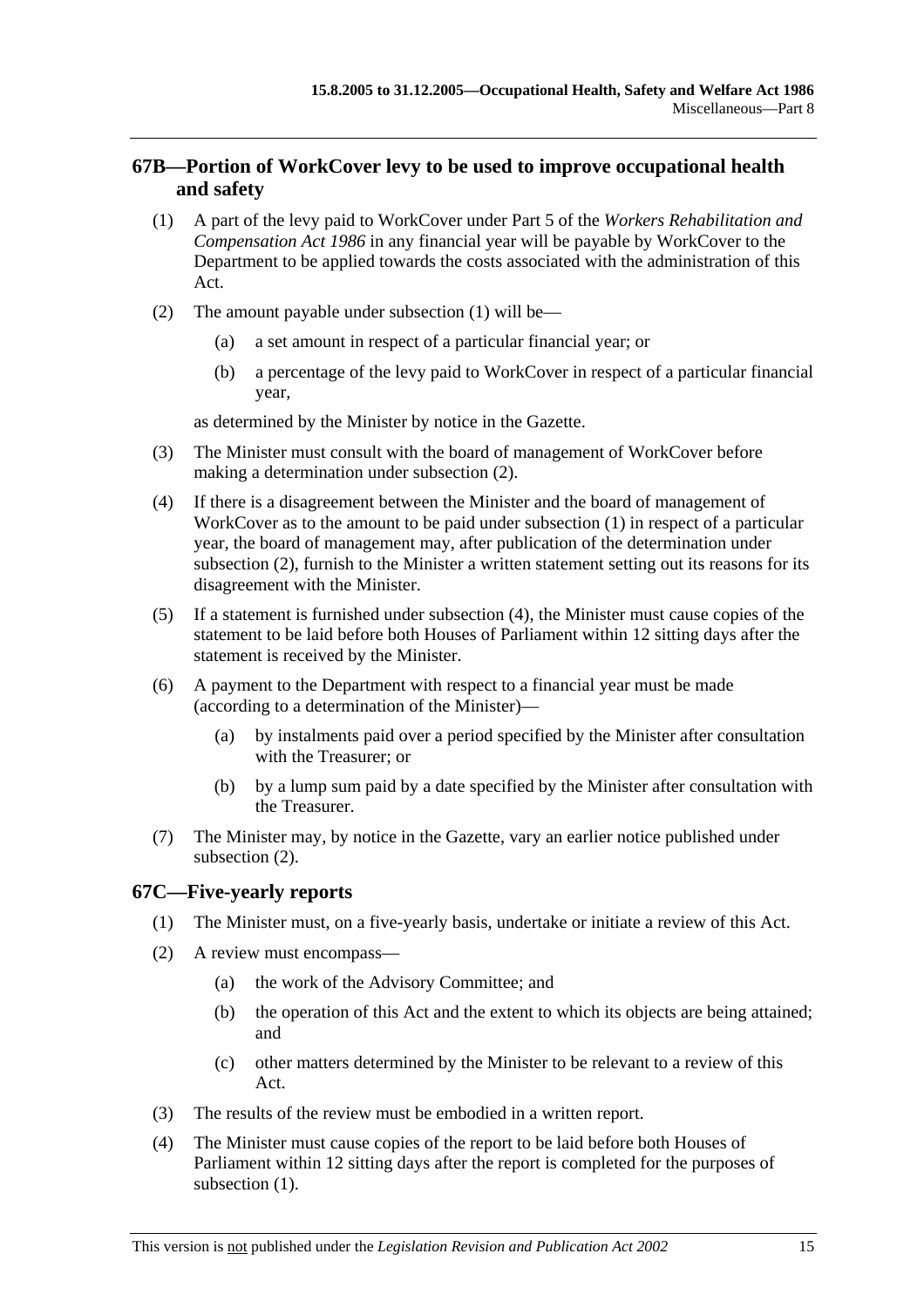# **67B—Portion of WorkCover levy to be used to improve occupational health and safety**

- (1) A part of the levy paid to WorkCover under Part 5 of the *Workers Rehabilitation and Compensation Act 1986* in any financial year will be payable by WorkCover to the Department to be applied towards the costs associated with the administration of this Act.
- (2) The amount payable under subsection (1) will be—
	- (a) a set amount in respect of a particular financial year; or
	- (b) a percentage of the levy paid to WorkCover in respect of a particular financial year,

as determined by the Minister by notice in the Gazette.

- (3) The Minister must consult with the board of management of WorkCover before making a determination under subsection (2).
- (4) If there is a disagreement between the Minister and the board of management of WorkCover as to the amount to be paid under subsection (1) in respect of a particular year, the board of management may, after publication of the determination under subsection (2), furnish to the Minister a written statement setting out its reasons for its disagreement with the Minister.
- (5) If a statement is furnished under subsection (4), the Minister must cause copies of the statement to be laid before both Houses of Parliament within 12 sitting days after the statement is received by the Minister.
- (6) A payment to the Department with respect to a financial year must be made (according to a determination of the Minister)—
	- (a) by instalments paid over a period specified by the Minister after consultation with the Treasurer; or
	- (b) by a lump sum paid by a date specified by the Minister after consultation with the Treasurer.
- (7) The Minister may, by notice in the Gazette, vary an earlier notice published under subsection (2).

# **67C—Five-yearly reports**

- (1) The Minister must, on a five-yearly basis, undertake or initiate a review of this Act.
- (2) A review must encompass—
	- (a) the work of the Advisory Committee; and
	- (b) the operation of this Act and the extent to which its objects are being attained; and
	- (c) other matters determined by the Minister to be relevant to a review of this Act.
- (3) The results of the review must be embodied in a written report.
- (4) The Minister must cause copies of the report to be laid before both Houses of Parliament within 12 sitting days after the report is completed for the purposes of subsection  $(1)$ .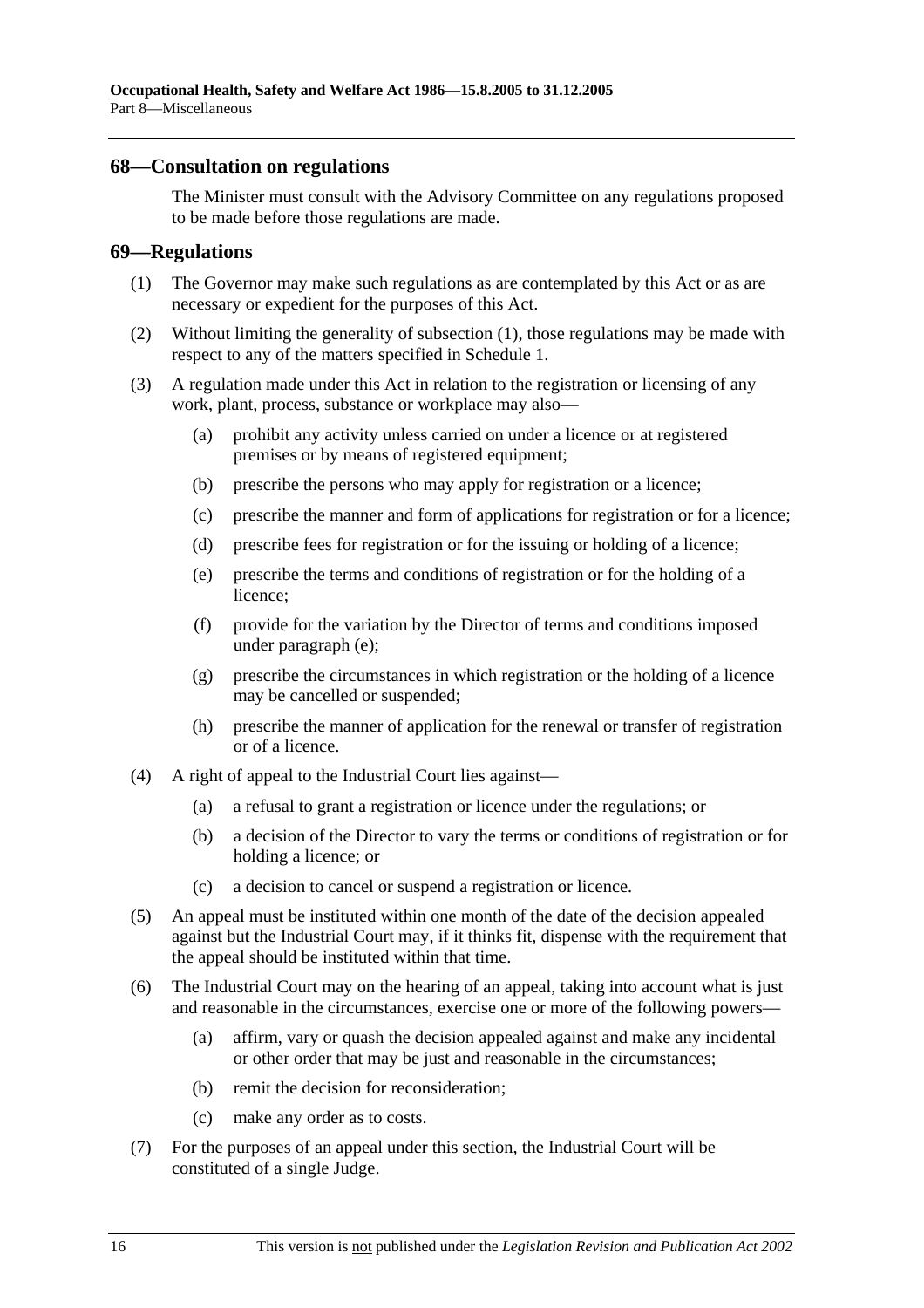### **68—Consultation on regulations**

The Minister must consult with the Advisory Committee on any regulations proposed to be made before those regulations are made.

#### **69—Regulations**

- (1) The Governor may make such regulations as are contemplated by this Act or as are necessary or expedient for the purposes of this Act.
- (2) Without limiting the generality of subsection (1), those regulations may be made with respect to any of the matters specified in Schedule 1.
- (3) A regulation made under this Act in relation to the registration or licensing of any work, plant, process, substance or workplace may also—
	- (a) prohibit any activity unless carried on under a licence or at registered premises or by means of registered equipment;
	- (b) prescribe the persons who may apply for registration or a licence;
	- (c) prescribe the manner and form of applications for registration or for a licence;
	- (d) prescribe fees for registration or for the issuing or holding of a licence;
	- (e) prescribe the terms and conditions of registration or for the holding of a licence;
	- (f) provide for the variation by the Director of terms and conditions imposed under paragraph (e);
	- (g) prescribe the circumstances in which registration or the holding of a licence may be cancelled or suspended;
	- (h) prescribe the manner of application for the renewal or transfer of registration or of a licence.
- (4) A right of appeal to the Industrial Court lies against—
	- (a) a refusal to grant a registration or licence under the regulations; or
	- (b) a decision of the Director to vary the terms or conditions of registration or for holding a licence; or
	- (c) a decision to cancel or suspend a registration or licence.
- (5) An appeal must be instituted within one month of the date of the decision appealed against but the Industrial Court may, if it thinks fit, dispense with the requirement that the appeal should be instituted within that time.
- (6) The Industrial Court may on the hearing of an appeal, taking into account what is just and reasonable in the circumstances, exercise one or more of the following powers—
	- (a) affirm, vary or quash the decision appealed against and make any incidental or other order that may be just and reasonable in the circumstances;
	- (b) remit the decision for reconsideration;
	- (c) make any order as to costs.
- (7) For the purposes of an appeal under this section, the Industrial Court will be constituted of a single Judge.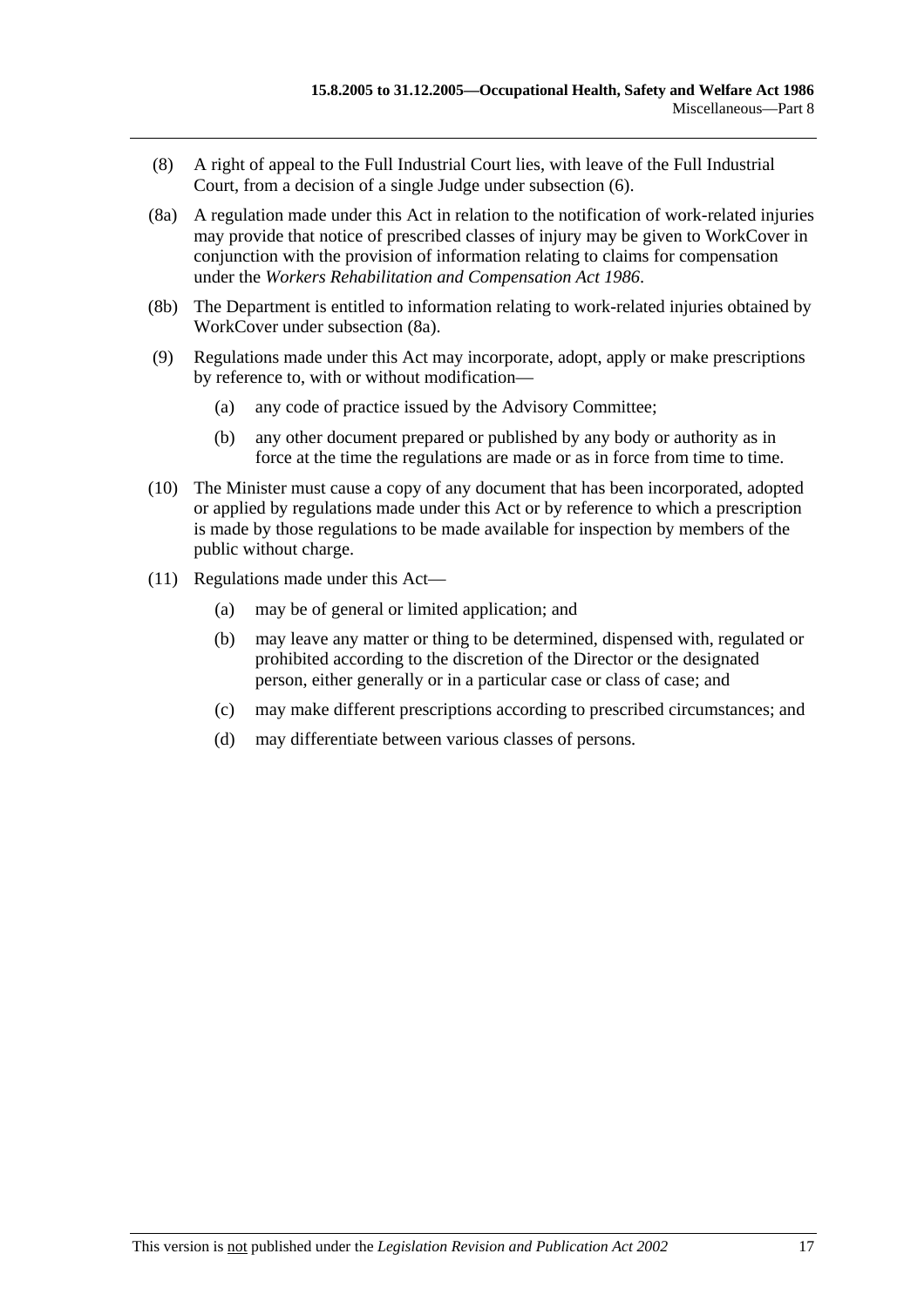- (8) A right of appeal to the Full Industrial Court lies, with leave of the Full Industrial Court, from a decision of a single Judge under subsection (6).
- (8a) A regulation made under this Act in relation to the notification of work-related injuries may provide that notice of prescribed classes of injury may be given to WorkCover in conjunction with the provision of information relating to claims for compensation under the *Workers Rehabilitation and Compensation Act 1986*.
- (8b) The Department is entitled to information relating to work-related injuries obtained by WorkCover under subsection (8a).
- (9) Regulations made under this Act may incorporate, adopt, apply or make prescriptions by reference to, with or without modification—
	- (a) any code of practice issued by the Advisory Committee;
	- (b) any other document prepared or published by any body or authority as in force at the time the regulations are made or as in force from time to time.
- (10) The Minister must cause a copy of any document that has been incorporated, adopted or applied by regulations made under this Act or by reference to which a prescription is made by those regulations to be made available for inspection by members of the public without charge.
- (11) Regulations made under this Act—
	- (a) may be of general or limited application; and
	- (b) may leave any matter or thing to be determined, dispensed with, regulated or prohibited according to the discretion of the Director or the designated person, either generally or in a particular case or class of case; and
	- (c) may make different prescriptions according to prescribed circumstances; and
	- (d) may differentiate between various classes of persons.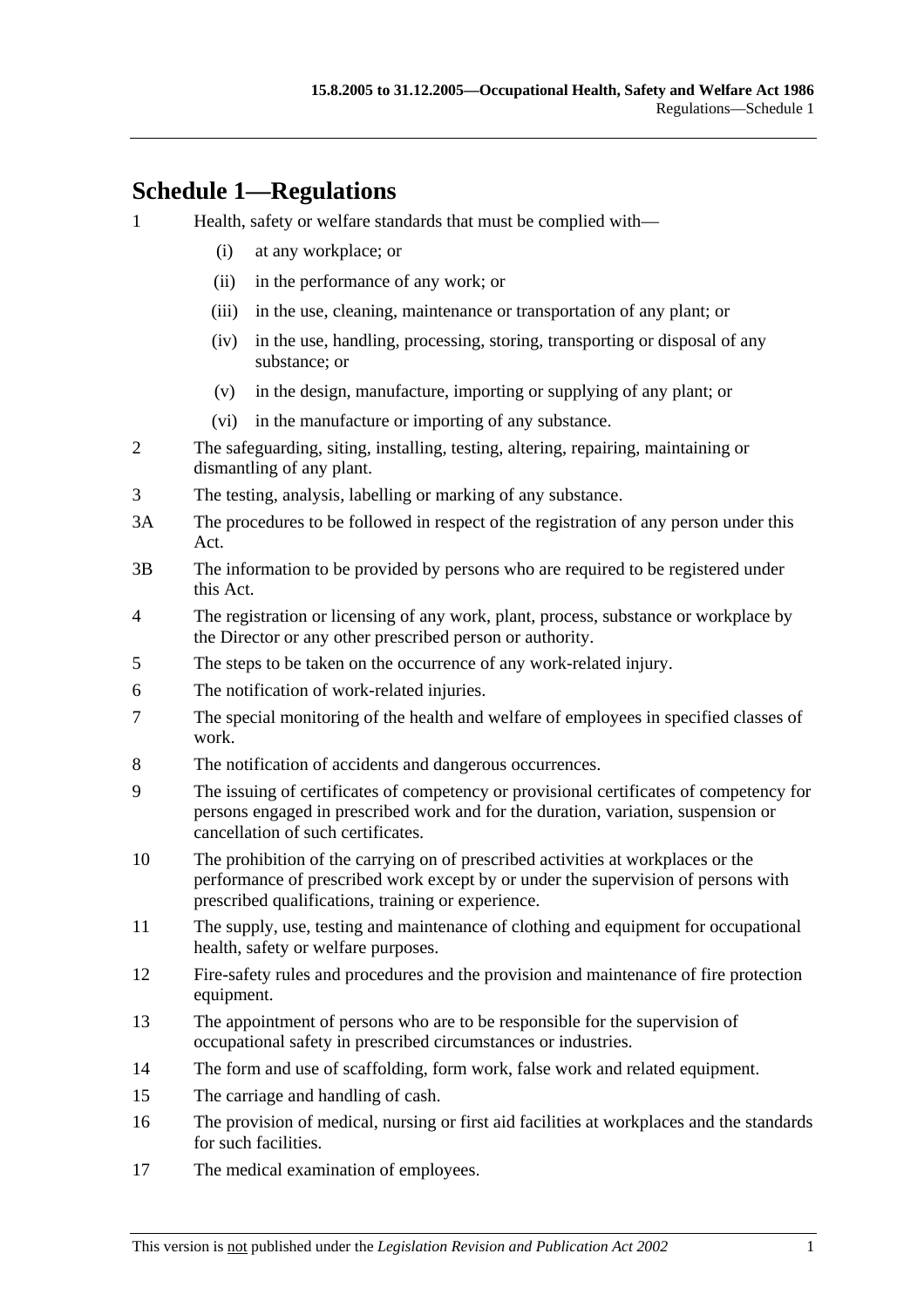# **Schedule 1—Regulations**

- 1 Health, safety or welfare standards that must be complied with—
	- (i) at any workplace; or
	- (ii) in the performance of any work; or
	- (iii) in the use, cleaning, maintenance or transportation of any plant; or
	- (iv) in the use, handling, processing, storing, transporting or disposal of any substance; or
	- (v) in the design, manufacture, importing or supplying of any plant; or
	- (vi) in the manufacture or importing of any substance.
- 2 The safeguarding, siting, installing, testing, altering, repairing, maintaining or dismantling of any plant.
- 3 The testing, analysis, labelling or marking of any substance.
- 3A The procedures to be followed in respect of the registration of any person under this Act.
- 3B The information to be provided by persons who are required to be registered under this Act.
- 4 The registration or licensing of any work, plant, process, substance or workplace by the Director or any other prescribed person or authority.
- 5 The steps to be taken on the occurrence of any work-related injury.
- 6 The notification of work-related injuries.
- 7 The special monitoring of the health and welfare of employees in specified classes of work.
- 8 The notification of accidents and dangerous occurrences.
- 9 The issuing of certificates of competency or provisional certificates of competency for persons engaged in prescribed work and for the duration, variation, suspension or cancellation of such certificates.
- 10 The prohibition of the carrying on of prescribed activities at workplaces or the performance of prescribed work except by or under the supervision of persons with prescribed qualifications, training or experience.
- 11 The supply, use, testing and maintenance of clothing and equipment for occupational health, safety or welfare purposes.
- 12 Fire-safety rules and procedures and the provision and maintenance of fire protection equipment.
- 13 The appointment of persons who are to be responsible for the supervision of occupational safety in prescribed circumstances or industries.
- 14 The form and use of scaffolding, form work, false work and related equipment.
- 15 The carriage and handling of cash.
- 16 The provision of medical, nursing or first aid facilities at workplaces and the standards for such facilities.
- 17 The medical examination of employees.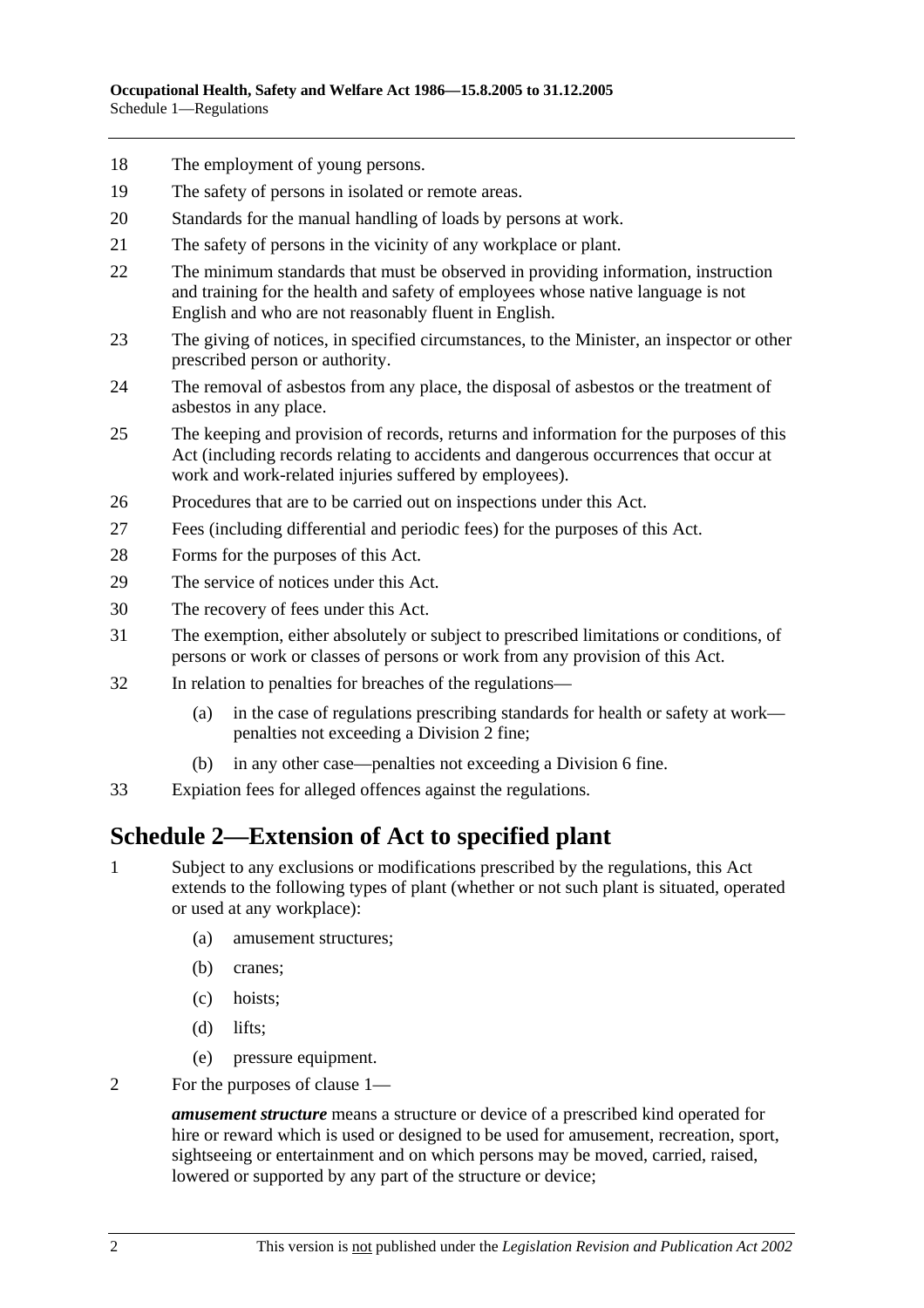- 18 The employment of young persons.
- 19 The safety of persons in isolated or remote areas.
- 20 Standards for the manual handling of loads by persons at work.
- 21 The safety of persons in the vicinity of any workplace or plant.
- 22 The minimum standards that must be observed in providing information, instruction and training for the health and safety of employees whose native language is not English and who are not reasonably fluent in English.
- 23 The giving of notices, in specified circumstances, to the Minister, an inspector or other prescribed person or authority.
- 24 The removal of asbestos from any place, the disposal of asbestos or the treatment of asbestos in any place.
- 25 The keeping and provision of records, returns and information for the purposes of this Act (including records relating to accidents and dangerous occurrences that occur at work and work-related injuries suffered by employees).
- 26 Procedures that are to be carried out on inspections under this Act.
- 27 Fees (including differential and periodic fees) for the purposes of this Act.
- 28 Forms for the purposes of this Act.
- 29 The service of notices under this Act.
- 30 The recovery of fees under this Act.
- 31 The exemption, either absolutely or subject to prescribed limitations or conditions, of persons or work or classes of persons or work from any provision of this Act.
- 32 In relation to penalties for breaches of the regulations—
	- (a) in the case of regulations prescribing standards for health or safety at work penalties not exceeding a Division 2 fine;
	- (b) in any other case—penalties not exceeding a Division 6 fine.
- 33 Expiation fees for alleged offences against the regulations.

# **Schedule 2—Extension of Act to specified plant**

- 1 Subject to any exclusions or modifications prescribed by the regulations, this Act extends to the following types of plant (whether or not such plant is situated, operated or used at any workplace):
	- (a) amusement structures;
	- (b) cranes;
	- (c) hoists;
	- (d) lifts;
	- (e) pressure equipment.
- 2 For the purposes of clause 1—

*amusement structure* means a structure or device of a prescribed kind operated for hire or reward which is used or designed to be used for amusement, recreation, sport, sightseeing or entertainment and on which persons may be moved, carried, raised, lowered or supported by any part of the structure or device;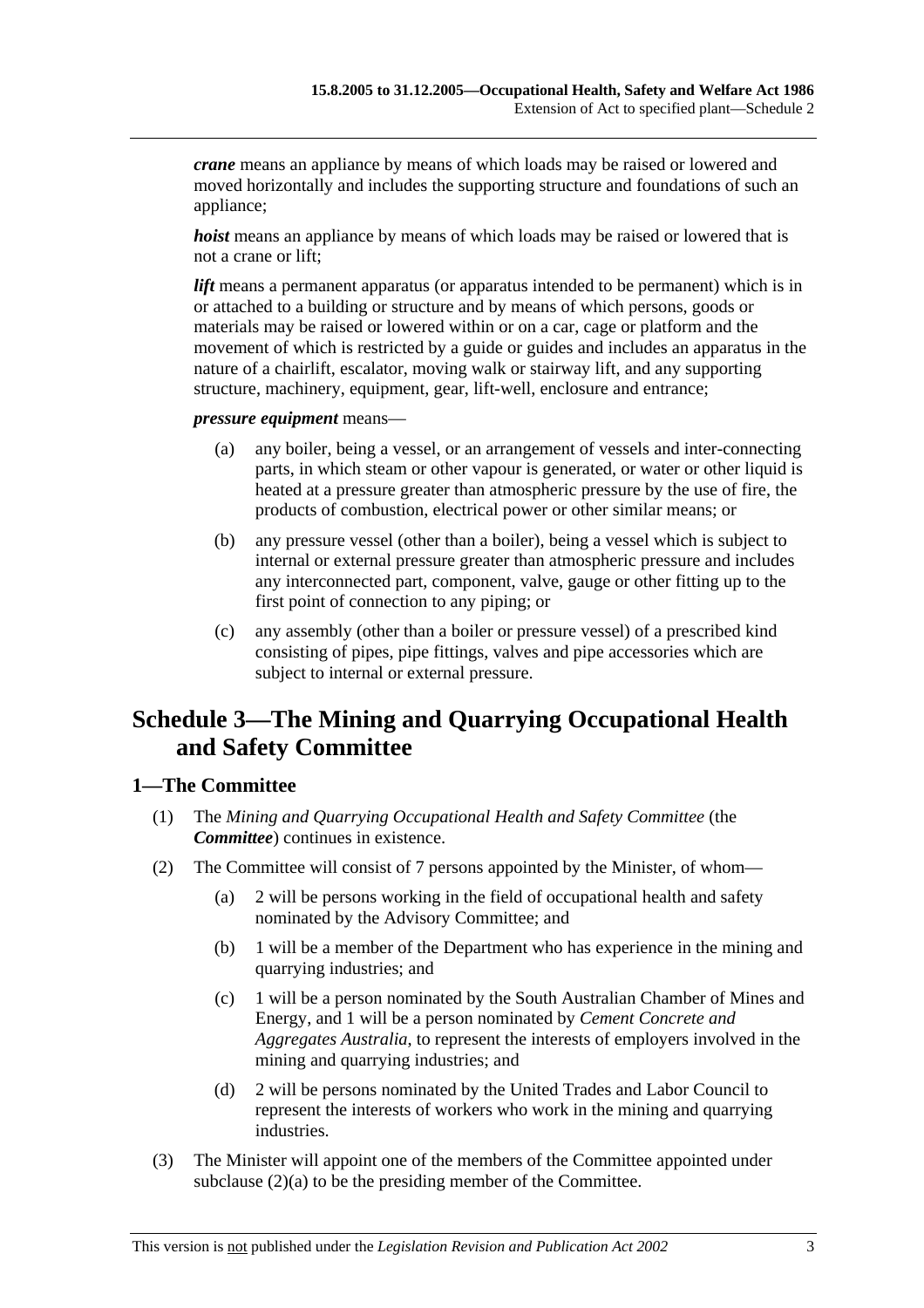*crane* means an appliance by means of which loads may be raised or lowered and moved horizontally and includes the supporting structure and foundations of such an appliance;

*hoist* means an appliance by means of which loads may be raised or lowered that is not a crane or lift;

*lift* means a permanent apparatus (or apparatus intended to be permanent) which is in or attached to a building or structure and by means of which persons, goods or materials may be raised or lowered within or on a car, cage or platform and the movement of which is restricted by a guide or guides and includes an apparatus in the nature of a chairlift, escalator, moving walk or stairway lift, and any supporting structure, machinery, equipment, gear, lift-well, enclosure and entrance;

*pressure equipment* means—

- (a) any boiler, being a vessel, or an arrangement of vessels and inter-connecting parts, in which steam or other vapour is generated, or water or other liquid is heated at a pressure greater than atmospheric pressure by the use of fire, the products of combustion, electrical power or other similar means; or
- (b) any pressure vessel (other than a boiler), being a vessel which is subject to internal or external pressure greater than atmospheric pressure and includes any interconnected part, component, valve, gauge or other fitting up to the first point of connection to any piping; or
- (c) any assembly (other than a boiler or pressure vessel) of a prescribed kind consisting of pipes, pipe fittings, valves and pipe accessories which are subject to internal or external pressure.

# **Schedule 3—The Mining and Quarrying Occupational Health and Safety Committee**

### **1—The Committee**

- (1) The *Mining and Quarrying Occupational Health and Safety Committee* (the *Committee*) continues in existence.
- (2) The Committee will consist of 7 persons appointed by the Minister, of whom—
	- (a) 2 will be persons working in the field of occupational health and safety nominated by the Advisory Committee; and
	- (b) 1 will be a member of the Department who has experience in the mining and quarrying industries; and
	- (c) 1 will be a person nominated by the South Australian Chamber of Mines and Energy, and 1 will be a person nominated by *Cement Concrete and Aggregates Australia*, to represent the interests of employers involved in the mining and quarrying industries; and
	- (d) 2 will be persons nominated by the United Trades and Labor Council to represent the interests of workers who work in the mining and quarrying industries.
- (3) The Minister will appoint one of the members of the Committee appointed under subclause (2)(a) to be the presiding member of the Committee.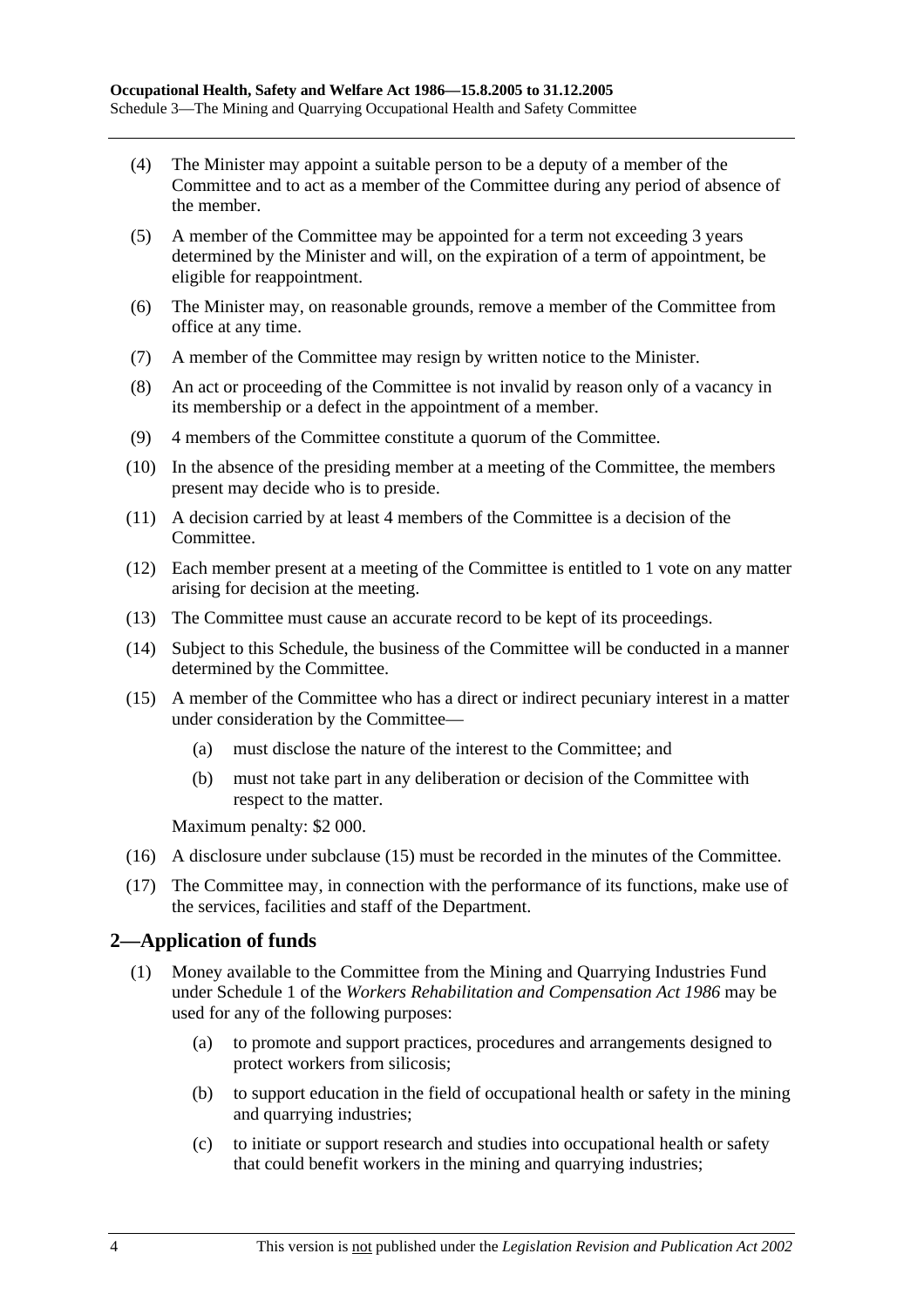- (4) The Minister may appoint a suitable person to be a deputy of a member of the Committee and to act as a member of the Committee during any period of absence of the member.
- (5) A member of the Committee may be appointed for a term not exceeding 3 years determined by the Minister and will, on the expiration of a term of appointment, be eligible for reappointment.
- (6) The Minister may, on reasonable grounds, remove a member of the Committee from office at any time.
- (7) A member of the Committee may resign by written notice to the Minister.
- (8) An act or proceeding of the Committee is not invalid by reason only of a vacancy in its membership or a defect in the appointment of a member.
- (9) 4 members of the Committee constitute a quorum of the Committee.
- (10) In the absence of the presiding member at a meeting of the Committee, the members present may decide who is to preside.
- (11) A decision carried by at least 4 members of the Committee is a decision of the Committee.
- (12) Each member present at a meeting of the Committee is entitled to 1 vote on any matter arising for decision at the meeting.
- (13) The Committee must cause an accurate record to be kept of its proceedings.
- (14) Subject to this Schedule, the business of the Committee will be conducted in a manner determined by the Committee.
- (15) A member of the Committee who has a direct or indirect pecuniary interest in a matter under consideration by the Committee—
	- (a) must disclose the nature of the interest to the Committee; and
	- (b) must not take part in any deliberation or decision of the Committee with respect to the matter.

Maximum penalty: \$2 000.

- (16) A disclosure under subclause (15) must be recorded in the minutes of the Committee.
- (17) The Committee may, in connection with the performance of its functions, make use of the services, facilities and staff of the Department.

### **2—Application of funds**

- (1) Money available to the Committee from the Mining and Quarrying Industries Fund under Schedule 1 of the *Workers Rehabilitation and Compensation Act 1986* may be used for any of the following purposes:
	- (a) to promote and support practices, procedures and arrangements designed to protect workers from silicosis;
	- (b) to support education in the field of occupational health or safety in the mining and quarrying industries;
	- (c) to initiate or support research and studies into occupational health or safety that could benefit workers in the mining and quarrying industries;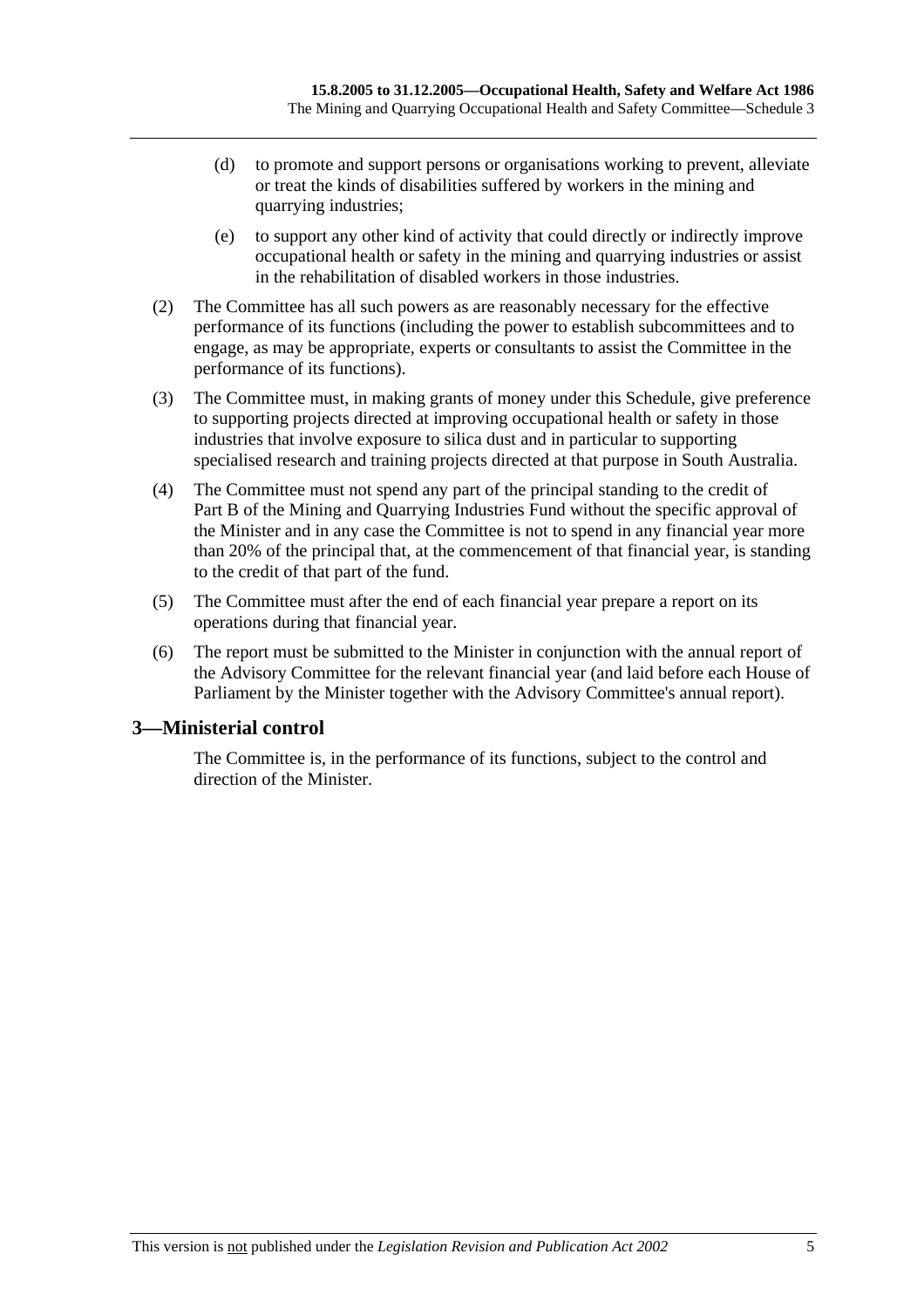- (d) to promote and support persons or organisations working to prevent, alleviate or treat the kinds of disabilities suffered by workers in the mining and quarrying industries;
- (e) to support any other kind of activity that could directly or indirectly improve occupational health or safety in the mining and quarrying industries or assist in the rehabilitation of disabled workers in those industries.
- (2) The Committee has all such powers as are reasonably necessary for the effective performance of its functions (including the power to establish subcommittees and to engage, as may be appropriate, experts or consultants to assist the Committee in the performance of its functions).
- (3) The Committee must, in making grants of money under this Schedule, give preference to supporting projects directed at improving occupational health or safety in those industries that involve exposure to silica dust and in particular to supporting specialised research and training projects directed at that purpose in South Australia.
- (4) The Committee must not spend any part of the principal standing to the credit of Part B of the Mining and Quarrying Industries Fund without the specific approval of the Minister and in any case the Committee is not to spend in any financial year more than 20% of the principal that, at the commencement of that financial year, is standing to the credit of that part of the fund.
- (5) The Committee must after the end of each financial year prepare a report on its operations during that financial year.
- (6) The report must be submitted to the Minister in conjunction with the annual report of the Advisory Committee for the relevant financial year (and laid before each House of Parliament by the Minister together with the Advisory Committee's annual report).

### **3—Ministerial control**

The Committee is, in the performance of its functions, subject to the control and direction of the Minister.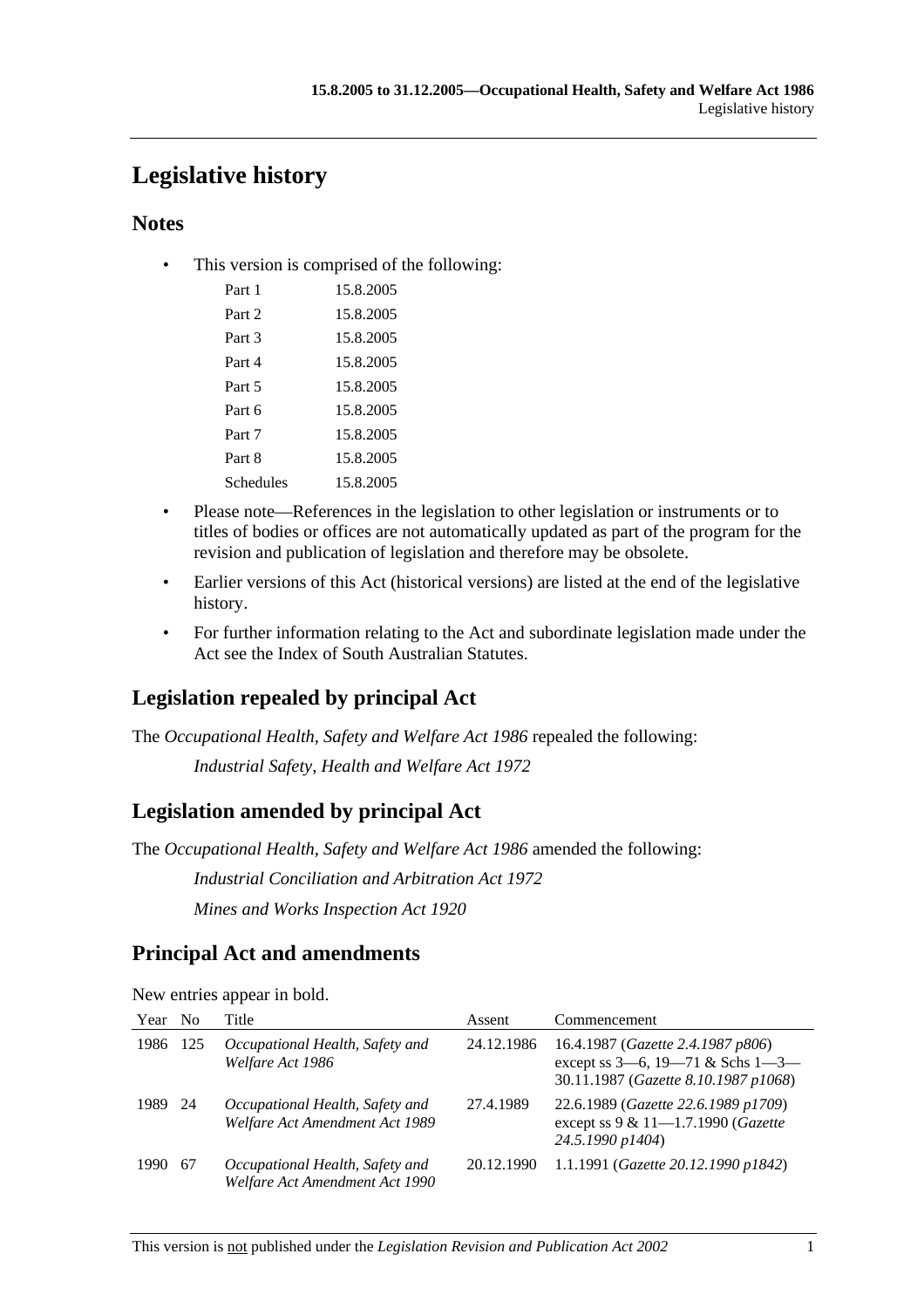# **Legislative history**

## **Notes**

• This version is comprised of the following:

| Part 1    | 15.8.2005 |
|-----------|-----------|
| Part 2    | 15.8.2005 |
| Part 3    | 15.8.2005 |
| Part 4    | 15.8.2005 |
| Part 5    | 15.8.2005 |
| Part 6    | 15.8.2005 |
| Part 7    | 15.8.2005 |
| Part 8    | 15.8.2005 |
| Schedules | 15.8.2005 |
|           |           |

- Please note—References in the legislation to other legislation or instruments or to titles of bodies or offices are not automatically updated as part of the program for the revision and publication of legislation and therefore may be obsolete.
- Earlier versions of this Act (historical versions) are listed at the end of the legislative history.
- For further information relating to the Act and subordinate legislation made under the Act see the Index of South Australian Statutes.

# **Legislation repealed by principal Act**

The *Occupational Health, Safety and Welfare Act 1986* repealed the following:

*Industrial Safety, Health and Welfare Act 1972*

# **Legislation amended by principal Act**

The *Occupational Health, Safety and Welfare Act 1986* amended the following:

*Industrial Conciliation and Arbitration Act 1972 Mines and Works Inspection Act 1920*

# **Principal Act and amendments**

| Year | - No | Title                                                             | Assent     | Commencement                                                                                                         |
|------|------|-------------------------------------------------------------------|------------|----------------------------------------------------------------------------------------------------------------------|
| 1986 | -125 | Occupational Health, Safety and<br>Welfare Act 1986               | 24.12.1986 | 16.4.1987 (Gazette 2.4.1987 p806)<br>except ss $3-6$ , $19-71$ & Schs $1-3-$<br>30.11.1987 (Gazette 8.10.1987 p1068) |
| 1989 | - 24 | Occupational Health, Safety and<br>Welfare Act Amendment Act 1989 | 27.4.1989  | 22.6.1989 (Gazette 22.6.1989 p1709)<br>except ss 9 & 11-1.7.1990 (Gazette<br>24.5.1990 p1404)                        |
| 1990 | -67  | Occupational Health, Safety and<br>Welfare Act Amendment Act 1990 | 20.12.1990 | 1.1.1991 (Gazette 20.12.1990 p1842)                                                                                  |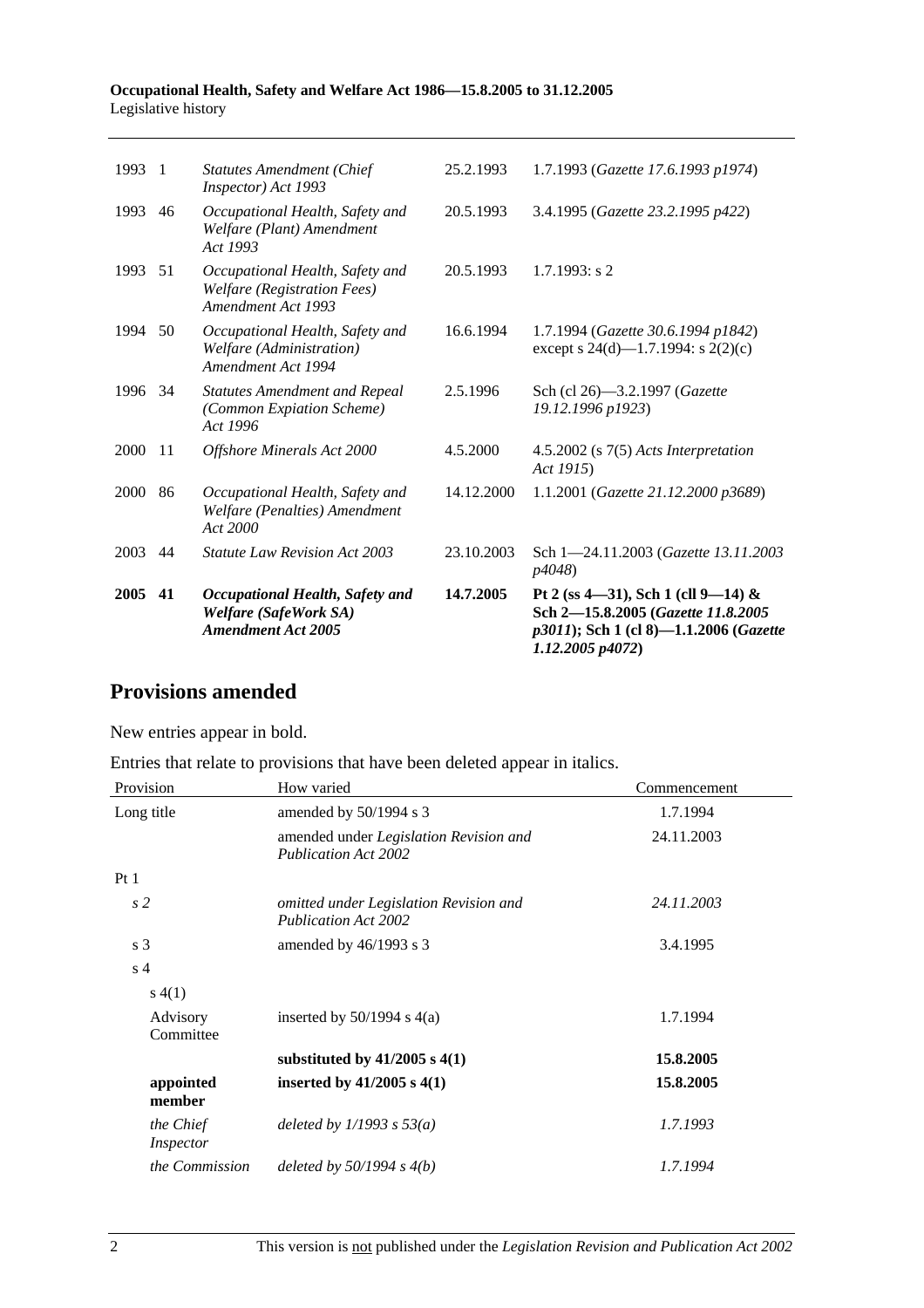#### **Occupational Health, Safety and Welfare Act 1986—15.8.2005 to 31.12.2005**  Legislative history

| 2005 | 41             | Occupational Health, Safety and<br>Welfare (SafeWork SA)<br><b>Amendment Act 2005</b> | 14.7.2005  | Pt 2 (ss 4—31), Sch 1 (cll 9—14) &<br>Sch 2-15.8.2005 (Gazette 11.8.2005<br>p3011); Sch 1 (cl 8)-1.1.2006 (Gazette<br>1.12.2005 p4072) |
|------|----------------|---------------------------------------------------------------------------------------|------------|----------------------------------------------------------------------------------------------------------------------------------------|
| 2003 | 44             | <b>Statute Law Revision Act 2003</b>                                                  | 23.10.2003 | Sch 1-24.11.2003 (Gazette 13.11.2003<br>p4048)                                                                                         |
| 2000 | 86             | Occupational Health, Safety and<br>Welfare (Penalties) Amendment<br>Act 2000          | 14.12.2000 | 1.1.2001 (Gazette 21.12.2000 p3689)                                                                                                    |
| 2000 | 11             | Offshore Minerals Act 2000                                                            | 4.5.2000   | $4.5.2002$ (s $7(5)$ Acts Interpretation<br>Act 1915)                                                                                  |
| 1996 | 34             | <b>Statutes Amendment and Repeal</b><br>(Common Expiation Scheme)<br>Act 1996         | 2.5.1996   | Sch (cl 26)-3.2.1997 (Gazette<br>19.12.1996 p1923)                                                                                     |
| 1994 | 50             | Occupational Health, Safety and<br>Welfare (Administration)<br>Amendment Act 1994     | 16.6.1994  | 1.7.1994 (Gazette 30.6.1994 p1842)<br>except s 24(d)—1.7.1994: s 2(2)(c)                                                               |
| 1993 | 51             | Occupational Health, Safety and<br>Welfare (Registration Fees)<br>Amendment Act 1993  | 20.5.1993  | $1.7.1993$ : s 2                                                                                                                       |
| 1993 | 46             | Occupational Health, Safety and<br>Welfare (Plant) Amendment<br>Act 1993              | 20.5.1993  | 3.4.1995 (Gazette 23.2.1995 p422)                                                                                                      |
| 1993 | $\overline{1}$ | <b>Statutes Amendment (Chief</b><br>Inspector) Act 1993                               | 25.2.1993  | 1.7.1993 (Gazette 17.6.1993 p1974)                                                                                                     |
|      |                |                                                                                       |            |                                                                                                                                        |

# **Provisions amended**

New entries appear in bold.

Entries that relate to provisions that have been deleted appear in italics.

| Provision                     | How varied                                                                   | Commencement |
|-------------------------------|------------------------------------------------------------------------------|--------------|
| Long title                    | amended by 50/1994 s 3                                                       | 1.7.1994     |
|                               | amended under <i>Legislation Revision and</i><br><b>Publication Act 2002</b> | 24.11.2003   |
| Pt1                           |                                                                              |              |
| s <sub>2</sub>                | omitted under Legislation Revision and<br><b>Publication Act 2002</b>        | 24.11.2003   |
| s <sub>3</sub>                | amended by $46/1993$ s 3                                                     | 3.4.1995     |
| s <sub>4</sub>                |                                                                              |              |
| s(4(1))                       |                                                                              |              |
| Advisory<br>Committee         | inserted by $50/1994$ s $4(a)$                                               | 1.7.1994     |
|                               | substituted by $41/2005$ s $4(1)$                                            | 15.8.2005    |
| appointed<br>member           | inserted by $41/2005$ s $4(1)$                                               | 15.8.2005    |
| the Chief<br><i>Inspector</i> | deleted by $1/1993$ s $53(a)$                                                | 1.7.1993     |
| the Commission                | deleted by $50/1994 s 4(b)$                                                  | 1.7.1994     |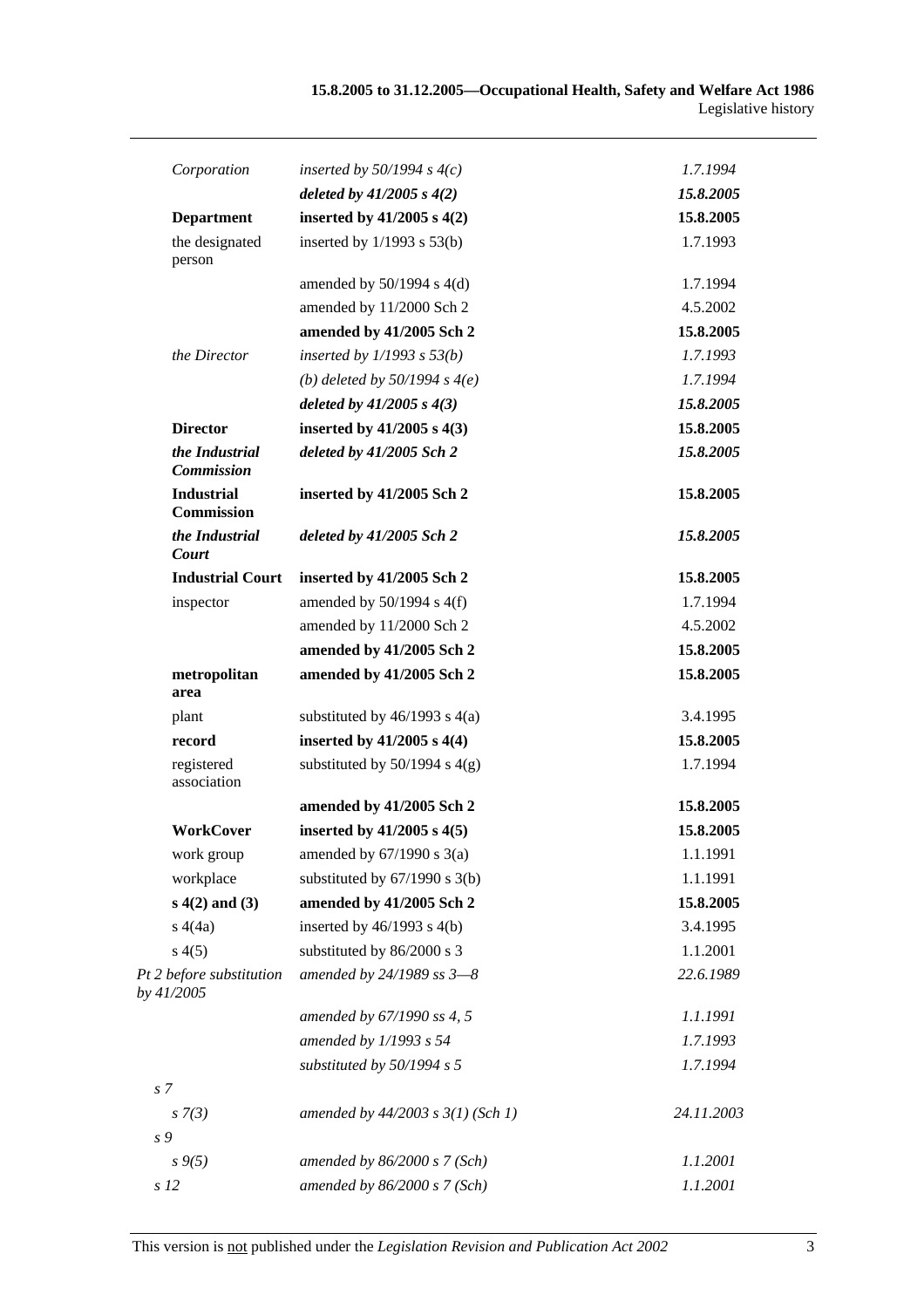| Corporation                            | inserted by $50/1994$ s $4(c)$        | 1.7.1994   |
|----------------------------------------|---------------------------------------|------------|
|                                        | deleted by $41/2005 s 4(2)$           | 15.8.2005  |
| <b>Department</b>                      | inserted by $41/2005$ s $4(2)$        | 15.8.2005  |
| the designated<br>person               | inserted by $1/1993$ s $53(b)$        | 1.7.1993   |
|                                        | amended by $50/1994$ s $4(d)$         | 1.7.1994   |
|                                        | amended by 11/2000 Sch 2              | 4.5.2002   |
|                                        | amended by 41/2005 Sch 2              | 15.8.2005  |
| the Director                           | inserted by $1/1993$ s $53(b)$        | 1.7.1993   |
|                                        | (b) deleted by $50/1994 s 4(e)$       | 1.7.1994   |
|                                        | deleted by $41/2005 s 4(3)$           | 15.8.2005  |
| <b>Director</b>                        | inserted by $41/2005$ s $4(3)$        | 15.8.2005  |
| the Industrial<br><b>Commission</b>    | deleted by $41/2005$ Sch 2            | 15.8.2005  |
| <b>Industrial</b><br><b>Commission</b> | inserted by 41/2005 Sch 2             | 15.8.2005  |
| the Industrial<br>Court                | deleted by $41/2005$ Sch 2            | 15.8.2005  |
| <b>Industrial Court</b>                | inserted by 41/2005 Sch 2             | 15.8.2005  |
| inspector                              | amended by $50/1994$ s $4(f)$         | 1.7.1994   |
|                                        | amended by 11/2000 Sch 2              | 4.5.2002   |
|                                        | amended by 41/2005 Sch 2              | 15.8.2005  |
| metropolitan<br>area                   | amended by 41/2005 Sch 2              | 15.8.2005  |
| plant                                  | substituted by $46/1993$ s $4(a)$     | 3.4.1995   |
| record                                 | inserted by $41/2005$ s $4(4)$        | 15.8.2005  |
| registered<br>association              | substituted by $50/1994$ s $4(g)$     | 1.7.1994   |
|                                        | amended by 41/2005 Sch 2              | 15.8.2005  |
| WorkCover                              | inserted by $41/2005$ s $4(5)$        | 15.8.2005  |
| work group                             | amended by $67/1990$ s $3(a)$         | 1.1.1991   |
| workplace                              | substituted by $67/1990$ s 3(b)       | 1.1.1991   |
| $s(4(2)$ and $(3)$                     | amended by 41/2005 Sch 2              | 15.8.2005  |
| s(4a)                                  | inserted by $46/1993$ s $4(b)$        | 3.4.1995   |
| s(4(5)                                 | substituted by 86/2000 s 3            | 1.1.2001   |
| Pt 2 before substitution<br>by 41/2005 | amended by $24/1989$ ss $3-8$         | 22.6.1989  |
|                                        | amended by 67/1990 ss 4, 5            | 1.1.1991   |
|                                        | amended by 1/1993 s 54                | 1.7.1993   |
|                                        | substituted by 50/1994 s 5            | 1.7.1994   |
| s <sub>7</sub>                         |                                       |            |
| $s \, 7(3)$                            | amended by $44/2003$ s $3(1)$ (Sch 1) | 24.11.2003 |
| s 9                                    |                                       |            |
| $s \, 9(5)$                            | amended by $86/2000 s$ 7 (Sch)        | 1.1.2001   |
| s <sub>12</sub>                        | amended by $86/2000 s$ 7 (Sch)        | 1.1.2001   |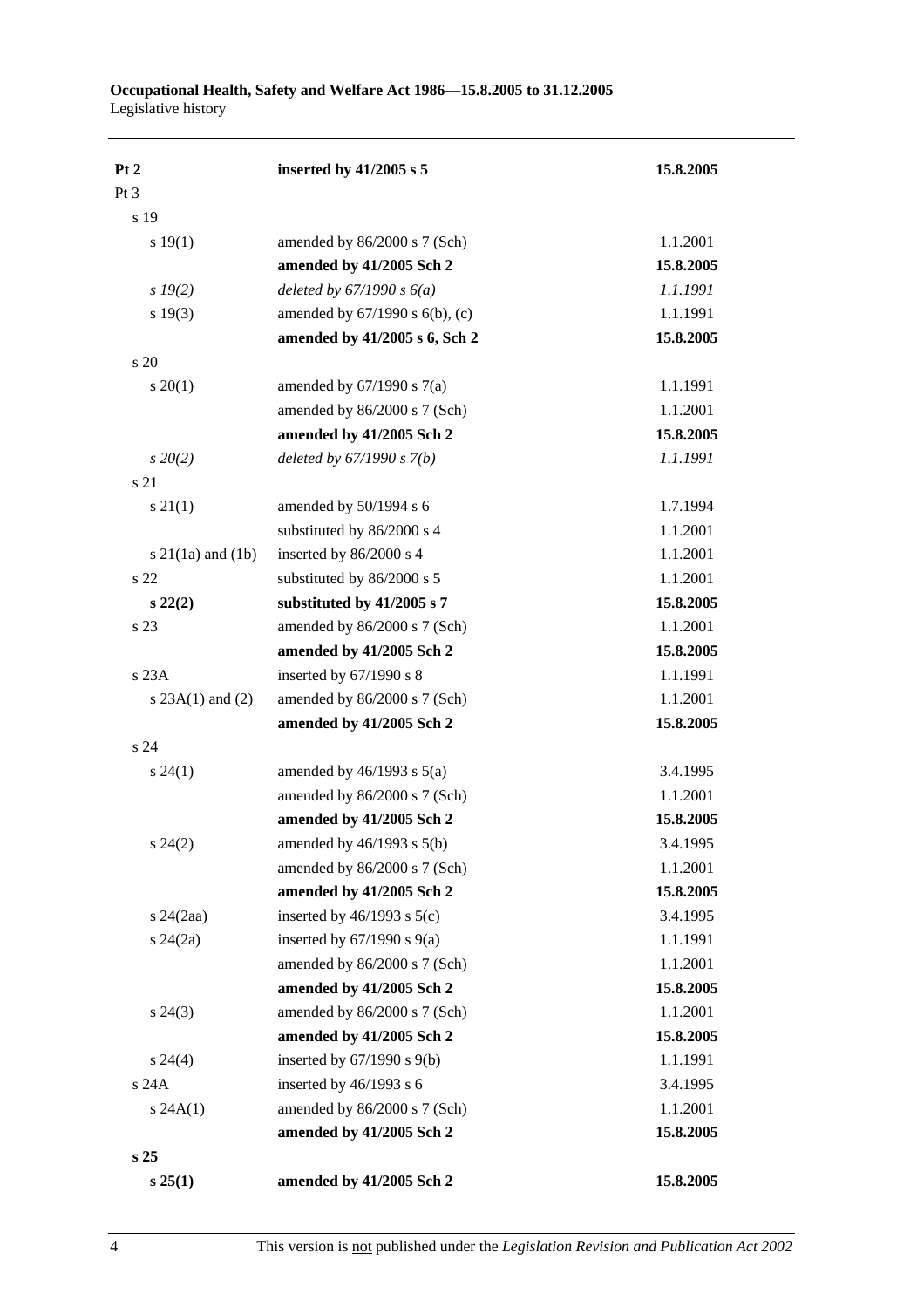| Pt 2                     | inserted by 41/2005 s 5             | 15.8.2005 |
|--------------------------|-------------------------------------|-----------|
| Pt <sub>3</sub>          |                                     |           |
| s 19                     |                                     |           |
| s 19(1)                  | amended by 86/2000 s 7 (Sch)        | 1.1.2001  |
|                          | amended by 41/2005 Sch 2            | 15.8.2005 |
| $s\,19(2)$               | deleted by $67/1990 s 6(a)$         | 1.1.1991  |
| s 19(3)                  | amended by $67/1990$ s $6(b)$ , (c) | 1.1.1991  |
|                          | amended by 41/2005 s 6, Sch 2       | 15.8.2005 |
| s 20                     |                                     |           |
| $s \ 20(1)$              | amended by $67/1990$ s $7(a)$       | 1.1.1991  |
|                          | amended by 86/2000 s 7 (Sch)        | 1.1.2001  |
|                          | amended by 41/2005 Sch 2            | 15.8.2005 |
| $s\,20(2)$               | deleted by $67/1990 s 7(b)$         | 1.1.1991  |
| s 21                     |                                     |           |
| $s \, 21(1)$             | amended by 50/1994 s 6              | 1.7.1994  |
|                          | substituted by 86/2000 s 4          | 1.1.2001  |
| $s \, 21(1a)$ and $(1b)$ | inserted by 86/2000 s 4             | 1.1.2001  |
| s <sub>22</sub>          | substituted by 86/2000 s 5          | 1.1.2001  |
| $s\ 22(2)$               | substituted by 41/2005 s 7          | 15.8.2005 |
| s 23                     | amended by 86/2000 s 7 (Sch)        | 1.1.2001  |
|                          | amended by 41/2005 Sch 2            | 15.8.2005 |
| s 23A                    | inserted by 67/1990 s 8             | 1.1.1991  |
| s $23A(1)$ and $(2)$     | amended by 86/2000 s 7 (Sch)        | 1.1.2001  |
|                          | amended by 41/2005 Sch 2            | 15.8.2005 |
| s <sub>24</sub>          |                                     |           |
| $s\,24(1)$               | amended by $46/1993$ s $5(a)$       | 3.4.1995  |
|                          | amended by 86/2000 s 7 (Sch)        | 1.1.2001  |
|                          | amended by 41/2005 Sch 2            | 15.8.2005 |
| $s\,24(2)$               | amended by $46/1993$ s $5(b)$       | 3.4.1995  |
|                          | amended by 86/2000 s 7 (Sch)        | 1.1.2001  |
|                          | amended by 41/2005 Sch 2            | 15.8.2005 |
| $s$ 24 $(2aa)$           | inserted by $46/1993$ s $5(c)$      | 3.4.1995  |
| $s\,24(2a)$              | inserted by $67/1990$ s $9(a)$      | 1.1.1991  |
|                          | amended by 86/2000 s 7 (Sch)        | 1.1.2001  |
|                          | amended by 41/2005 Sch 2            | 15.8.2005 |
| $s\,24(3)$               | amended by 86/2000 s 7 (Sch)        | 1.1.2001  |
|                          | amended by 41/2005 Sch 2            | 15.8.2005 |
| $s\,24(4)$               | inserted by $67/1990$ s $9(b)$      | 1.1.1991  |
| s 24A                    | inserted by $46/1993$ s 6           | 3.4.1995  |
| s 24A(1)                 | amended by 86/2000 s 7 (Sch)        | 1.1.2001  |
|                          | amended by 41/2005 Sch 2            | 15.8.2005 |
| s <sub>25</sub>          |                                     |           |
| s 25(1)                  | amended by 41/2005 Sch 2            | 15.8.2005 |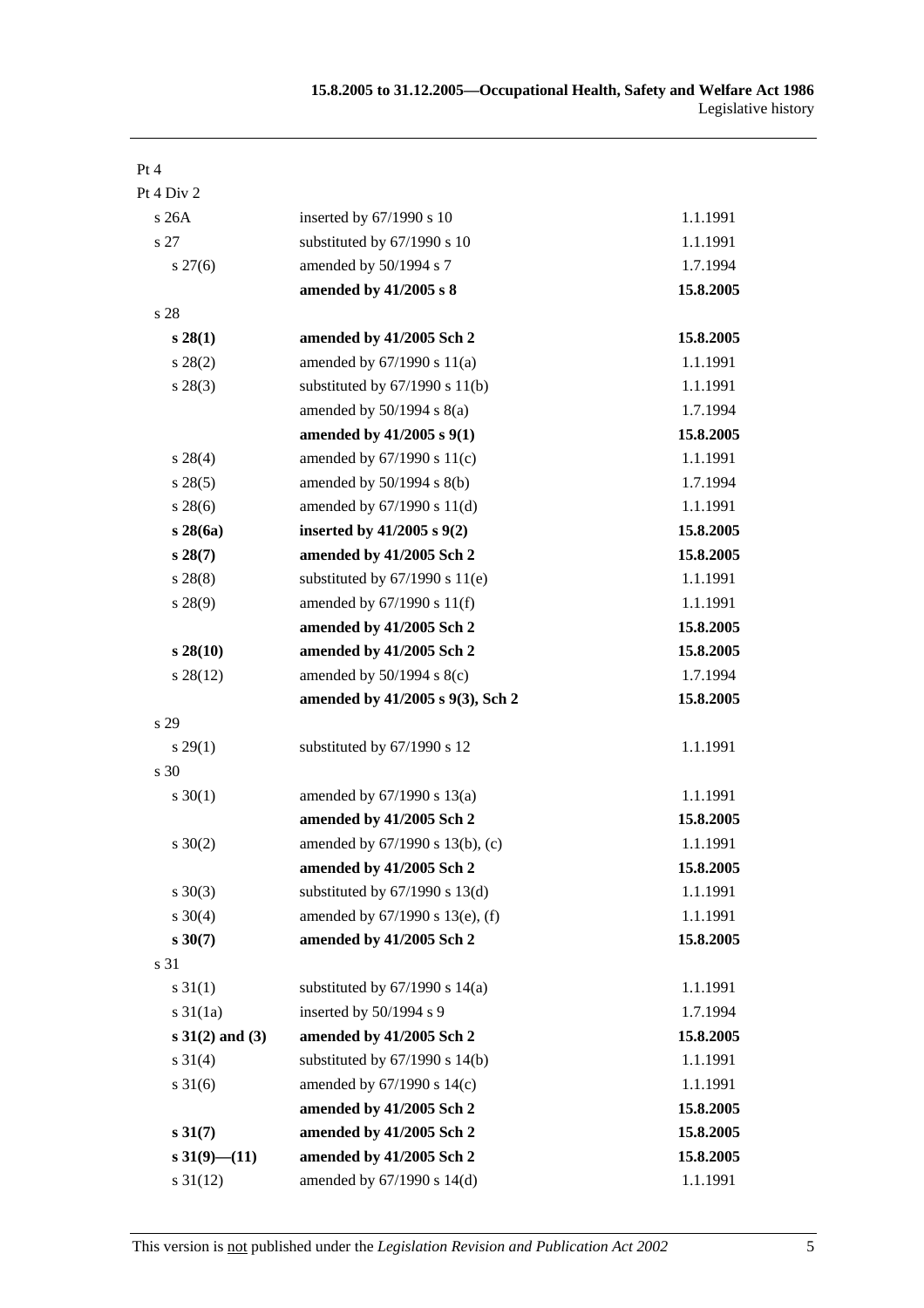| Pt 4                 |                                    |           |
|----------------------|------------------------------------|-----------|
| Pt 4 Div 2           |                                    |           |
| s26A                 | inserted by 67/1990 s 10           | 1.1.1991  |
| s 27                 | substituted by 67/1990 s 10        | 1.1.1991  |
| $s\,27(6)$           | amended by 50/1994 s 7             | 1.7.1994  |
|                      | amended by 41/2005 s 8             | 15.8.2005 |
| s 28                 |                                    |           |
| $s\,28(1)$           | amended by 41/2005 Sch 2           | 15.8.2005 |
| $s\,28(2)$           | amended by $67/1990$ s $11(a)$     | 1.1.1991  |
| $s\,28(3)$           | substituted by $67/1990$ s $11(b)$ | 1.1.1991  |
|                      | amended by $50/1994$ s $8(a)$      | 1.7.1994  |
|                      | amended by 41/2005 s 9(1)          | 15.8.2005 |
| $s\,28(4)$           | amended by 67/1990 s 11(c)         | 1.1.1991  |
| $s\,28(5)$           | amended by $50/1994$ s $8(b)$      | 1.7.1994  |
| $s\,28(6)$           | amended by 67/1990 s 11(d)         | 1.1.1991  |
| s28(6a)              | inserted by $41/2005$ s $9(2)$     | 15.8.2005 |
| $s\,28(7)$           | amended by 41/2005 Sch 2           | 15.8.2005 |
| $s\,28(8)$           | substituted by $67/1990$ s $11(e)$ | 1.1.1991  |
| $s\,28(9)$           | amended by $67/1990$ s $11(f)$     | 1.1.1991  |
|                      | amended by 41/2005 Sch 2           | 15.8.2005 |
| $s\,28(10)$          | amended by 41/2005 Sch 2           | 15.8.2005 |
| $s\,28(12)$          | amended by $50/1994$ s $8(c)$      | 1.7.1994  |
|                      | amended by 41/2005 s 9(3), Sch 2   | 15.8.2005 |
| s 29                 |                                    |           |
| $s\,29(1)$           | substituted by 67/1990 s 12        | 1.1.1991  |
| s 30                 |                                    |           |
| $s \ 30(1)$          | amended by 67/1990 s 13(a)         | 1.1.1991  |
|                      | amended by 41/2005 Sch 2           | 15.8.2005 |
| $s \ 30(2)$          | amended by 67/1990 s 13(b), (c)    | 1.1.1991  |
|                      | amended by 41/2005 Sch 2           | 15.8.2005 |
| $s \ 30(3)$          | substituted by $67/1990$ s $13(d)$ | 1.1.1991  |
| $s \ 30(4)$          | amended by 67/1990 s 13(e), (f)    | 1.1.1991  |
| $s\,30(7)$           | amended by 41/2005 Sch 2           | 15.8.2005 |
| s 31                 |                                    |           |
| $s \, 31(1)$         | substituted by $67/1990$ s $14(a)$ | 1.1.1991  |
| $s \frac{31}{1a}$    | inserted by 50/1994 s 9            | 1.7.1994  |
| $s 31(2)$ and (3)    | amended by 41/2005 Sch 2           | 15.8.2005 |
| $s \, 31(4)$         | substituted by $67/1990$ s $14(b)$ | 1.1.1991  |
| $s \, 31(6)$         | amended by 67/1990 s 14(c)         | 1.1.1991  |
|                      | amended by 41/2005 Sch 2           | 15.8.2005 |
| $s \, 31(7)$         | amended by 41/2005 Sch 2           | 15.8.2005 |
| $s\,31(9)$ – (11)    | amended by 41/2005 Sch 2           | 15.8.2005 |
| $s \frac{31(12)}{2}$ | amended by 67/1990 s 14(d)         | 1.1.1991  |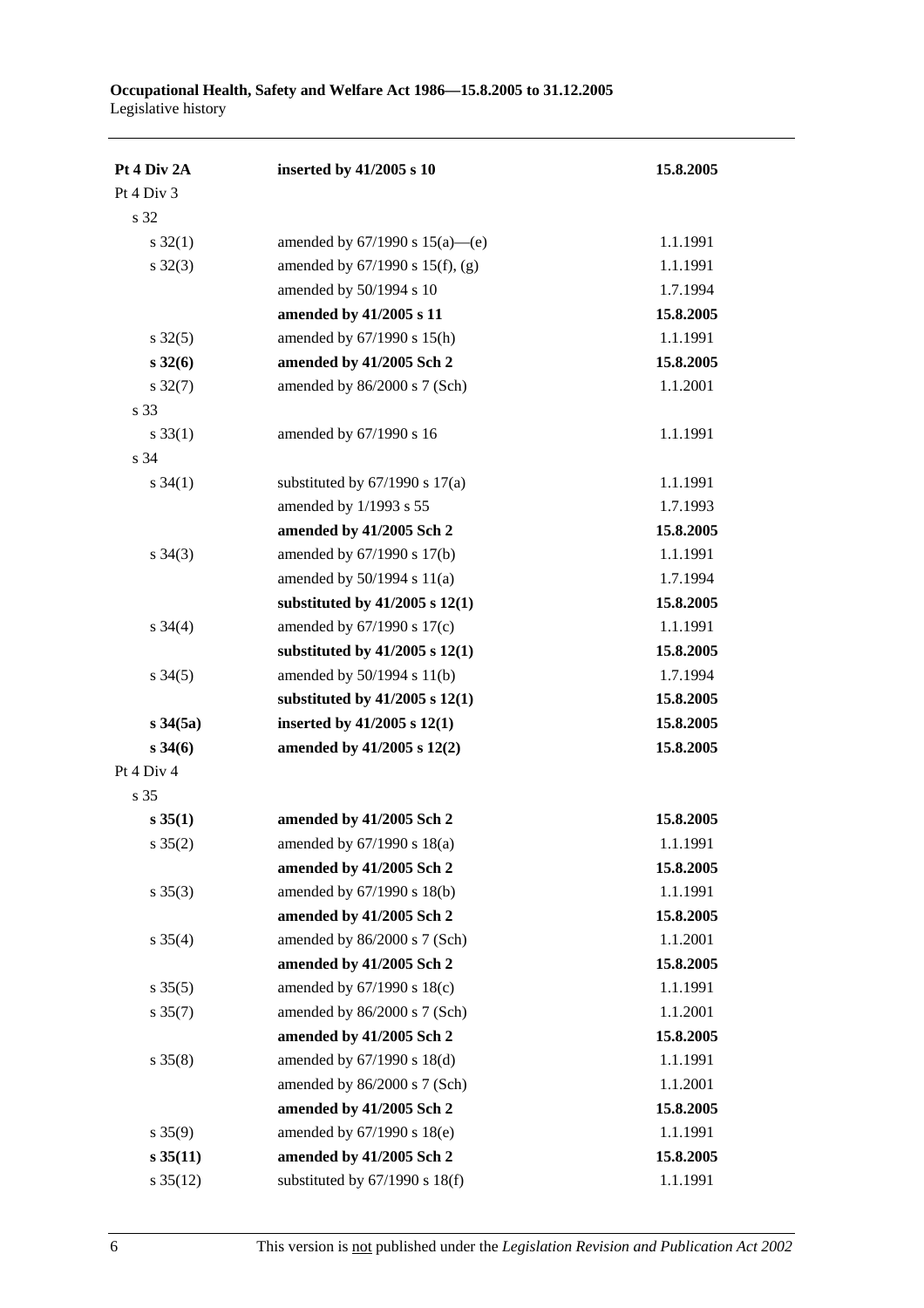| Pt 4 Div 2A         | inserted by 41/2005 s 10             | 15.8.2005 |
|---------------------|--------------------------------------|-----------|
| Pt 4 Div 3          |                                      |           |
| s 32                |                                      |           |
| $s \, 32(1)$        | amended by $67/1990$ s $15(a)$ —(e)  | 1.1.1991  |
| $s \, 32(3)$        | amended by $67/1990$ s $15(f)$ , (g) | 1.1.1991  |
|                     | amended by 50/1994 s 10              | 1.7.1994  |
|                     | amended by 41/2005 s 11              | 15.8.2005 |
| $s \, 32(5)$        | amended by 67/1990 s 15(h)           | 1.1.1991  |
| $s\,32(6)$          | amended by 41/2005 Sch 2             | 15.8.2005 |
| $s \frac{32(7)}{2}$ | amended by 86/2000 s 7 (Sch)         | 1.1.2001  |
| s 33                |                                      |           |
| $s \, 33(1)$        | amended by 67/1990 s 16              | 1.1.1991  |
| s 34                |                                      |           |
| $s \, 34(1)$        | substituted by $67/1990$ s $17(a)$   | 1.1.1991  |
|                     | amended by 1/1993 s 55               | 1.7.1993  |
|                     | amended by 41/2005 Sch 2             | 15.8.2005 |
| $s \; 34(3)$        | amended by 67/1990 s 17(b)           | 1.1.1991  |
|                     | amended by $50/1994$ s $11(a)$       | 1.7.1994  |
|                     | substituted by $41/2005$ s $12(1)$   | 15.8.2005 |
| $s \; 34(4)$        | amended by $67/1990$ s $17(c)$       | 1.1.1991  |
|                     | substituted by $41/2005$ s $12(1)$   | 15.8.2005 |
| $s \frac{34(5)}{2}$ | amended by 50/1994 s 11(b)           | 1.7.1994  |
|                     | substituted by $41/2005$ s $12(1)$   | 15.8.2005 |
| $s \, 34(5a)$       | inserted by $41/2005$ s $12(1)$      | 15.8.2005 |
| $s \, 34(6)$        | amended by 41/2005 s 12(2)           | 15.8.2005 |
| Pt 4 Div 4          |                                      |           |
| s 35                |                                      |           |
| $s \, 35(1)$        | amended by 41/2005 Sch 2             | 15.8.2005 |
| $s \; 35(2)$        | amended by 67/1990 s 18(a)           | 1.1.1991  |
|                     | amended by 41/2005 Sch 2             | 15.8.2005 |
| $s \; 35(3)$        | amended by 67/1990 s 18(b)           | 1.1.1991  |
|                     | amended by 41/2005 Sch 2             | 15.8.2005 |
| $s \; 35(4)$        | amended by 86/2000 s 7 (Sch)         | 1.1.2001  |
|                     | amended by 41/2005 Sch 2             | 15.8.2005 |
| $s \, 35(5)$        | amended by 67/1990 s 18(c)           | 1.1.1991  |
| $s \, 35(7)$        | amended by 86/2000 s 7 (Sch)         | 1.1.2001  |
|                     | amended by 41/2005 Sch 2             | 15.8.2005 |
| $s \; 35(8)$        | amended by 67/1990 s 18(d)           | 1.1.1991  |
|                     | amended by 86/2000 s 7 (Sch)         | 1.1.2001  |
|                     | amended by 41/2005 Sch 2             | 15.8.2005 |
| $s \; 35(9)$        | amended by 67/1990 s 18(e)           | 1.1.1991  |
| $s \, 35(11)$       | amended by 41/2005 Sch 2             | 15.8.2005 |
| $s \, 35(12)$       | substituted by 67/1990 s 18(f)       | 1.1.1991  |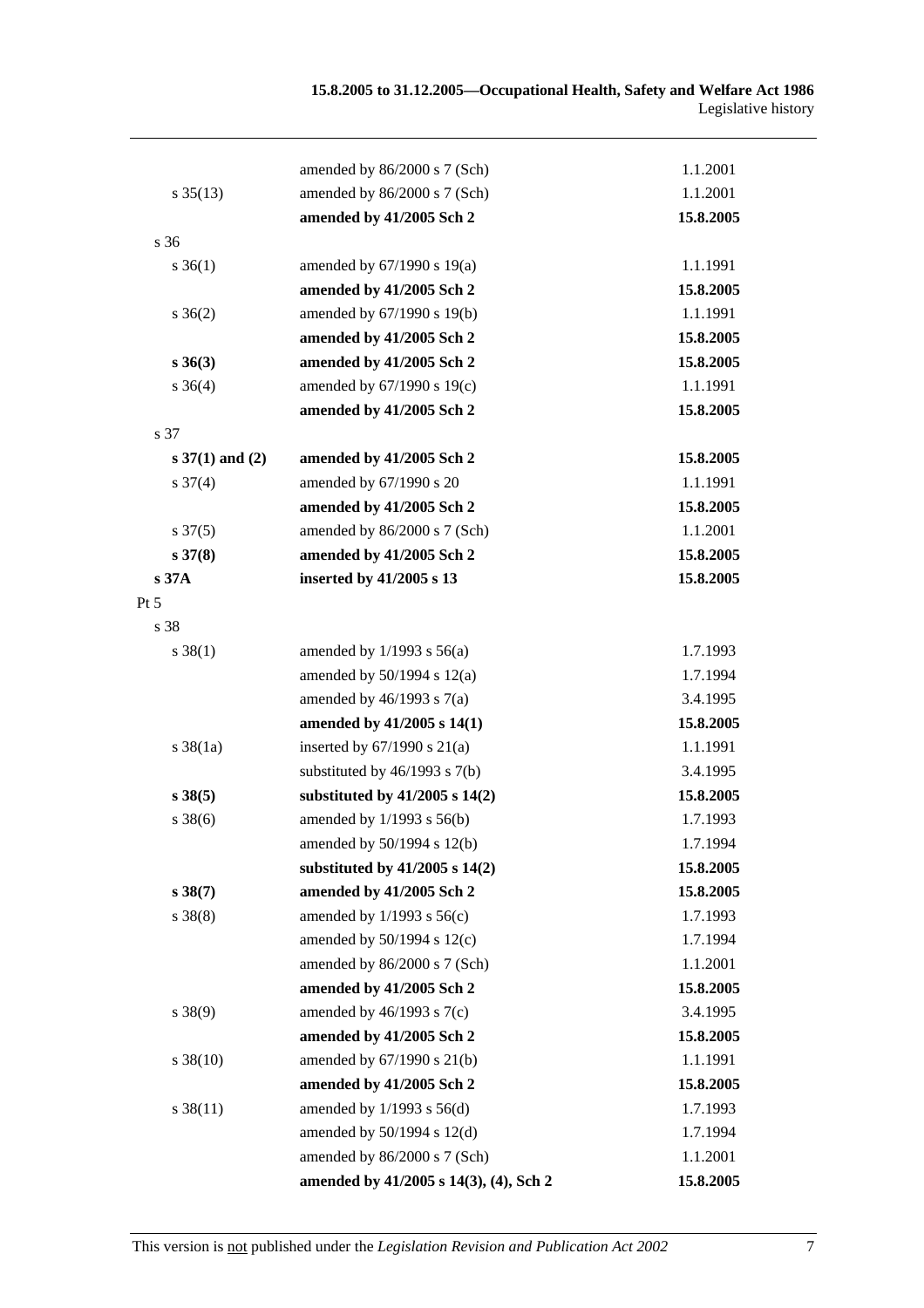|                      | amended by 86/2000 s 7 (Sch)           | 1.1.2001  |
|----------------------|----------------------------------------|-----------|
| $s \, 35(13)$        | amended by 86/2000 s 7 (Sch)           | 1.1.2001  |
|                      | amended by 41/2005 Sch 2               | 15.8.2005 |
| s 36                 |                                        |           |
| $s \; 36(1)$         | amended by 67/1990 s 19(a)             | 1.1.1991  |
|                      | amended by 41/2005 Sch 2               | 15.8.2005 |
| $s \; 36(2)$         | amended by 67/1990 s 19(b)             | 1.1.1991  |
|                      | amended by 41/2005 Sch 2               | 15.8.2005 |
| $s \, 36(3)$         | amended by 41/2005 Sch 2               | 15.8.2005 |
| $s \; 36(4)$         | amended by 67/1990 s 19(c)             | 1.1.1991  |
|                      | amended by 41/2005 Sch 2               | 15.8.2005 |
| s 37                 |                                        |           |
| $s \, 37(1)$ and (2) | amended by 41/2005 Sch 2               | 15.8.2005 |
| $s \frac{37(4)}{2}$  | amended by 67/1990 s 20                | 1.1.1991  |
|                      | amended by 41/2005 Sch 2               | 15.8.2005 |
| $s \frac{37(5)}{2}$  | amended by 86/2000 s 7 (Sch)           | 1.1.2001  |
| $s \, 37(8)$         | amended by 41/2005 Sch 2               | 15.8.2005 |
| s37A                 | inserted by 41/2005 s 13               | 15.8.2005 |
| $Pt\,5$              |                                        |           |
| s 38                 |                                        |           |
| $s \ 38(1)$          | amended by $1/1993$ s $56(a)$          | 1.7.1993  |
|                      | amended by $50/1994$ s $12(a)$         | 1.7.1994  |
|                      | amended by $46/1993$ s $7(a)$          | 3.4.1995  |
|                      | amended by 41/2005 s 14(1)             | 15.8.2005 |
| $s \, 38(1a)$        | inserted by $67/1990$ s $21(a)$        | 1.1.1991  |
|                      | substituted by $46/1993$ s $7(b)$      | 3.4.1995  |
| $s \, 38(5)$         | substituted by $41/2005$ s $14(2)$     | 15.8.2005 |
| $s \, 38(6)$         | amended by 1/1993 s 56(b)              | 1.7.1993  |
|                      | amended by $50/1994$ s $12(b)$         | 1.7.1994  |
|                      | substituted by $41/2005$ s $14(2)$     | 15.8.2005 |
| s38(7)               | amended by 41/2005 Sch 2               | 15.8.2005 |
| $s \ 38(8)$          | amended by $1/1993$ s $56(c)$          | 1.7.1993  |
|                      | amended by 50/1994 s 12(c)             | 1.7.1994  |
|                      | amended by 86/2000 s 7 (Sch)           | 1.1.2001  |
|                      | amended by 41/2005 Sch 2               | 15.8.2005 |
| $s \ 38(9)$          | amended by $46/1993$ s $7(c)$          | 3.4.1995  |
|                      | amended by 41/2005 Sch 2               | 15.8.2005 |
| $s \, 38(10)$        | amended by 67/1990 s 21(b)             | 1.1.1991  |
|                      | amended by 41/2005 Sch 2               | 15.8.2005 |
| $s \, 38(11)$        | amended by $1/1993$ s $56(d)$          | 1.7.1993  |
|                      | amended by 50/1994 s 12(d)             | 1.7.1994  |
|                      | amended by 86/2000 s 7 (Sch)           | 1.1.2001  |
|                      | amended by 41/2005 s 14(3), (4), Sch 2 | 15.8.2005 |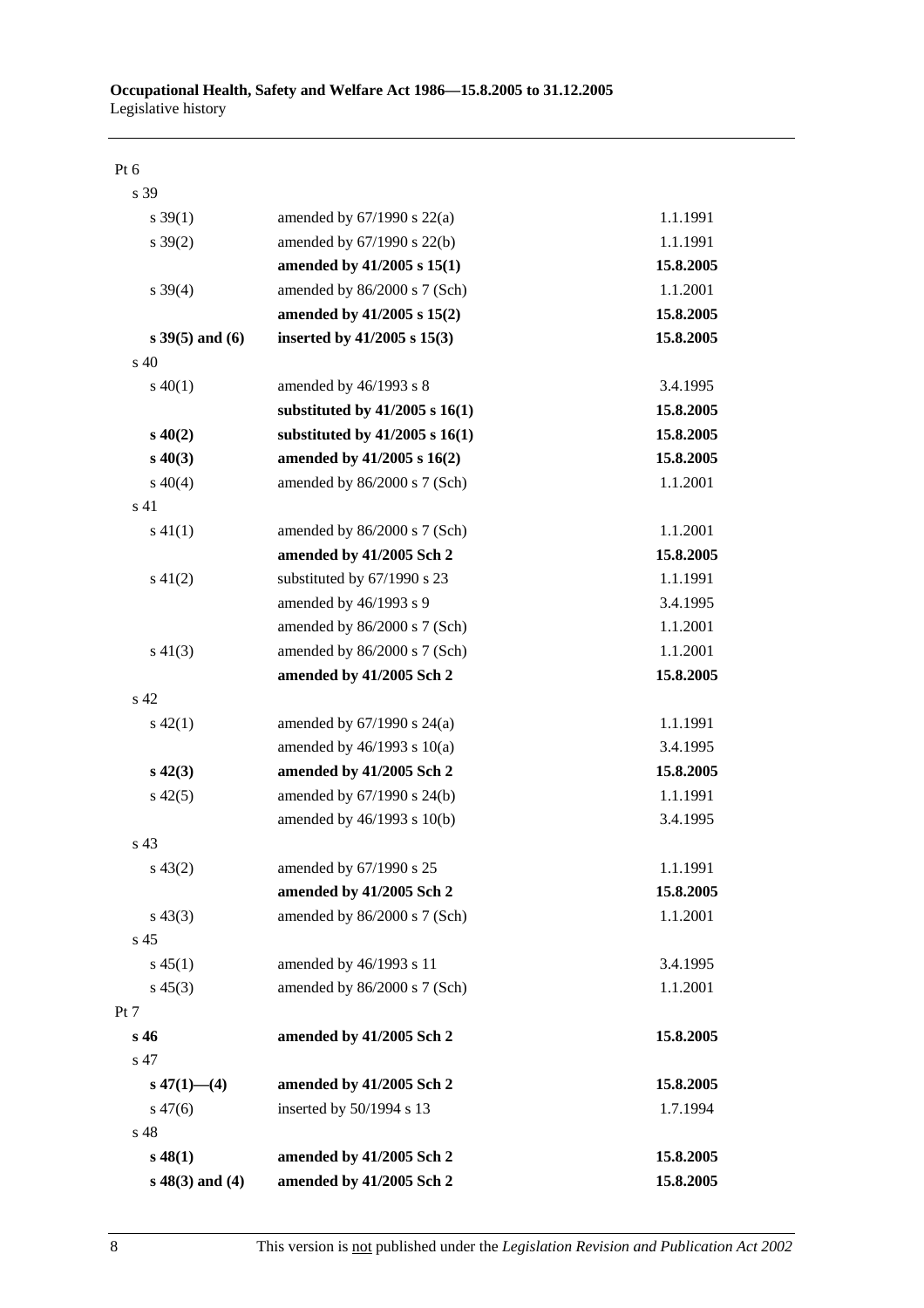#### Pt 6

| s 39               |                                    |           |
|--------------------|------------------------------------|-----------|
| $s \, 39(1)$       | amended by $67/1990$ s $22(a)$     | 1.1.1991  |
| $s \, 39(2)$       | amended by 67/1990 s 22(b)         | 1.1.1991  |
|                    | amended by 41/2005 s 15(1)         | 15.8.2005 |
| $s \, 39(4)$       | amended by 86/2000 s 7 (Sch)       | 1.1.2001  |
|                    | amended by 41/2005 s 15(2)         | 15.8.2005 |
| $s$ 39(5) and (6)  | inserted by 41/2005 s 15(3)        | 15.8.2005 |
| $\mathrm{s}$ 40    |                                    |           |
| $s\ 40(1)$         | amended by 46/1993 s 8             | 3.4.1995  |
|                    | substituted by $41/2005$ s $16(1)$ | 15.8.2005 |
| $s\,40(2)$         | substituted by $41/2005$ s $16(1)$ | 15.8.2005 |
| $s\ 40(3)$         | amended by 41/2005 s 16(2)         | 15.8.2005 |
| $s\ 40(4)$         | amended by 86/2000 s 7 (Sch)       | 1.1.2001  |
| s 41               |                                    |           |
| $s\ 41(1)$         | amended by 86/2000 s 7 (Sch)       | 1.1.2001  |
|                    | amended by 41/2005 Sch 2           | 15.8.2005 |
| $s\ 41(2)$         | substituted by 67/1990 s 23        | 1.1.1991  |
|                    | amended by 46/1993 s 9             | 3.4.1995  |
|                    | amended by 86/2000 s 7 (Sch)       | 1.1.2001  |
| $s\ 41(3)$         | amended by 86/2000 s 7 (Sch)       | 1.1.2001  |
|                    | amended by 41/2005 Sch 2           | 15.8.2005 |
| s 42               |                                    |           |
| $s\,42(1)$         | amended by $67/1990$ s $24(a)$     | 1.1.1991  |
|                    | amended by $46/1993$ s $10(a)$     | 3.4.1995  |
| $s\,42(3)$         | amended by 41/2005 Sch 2           | 15.8.2005 |
| $s\ 42(5)$         | amended by 67/1990 s 24(b)         | 1.1.1991  |
|                    | amended by 46/1993 s 10(b)         | 3.4.1995  |
| s <sub>43</sub>    |                                    |           |
| $s\,43(2)$         | amended by 67/1990 s 25            | 1.1.1991  |
|                    | amended by 41/2005 Sch 2           | 15.8.2005 |
| $s\,43(3)$         | amended by 86/2000 s 7 (Sch)       | 1.1.2001  |
| s <sub>45</sub>    |                                    |           |
| $s\,45(1)$         | amended by 46/1993 s 11            | 3.4.1995  |
| $s\,45(3)$         | amended by 86/2000 s 7 (Sch)       | 1.1.2001  |
| Pt 7               |                                    |           |
| s 46               | amended by 41/2005 Sch 2           | 15.8.2005 |
| s 47               |                                    |           |
| $s\,47(1)$ - (4)   | amended by 41/2005 Sch 2           | 15.8.2005 |
| $s\,47(6)$         | inserted by 50/1994 s 13           | 1.7.1994  |
| s 48               |                                    |           |
| $s\,48(1)$         | amended by 41/2005 Sch 2           | 15.8.2005 |
| $s\ 48(3)$ and (4) | amended by 41/2005 Sch 2           | 15.8.2005 |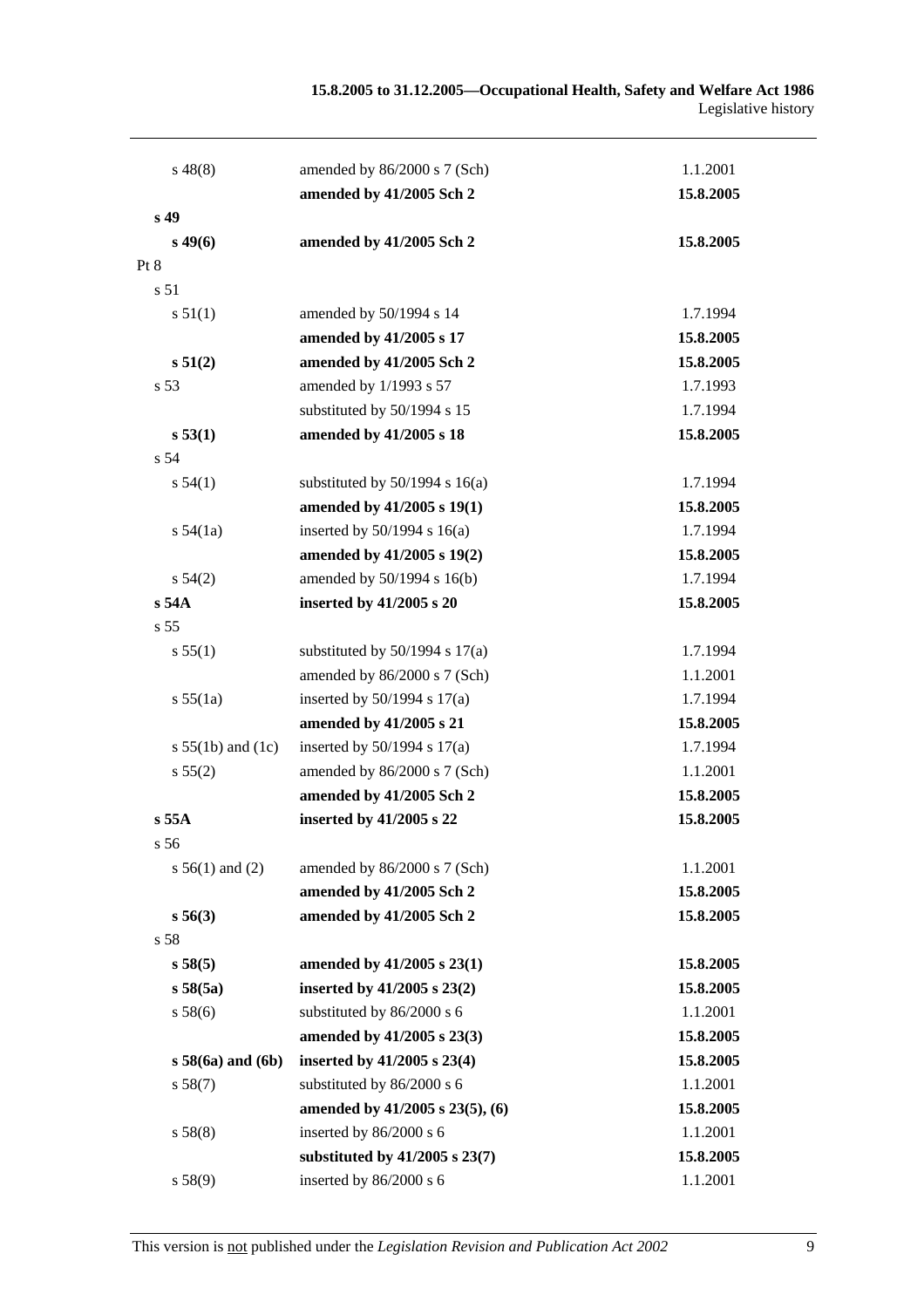| $s\,48(8)$            | amended by 86/2000 s 7 (Sch)       | 1.1.2001  |
|-----------------------|------------------------------------|-----------|
|                       | amended by 41/2005 Sch 2           | 15.8.2005 |
| s <sub>49</sub>       |                                    |           |
| $s\,49(6)$            | amended by 41/2005 Sch 2           | 15.8.2005 |
| Pt 8                  |                                    |           |
| s 51                  |                                    |           |
| s 51(1)               | amended by 50/1994 s 14            | 1.7.1994  |
|                       | amended by 41/2005 s 17            | 15.8.2005 |
| s 51(2)               | amended by 41/2005 Sch 2           | 15.8.2005 |
| s <sub>53</sub>       | amended by 1/1993 s 57             | 1.7.1993  |
|                       | substituted by 50/1994 s 15        | 1.7.1994  |
| s 53(1)               | amended by 41/2005 s 18            | 15.8.2005 |
| s 54                  |                                    |           |
| s 54(1)               | substituted by $50/1994$ s $16(a)$ | 1.7.1994  |
|                       | amended by 41/2005 s 19(1)         | 15.8.2005 |
| s 54(1a)              | inserted by $50/1994$ s $16(a)$    | 1.7.1994  |
|                       | amended by 41/2005 s 19(2)         | 15.8.2005 |
| $s\,54(2)$            | amended by 50/1994 s 16(b)         | 1.7.1994  |
| $s$ 54 $A$            | inserted by 41/2005 s 20           | 15.8.2005 |
| s 55                  |                                    |           |
| s 55(1)               | substituted by $50/1994$ s $17(a)$ | 1.7.1994  |
|                       | amended by 86/2000 s 7 (Sch)       | 1.1.2001  |
| s 55(1a)              | inserted by $50/1994$ s $17(a)$    | 1.7.1994  |
|                       | amended by 41/2005 s 21            | 15.8.2005 |
| s $55(1b)$ and $(1c)$ | inserted by $50/1994$ s $17(a)$    | 1.7.1994  |
| s 55(2)               | amended by 86/2000 s 7 (Sch)       | 1.1.2001  |
|                       | amended by 41/2005 Sch 2           | 15.8.2005 |
| $s$ 55A               | inserted by 41/2005 s 22           | 15.8.2005 |
| s <sub>56</sub>       |                                    |           |
| s $56(1)$ and (2)     | amended by 86/2000 s 7 (Sch)       | 1.1.2001  |
|                       | amended by 41/2005 Sch 2           | 15.8.2005 |
| s 56(3)               | amended by 41/2005 Sch 2           | 15.8.2005 |
| s 58                  |                                    |           |
| s 58(5)               | amended by 41/2005 s 23(1)         | 15.8.2005 |
| s 58(5a)              | inserted by $41/2005$ s $23(2)$    | 15.8.2005 |
| s 58(6)               | substituted by 86/2000 s 6         | 1.1.2001  |
|                       | amended by 41/2005 s 23(3)         | 15.8.2005 |
| $s$ 58(6a) and (6b)   | inserted by 41/2005 s 23(4)        | 15.8.2005 |
| s 58(7)               | substituted by 86/2000 s 6         | 1.1.2001  |
|                       | amended by 41/2005 s 23(5), (6)    | 15.8.2005 |
| s 58(8)               | inserted by 86/2000 s 6            | 1.1.2001  |
|                       | substituted by 41/2005 s 23(7)     | 15.8.2005 |
| s 58(9)               | inserted by 86/2000 s 6            | 1.1.2001  |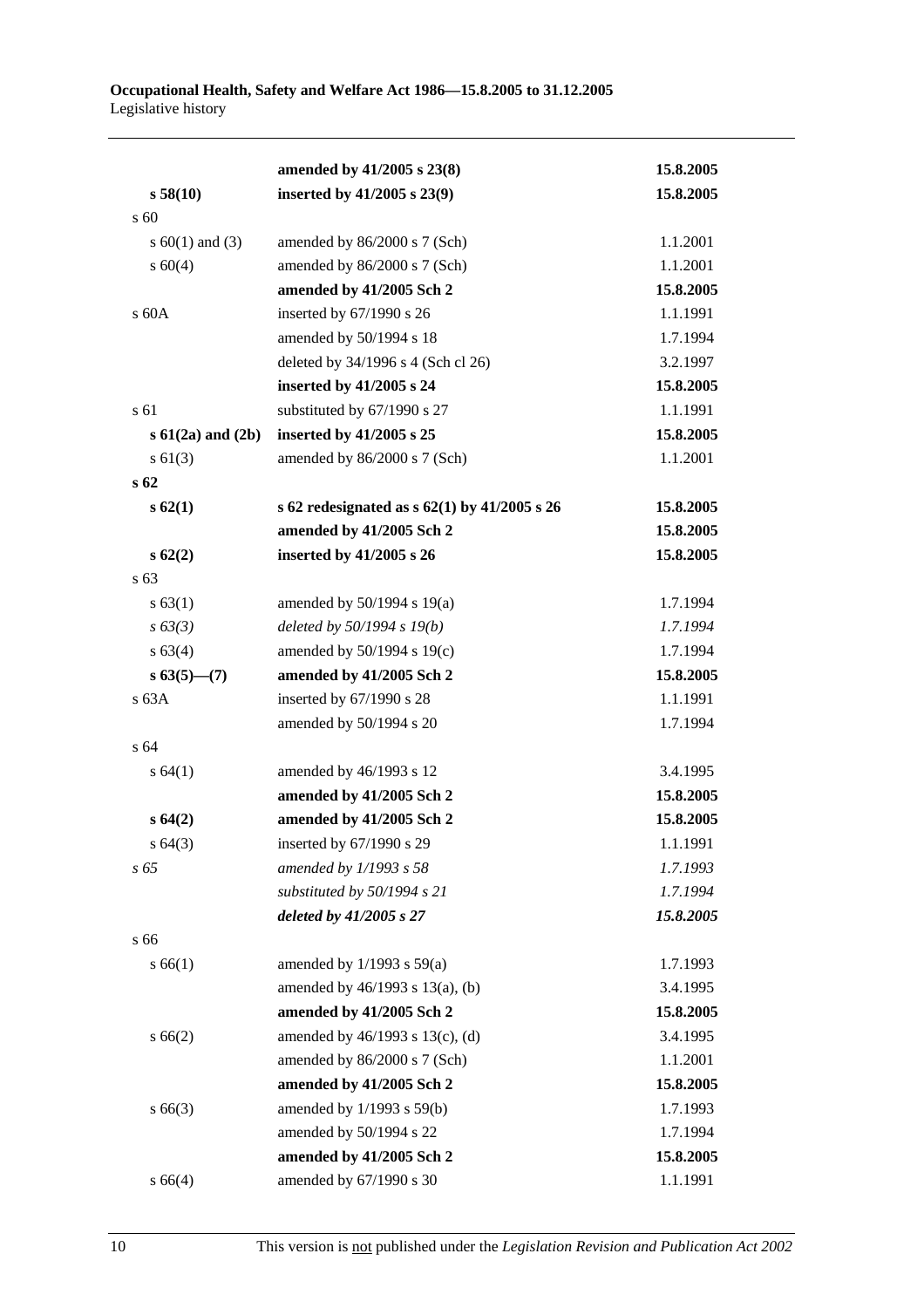#### **Occupational Health, Safety and Welfare Act 1986—15.8.2005 to 31.12.2005**  Legislative history

|                       | amended by 41/2005 s 23(8)                       | 15.8.2005 |
|-----------------------|--------------------------------------------------|-----------|
| s 58(10)              | inserted by 41/2005 s 23(9)                      | 15.8.2005 |
| s 60                  |                                                  |           |
| s $60(1)$ and $(3)$   | amended by 86/2000 s 7 (Sch)                     | 1.1.2001  |
| s 60(4)               | amended by 86/2000 s 7 (Sch)                     | 1.1.2001  |
|                       | amended by 41/2005 Sch 2                         | 15.8.2005 |
| s 60A                 | inserted by 67/1990 s 26                         | 1.1.1991  |
|                       | amended by 50/1994 s 18                          | 1.7.1994  |
|                       | deleted by 34/1996 s 4 (Sch cl 26)               | 3.2.1997  |
|                       | inserted by 41/2005 s 24                         | 15.8.2005 |
| s 61                  | substituted by 67/1990 s 27                      | 1.1.1991  |
| $s 61(2a)$ and $(2b)$ | inserted by 41/2005 s 25                         | 15.8.2005 |
| $s \ 61(3)$           | amended by 86/2000 s 7 (Sch)                     | 1.1.2001  |
| s <sub>62</sub>       |                                                  |           |
| s62(1)                | s 62 redesignated as s $62(1)$ by $41/2005$ s 26 | 15.8.2005 |
|                       | amended by 41/2005 Sch 2                         | 15.8.2005 |
| s62(2)                | inserted by 41/2005 s 26                         | 15.8.2005 |
| s 63                  |                                                  |           |
| s 63(1)               | amended by $50/1994$ s $19(a)$                   | 1.7.1994  |
| $s \, 63(3)$          | deleted by 50/1994 s 19(b)                       | 1.7.1994  |
| s 63(4)               | amended by 50/1994 s 19(c)                       | 1.7.1994  |
| $s 63(5)$ - (7)       | amended by 41/2005 Sch 2                         | 15.8.2005 |
| s63A                  | inserted by 67/1990 s 28                         | 1.1.1991  |
|                       | amended by 50/1994 s 20                          | 1.7.1994  |
| s 64                  |                                                  |           |
| s 64(1)               | amended by 46/1993 s 12                          | 3.4.1995  |
|                       | amended by 41/2005 Sch 2                         | 15.8.2005 |
| s64(2)                | amended by 41/2005 Sch 2                         | 15.8.2005 |
| s 64(3)               | inserted by 67/1990 s 29                         | 1.1.1991  |
| s 65                  | amended by 1/1993 s 58                           | 1.7.1993  |
|                       | substituted by 50/1994 s 21                      | 1.7.1994  |
|                       | deleted by 41/2005 s 27                          | 15.8.2005 |
| s 66                  |                                                  |           |
| s 66(1)               | amended by $1/1993$ s $59(a)$                    | 1.7.1993  |
|                       | amended by 46/1993 s 13(a), (b)                  | 3.4.1995  |
|                       | amended by 41/2005 Sch 2                         | 15.8.2005 |
| s 66(2)               | amended by 46/1993 s 13(c), (d)                  | 3.4.1995  |
|                       | amended by 86/2000 s 7 (Sch)                     | 1.1.2001  |
|                       | amended by 41/2005 Sch 2                         | 15.8.2005 |
| $s\,66(3)$            | amended by 1/1993 s 59(b)                        | 1.7.1993  |
|                       | amended by 50/1994 s 22                          | 1.7.1994  |
|                       | amended by 41/2005 Sch 2                         | 15.8.2005 |
| s 66(4)               | amended by 67/1990 s 30                          | 1.1.1991  |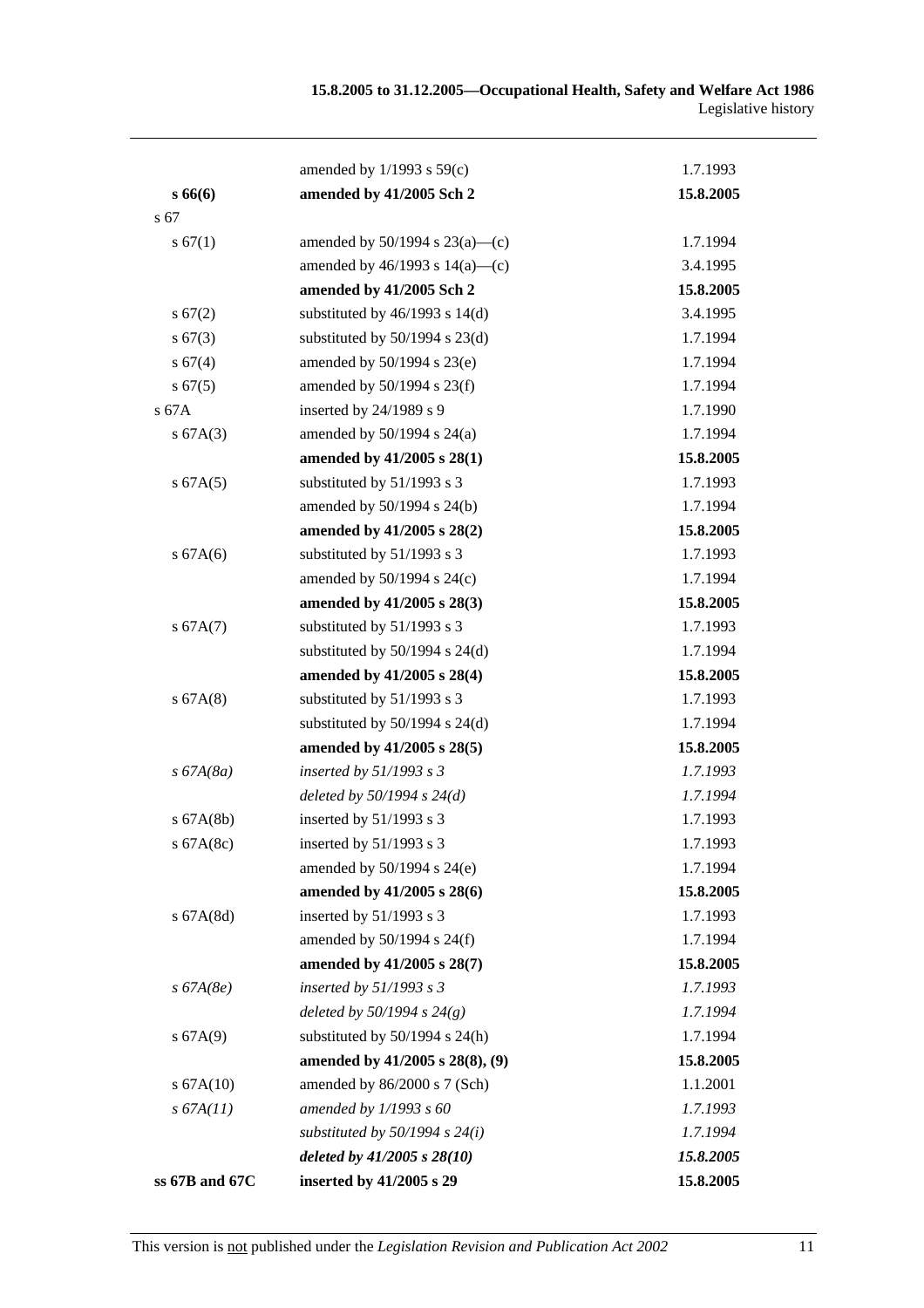|                | amended by $1/1993$ s $59(c)$       | 1.7.1993  |
|----------------|-------------------------------------|-----------|
| s6666          | amended by 41/2005 Sch 2            | 15.8.2005 |
| s 67           |                                     |           |
| s 67(1)        | amended by $50/1994$ s $23(a)$ —(c) | 1.7.1994  |
|                | amended by $46/1993$ s $14(a)$ —(c) | 3.4.1995  |
|                | amended by 41/2005 Sch 2            | 15.8.2005 |
| s 67(2)        | substituted by $46/1993$ s $14(d)$  | 3.4.1995  |
| $s\,67(3)$     | substituted by $50/1994$ s $23(d)$  | 1.7.1994  |
| s 67(4)        | amended by 50/1994 s 23(e)          | 1.7.1994  |
| s 67(5)        | amended by 50/1994 s 23(f)          | 1.7.1994  |
| s 67A          | inserted by 24/1989 s 9             | 1.7.1990  |
| s 67A(3)       | amended by $50/1994$ s $24(a)$      | 1.7.1994  |
|                | amended by 41/2005 s 28(1)          | 15.8.2005 |
| s 67A(5)       | substituted by 51/1993 s 3          | 1.7.1993  |
|                | amended by 50/1994 s 24(b)          | 1.7.1994  |
|                | amended by 41/2005 s 28(2)          | 15.8.2005 |
| s 67A(6)       | substituted by 51/1993 s 3          | 1.7.1993  |
|                | amended by 50/1994 s 24(c)          | 1.7.1994  |
|                | amended by 41/2005 s 28(3)          | 15.8.2005 |
| s 67A(7)       | substituted by 51/1993 s 3          | 1.7.1993  |
|                | substituted by $50/1994$ s $24(d)$  | 1.7.1994  |
|                | amended by 41/2005 s 28(4)          | 15.8.2005 |
| s 67A(8)       | substituted by 51/1993 s 3          | 1.7.1993  |
|                | substituted by $50/1994$ s $24(d)$  | 1.7.1994  |
|                | amended by 41/2005 s 28(5)          | 15.8.2005 |
| $s\,67A(8a)$   | inserted by $51/1993$ s 3           | 1.7.1993  |
|                | deleted by $50/1994 s 24(d)$        | 1.7.1994  |
| $s$ 67A(8b)    | inserted by 51/1993 s 3             | 1.7.1993  |
| s 67A(8c)      | inserted by 51/1993 s 3             | 1.7.1993  |
|                | amended by $50/1994$ s $24(e)$      | 1.7.1994  |
|                | amended by 41/2005 s 28(6)          | 15.8.2005 |
| $s$ 67A $(8d)$ | inserted by 51/1993 s 3             | 1.7.1993  |
|                | amended by $50/1994$ s $24(f)$      | 1.7.1994  |
|                | amended by 41/2005 s 28(7)          | 15.8.2005 |
| $s\,67A(8e)$   | inserted by $51/1993$ s 3           | 1.7.1993  |
|                | deleted by $50/1994 s 24(g)$        | 1.7.1994  |
| s 67A(9)       | substituted by $50/1994$ s $24(h)$  | 1.7.1994  |
|                | amended by 41/2005 s 28(8), (9)     | 15.8.2005 |
| s 67A(10)      | amended by 86/2000 s 7 (Sch)        | 1.1.2001  |
| s 67A(11)      | amended by $1/1993 s 60$            | 1.7.1993  |
|                | substituted by $50/1994$ s $24(i)$  | 1.7.1994  |
|                | deleted by 41/2005 s 28(10)         | 15.8.2005 |
| ss 67B and 67C | inserted by 41/2005 s 29            | 15.8.2005 |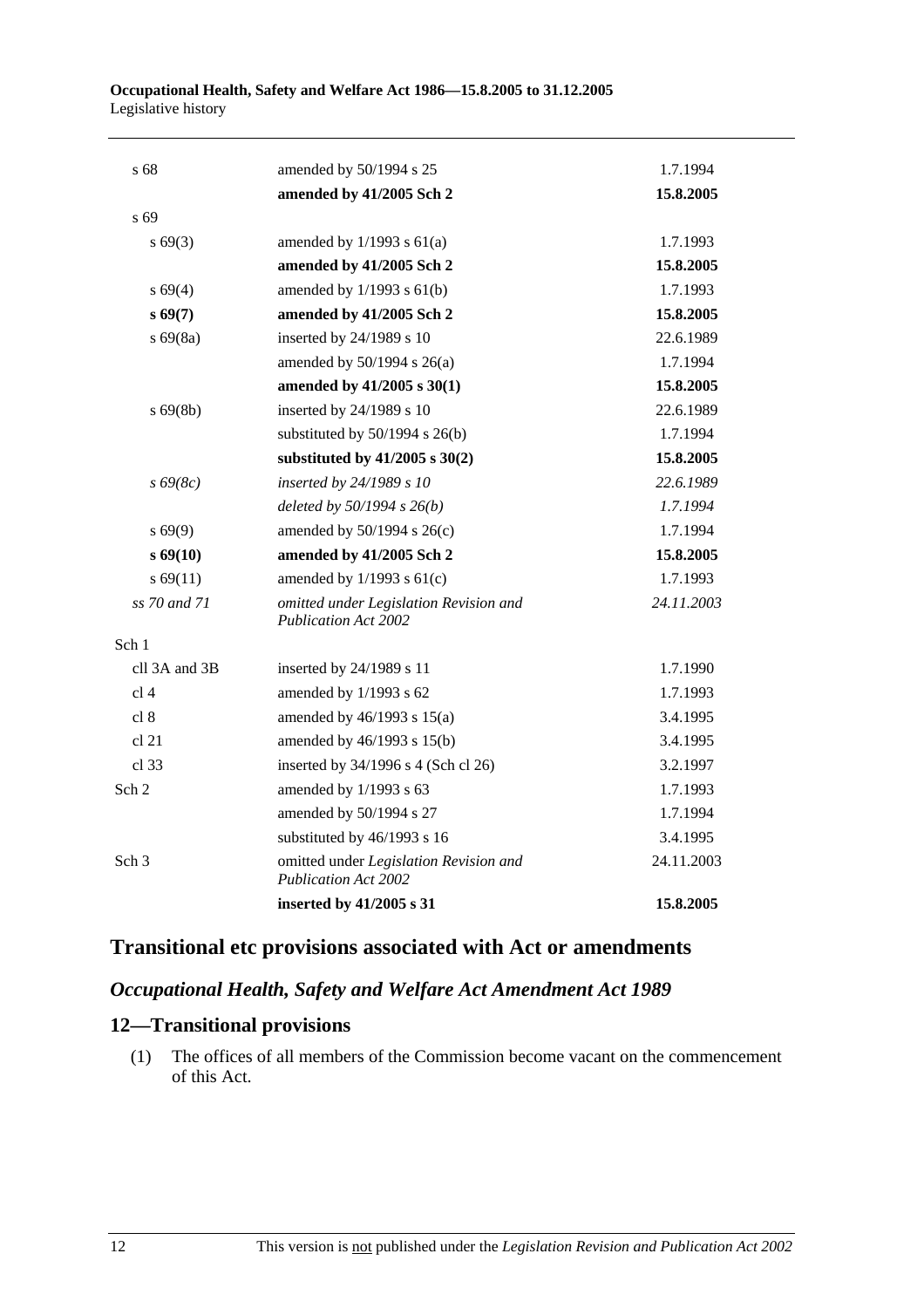| s 68             | amended by 50/1994 s 25                                               | 1.7.1994   |
|------------------|-----------------------------------------------------------------------|------------|
|                  | amended by 41/2005 Sch 2                                              | 15.8.2005  |
| s <sub>69</sub>  |                                                                       |            |
| $s\,69(3)$       | amended by $1/1993$ s $61(a)$                                         | 1.7.1993   |
|                  | amended by 41/2005 Sch 2                                              | 15.8.2005  |
| s 69(4)          | amended by $1/1993$ s $61(b)$                                         | 1.7.1993   |
| s69(7)           | amended by 41/2005 Sch 2                                              | 15.8.2005  |
| $s\,69(8a)$      | inserted by 24/1989 s 10                                              | 22.6.1989  |
|                  | amended by $50/1994$ s $26(a)$                                        | 1.7.1994   |
|                  | amended by 41/2005 s 30(1)                                            | 15.8.2005  |
| $s\,69(8b)$      | inserted by 24/1989 s 10                                              | 22.6.1989  |
|                  | substituted by $50/1994$ s $26(b)$                                    | 1.7.1994   |
|                  | substituted by $41/2005$ s $30(2)$                                    | 15.8.2005  |
| $s\,69(8c)$      | inserted by 24/1989 s 10                                              | 22.6.1989  |
|                  | deleted by $50/1994 s 26(b)$                                          | 1.7.1994   |
| $s\,69(9)$       | amended by 50/1994 s 26(c)                                            | 1.7.1994   |
| $s\,69(10)$      | amended by 41/2005 Sch 2                                              | 15.8.2005  |
| s 69(11)         | amended by $1/1993$ s $61(c)$                                         | 1.7.1993   |
| ss 70 and 71     | omitted under Legislation Revision and<br><b>Publication Act 2002</b> | 24.11.2003 |
| Sch 1            |                                                                       |            |
| cll 3A and 3B    | inserted by 24/1989 s 11                                              | 1.7.1990   |
| cl <sub>4</sub>  | amended by 1/1993 s 62                                                | 1.7.1993   |
| cl 8             | amended by $46/1993$ s $15(a)$                                        | 3.4.1995   |
| cl 21            | amended by 46/1993 s 15(b)                                            | 3.4.1995   |
| cl.33            | inserted by 34/1996 s 4 (Sch cl 26)                                   | 3.2.1997   |
| Sch 2            | amended by $1/1993$ s 63                                              | 1.7.1993   |
|                  | amended by 50/1994 s 27                                               | 1.7.1994   |
|                  | substituted by 46/1993 s 16                                           | 3.4.1995   |
| Sch <sub>3</sub> | omitted under Legislation Revision and<br>Publication Act 2002        | 24.11.2003 |
|                  | inserted by 41/2005 s 31                                              | 15.8.2005  |

# **Transitional etc provisions associated with Act or amendments**

## *Occupational Health, Safety and Welfare Act Amendment Act 1989*

## **12—Transitional provisions**

 (1) The offices of all members of the Commission become vacant on the commencement of this Act.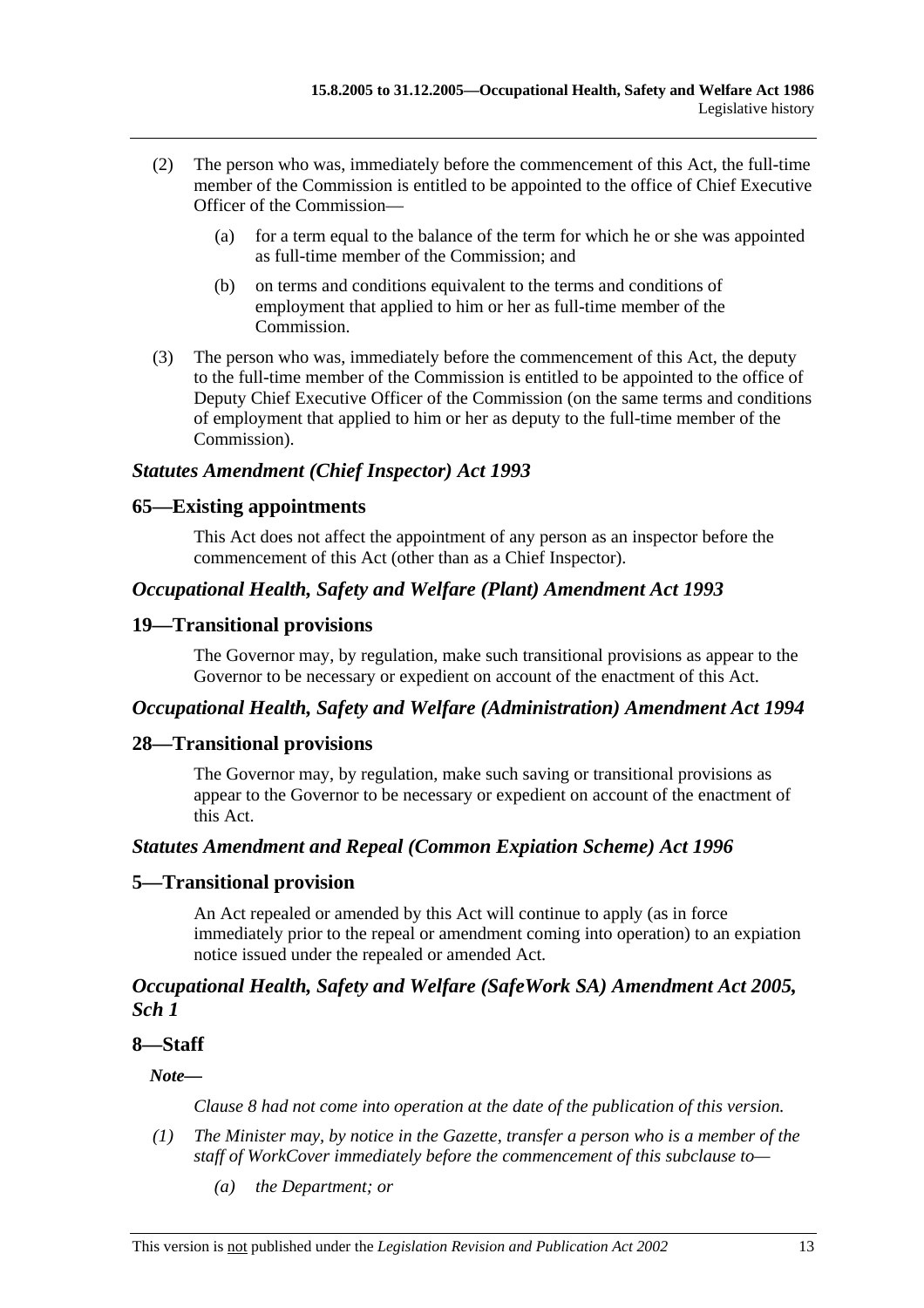- (2) The person who was, immediately before the commencement of this Act, the full-time member of the Commission is entitled to be appointed to the office of Chief Executive Officer of the Commission—
	- (a) for a term equal to the balance of the term for which he or she was appointed as full-time member of the Commission; and
	- (b) on terms and conditions equivalent to the terms and conditions of employment that applied to him or her as full-time member of the Commission.
- (3) The person who was, immediately before the commencement of this Act, the deputy to the full-time member of the Commission is entitled to be appointed to the office of Deputy Chief Executive Officer of the Commission (on the same terms and conditions of employment that applied to him or her as deputy to the full-time member of the Commission).

#### *Statutes Amendment (Chief Inspector) Act 1993*

#### **65—Existing appointments**

This Act does not affect the appointment of any person as an inspector before the commencement of this Act (other than as a Chief Inspector).

#### *Occupational Health, Safety and Welfare (Plant) Amendment Act 1993*

#### **19—Transitional provisions**

The Governor may, by regulation, make such transitional provisions as appear to the Governor to be necessary or expedient on account of the enactment of this Act.

#### *Occupational Health, Safety and Welfare (Administration) Amendment Act 1994*

#### **28—Transitional provisions**

The Governor may, by regulation, make such saving or transitional provisions as appear to the Governor to be necessary or expedient on account of the enactment of this Act.

#### *Statutes Amendment and Repeal (Common Expiation Scheme) Act 1996*

#### **5—Transitional provision**

An Act repealed or amended by this Act will continue to apply (as in force immediately prior to the repeal or amendment coming into operation) to an expiation notice issued under the repealed or amended Act.

### *Occupational Health, Safety and Welfare (SafeWork SA) Amendment Act 2005, Sch 1*

### **8—Staff**

*Note—* 

*Clause 8 had not come into operation at the date of the publication of this version.* 

- *(1) The Minister may, by notice in the Gazette, transfer a person who is a member of the staff of WorkCover immediately before the commencement of this subclause to—* 
	- *(a) the Department; or*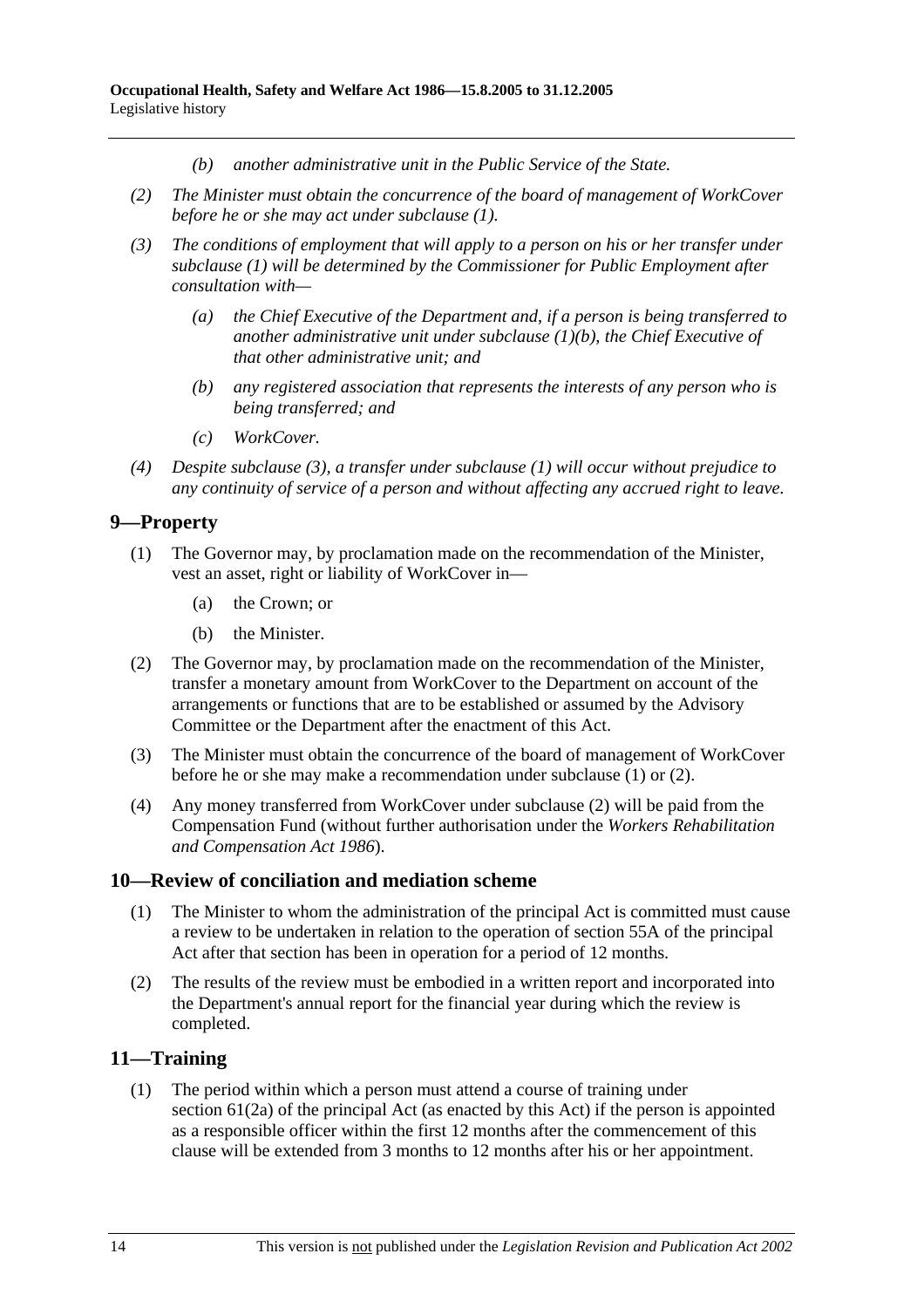- *(b) another administrative unit in the Public Service of the State.*
- *(2) The Minister must obtain the concurrence of the board of management of WorkCover before he or she may act under subclause (1).*
- *(3) The conditions of employment that will apply to a person on his or her transfer under subclause (1) will be determined by the Commissioner for Public Employment after consultation with—* 
	- *(a) the Chief Executive of the Department and, if a person is being transferred to another administrative unit under subclause (1)(b), the Chief Executive of that other administrative unit; and*
	- *(b) any registered association that represents the interests of any person who is being transferred; and*
	- *(c) WorkCover.*
- *(4) Despite subclause (3), a transfer under subclause (1) will occur without prejudice to any continuity of service of a person and without affecting any accrued right to leave.*

### **9—Property**

- (1) The Governor may, by proclamation made on the recommendation of the Minister, vest an asset, right or liability of WorkCover in—
	- (a) the Crown; or
	- (b) the Minister.
- (2) The Governor may, by proclamation made on the recommendation of the Minister, transfer a monetary amount from WorkCover to the Department on account of the arrangements or functions that are to be established or assumed by the Advisory Committee or the Department after the enactment of this Act.
- (3) The Minister must obtain the concurrence of the board of management of WorkCover before he or she may make a recommendation under subclause (1) or (2).
- (4) Any money transferred from WorkCover under subclause (2) will be paid from the Compensation Fund (without further authorisation under the *Workers Rehabilitation and Compensation Act 1986*).

#### **10—Review of conciliation and mediation scheme**

- (1) The Minister to whom the administration of the principal Act is committed must cause a review to be undertaken in relation to the operation of section 55A of the principal Act after that section has been in operation for a period of 12 months.
- (2) The results of the review must be embodied in a written report and incorporated into the Department's annual report for the financial year during which the review is completed.

### **11—Training**

 (1) The period within which a person must attend a course of training under section 61(2a) of the principal Act (as enacted by this Act) if the person is appointed as a responsible officer within the first 12 months after the commencement of this clause will be extended from 3 months to 12 months after his or her appointment.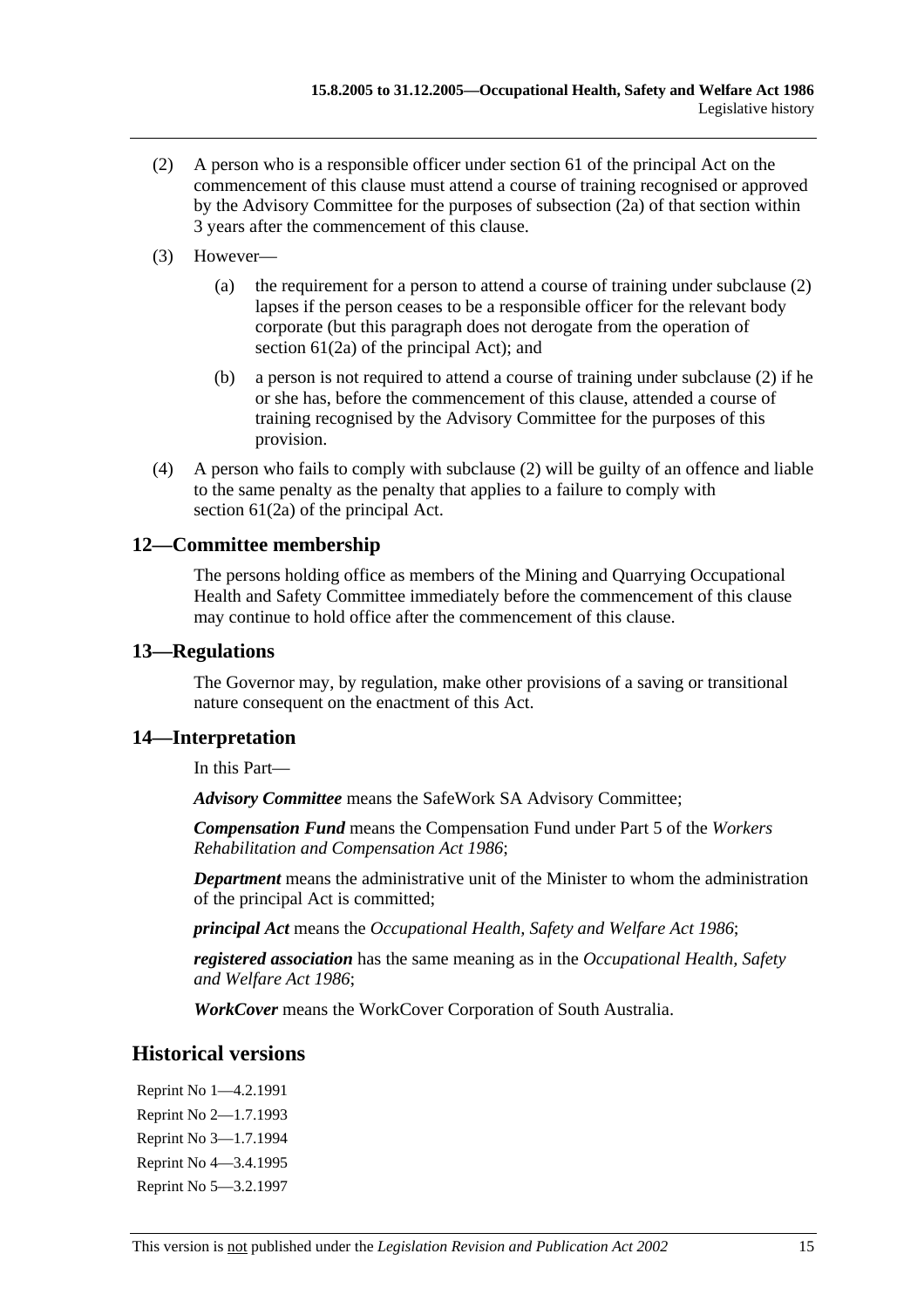- (2) A person who is a responsible officer under section 61 of the principal Act on the commencement of this clause must attend a course of training recognised or approved by the Advisory Committee for the purposes of subsection (2a) of that section within 3 years after the commencement of this clause.
- (3) However—
	- (a) the requirement for a person to attend a course of training under subclause (2) lapses if the person ceases to be a responsible officer for the relevant body corporate (but this paragraph does not derogate from the operation of section 61(2a) of the principal Act); and
	- (b) a person is not required to attend a course of training under subclause (2) if he or she has, before the commencement of this clause, attended a course of training recognised by the Advisory Committee for the purposes of this provision.
- (4) A person who fails to comply with subclause (2) will be guilty of an offence and liable to the same penalty as the penalty that applies to a failure to comply with section 61(2a) of the principal Act.

### **12—Committee membership**

The persons holding office as members of the Mining and Quarrying Occupational Health and Safety Committee immediately before the commencement of this clause may continue to hold office after the commencement of this clause.

#### **13—Regulations**

The Governor may, by regulation, make other provisions of a saving or transitional nature consequent on the enactment of this Act.

### **14—Interpretation**

In this Part—

*Advisory Committee* means the SafeWork SA Advisory Committee;

*Compensation Fund* means the Compensation Fund under Part 5 of the *Workers Rehabilitation and Compensation Act 1986*;

*Department* means the administrative unit of the Minister to whom the administration of the principal Act is committed;

*principal Act* means the *Occupational Health, Safety and Welfare Act 1986*;

*registered association* has the same meaning as in the *Occupational Health, Safety and Welfare Act 1986*;

*WorkCover* means the WorkCover Corporation of South Australia.

### **Historical versions**

Reprint No 1—4.2.1991 Reprint No 2—1.7.1993 Reprint No 3—1.7.1994 Reprint No 4—3.4.1995 Reprint No 5—3.2.1997